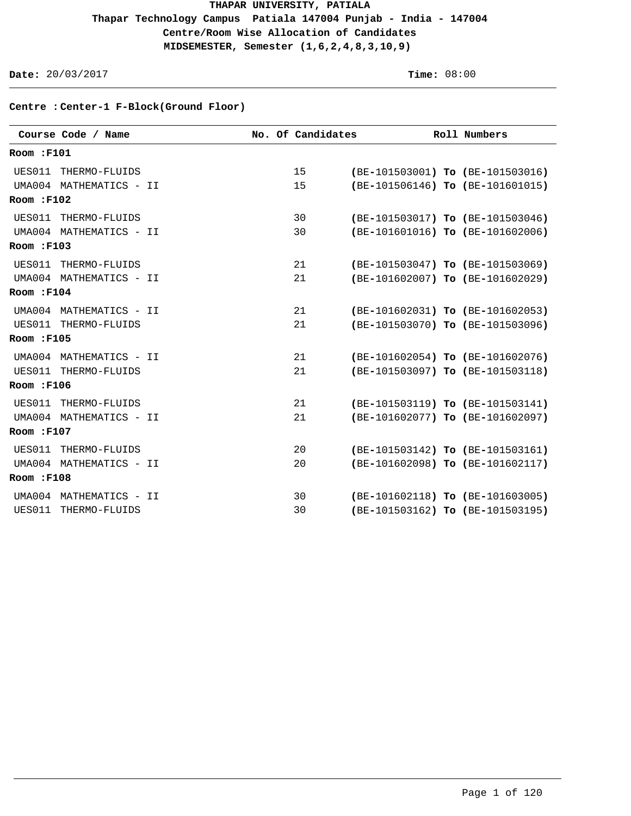# **Thapar Technology Campus Patiala 147004 Punjab - India - 147004**

**Centre/Room Wise Allocation of Candidates**

**MIDSEMESTER, Semester (1,6,2,4,8,3,10,9)**

Date:  $20/03/2017$ 

Time: 08:00

#### **Centre : Center-1 F-Block(Ground Floor)**

|             | Course Code / Name      |  | No. Of Candidates |  | Roll Numbers                         |
|-------------|-------------------------|--|-------------------|--|--------------------------------------|
| Room : F101 |                         |  |                   |  |                                      |
| UES011      | THERMO-FLUIDS           |  | 15                |  | $(BE-101503001)$ To $(BE-101503016)$ |
|             | UMA004 MATHEMATICS - II |  | 15                |  | $(BE-101506146)$ To $(BE-101601015)$ |
| Room : F102 |                         |  |                   |  |                                      |
| UES011      | THERMO-FLUIDS           |  | 30                |  | $(BE-101503017)$ To $(BE-101503046)$ |
|             | UMA004 MATHEMATICS - II |  | 30                |  | (BE-101601016) To (BE-101602006)     |
| Room : F103 |                         |  |                   |  |                                      |
|             | UES011 THERMO-FLUIDS    |  | 21                |  | $(BE-101503047)$ To $(BE-101503069)$ |
|             | UMA004 MATHEMATICS - II |  | 21                |  | $(BE-101602007)$ To $(BE-101602029)$ |
| Room : F104 |                         |  |                   |  |                                      |
|             | UMA004 MATHEMATICS - II |  | 2.1               |  | $(BE-101602031)$ To $(BE-101602053)$ |
|             | UES011 THERMO-FLUIDS    |  | 21                |  | (BE-101503070) To (BE-101503096)     |
| Room : F105 |                         |  |                   |  |                                      |
| UMA004      | MATHEMATICS - II        |  | 21                |  | (BE-101602054) To (BE-101602076)     |
|             | UES011 THERMO-FLUIDS    |  | 21                |  | (BE-101503097) To (BE-101503118)     |
| Room : F106 |                         |  |                   |  |                                      |
|             | UES011 THERMO-FLUIDS    |  | 21                |  | (BE-101503119) To (BE-101503141)     |
|             | UMA004 MATHEMATICS - II |  | 21                |  | (BE-101602077) To (BE-101602097)     |
| Room : F107 |                         |  |                   |  |                                      |
| UES011      | THERMO-FLUIDS           |  | 20                |  | (BE-101503142) To (BE-101503161)     |
|             | UMA004 MATHEMATICS - II |  | 20                |  | (BE-101602098) To (BE-101602117)     |
| Room : F108 |                         |  |                   |  |                                      |
|             | UMA004 MATHEMATICS - II |  | 30                |  | (BE-101602118) To (BE-101603005)     |
|             | UES011 THERMO-FLUIDS    |  | 30                |  | (BE-101503162) To (BE-101503195)     |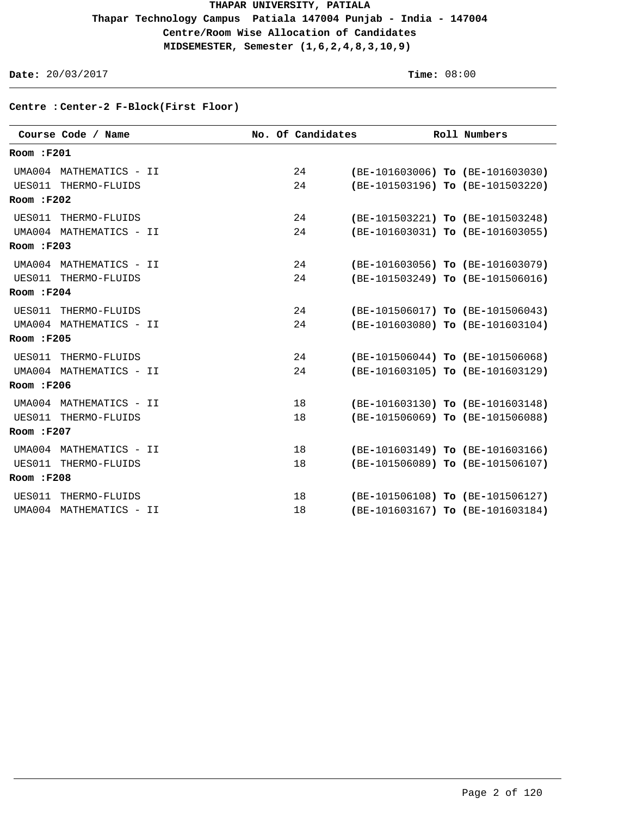**Thapar Technology Campus Patiala 147004 Punjab - India - 147004**

**Centre/Room Wise Allocation of Candidates**

**MIDSEMESTER, Semester (1,6,2,4,8,3,10,9)**

Date:  $20/03/2017$ 

Time: 08:00

### **Centre : Center-2 F-Block(First Floor)**

|              | Course Code / Name      |  | No. Of Candidates |  | Roll Numbers                         |
|--------------|-------------------------|--|-------------------|--|--------------------------------------|
| Room : F201  |                         |  |                   |  |                                      |
|              | UMA004 MATHEMATICS - II |  | 24                |  | $(BE-101603006)$ To $(BE-101603030)$ |
|              | UES011 THERMO-FLUIDS    |  | 24                |  | $(BE-101503196)$ To $(BE-101503220)$ |
| Room : F202  |                         |  |                   |  |                                      |
| UES011       | THERMO-FLUIDS           |  | 24                |  | $(BE-101503221)$ To $(BE-101503248)$ |
|              | UMA004 MATHEMATICS - II |  | 24                |  | $(BE-101603031)$ To $(BE-101603055)$ |
| Room : F203  |                         |  |                   |  |                                      |
|              | UMA004 MATHEMATICS - II |  | 24                |  | $(BE-101603056)$ To $(BE-101603079)$ |
|              | UES011 THERMO-FLUIDS    |  | 24                |  | $(BE-101503249)$ To $(BE-101506016)$ |
| Room: $F204$ |                         |  |                   |  |                                      |
|              | UES011 THERMO-FLUIDS    |  | 24                |  | $(BE-101506017)$ To $(BE-101506043)$ |
|              | UMA004 MATHEMATICS - II |  | 24                |  | $(BE-101603080)$ To $(BE-101603104)$ |
| Room : F205  |                         |  |                   |  |                                      |
| UES011       | THERMO-FLUIDS           |  | 24                |  | $(BE-101506044)$ To $(BE-101506068)$ |
|              | UMA004 MATHEMATICS - II |  | 24                |  | $(BE-101603105)$ To $(BE-101603129)$ |
| Room : F206  |                         |  |                   |  |                                      |
|              | UMA004 MATHEMATICS - II |  | 18                |  | $(BE-101603130)$ To $(BE-101603148)$ |
|              | UES011 THERMO-FLUIDS    |  | 18                |  | $(BE-101506069)$ To $(BE-101506088)$ |
| Room : F207  |                         |  |                   |  |                                      |
| UMA004       | MATHEMATICS - II        |  | 18                |  | $(BE-101603149)$ To $(BE-101603166)$ |
|              | UES011 THERMO-FLUIDS    |  | 18                |  | (BE-101506089) To (BE-101506107)     |
| Room:F208    |                         |  |                   |  |                                      |
| UES011       | THERMO-FLUIDS           |  | 18                |  | (BE-101506108) To (BE-101506127)     |
|              | UMA004 MATHEMATICS - II |  | 18                |  | (BE-101603167) To (BE-101603184)     |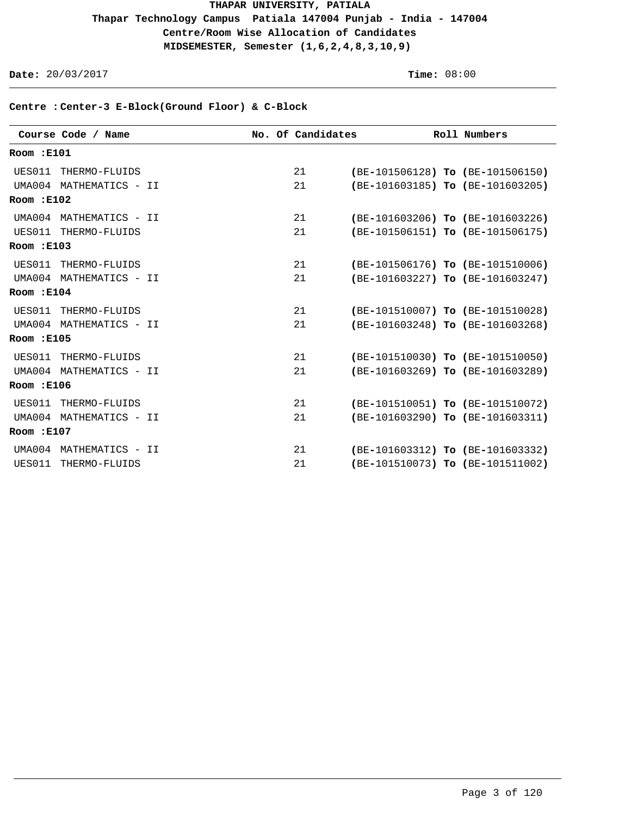**Centre/Room Wise Allocation of Candidates Thapar Technology Campus Patiala 147004 Punjab - India - 147004**

**MIDSEMESTER, Semester (1,6,2,4,8,3,10,9)**

Date:  $20/03/2017$ 

```
Time: 08:00
```
**Centre : Center-3 E-Block(Ground Floor) & C-Block**

|             | Course Code / Name      |  | No. Of Candidates |  | Roll Numbers                         |
|-------------|-------------------------|--|-------------------|--|--------------------------------------|
| Room : E101 |                         |  |                   |  |                                      |
| UES011      | THERMO-FLUIDS           |  | 21                |  | $(BE-101506128)$ To $(BE-101506150)$ |
|             | UMA004 MATHEMATICS - II |  | 21                |  | (BE-101603185) To (BE-101603205)     |
| Room : E102 |                         |  |                   |  |                                      |
| UMA004      | MATHEMATICS - II        |  | 21                |  | $(BE-101603206)$ To $(BE-101603226)$ |
| UES011      | THERMO-FLUIDS           |  | 21                |  | (BE-101506151) To (BE-101506175)     |
| Room : E103 |                         |  |                   |  |                                      |
| UES011      | THERMO-FLUIDS           |  | 21                |  | $(BE-101506176)$ To $(BE-101510006)$ |
|             | UMA004 MATHEMATICS - II |  | 21                |  | $(BE-101603227)$ To $(BE-101603247)$ |
| Room: E104  |                         |  |                   |  |                                      |
| UES011      | THERMO-FLUIDS           |  | 21                |  | $(BE-101510007)$ To $(BE-101510028)$ |
|             | UMA004 MATHEMATICS - II |  | 21                |  | $(BE-101603248)$ To $(BE-101603268)$ |
| Room : E105 |                         |  |                   |  |                                      |
| UES011      | THERMO-FLUIDS           |  | 21                |  | (BE-101510030) To (BE-101510050)     |
|             | UMA004 MATHEMATICS - II |  | 21                |  | $(BE-101603269)$ To $(BE-101603289)$ |
| Room : E106 |                         |  |                   |  |                                      |
| UES011      | THERMO-FLUIDS           |  | 21                |  | (BE-101510051) To (BE-101510072)     |
|             | UMA004 MATHEMATICS - II |  | 21                |  | $(BE-101603290)$ To $(BE-101603311)$ |
| Room : E107 |                         |  |                   |  |                                      |
| UMA004      | MATHEMATICS - II        |  | 21                |  | $(BE-101603312)$ To $(BE-101603332)$ |
| UES011      | THERMO-FLUIDS           |  | 21                |  | (BE-101510073) To (BE-101511002)     |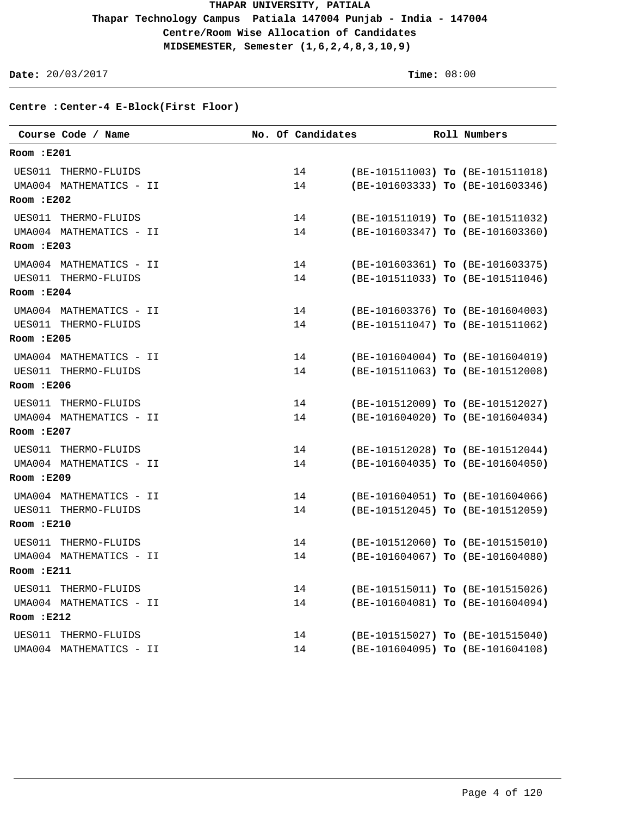**Thapar Technology Campus Patiala 147004 Punjab - India - 147004**

**Centre/Room Wise Allocation of Candidates**

**MIDSEMESTER, Semester (1,6,2,4,8,3,10,9)**

Date:  $20/03/2017$ 

Time: 08:00

### **Centre : Center-4 E-Block(First Floor)**

|             | Course Code / Name      | No. Of Candidates |    |  | Roll Numbers                         |
|-------------|-------------------------|-------------------|----|--|--------------------------------------|
| Room : E201 |                         |                   |    |  |                                      |
|             | UES011 THERMO-FLUIDS    |                   | 14 |  | (BE-101511003) To (BE-101511018)     |
|             | UMA004 MATHEMATICS - II |                   | 14 |  | $(BE-101603333)$ To $(BE-101603346)$ |
| Room : E202 |                         |                   |    |  |                                      |
|             | UES011 THERMO-FLUIDS    |                   | 14 |  | (BE-101511019) To (BE-101511032)     |
|             | UMA004 MATHEMATICS - II |                   | 14 |  | $(BE-101603347)$ To $(BE-101603360)$ |
| Room : E203 |                         |                   |    |  |                                      |
|             | UMA004 MATHEMATICS - II |                   | 14 |  | $(BE-101603361)$ To $(BE-101603375)$ |
|             | UES011 THERMO-FLUIDS    |                   | 14 |  | $(BE-101511033)$ To $(BE-101511046)$ |
| Room : E204 |                         |                   |    |  |                                      |
|             | UMA004 MATHEMATICS - II |                   | 14 |  | $(BE-101603376)$ To $(BE-101604003)$ |
|             | UES011 THERMO-FLUIDS    |                   | 14 |  | (BE-101511047) To (BE-101511062)     |
| Room : E205 |                         |                   |    |  |                                      |
|             | UMA004 MATHEMATICS - II |                   | 14 |  | $(BE-101604004)$ To $(BE-101604019)$ |
|             | UES011 THERMO-FLUIDS    |                   | 14 |  | (BE-101511063) To (BE-101512008)     |
| Room : E206 |                         |                   |    |  |                                      |
|             | UES011 THERMO-FLUIDS    |                   | 14 |  | (BE-101512009) To (BE-101512027)     |
|             | UMA004 MATHEMATICS - II |                   | 14 |  | (BE-101604020) To (BE-101604034)     |
| Room : E207 |                         |                   |    |  |                                      |
|             | UES011 THERMO-FLUIDS    |                   | 14 |  | $(BE-101512028)$ To $(BE-101512044)$ |
|             | UMA004 MATHEMATICS - II |                   | 14 |  | (BE-101604035) To (BE-101604050)     |
| Room : E209 |                         |                   |    |  |                                      |
|             | UMA004 MATHEMATICS - II |                   | 14 |  | $(BE-101604051)$ To $(BE-101604066)$ |
|             | UES011 THERMO-FLUIDS    |                   | 14 |  | (BE-101512045) To (BE-101512059)     |
| Room : E210 |                         |                   |    |  |                                      |
|             | UES011 THERMO-FLUIDS    |                   | 14 |  | (BE-101512060) To (BE-101515010)     |
|             | UMA004 MATHEMATICS - II |                   | 14 |  | $(BE-101604067)$ To $(BE-101604080)$ |
| Room : E211 |                         |                   |    |  |                                      |
|             | UES011 THERMO-FLUIDS    |                   | 14 |  | $(BE-101515011)$ To $(BE-101515026)$ |
|             | UMA004 MATHEMATICS - II |                   | 14 |  | (BE-101604081) To (BE-101604094)     |
| Room : E212 |                         |                   |    |  |                                      |
|             | UES011 THERMO-FLUIDS    |                   | 14 |  | (BE-101515027) To (BE-101515040)     |
|             | UMA004 MATHEMATICS - II |                   | 14 |  | (BE-101604095) To (BE-101604108)     |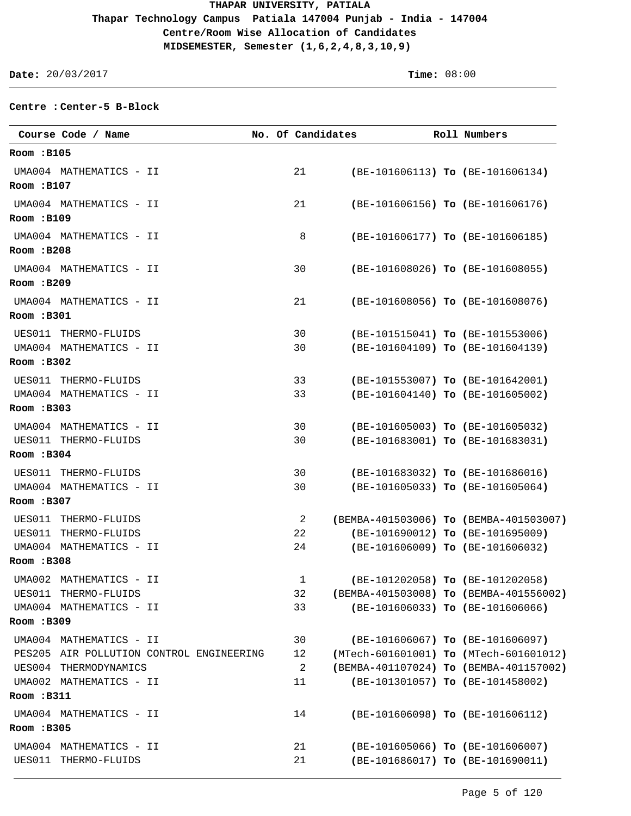# **Thapar Technology Campus Patiala 147004 Punjab - India - 147004**

**Centre/Room Wise Allocation of Candidates**

**MIDSEMESTER, Semester (1,6,2,4,8,3,10,9)**

Date:  $20/03/2017$ 

```
Time: 08:00
```
**Centre : Center-5 B-Block**

|              | Course Code / Name                                                      |                                          |  |               | No. Of Candidates<br>Roll Numbers                                                                                        |  |
|--------------|-------------------------------------------------------------------------|------------------------------------------|--|---------------|--------------------------------------------------------------------------------------------------------------------------|--|
| Room : B105  |                                                                         |                                          |  |               |                                                                                                                          |  |
| Room : B107  | UMA004 MATHEMATICS - II                                                 |                                          |  | 21            | $(BE-101606113)$ To $(BE-101606134)$                                                                                     |  |
| Room : B109  | UMA004 MATHEMATICS - II                                                 |                                          |  | 21            | $(BE-101606156)$ To $(BE-101606176)$                                                                                     |  |
| Room : B208  | UMA004 MATHEMATICS - II                                                 |                                          |  | 8             | $(BE-101606177)$ To $(BE-101606185)$                                                                                     |  |
| Room : B209  | UMA004 MATHEMATICS - II                                                 |                                          |  | 30            | (BE-101608026) To (BE-101608055)                                                                                         |  |
| Room : B301  | UMA004 MATHEMATICS - II                                                 |                                          |  | 21            | $(BE-101608056)$ To $(BE-101608076)$                                                                                     |  |
| Room: $B302$ | UES011 THERMO-FLUIDS<br>UMA004 MATHEMATICS - II                         |                                          |  | 30<br>30      | $(BE-101515041)$ To $(BE-101553006)$<br>(BE-101604109) To (BE-101604139)                                                 |  |
| Room : B303  | UES011 THERMO-FLUIDS<br>UMA004 MATHEMATICS - II                         |                                          |  | 33<br>33      | (BE-101553007) To (BE-101642001)<br>$(BE-101604140)$ To $(BE-101605002)$                                                 |  |
|              | UMA004 MATHEMATICS - II<br>UES011 THERMO-FLUIDS                         |                                          |  | 30<br>30      | $(BE-101605003)$ To $(BE-101605032)$<br>$(BE-101683001)$ To $(BE-101683031)$                                             |  |
| Room : B304  |                                                                         |                                          |  |               |                                                                                                                          |  |
| Room : B307  | UES011 THERMO-FLUIDS<br>UMA004 MATHEMATICS - II                         |                                          |  | 30<br>30      | $(BE-101683032)$ To $(BE-101686016)$<br>$(BE-101605033)$ To $(BE-101605064)$                                             |  |
|              | UES011 THERMO-FLUIDS<br>UES011 THERMO-FLUIDS<br>UMA004 MATHEMATICS - II |                                          |  | 2<br>22<br>24 | (BEMBA-401503006) To (BEMBA-401503007)<br>$(BE-101690012)$ To $(BE-101695009)$<br>$(BE-101606009)$ To $(BE-101606032)$   |  |
| Room: $B308$ | UMA002 MATHEMATICS - II                                                 |                                          |  | 1             | $(BE-101202058)$ To $(BE-101202058)$                                                                                     |  |
|              | UES011 THERMO-FLUIDS<br>UMA004 MATHEMATICS - II                         |                                          |  | 32<br>33      | (BEMBA-401503008) To (BEMBA-401556002)<br>$(BE-101606033)$ To $(BE-101606066)$                                           |  |
| Room: B309   |                                                                         |                                          |  |               |                                                                                                                          |  |
|              | UMA004 MATHEMATICS - II<br>UES004 THERMODYNAMICS                        | PES205 AIR POLLUTION CONTROL ENGINEERING |  | 30<br>12<br>2 | $(BE-101606067)$ To $(BE-101606097)$<br>(MTech-601601001) To (MTech-601601012)<br>(BEMBA-401107024) To (BEMBA-401157002) |  |
| Room: B311   | UMA002 MATHEMATICS - II                                                 |                                          |  | 11            | (BE-101301057) To (BE-101458002)                                                                                         |  |
| Room: B305   | UMA004 MATHEMATICS - II                                                 |                                          |  | 14            | (BE-101606098) To (BE-101606112)                                                                                         |  |
|              | UMA004 MATHEMATICS - II                                                 |                                          |  | 21            | $(BE-101605066)$ To $(BE-101606007)$                                                                                     |  |
|              | UES011 THERMO-FLUIDS                                                    |                                          |  | 21            | $(BE-101686017)$ To $(BE-101690011)$                                                                                     |  |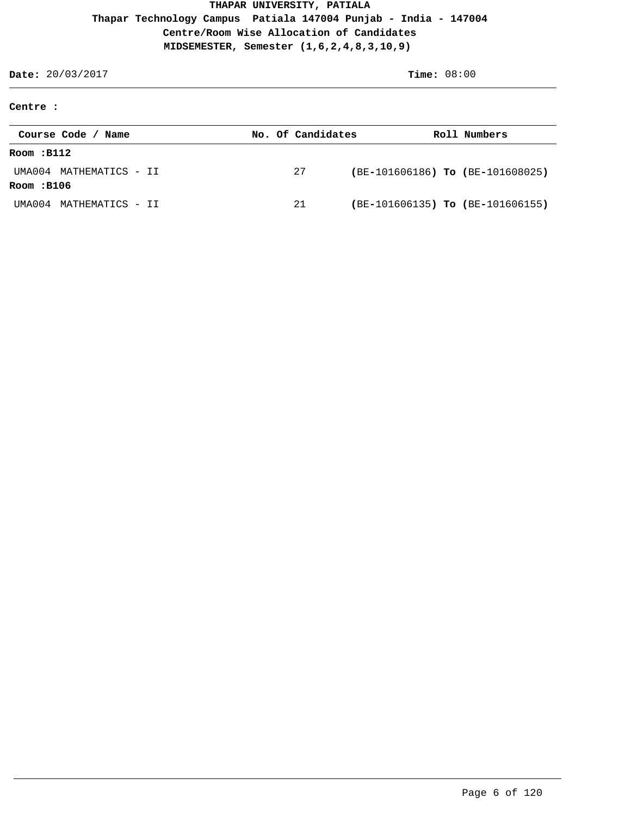## **THAPAR UNIVERSITY, PATIALA Centre/Room Wise Allocation of Candidates Thapar Technology Campus Patiala 147004 Punjab - India - 147004 MIDSEMESTER, Semester (1,6,2,4,8,3,10,9)**

Date:  $20/03/2017$ 

Time: 08:00

## **Centre :**

| Course Code / Name                     | No. Of Candidates |  | Roll Numbers                         |
|----------------------------------------|-------------------|--|--------------------------------------|
| Room : B112                            |                   |  |                                      |
| UMA004 MATHEMATICS - II<br>Room : B106 | 27                |  | $(BE-101606186)$ To $(BE-101608025)$ |
| UMA004 MATHEMATICS - II                | 21                |  | $(BE-101606135)$ To $(BE-101606155)$ |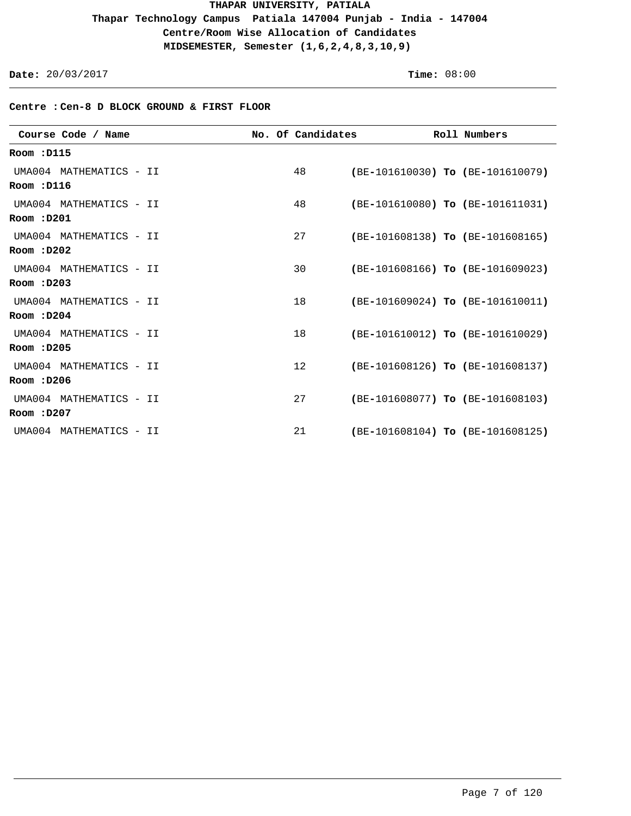**Centre/Room Wise Allocation of Candidates Thapar Technology Campus Patiala 147004 Punjab - India - 147004**

**MIDSEMESTER, Semester (1,6,2,4,8,3,10,9)**

Date:  $20/03/2017$ 

```
Time: 08:00
```
#### **Centre : Cen-8 D BLOCK GROUND & FIRST FLOOR**

| Course Code / Name                    | No. Of Candidates |  | Roll Numbers                         |
|---------------------------------------|-------------------|--|--------------------------------------|
| Room: D115                            |                   |  |                                      |
| UMA004 MATHEMATICS - II<br>Room: D116 | 48                |  | $(BE-101610030)$ To $(BE-101610079)$ |
| UMA004 MATHEMATICS - II<br>Room: D201 | 48                |  | $(BE-101610080)$ To $(BE-101611031)$ |
| UMA004 MATHEMATICS - II<br>Room: D202 | 27                |  | $(BE-101608138)$ To $(BE-101608165)$ |
| UMA004 MATHEMATICS - II<br>Room: D203 | 30                |  | $(BE-101608166)$ To $(BE-101609023)$ |
| UMA004 MATHEMATICS - II<br>Room: D204 | 18                |  | $(BE-101609024)$ To $(BE-101610011)$ |
| UMA004 MATHEMATICS - II<br>Room: D205 | 18                |  | $(BE-101610012)$ To $(BE-101610029)$ |
| UMA004 MATHEMATICS - II<br>Room: D206 | 12                |  | $(BE-101608126)$ To $(BE-101608137)$ |
| UMA004 MATHEMATICS - II<br>Room: D207 | 27                |  | $(BE-101608077)$ To $(BE-101608103)$ |
| UMA004 MATHEMATICS - II               | 21                |  | $(BE-101608104)$ To $(BE-101608125)$ |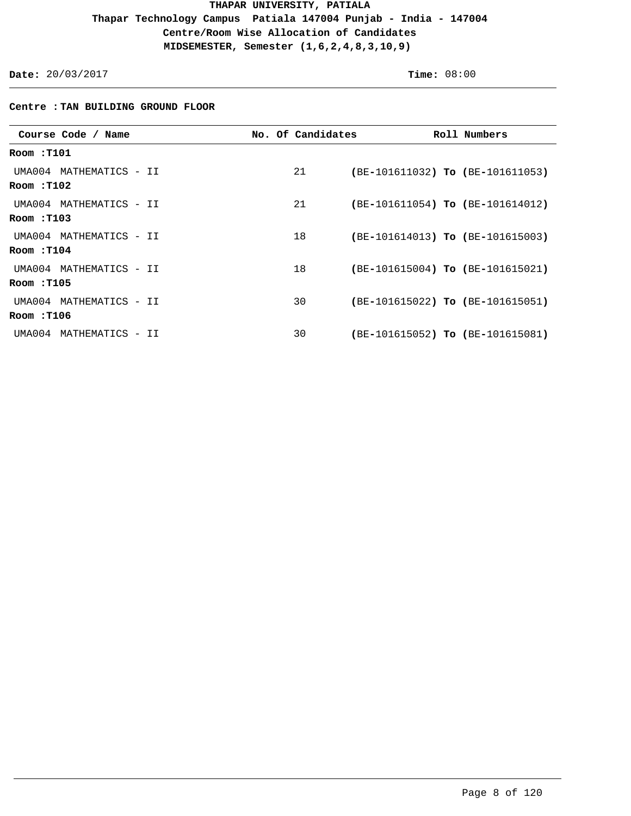**Centre/Room Wise Allocation of Candidates Thapar Technology Campus Patiala 147004 Punjab - India - 147004**

**MIDSEMESTER, Semester (1,6,2,4,8,3,10,9)**

Date:  $20/03/2017$ 

Time: 08:00

### **Centre : TAN BUILDING GROUND FLOOR**

| Course Code / Name                    | No. Of Candidates |  | Roll Numbers                         |
|---------------------------------------|-------------------|--|--------------------------------------|
| Room: T101                            |                   |  |                                      |
| UMA004 MATHEMATICS - II<br>Room: T102 | 21                |  | $(BE-101611032)$ To $(BE-101611053)$ |
| UMA004 MATHEMATICS - II<br>Room: T103 | 21                |  | $(BE-101611054)$ To $(BE-101614012)$ |
| UMA004 MATHEMATICS - II<br>Room: T104 | 18                |  | $(BE-101614013)$ To $(BE-101615003)$ |
| UMA004 MATHEMATICS - II<br>Room: T105 | 18                |  | $(BE-101615004)$ To $(BE-101615021)$ |
| UMA004 MATHEMATICS - II<br>Room:106   | 30                |  | $(BE-101615022)$ To $(BE-101615051)$ |
| UMA004 MATHEMATICS - II               | 30                |  | $(BE-101615052)$ To $(BE-101615081)$ |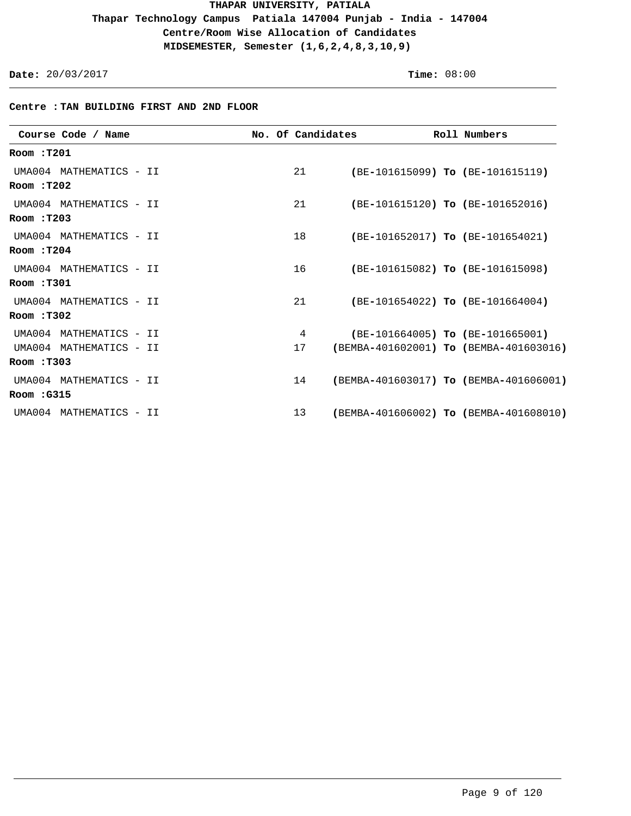**Centre/Room Wise Allocation of Candidates Thapar Technology Campus Patiala 147004 Punjab - India - 147004**

**MIDSEMESTER, Semester (1,6,2,4,8,3,10,9)**

Date:  $20/03/2017$ 

```
Time: 08:00
```
#### **Centre : TAN BUILDING FIRST AND 2ND FLOOR**

| Course Code / Name      | No. Of Candidates | Roll Numbers                           |
|-------------------------|-------------------|----------------------------------------|
| Room: T201              |                   |                                        |
| UMA004 MATHEMATICS - II | 21                | $(BE-101615099)$ To $(BE-101615119)$   |
| Room: T202              |                   |                                        |
| UMA004 MATHEMATICS - II | 21                | $(BE-101615120)$ To $(BE-101652016)$   |
| Room: T203              |                   |                                        |
| UMA004 MATHEMATICS - II | 18                | $(BE-101652017)$ To $(BE-101654021)$   |
| Room: T204              |                   |                                        |
| UMA004 MATHEMATICS - II | 16                | $(BE-101615082)$ To $(BE-101615098)$   |
| Room: T301              |                   |                                        |
| UMA004 MATHEMATICS - II | 21                | $(BE-101654022)$ To $(BE-101664004)$   |
| Room: T302              |                   |                                        |
| UMA004 MATHEMATICS - II | 4                 | $(BE-101664005)$ To $(BE-101665001)$   |
| UMA004 MATHEMATICS - II | 17                | (BEMBA-401602001) To (BEMBA-401603016) |
| Room: T303              |                   |                                        |
| UMA004 MATHEMATICS - II | 14                | (BEMBA-401603017) To (BEMBA-401606001) |
| Room:G315               |                   |                                        |
| UMA004 MATHEMATICS - II | 13                | (BEMBA-401606002) To (BEMBA-401608010) |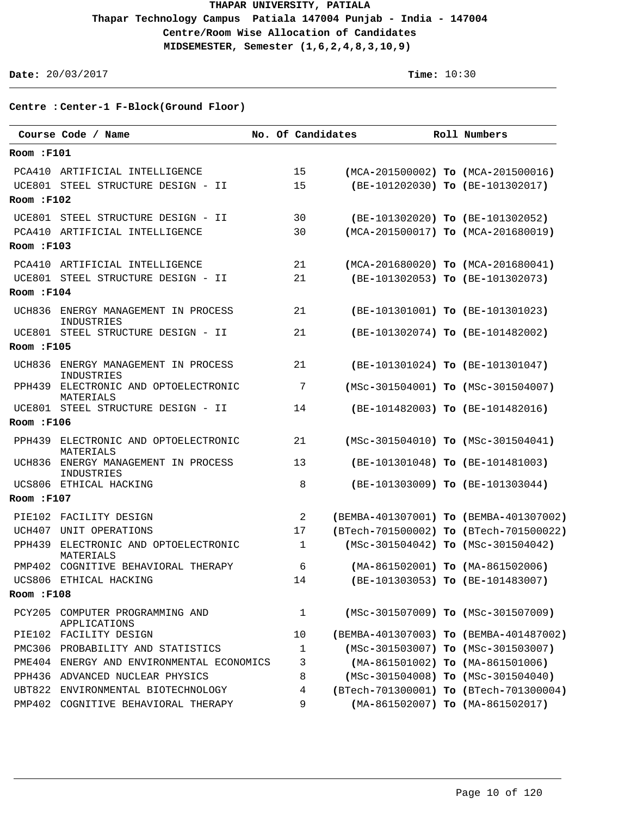**Thapar Technology Campus Patiala 147004 Punjab - India - 147004**

**Centre/Room Wise Allocation of Candidates**

**MIDSEMESTER, Semester (1,6,2,4,8,3,10,9)**

Date:  $20/03/2017$ 

Time: 10:30

### **Centre : Center-1 F-Block(Ground Floor)**

|             | Course Code / Name                                |              | No. Of Candidates | Roll Numbers                           |
|-------------|---------------------------------------------------|--------------|-------------------|----------------------------------------|
| Room : F101 |                                                   |              |                   |                                        |
|             | PCA410 ARTIFICIAL INTELLIGENCE                    | 15           |                   | $MCA-201500002)$ To $(MCA-201500016)$  |
|             | UCE801 STEEL STRUCTURE DESIGN - II                | 15           |                   | $(BE-101202030)$ To $(BE-101302017)$   |
| Room : F102 |                                                   |              |                   |                                        |
|             | UCE801 STEEL STRUCTURE DESIGN - II                | 30           |                   | (BE-101302020) To (BE-101302052)       |
|             | PCA410 ARTIFICIAL INTELLIGENCE                    | 30           |                   | $MCA-201500017)$ To $(MCA-201680019)$  |
| Room : F103 |                                                   |              |                   |                                        |
|             | PCA410 ARTIFICIAL INTELLIGENCE                    | 21           |                   | $MCA-201680020$ To $MCA-201680041$     |
|             | UCE801 STEEL STRUCTURE DESIGN - II                | 21           |                   | $(BE-101302053)$ To $(BE-101302073)$   |
| Room : F104 |                                                   |              |                   |                                        |
|             | UCH836 ENERGY MANAGEMENT IN PROCESS<br>INDUSTRIES | 21           |                   | $(BE-101301001)$ To $(BE-101301023)$   |
|             | UCE801 STEEL STRUCTURE DESIGN - II                | 21           |                   | $(BE-101302074)$ To $(BE-101482002)$   |
| Room : F105 |                                                   |              |                   |                                        |
|             | UCH836 ENERGY MANAGEMENT IN PROCESS<br>INDUSTRIES | 21           |                   | $(BE-101301024)$ To $(BE-101301047)$   |
|             | PPH439 ELECTRONIC AND OPTOELECTRONIC<br>MATERIALS | 7            |                   | $(MSc-301504001)$ To $(MSc-301504007)$ |
|             | UCE801 STEEL STRUCTURE DESIGN - II                | 14           |                   | $(BE-101482003)$ To $(BE-101482016)$   |
| Room : F106 |                                                   |              |                   |                                        |
|             | PPH439 ELECTRONIC AND OPTOELECTRONIC<br>MATERIALS | 21           |                   | $(MSc-301504010)$ To $(MSc-301504041)$ |
|             | UCH836 ENERGY MANAGEMENT IN PROCESS<br>INDUSTRIES | 13           |                   | (BE-101301048) To (BE-101481003)       |
|             | UCS806 ETHICAL HACKING                            | 8            |                   | $(BE-101303009)$ To $(BE-101303044)$   |
| Room : F107 |                                                   |              |                   |                                        |
|             | PIE102 FACILITY DESIGN                            |              | 2                 | (BEMBA-401307001) To (BEMBA-401307002) |
|             | UCH407 UNIT OPERATIONS                            | 17           |                   | (BTech-701500002) To (BTech-701500022) |
| PPH439      | ELECTRONIC AND OPTOELECTRONIC<br>MATERIALS        | $\mathbf{1}$ |                   | $(MSc-301504042)$ To $(MSc-301504042)$ |
|             | PMP402 COGNITIVE BEHAVIORAL THERAPY               | 6            |                   | $(MA-861502001)$ To $(MA-861502006)$   |
|             | UCS806 ETHICAL HACKING                            | 14           |                   | $(BE-101303053)$ To $(BE-101483007)$   |
| Room:F108   |                                                   |              |                   |                                        |
|             | PCY205 COMPUTER PROGRAMMING AND<br>APPLICATIONS   |              | $\mathbf{1}$      | $(MSc-301507009)$ To $(MSc-301507009)$ |
|             | PIE102 FACILITY DESIGN                            | 10           |                   | (BEMBA-401307003) To (BEMBA-401487002) |
|             | PMC306 PROBABILITY AND STATISTICS                 |              | 1                 | (MSc-301503007) To (MSc-301503007)     |
|             | PME404 ENERGY AND ENVIRONMENTAL ECONOMICS         |              | 3                 | $(MA-861501002)$ To $(MA-861501006)$   |
|             | PPH436 ADVANCED NUCLEAR PHYSICS                   |              | 8                 | $(MSc-301504008)$ To $(MSc-301504040)$ |
|             | UBT822 ENVIRONMENTAL BIOTECHNOLOGY                |              | 4                 | (BTech-701300001) To (BTech-701300004) |
|             | PMP402 COGNITIVE BEHAVIORAL THERAPY               |              | 9                 | $(MA-861502007)$ To $(MA-861502017)$   |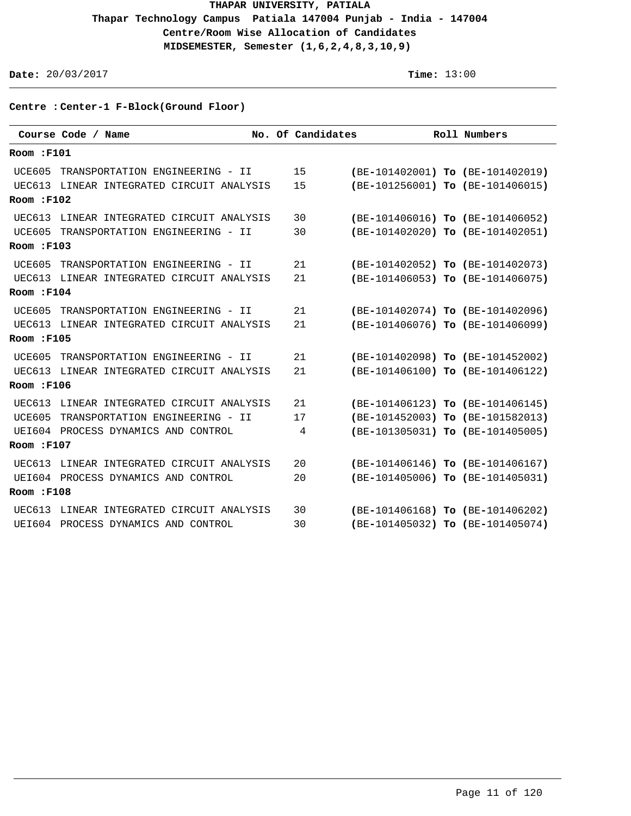**Thapar Technology Campus Patiala 147004 Punjab - India - 147004**

**Centre/Room Wise Allocation of Candidates**

**MIDSEMESTER, Semester (1,6,2,4,8,3,10,9)**

Date:  $20/03/2017$ 

**Time:** 13:00

 $\overline{\phantom{0}}$ 

### **Centre : Center-1 F-Block(Ground Floor)**

|             | Course Code / Name                        | No. Of Candidates |  | Roll Numbers                         |
|-------------|-------------------------------------------|-------------------|--|--------------------------------------|
| Room : F101 |                                           |                   |  |                                      |
| UCE605      | TRANSPORTATION ENGINEERING - II           | 15                |  | $(BE-101402001)$ To $(BE-101402019)$ |
|             | UEC613 LINEAR INTEGRATED CIRCUIT ANALYSIS | 15                |  | $(BE-101256001)$ To $(BE-101406015)$ |
| Room : F102 |                                           |                   |  |                                      |
| UEC613      | LINEAR INTEGRATED CIRCUIT ANALYSIS        | 30                |  | $(BE-101406016)$ To $(BE-101406052)$ |
|             | UCE605 TRANSPORTATION ENGINEERING - II    | 30                |  | (BE-101402020) To (BE-101402051)     |
| Room : F103 |                                           |                   |  |                                      |
| UCE605      | TRANSPORTATION ENGINEERING - II           | 21                |  | $(BE-101402052)$ To $(BE-101402073)$ |
|             | UEC613 LINEAR INTEGRATED CIRCUIT ANALYSIS | 21                |  | $(BE-101406053)$ To $(BE-101406075)$ |
| Room : F104 |                                           |                   |  |                                      |
| UCE605      | TRANSPORTATION ENGINEERING - II           | 21                |  | $(BE-101402074)$ To $(BE-101402096)$ |
|             | UEC613 LINEAR INTEGRATED CIRCUIT ANALYSIS | 21                |  | $(BE-101406076)$ To $(BE-101406099)$ |
| Room : F105 |                                           |                   |  |                                      |
| UCE605      | TRANSPORTATION ENGINEERING - II           | 21                |  | (BE-101402098) To (BE-101452002)     |
|             | UEC613 LINEAR INTEGRATED CIRCUIT ANALYSIS | 21                |  | $(BE-101406100)$ To $(BE-101406122)$ |
| Room : F106 |                                           |                   |  |                                      |
|             | UEC613 LINEAR INTEGRATED CIRCUIT ANALYSIS | 21                |  | $(BE-101406123)$ To $(BE-101406145)$ |
| UCE605      | TRANSPORTATION ENGINEERING - II           | 17                |  | (BE-101452003) To (BE-101582013)     |
|             | UEI604 PROCESS DYNAMICS AND CONTROL       | 4                 |  | $(BE-101305031)$ To $(BE-101405005)$ |
| Room : F107 |                                           |                   |  |                                      |
| UEC613      | LINEAR INTEGRATED CIRCUIT ANALYSIS        | 20                |  | (BE-101406146) To (BE-101406167)     |
|             | UEI604 PROCESS DYNAMICS AND CONTROL       | 20                |  | $(BE-101405006)$ To $(BE-101405031)$ |
| Room : F108 |                                           |                   |  |                                      |
|             | UEC613 LINEAR INTEGRATED CIRCUIT ANALYSIS | 30                |  | $(BE-101406168)$ To $(BE-101406202)$ |
|             | UEI604 PROCESS DYNAMICS AND CONTROL       | 30                |  | $(BE-101405032)$ To $(BE-101405074)$ |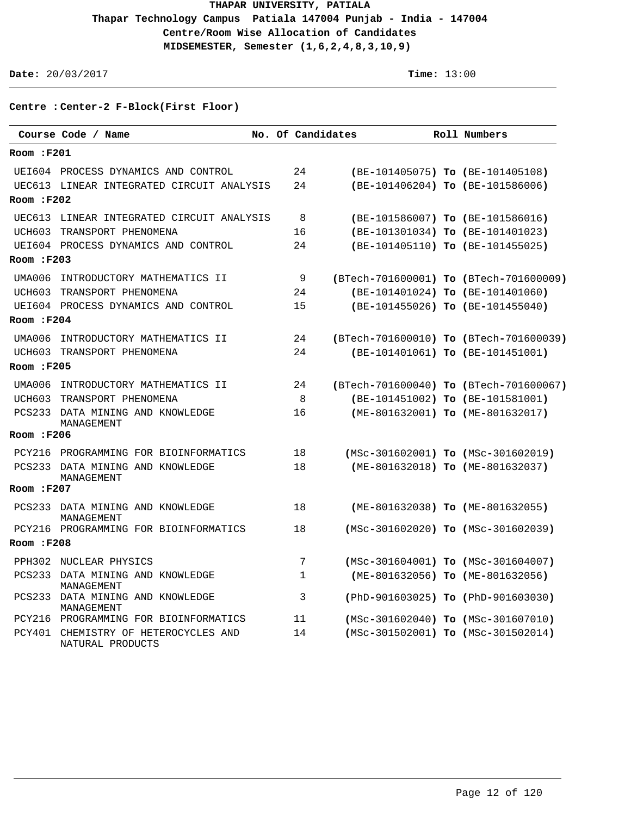**Thapar Technology Campus Patiala 147004 Punjab - India - 147004**

**Centre/Room Wise Allocation of Candidates**

**MIDSEMESTER, Semester (1,6,2,4,8,3,10,9)**

Date:  $20/03/2017$ 

**Time:** 13:00

**Centre : Center-2 F-Block(First Floor)**

|             | Course Code / Name                                |              | No. Of Candidates                      | Roll Numbers                           |
|-------------|---------------------------------------------------|--------------|----------------------------------------|----------------------------------------|
| Room : F201 |                                                   |              |                                        |                                        |
|             | UEI604 PROCESS DYNAMICS AND CONTROL               | 24           | $(BE-101405075)$ To $(BE-101405108)$   |                                        |
|             | UEC613 LINEAR INTEGRATED CIRCUIT ANALYSIS         | 24           | $(BE-101406204)$ To $(BE-101586006)$   |                                        |
| Room : F202 |                                                   |              |                                        |                                        |
|             | UEC613 LINEAR INTEGRATED CIRCUIT ANALYSIS         | 8            | $(BE-101586007)$ To $(BE-101586016)$   |                                        |
| UCH603      | TRANSPORT PHENOMENA                               | 16           | $(BE-101301034)$ To $(BE-101401023)$   |                                        |
|             | UEI604 PROCESS DYNAMICS AND CONTROL               | 24           | $(BE-101405110)$ To $(BE-101455025)$   |                                        |
| Room : F203 |                                                   |              |                                        |                                        |
| UMA006      | INTRODUCTORY MATHEMATICS II                       | 9            | (BTech-701600001) To (BTech-701600009) |                                        |
|             | UCH603 TRANSPORT PHENOMENA                        | 24           | $(BE-101401024)$ To $(BE-101401060)$   |                                        |
|             | UEI604 PROCESS DYNAMICS AND CONTROL               | 15           | $(BE-101455026)$ To $(BE-101455040)$   |                                        |
| Room : F204 |                                                   |              |                                        |                                        |
| UMA006      | INTRODUCTORY MATHEMATICS II                       | 24           | (BTech-701600010) To (BTech-701600039) |                                        |
|             | UCH603 TRANSPORT PHENOMENA                        | 24           | $(BE-101401061)$ To $(BE-101451001)$   |                                        |
| Room:F205   |                                                   |              |                                        |                                        |
| UMA006      | INTRODUCTORY MATHEMATICS II                       | 24           | (BTech-701600040) To (BTech-701600067) |                                        |
| UCH603      | TRANSPORT PHENOMENA                               | 8            |                                        | $(BE-101451002)$ To $(BE-101581001)$   |
|             | PCS233 DATA MINING AND KNOWLEDGE<br>MANAGEMENT    | 16           |                                        | $(ME-801632001)$ To $(ME-801632017)$   |
| Room:F206   |                                                   |              |                                        |                                        |
|             | PCY216 PROGRAMMING FOR BIOINFORMATICS             | 18           |                                        | $(MSc-301602001)$ To $(MSc-301602019)$ |
|             | PCS233 DATA MINING AND KNOWLEDGE                  | 18           |                                        | $(ME-801632018)$ To $(ME-801632037)$   |
| Room : F207 | MANAGEMENT                                        |              |                                        |                                        |
|             |                                                   |              |                                        |                                        |
|             | PCS233 DATA MINING AND KNOWLEDGE<br>MANAGEMENT    | 18           | $(ME-801632038)$ To $(ME-801632055)$   |                                        |
|             | PCY216 PROGRAMMING FOR BIOINFORMATICS             | 18           |                                        | $(MSc-301602020)$ To $(MSc-301602039)$ |
| Room : F208 |                                                   |              |                                        |                                        |
|             | PPH302 NUCLEAR PHYSICS                            | 7            |                                        | $(MSc-301604001)$ To $(MSc-301604007)$ |
| PCS233      | DATA MINING AND KNOWLEDGE                         | $\mathbf{1}$ | (ME-801632056) To (ME-801632056)       |                                        |
|             | MANAGEMENT<br>PCS233 DATA MINING AND KNOWLEDGE    | 3            |                                        | $(PhD-901603025)$ To $(PhD-901603030)$ |
|             | MANAGEMENT                                        |              |                                        |                                        |
|             | PCY216 PROGRAMMING FOR BIOINFORMATICS             | 11           |                                        | $(MSc-301602040)$ To $(MSc-301607010)$ |
| PCY401      | CHEMISTRY OF HETEROCYCLES AND<br>NATURAL PRODUCTS | 14           |                                        | $(MSc-301502001)$ To $(MSc-301502014)$ |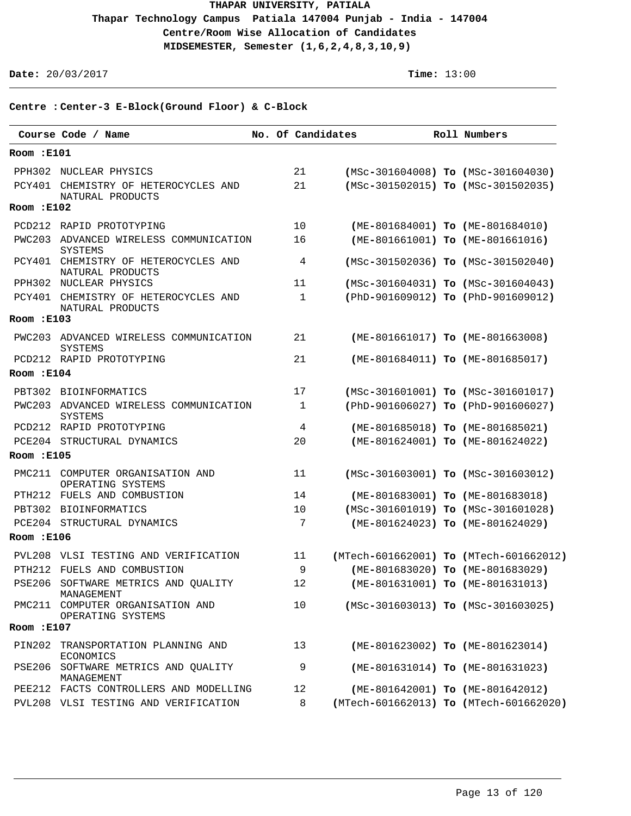**Thapar Technology Campus Patiala 147004 Punjab - India - 147004**

**Centre/Room Wise Allocation of Candidates**

**MIDSEMESTER, Semester (1,6,2,4,8,3,10,9)**

Date:  $20/03/2017$ 

**Time:** 13:00

**Centre : Center-3 E-Block(Ground Floor) & C-Block**

|             | Course Code / Name                                       |              | No. Of Candidates | Roll Numbers                           |
|-------------|----------------------------------------------------------|--------------|-------------------|----------------------------------------|
| Room : E101 |                                                          |              |                   |                                        |
|             | PPH302 NUCLEAR PHYSICS                                   | 21           |                   | $(MSc-301604008)$ To $(MSc-301604030)$ |
|             | PCY401 CHEMISTRY OF HETEROCYCLES AND<br>NATURAL PRODUCTS | 21           |                   | $(MSc-301502015)$ To $(MSc-301502035)$ |
| Room : E102 |                                                          |              |                   |                                        |
|             | PCD212 RAPID PROTOTYPING                                 | 10           |                   | (ME-801684001) To (ME-801684010)       |
|             | PWC203 ADVANCED WIRELESS COMMUNICATION<br><b>SYSTEMS</b> | 16           |                   | $(ME-801661001)$ To $(ME-801661016)$   |
|             | PCY401 CHEMISTRY OF HETEROCYCLES AND<br>NATURAL PRODUCTS | 4            |                   | $(MSc-301502036)$ To $(MSc-301502040)$ |
|             | PPH302 NUCLEAR PHYSICS                                   | 11           |                   | $(MSc-301604031)$ To $(MSc-301604043)$ |
| Room :E103  | PCY401 CHEMISTRY OF HETEROCYCLES AND<br>NATURAL PRODUCTS | $\mathbf{1}$ |                   | $(PhD-901609012)$ To $(PhD-901609012)$ |
|             |                                                          |              |                   |                                        |
|             | PWC203 ADVANCED WIRELESS COMMUNICATION<br><b>SYSTEMS</b> | 21           |                   | $(ME-801661017)$ To $(ME-801663008)$   |
|             | PCD212 RAPID PROTOTYPING                                 | 21           |                   | (ME-801684011) To (ME-801685017)       |
| Room : E104 |                                                          |              |                   |                                        |
|             | PBT302 BIOINFORMATICS                                    | 17           |                   | $(MSc-301601001)$ To $(MSc-301601017)$ |
|             | PWC203 ADVANCED WIRELESS COMMUNICATION<br><b>SYSTEMS</b> | 1            |                   | $(PhD-901606027)$ To $(PhD-901606027)$ |
|             | PCD212 RAPID PROTOTYPING                                 | 4            |                   | $(ME-801685018)$ To $(ME-801685021)$   |
|             | PCE204 STRUCTURAL DYNAMICS                               | 20           |                   | $(ME-801624001)$ To $(ME-801624022)$   |
| Room:E105   |                                                          |              |                   |                                        |
|             | PMC211 COMPUTER ORGANISATION AND<br>OPERATING SYSTEMS    | 11           |                   | $(MSc-301603001)$ To $(MSc-301603012)$ |
|             | PTH212 FUELS AND COMBUSTION                              | 14           |                   | (ME-801683001) To (ME-801683018)       |
|             | PBT302 BIOINFORMATICS                                    | 10           |                   | $(MSc-301601019)$ To $(MSc-301601028)$ |
|             | PCE204 STRUCTURAL DYNAMICS                               | 7            |                   | $(ME-801624023)$ To $(ME-801624029)$   |
| Room:E106   |                                                          |              |                   |                                        |
|             | PVL208 VLSI TESTING AND VERIFICATION                     | 11           |                   | (MTech-601662001) To (MTech-601662012) |
|             | PTH212 FUELS AND COMBUSTION                              | 9            |                   | $(ME-801683020)$ To $(ME-801683029)$   |
|             | PSE206 SOFTWARE METRICS AND QUALITY<br>MANAGEMENT        | 12           |                   | (ME-801631001) To (ME-801631013)       |
|             | PMC211 COMPUTER ORGANISATION AND<br>OPERATING SYSTEMS    | 10           |                   | (MSc-301603013) To (MSc-301603025)     |
| Room :E107  |                                                          |              |                   |                                        |
|             | PIN202 TRANSPORTATION PLANNING AND<br>ECONOMICS          | 13           |                   | (ME-801623002) To (ME-801623014)       |
|             | PSE206 SOFTWARE METRICS AND QUALITY<br>MANAGEMENT        | 9            |                   | (ME-801631014) To (ME-801631023)       |
|             | PEE212 FACTS CONTROLLERS AND MODELLING                   | 12           |                   | (ME-801642001) To (ME-801642012)       |
|             | PVL208 VLSI TESTING AND VERIFICATION                     | 8            |                   | (MTech-601662013) To (MTech-601662020) |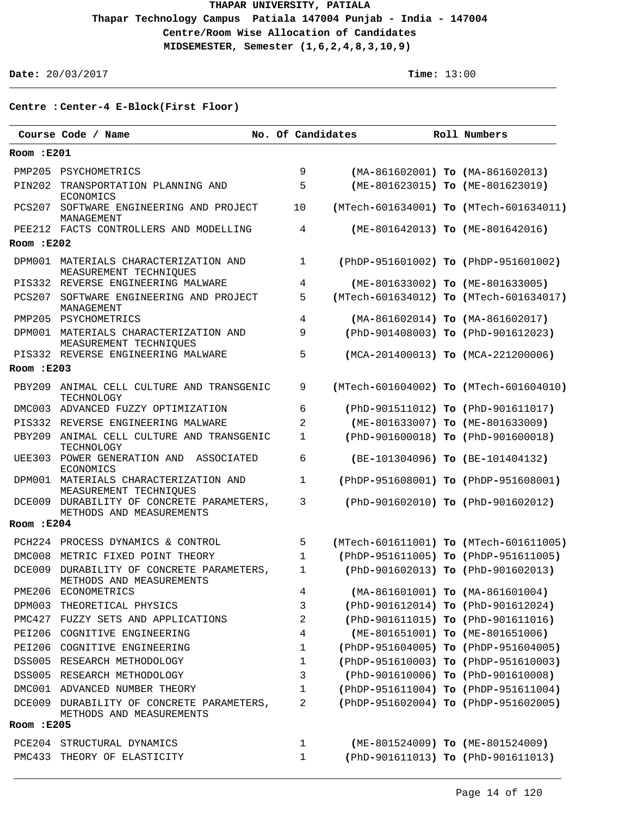**Thapar Technology Campus Patiala 147004 Punjab - India - 147004**

**Centre/Room Wise Allocation of Candidates**

**MIDSEMESTER, Semester (1,6,2,4,8,3,10,9)**

Date:  $20/03/2017$ 

**Time:** 13:00

### **Centre : Center-4 E-Block(First Floor)**

|               | Course Code / Name                                                    |  |              | No. Of Candidates |  | Roll Numbers                           |
|---------------|-----------------------------------------------------------------------|--|--------------|-------------------|--|----------------------------------------|
| Room : E201   |                                                                       |  |              |                   |  |                                        |
|               | PMP205 PSYCHOMETRICS                                                  |  | 9            |                   |  | $(MA-861602001)$ To $(MA-861602013)$   |
|               | PIN202 TRANSPORTATION PLANNING AND<br>ECONOMICS                       |  | 5            |                   |  | (ME-801623015) To (ME-801623019)       |
| PCS207        | SOFTWARE ENGINEERING AND PROJECT<br>MANAGEMENT                        |  | 10           |                   |  | (MTech-601634001) To (MTech-601634011) |
|               | PEE212 FACTS CONTROLLERS AND MODELLING                                |  | 4            |                   |  | $(ME-801642013)$ To $(ME-801642016)$   |
| Room : E202   |                                                                       |  |              |                   |  |                                        |
|               | DPM001 MATERIALS CHARACTERIZATION AND<br>MEASUREMENT TECHNIQUES       |  | $\mathbf{1}$ |                   |  | (PhDP-951601002) To (PhDP-951601002)   |
|               | PIS332 REVERSE ENGINEERING MALWARE                                    |  | 4            |                   |  | (ME-801633002) To (ME-801633005)       |
| PCS207        | SOFTWARE ENGINEERING AND PROJECT<br>MANAGEMENT                        |  | 5            |                   |  | (MTech-601634012) To (MTech-601634017) |
|               | PMP205 PSYCHOMETRICS                                                  |  | 4            |                   |  | $(MA-861602014)$ To $(MA-861602017)$   |
|               | DPM001 MATERIALS CHARACTERIZATION AND<br>MEASUREMENT TECHNIQUES       |  | 9            |                   |  | (PhD-901408003) To (PhD-901612023)     |
|               | PIS332 REVERSE ENGINEERING MALWARE                                    |  | 5            |                   |  | $(MCA-201400013)$ To $(MCA-221200006)$ |
| Room : E203   |                                                                       |  |              |                   |  |                                        |
| PBY209        | ANIMAL CELL CULTURE AND TRANSGENIC<br>TECHNOLOGY                      |  | 9            |                   |  | (MTech-601604002) To (MTech-601604010) |
|               | DMC003 ADVANCED FUZZY OPTIMIZATION                                    |  | 6            |                   |  | $(PhD-901511012)$ To $(PhD-901611017)$ |
|               | PIS332 REVERSE ENGINEERING MALWARE                                    |  | 2            |                   |  | (ME-801633007) To (ME-801633009)       |
|               | PBY209 ANIMAL CELL CULTURE AND TRANSGENIC<br>TECHNOLOGY               |  | 1            |                   |  | (PhD-901600018) To (PhD-901600018)     |
|               | UEE303 POWER GENERATION AND ASSOCIATED<br>ECONOMICS                   |  | 6            |                   |  | $(BE-101304096)$ To $(BE-101404132)$   |
|               | DPM001 MATERIALS CHARACTERIZATION AND<br>MEASUREMENT TECHNIQUES       |  | $\mathbf{1}$ |                   |  | (PhDP-951608001) To (PhDP-951608001)   |
|               | DCE009 DURABILITY OF CONCRETE PARAMETERS,<br>METHODS AND MEASUREMENTS |  | 3            |                   |  | $(PhD-901602010)$ To $(PhD-901602012)$ |
| Room : E204   |                                                                       |  |              |                   |  |                                        |
|               | PCH224 PROCESS DYNAMICS & CONTROL                                     |  | 5            |                   |  | (MTech-601611001) To (MTech-601611005) |
|               | DMC008 METRIC FIXED POINT THEORY                                      |  | $\mathbf{1}$ |                   |  | (PhDP-951611005) To (PhDP-951611005)   |
| DCE009        | DURABILITY OF CONCRETE PARAMETERS,<br>METHODS AND MEASUREMENTS        |  | 1            |                   |  | $(PhD-901602013)$ To $(PhD-901602013)$ |
| PME206        | ECONOMETRICS                                                          |  | 4            |                   |  | $(MA-861601001)$ To $(MA-861601004)$   |
|               | DPM003 THEORETICAL PHYSICS                                            |  | 3            |                   |  | $(PhD-901612014)$ To $(PhD-901612024)$ |
|               | PMC427 FUZZY SETS AND APPLICATIONS                                    |  | 2            |                   |  | $(PhD-901611015)$ To $(PhD-901611016)$ |
|               | PEI206 COGNITIVE ENGINEERING                                          |  | 4            |                   |  | $(ME-801651001)$ To $(ME-801651006)$   |
|               | PEI206 COGNITIVE ENGINEERING                                          |  | 1            |                   |  | (PhDP-951604005) To (PhDP-951604005)   |
|               | DSS005 RESEARCH METHODOLOGY                                           |  | 1            |                   |  | (PhDP-951610003) To (PhDP-951610003)   |
|               | DSS005 RESEARCH METHODOLOGY                                           |  | 3            |                   |  | $(PhD-901610006)$ To $(PhD-901610008)$ |
|               | DMC001 ADVANCED NUMBER THEORY                                         |  | 1            |                   |  | (PhDP-951611004) To (PhDP-951611004)   |
|               | DCE009 DURABILITY OF CONCRETE PARAMETERS,<br>METHODS AND MEASUREMENTS |  | 2            |                   |  | (PhDP-951602004) To (PhDP-951602005)   |
| Room $: E205$ |                                                                       |  |              |                   |  |                                        |
|               | PCE204 STRUCTURAL DYNAMICS                                            |  | 1            |                   |  | $(ME-801524009)$ To $(ME-801524009)$   |
|               | PMC433 THEORY OF ELASTICITY                                           |  | 1            |                   |  | (PhD-901611013) To (PhD-901611013)     |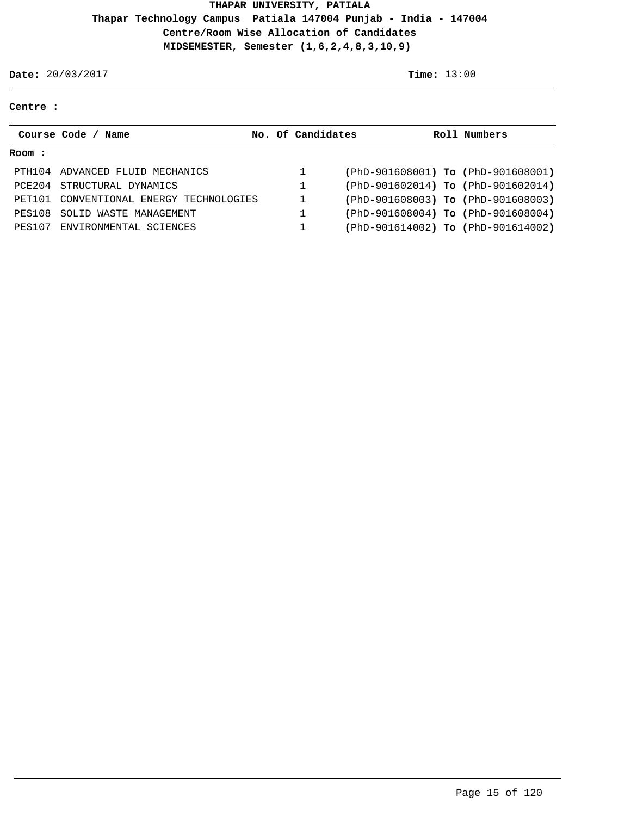**Thapar Technology Campus Patiala 147004 Punjab - India - 147004**

**Centre/Room Wise Allocation of Candidates**

**MIDSEMESTER, Semester (1,6,2,4,8,3,10,9)**

Date:  $20/03/2017$ 

**Time:** 13:00

## **Centre :**

|        | Course Code / Name                      |  | No. Of Candidates |  | Roll Numbers                           |
|--------|-----------------------------------------|--|-------------------|--|----------------------------------------|
| Room : |                                         |  |                   |  |                                        |
|        | PTH104 ADVANCED FLUID MECHANICS         |  |                   |  | $(PhD-901608001)$ To $(PhD-901608001)$ |
|        | PCE204 STRUCTURAL DYNAMICS              |  |                   |  | $(PhD-901602014)$ To $(PhD-901602014)$ |
|        | PET101 CONVENTIONAL ENERGY TECHNOLOGIES |  | 1                 |  | $(PhD-901608003)$ To $(PhD-901608003)$ |
| PES108 | SOLID WASTE MANAGEMENT                  |  |                   |  | $(PhD-901608004)$ To $(PhD-901608004)$ |
|        | PES107 ENVIRONMENTAL SCIENCES           |  |                   |  | $(PhD-901614002)$ To $(PhD-901614002)$ |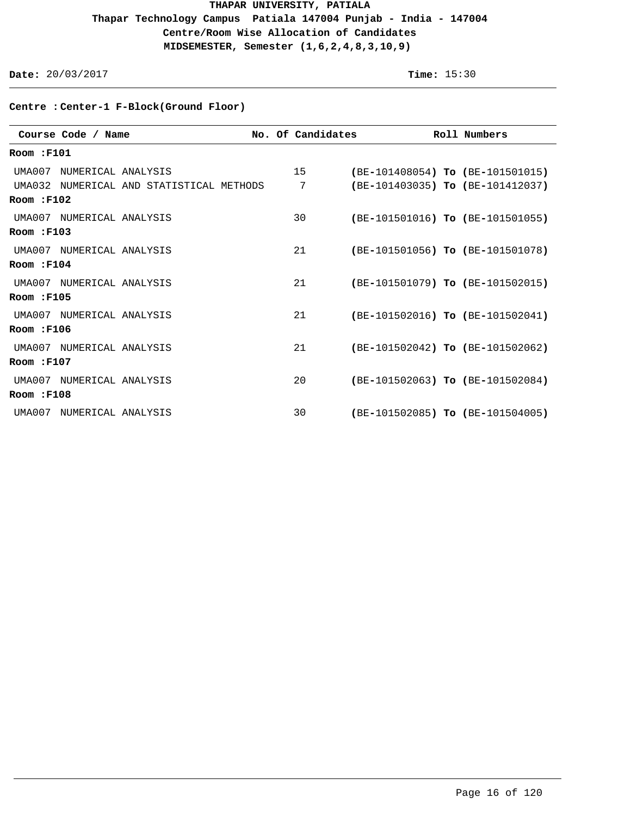**Centre/Room Wise Allocation of Candidates Thapar Technology Campus Patiala 147004 Punjab - India - 147004**

**MIDSEMESTER, Semester (1,6,2,4,8,3,10,9)**

Date:  $20/03/2017$ 

**Time:** 15:30

### **Centre : Center-1 F-Block(Ground Floor)**

| Course Code / Name                          | No. Of Candidates | Roll Numbers                         |
|---------------------------------------------|-------------------|--------------------------------------|
| Room : F101                                 |                   |                                      |
| TIMA007<br>NUMERICAL ANALYSIS               | 15                | (BE-101408054) To (BE-101501015)     |
| UMA032<br>NUMERICAL AND STATISTICAL METHODS | 7                 | $(BE-101403035)$ To $(BE-101412037)$ |
| Room : F102                                 |                   |                                      |
| UMA007 NUMERICAL ANALYSIS                   | 30                | (BE-101501016) To (BE-101501055)     |
| Room : F103                                 |                   |                                      |
| UMA007 NUMERICAL ANALYSIS                   | 21                | $(BE-101501056)$ To $(BE-101501078)$ |
| Room : F104                                 |                   |                                      |
| UMA007 NUMERICAL ANALYSIS                   | 21                | $(BE-101501079)$ To $(BE-101502015)$ |
| Room : F105                                 |                   |                                      |
| UMA007 NUMERICAL ANALYSIS                   | 21                | $(BE-101502016)$ To $(BE-101502041)$ |
| Room : F106                                 |                   |                                      |
| UMA007 NUMERICAL ANALYSIS                   | 21                | $(BE-101502042)$ To $(BE-101502062)$ |
| Room : F107                                 |                   |                                      |
| TIMA007<br>NUMERICAL ANALYSIS               | 20                | $(BE-101502063)$ To $(BE-101502084)$ |
| Room : F108                                 |                   |                                      |
| UMA007 NUMERICAL ANALYSIS                   | 30                | $(BE-101502085)$ To $(BE-101504005)$ |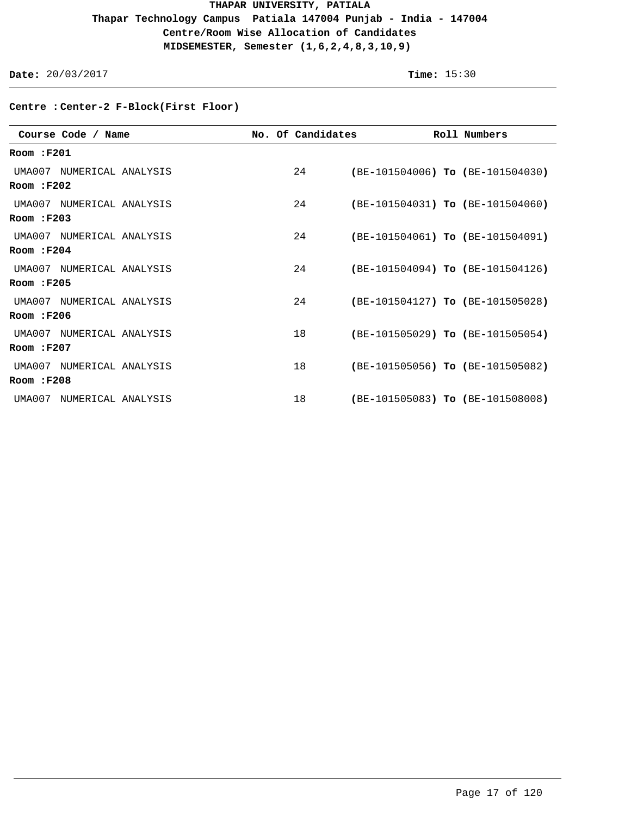**Centre/Room Wise Allocation of Candidates Thapar Technology Campus Patiala 147004 Punjab - India - 147004**

**MIDSEMESTER, Semester (1,6,2,4,8,3,10,9)**

Date:  $20/03/2017$ 

```
Time: 15:30
```
### **Centre : Center-2 F-Block(First Floor)**

| Course Code / Name        | No. Of Candidates |                                      | Roll Numbers |
|---------------------------|-------------------|--------------------------------------|--------------|
| Room : F201               |                   |                                      |              |
| UMA007 NUMERICAL ANALYSIS | 24                | $(BE-101504006)$ To $(BE-101504030)$ |              |
| Room : F202               |                   |                                      |              |
| UMA007 NUMERICAL ANALYSIS | 24                | $(BE-101504031)$ To $(BE-101504060)$ |              |
| Room : F203               |                   |                                      |              |
| UMA007 NUMERICAL ANALYSIS | 24                | $(BE-101504061)$ To $(BE-101504091)$ |              |
| Room : F204               |                   |                                      |              |
| UMA007 NUMERICAL ANALYSIS | 24                | $(BE-101504094)$ To $(BE-101504126)$ |              |
| Room : F205               |                   |                                      |              |
| UMA007 NUMERICAL ANALYSIS | 24                | $(BE-101504127)$ To $(BE-101505028)$ |              |
| Room : F206               |                   |                                      |              |
| UMA007 NUMERICAL ANALYSIS | 18                | $(BE-101505029)$ To $(BE-101505054)$ |              |
| Room : F207               |                   |                                      |              |
| UMA007 NUMERICAL ANALYSIS | 18                | $(BE-101505056)$ To $(BE-101505082)$ |              |
| Room : F208               |                   |                                      |              |
| UMA007 NUMERICAL ANALYSIS | 18                | $(BE-101505083)$ To $(BE-101508008)$ |              |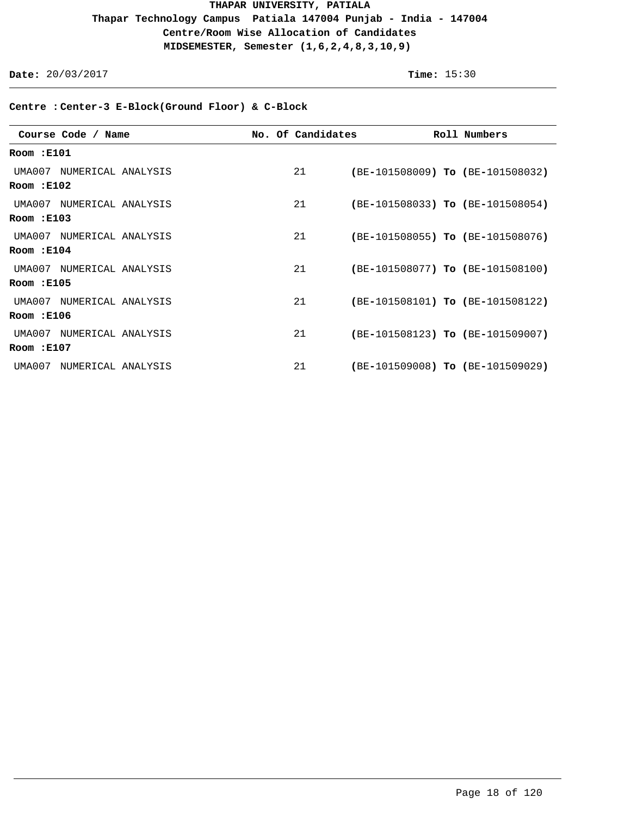**Centre/Room Wise Allocation of Candidates Thapar Technology Campus Patiala 147004 Punjab - India - 147004**

**MIDSEMESTER, Semester (1,6,2,4,8,3,10,9)**

Date:  $20/03/2017$ 

```
Time: 15:30
```
**Centre : Center-3 E-Block(Ground Floor) & C-Block**

| Course Code / Name                       | No. Of Candidates | Roll Numbers                         |
|------------------------------------------|-------------------|--------------------------------------|
| Room : E101                              |                   |                                      |
| UMA007 NUMERICAL ANALYSIS<br>Room : E102 | 21                | $(BE-101508009)$ To $(BE-101508032)$ |
| UMA007 NUMERICAL ANALYSIS<br>Room : E103 | 21                | $(BE-101508033)$ To $(BE-101508054)$ |
| UMA007 NUMERICAL ANALYSIS<br>Room : E104 | 21                | $(BE-101508055)$ To $(BE-101508076)$ |
| UMA007 NUMERICAL ANALYSIS<br>Room : E105 | 21                | $(BE-101508077)$ To $(BE-101508100)$ |
| UMA007 NUMERICAL ANALYSIS<br>Room : E106 | 21                | $(BE-101508101)$ To $(BE-101508122)$ |
| UMA007 NUMERICAL ANALYSIS<br>Room : E107 | 21                | $(BE-101508123)$ To $(BE-101509007)$ |
| UMA007 NUMERICAL ANALYSIS                | 21                | $(BE-101509008)$ To $(BE-101509029)$ |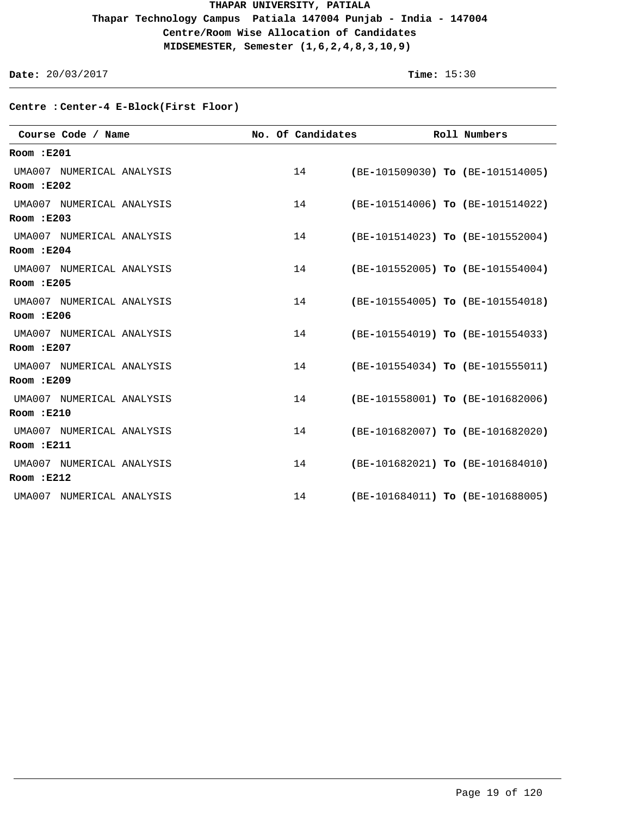**Centre/Room Wise Allocation of Candidates Thapar Technology Campus Patiala 147004 Punjab - India - 147004**

**MIDSEMESTER, Semester (1,6,2,4,8,3,10,9)**

Date:  $20/03/2017$ 

### **Centre : Center-4 E-Block(First Floor)**

| Course Code / Name                       |  | No. Of Candidates |  | Roll Numbers                         |  |
|------------------------------------------|--|-------------------|--|--------------------------------------|--|
| Room : E201                              |  |                   |  |                                      |  |
| UMA007 NUMERICAL ANALYSIS<br>Room : E202 |  | 14                |  | $(BE-101509030)$ To $(BE-101514005)$ |  |
| UMA007 NUMERICAL ANALYSIS<br>Room : E203 |  | 14                |  | $(BE-101514006)$ To $(BE-101514022)$ |  |
| UMA007 NUMERICAL ANALYSIS<br>Room : E204 |  | 14                |  | $(BE-101514023)$ To $(BE-101552004)$ |  |
| UMA007 NUMERICAL ANALYSIS<br>Room : E205 |  | 14                |  | $(BE-101552005)$ To $(BE-101554004)$ |  |
| UMA007 NUMERICAL ANALYSIS<br>Room : E206 |  | 14                |  | $(BE-101554005)$ To $(BE-101554018)$ |  |
| UMA007 NUMERICAL ANALYSIS<br>Room : E207 |  | 14                |  | $(BE-101554019)$ To $(BE-101554033)$ |  |
| UMA007 NUMERICAL ANALYSIS<br>Room : E209 |  | 14                |  | $(BE-101554034)$ To $(BE-101555011)$ |  |
| UMA007 NUMERICAL ANALYSIS<br>Room : E210 |  | 14                |  | $(BE-101558001)$ To $(BE-101682006)$ |  |
| UMA007 NUMERICAL ANALYSIS<br>Room : E211 |  | 14                |  | $(BE-101682007)$ To $(BE-101682020)$ |  |
| UMA007 NUMERICAL ANALYSIS<br>Room : E212 |  | 14                |  | $(BE-101682021)$ To $(BE-101684010)$ |  |
| UMA007 NUMERICAL ANALYSIS                |  | 14                |  | $(BE-101684011)$ To $(BE-101688005)$ |  |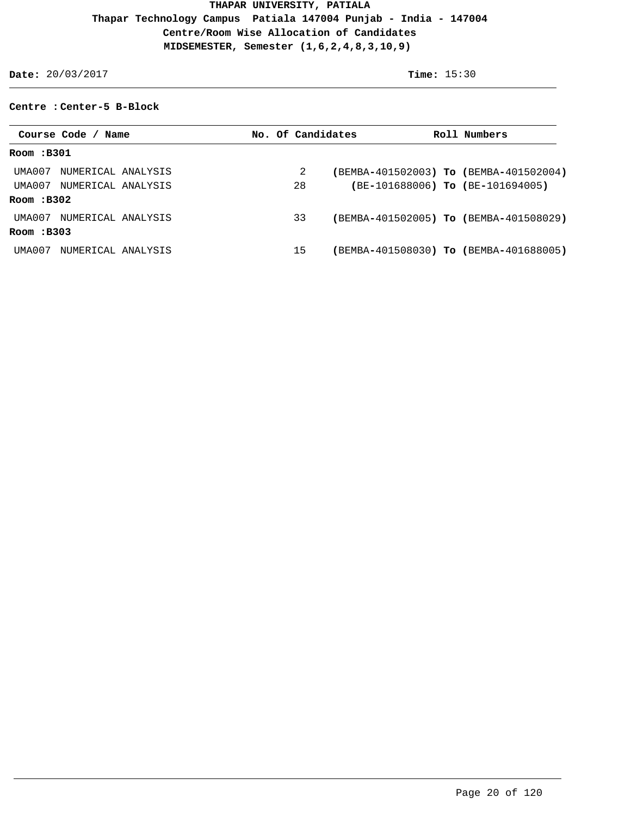## **THAPAR UNIVERSITY, PATIALA Centre/Room Wise Allocation of Candidates Thapar Technology Campus Patiala 147004 Punjab - India - 147004 MIDSEMESTER, Semester (1,6,2,4,8,3,10,9)**

Date:  $20/03/2017$ 

**Time:** 15:30

**Centre : Center-5 B-Block**

|             | Course Code / Name        |  |    | No. Of Candidates |  | Roll Numbers                           |
|-------------|---------------------------|--|----|-------------------|--|----------------------------------------|
|             |                           |  |    |                   |  |                                        |
| Room : B301 |                           |  |    |                   |  |                                        |
|             | UMA007 NUMERICAL ANALYSIS |  | 2  |                   |  | (BEMBA-401502003) To (BEMBA-401502004) |
|             | UMA007 NUMERICAL ANALYSIS |  | 28 |                   |  | $(BE-101688006)$ To $(BE-101694005)$   |
| Room : B302 |                           |  |    |                   |  |                                        |
|             | UMA007 NUMERICAL ANALYSIS |  | 33 |                   |  | (BEMBA-401502005) To (BEMBA-401508029) |
| Room : B303 |                           |  |    |                   |  |                                        |
| tjma007     | NUMERICAL ANALYSIS        |  | 15 |                   |  | (BEMBA-401508030) To (BEMBA-401688005) |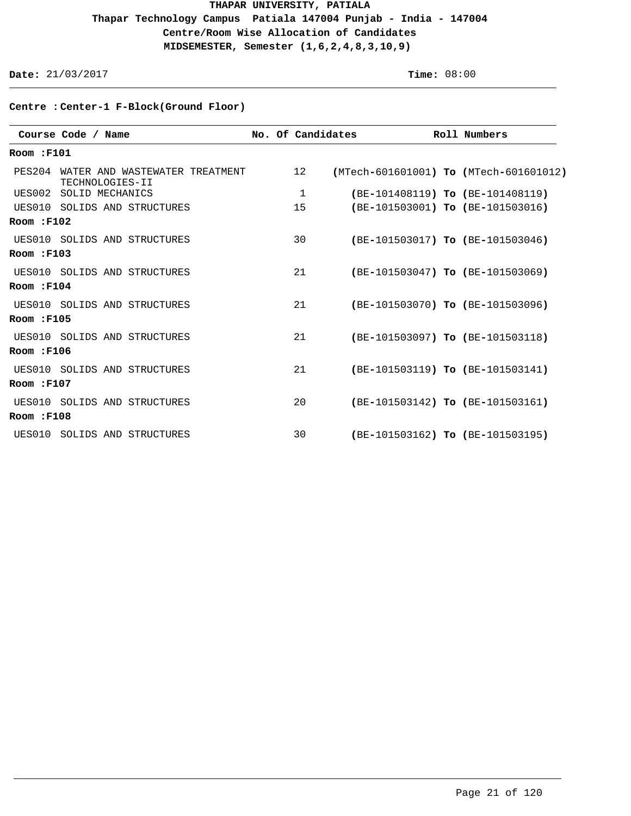**Thapar Technology Campus Patiala 147004 Punjab - India - 147004**

**Centre/Room Wise Allocation of Candidates**

**MIDSEMESTER, Semester (1,6,2,4,8,3,10,9)**

Date:  $21/03/2017$ 

Time: 08:00

### **Centre : Center-1 F-Block(Ground Floor)**

|             | Course Code / Name                                |  | No. Of Candidates |  | Roll Numbers                           |
|-------------|---------------------------------------------------|--|-------------------|--|----------------------------------------|
| Room : F101 |                                                   |  |                   |  |                                        |
| PES204      | WATER AND WASTEWATER TREATMENT<br>TECHNOLOGIES-II |  | 12                |  | (MTech-601601001) To (MTech-601601012) |
|             | UES002 SOLID MECHANICS                            |  | $\mathbf{1}$      |  | $(BE-101408119)$ To $(BE-101408119)$   |
|             | UES010 SOLIDS AND STRUCTURES                      |  | 15                |  | $(BE-101503001)$ To $(BE-101503016)$   |
| Room : F102 |                                                   |  |                   |  |                                        |
|             | UES010 SOLIDS AND STRUCTURES                      |  | 30                |  | $(BE-101503017)$ To $(BE-101503046)$   |
| Room : F103 |                                                   |  |                   |  |                                        |
|             | UES010 SOLIDS AND STRUCTURES                      |  | 21                |  | $(BE-101503047)$ To $(BE-101503069)$   |
| Room : F104 |                                                   |  |                   |  |                                        |
|             | UES010 SOLIDS AND STRUCTURES                      |  | 21                |  | $(BE-101503070)$ To $(BE-101503096)$   |
| Room : F105 |                                                   |  |                   |  |                                        |
|             | UES010 SOLIDS AND STRUCTURES                      |  | 21                |  | $(BE-101503097)$ To $(BE-101503118)$   |
| Room : F106 |                                                   |  |                   |  |                                        |
|             | UES010 SOLIDS AND STRUCTURES                      |  | 21                |  | $(BE-101503119)$ To $(BE-101503141)$   |
| Room : F107 |                                                   |  |                   |  |                                        |
|             | UES010 SOLIDS AND STRUCTURES                      |  | 20                |  | $(BE-101503142)$ To $(BE-101503161)$   |
| Room : F108 |                                                   |  |                   |  |                                        |
|             | UES010 SOLIDS AND STRUCTURES                      |  | 30                |  | $(BE-101503162)$ To $(BE-101503195)$   |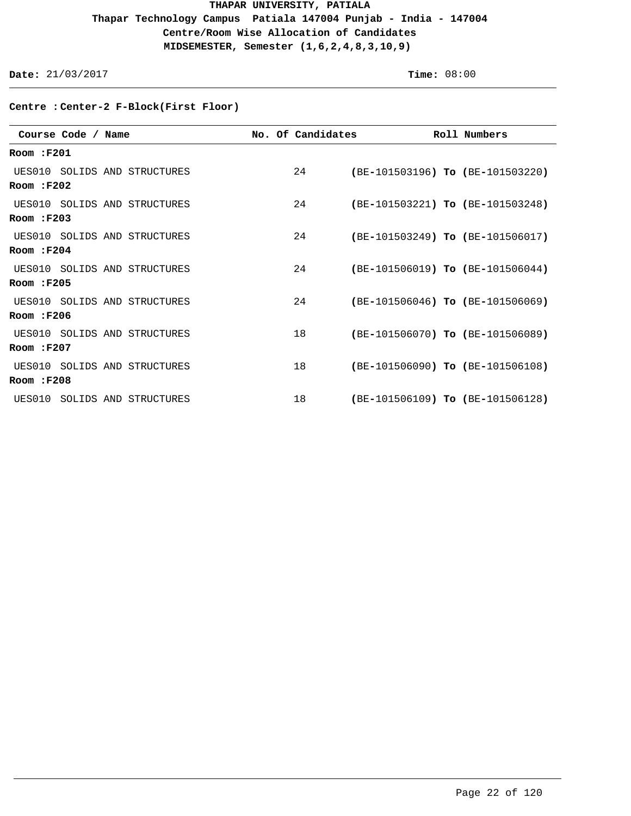## **Centre/Room Wise Allocation of Candidates Thapar Technology Campus Patiala 147004 Punjab - India - 147004**

**MIDSEMESTER, Semester (1,6,2,4,8,3,10,9)**

Date:  $21/03/2017$ 

### **Centre : Center-2 F-Block(First Floor)**

|             | Course Code / Name |                              |  | No. Of Candidates |  | Roll Numbers                         |
|-------------|--------------------|------------------------------|--|-------------------|--|--------------------------------------|
| Room : F201 |                    |                              |  |                   |  |                                      |
|             |                    | UES010 SOLIDS AND STRUCTURES |  | 24                |  | (BE-101503196) To (BE-101503220)     |
| Room : F202 |                    |                              |  |                   |  |                                      |
|             |                    | UES010 SOLIDS AND STRUCTURES |  | 24                |  | $(BE-101503221)$ To $(BE-101503248)$ |
| Room : F203 |                    |                              |  |                   |  |                                      |
|             |                    | UES010 SOLIDS AND STRUCTURES |  | 24                |  | $(BE-101503249)$ To $(BE-101506017)$ |
| Room : F204 |                    |                              |  |                   |  |                                      |
|             |                    | UES010 SOLIDS AND STRUCTURES |  | 24                |  | $(BE-101506019)$ To $(BE-101506044)$ |
| Room : F205 |                    |                              |  |                   |  |                                      |
|             |                    | UES010 SOLIDS AND STRUCTURES |  | 24                |  | $(BE-101506046)$ To $(BE-101506069)$ |
| Room : F206 |                    |                              |  |                   |  |                                      |
|             |                    | UES010 SOLIDS AND STRUCTURES |  | 18                |  | $(BE-101506070)$ To $(BE-101506089)$ |
| Room : F207 |                    |                              |  |                   |  |                                      |
|             |                    | UES010 SOLIDS AND STRUCTURES |  | 18                |  | $(BE-101506090)$ To $(BE-101506108)$ |
| Room : F208 |                    |                              |  |                   |  |                                      |
|             |                    | UES010 SOLIDS AND STRUCTURES |  | 18                |  | $(BE-101506109)$ To $(BE-101506128)$ |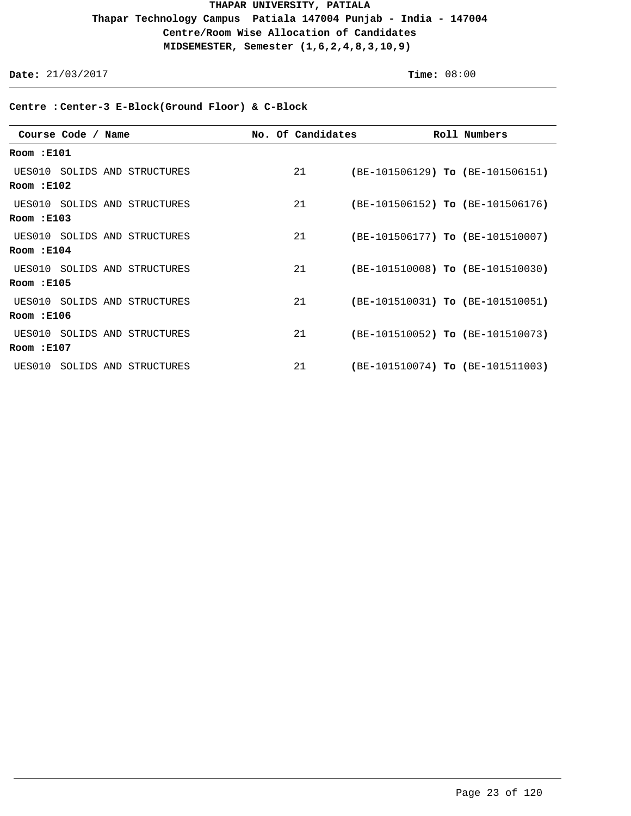**Centre/Room Wise Allocation of Candidates Thapar Technology Campus Patiala 147004 Punjab - India - 147004**

**MIDSEMESTER, Semester (1,6,2,4,8,3,10,9)**

Date:  $21/03/2017$ 

```
Time: 08:00
```
**Centre : Center-3 E-Block(Ground Floor) & C-Block**

|             | Course Code / Name |                              |  | No. Of Candidates |  | Roll Numbers                         |
|-------------|--------------------|------------------------------|--|-------------------|--|--------------------------------------|
| Room : E101 |                    |                              |  |                   |  |                                      |
|             |                    | UES010 SOLIDS AND STRUCTURES |  | 21                |  | $(BE-101506129)$ To $(BE-101506151)$ |
| Room : E102 |                    |                              |  |                   |  |                                      |
|             |                    | UES010 SOLIDS AND STRUCTURES |  | 21                |  | $(BE-101506152)$ To $(BE-101506176)$ |
| Room : E103 |                    |                              |  |                   |  |                                      |
|             |                    | UES010 SOLIDS AND STRUCTURES |  | 21                |  | $(BE-101506177)$ To $(BE-101510007)$ |
| Room : E104 |                    |                              |  |                   |  |                                      |
|             |                    | UES010 SOLIDS AND STRUCTURES |  | 21                |  | $(BE-101510008)$ To $(BE-101510030)$ |
| Room : E105 |                    |                              |  |                   |  |                                      |
|             |                    | UES010 SOLIDS AND STRUCTURES |  | 21                |  | $(BE-101510031)$ To $(BE-101510051)$ |
| Room : E106 |                    |                              |  |                   |  |                                      |
|             |                    | UES010 SOLIDS AND STRUCTURES |  | 21                |  | $(BE-101510052)$ To $(BE-101510073)$ |
| Room : E107 |                    |                              |  |                   |  |                                      |
|             |                    | UES010 SOLIDS AND STRUCTURES |  | 21                |  | $(BE-101510074)$ To $(BE-101511003)$ |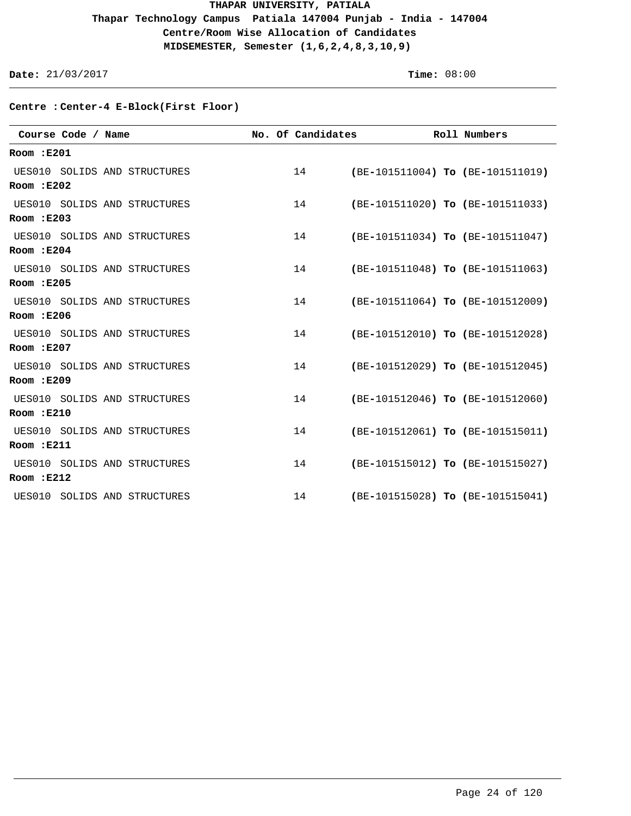**Centre/Room Wise Allocation of Candidates Thapar Technology Campus Patiala 147004 Punjab - India - 147004**

**MIDSEMESTER, Semester (1,6,2,4,8,3,10,9)**

Date:  $21/03/2017$ 

### **Centre : Center-4 E-Block(First Floor)**

| Course Code / Name |  |                              |  |    | No. Of Candidates |  | Roll Numbers                         |
|--------------------|--|------------------------------|--|----|-------------------|--|--------------------------------------|
| Room : E201        |  |                              |  |    |                   |  |                                      |
| Room : E202        |  | UES010 SOLIDS AND STRUCTURES |  |    | 14 \,             |  | (BE-101511004) To (BE-101511019)     |
| Room : E203        |  | UES010 SOLIDS AND STRUCTURES |  | 14 |                   |  | $(BE-101511020)$ To $(BE-101511033)$ |
| Room : E204        |  | UES010 SOLIDS AND STRUCTURES |  | 14 |                   |  | $(BE-101511034)$ To $(BE-101511047)$ |
| Room : E205        |  | UES010 SOLIDS AND STRUCTURES |  | 14 |                   |  | $(BE-101511048)$ To $(BE-101511063)$ |
| Room : E206        |  | UES010 SOLIDS AND STRUCTURES |  | 14 |                   |  | $(BE-101511064)$ To $(BE-101512009)$ |
| Room : E207        |  | UES010 SOLIDS AND STRUCTURES |  | 14 |                   |  | $(BE-101512010)$ To $(BE-101512028)$ |
| Room : E209        |  | UES010 SOLIDS AND STRUCTURES |  | 14 |                   |  | $(BE-101512029)$ To $(BE-101512045)$ |
| Room : E210        |  | UES010 SOLIDS AND STRUCTURES |  | 14 |                   |  | $(BE-101512046)$ To $(BE-101512060)$ |
| Room : E211        |  | UES010 SOLIDS AND STRUCTURES |  | 14 |                   |  | $(BE-101512061)$ To $(BE-101515011)$ |
| Room : E212        |  | UES010 SOLIDS AND STRUCTURES |  | 14 |                   |  | $(BE-101515012)$ To $(BE-101515027)$ |
|                    |  | UES010 SOLIDS AND STRUCTURES |  | 14 |                   |  | $(BE-101515028)$ To $(BE-101515041)$ |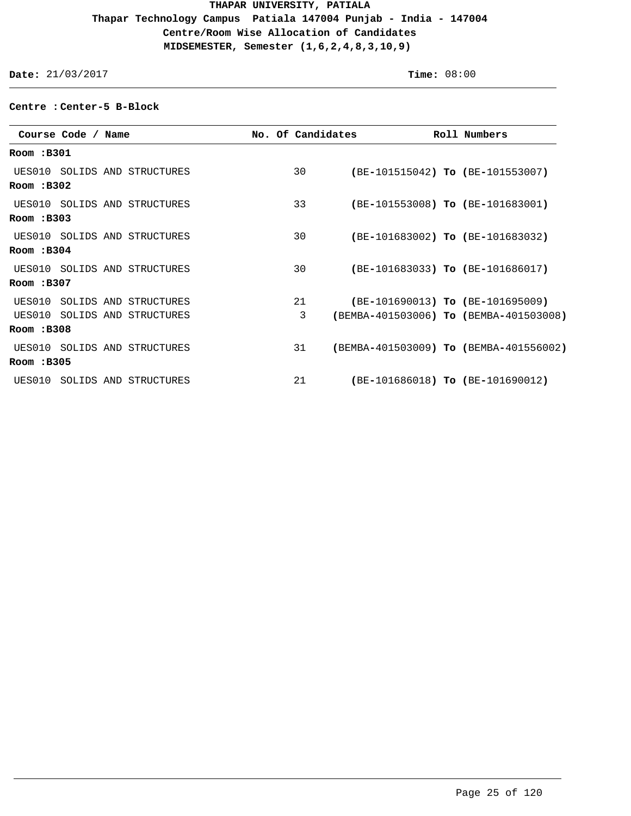**Centre/Room Wise Allocation of Candidates Thapar Technology Campus Patiala 147004 Punjab - India - 147004**

**MIDSEMESTER, Semester (1,6,2,4,8,3,10,9)**

Date:  $21/03/2017$ 

Time: 08:00

### **Centre : Center-5 B-Block**

|             | Course Code / Name |                              |  | No. Of Candidates |  | Roll Numbers                           |
|-------------|--------------------|------------------------------|--|-------------------|--|----------------------------------------|
| Room : B301 |                    |                              |  |                   |  |                                        |
|             |                    | UES010 SOLIDS AND STRUCTURES |  | 30                |  | (BE-101515042) To (BE-101553007)       |
| Room : B302 |                    |                              |  |                   |  |                                        |
|             |                    | UES010 SOLIDS AND STRUCTURES |  | 33                |  | $(BE-101553008)$ To $(BE-101683001)$   |
| Room : B303 |                    |                              |  |                   |  |                                        |
|             |                    | UES010 SOLIDS AND STRUCTURES |  | 30                |  | $(BE-101683002)$ To $(BE-101683032)$   |
| Room : B304 |                    |                              |  |                   |  |                                        |
|             |                    | UES010 SOLIDS AND STRUCTURES |  | 30                |  | $(BE-101683033)$ To $(BE-101686017)$   |
| Room : B307 |                    |                              |  |                   |  |                                        |
|             |                    | UES010 SOLIDS AND STRUCTURES |  | 21                |  | $(BE-101690013)$ To $(BE-101695009)$   |
|             |                    | UES010 SOLIDS AND STRUCTURES |  | 3                 |  | (BEMBA-401503006) To (BEMBA-401503008) |
| Room : B308 |                    |                              |  |                   |  |                                        |
|             |                    | UES010 SOLIDS AND STRUCTURES |  | 31                |  | (BEMBA-401503009) To (BEMBA-401556002) |
| Room : B305 |                    |                              |  |                   |  |                                        |
|             |                    | UES010 SOLIDS AND STRUCTURES |  | 21                |  | $(BE-101686018)$ To $(BE-101690012)$   |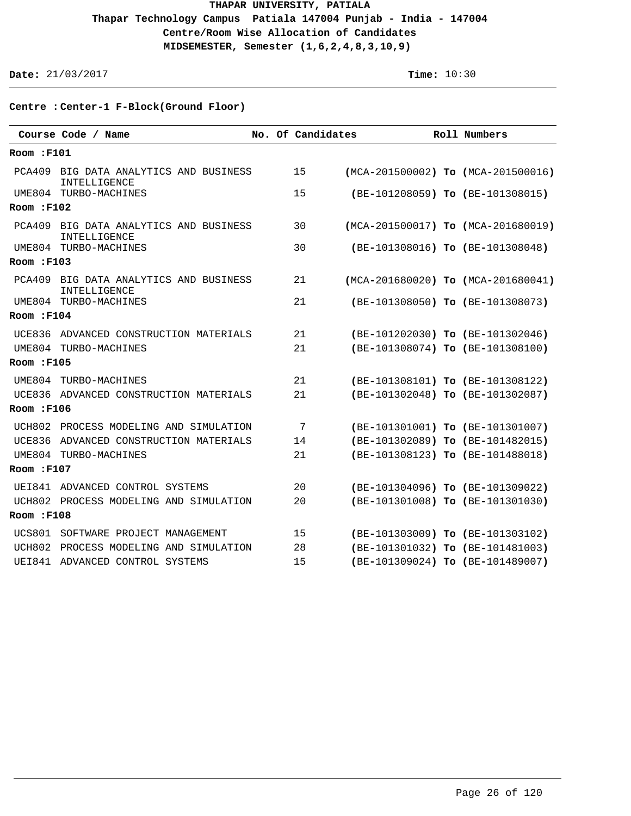**Centre/Room Wise Allocation of Candidates Thapar Technology Campus Patiala 147004 Punjab - India - 147004**

**MIDSEMESTER, Semester (1,6,2,4,8,3,10,9)**

Date:  $21/03/2017$ 

**Time:** 10:30

### **Centre : Center-1 F-Block(Ground Floor)**

|             | Course Code / Name                              |    | No. Of Candidates | Roll Numbers                          |
|-------------|-------------------------------------------------|----|-------------------|---------------------------------------|
| Room : F101 |                                                 |    |                   |                                       |
| PCA409      | BIG DATA ANALYTICS AND BUSINESS<br>INTELLIGENCE | 15 |                   | $MCA-201500002)$ To $(MCA-201500016)$ |
|             | UME804 TURBO-MACHINES                           | 15 |                   | $(BE-101208059)$ To $(BE-101308015)$  |
| Room : F102 |                                                 |    |                   |                                       |
| PCA409      | BIG DATA ANALYTICS AND BUSINESS<br>INTELLIGENCE | 30 |                   | $MCA-201500017)$ To $(MCA-201680019)$ |
|             | UME804 TURBO-MACHINES                           | 30 |                   | $(BE-101308016)$ To $(BE-101308048)$  |
| Room : F103 |                                                 |    |                   |                                       |
| PCA409      | BIG DATA ANALYTICS AND BUSINESS<br>INTELLIGENCE | 21 |                   | $MCA-201680020$ To $MCA-201680041$    |
|             | UME804 TURBO-MACHINES                           | 21 |                   | $(BE-101308050)$ To $(BE-101308073)$  |
| Room : F104 |                                                 |    |                   |                                       |
| UCE836      | ADVANCED CONSTRUCTION MATERIALS                 | 21 |                   | $(BE-101202030)$ To $(BE-101302046)$  |
|             | UME804 TURBO-MACHINES                           | 21 |                   | $(BE-101308074)$ To $(BE-101308100)$  |
| Room : F105 |                                                 |    |                   |                                       |
| UME804      | TURBO-MACHINES                                  | 21 |                   | $(BE-101308101)$ To $(BE-101308122)$  |
|             | UCE836 ADVANCED CONSTRUCTION MATERIALS          | 21 |                   | (BE-101302048) To (BE-101302087)      |
| Room : F106 |                                                 |    |                   |                                       |
| UCH802      | PROCESS MODELING AND SIMULATION                 | 7  |                   | $(BE-101301001)$ To $(BE-101301007)$  |
| UCE836      | ADVANCED CONSTRUCTION MATERIALS                 | 14 |                   | $(BE-101302089)$ To $(BE-101482015)$  |
|             | UME804 TURBO-MACHINES                           | 21 |                   | $(BE-101308123)$ To $(BE-101488018)$  |
| Room : F107 |                                                 |    |                   |                                       |
| UEI841      | ADVANCED CONTROL SYSTEMS                        | 20 |                   | $(BE-101304096)$ To $(BE-101309022)$  |
|             | UCH802 PROCESS MODELING AND SIMULATION          | 20 |                   | (BE-101301008) To (BE-101301030)      |
| Room : F108 |                                                 |    |                   |                                       |
| UCS801      | SOFTWARE PROJECT MANAGEMENT                     | 15 |                   | $(BE-101303009)$ To $(BE-101303102)$  |
| UCH802      | PROCESS MODELING AND SIMULATION                 | 28 |                   | $(BE-101301032)$ To $(BE-101481003)$  |
|             | UEI841 ADVANCED CONTROL SYSTEMS                 | 15 |                   | $(BE-101309024)$ To $(BE-101489007)$  |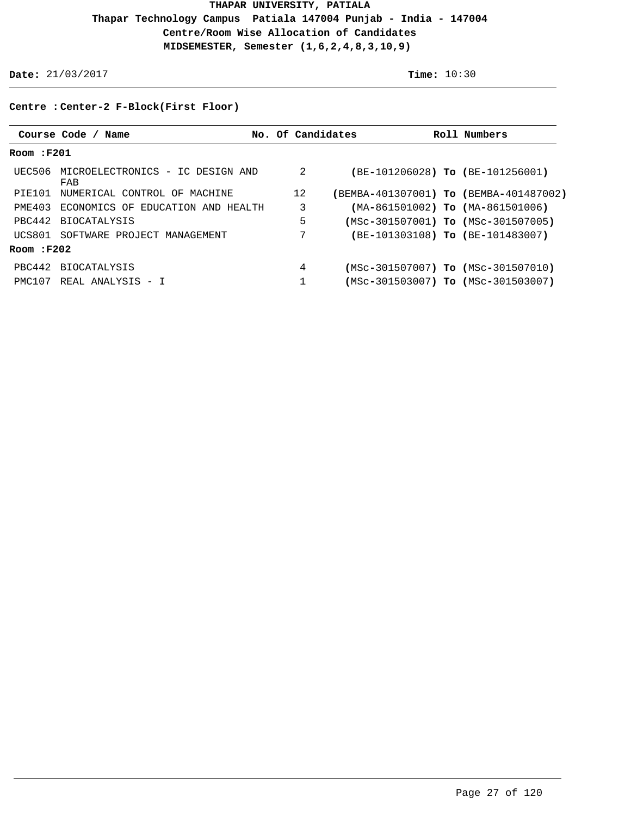**Thapar Technology Campus Patiala 147004 Punjab - India - 147004**

**Centre/Room Wise Allocation of Candidates**

**MIDSEMESTER, Semester (1,6,2,4,8,3,10,9)**

Date:  $21/03/2017$ 

**Time:** 10:30

**Centre : Center-2 F-Block(First Floor)**

|             | Course Code / Name                      |  | No. Of Candidates |  | Roll Numbers                           |
|-------------|-----------------------------------------|--|-------------------|--|----------------------------------------|
| Room : F201 |                                         |  |                   |  |                                        |
| UEC506      | MICROELECTRONICS - IC DESIGN AND<br>FAB |  | 2                 |  | $(BE-101206028)$ To $(BE-101256001)$   |
| PTF101      | NUMERICAL CONTROL OF MACHINE            |  | 12                |  | (BEMBA-401307001) To (BEMBA-401487002) |
| PME403      | ECONOMICS OF EDUCATION AND HEALTH       |  | 3                 |  | $(MA-861501002)$ To $(MA-861501006)$   |
| PBC442      | BIOCATALYSIS                            |  | 5                 |  | $(MSc-301507001)$ To $(MSc-301507005)$ |
|             | UCS801 SOFTWARE PROJECT MANAGEMENT      |  | 7                 |  | $(BE-101303108)$ To $(BE-101483007)$   |
| Room : F202 |                                         |  |                   |  |                                        |
| PBC442      | <b>BIOCATALYSIS</b>                     |  | 4                 |  | $(MSc-301507007)$ To $(MSc-301507010)$ |
| PMC107      | REAL ANALYSIS - I                       |  |                   |  | $(MSc-301503007)$ To $(MSc-301503007)$ |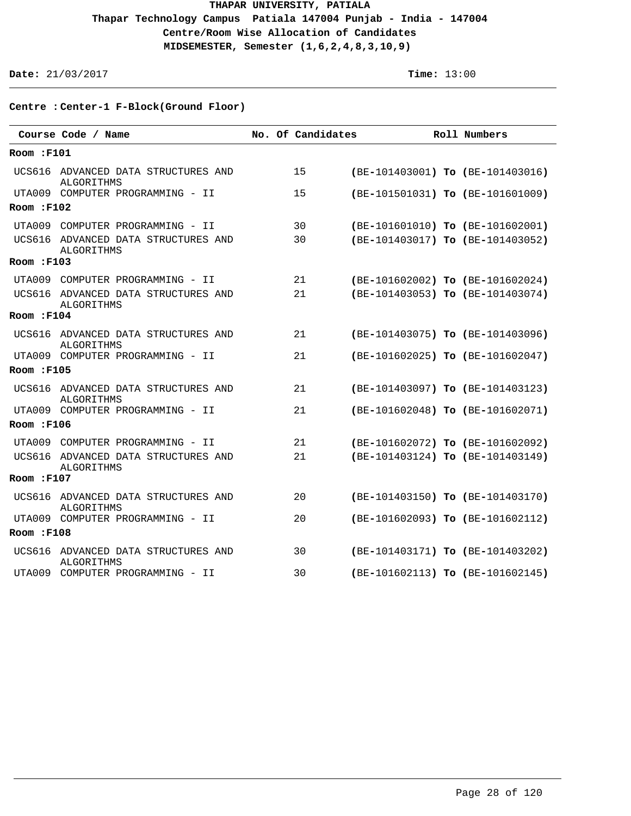**Thapar Technology Campus Patiala 147004 Punjab - India - 147004**

**Centre/Room Wise Allocation of Candidates**

**MIDSEMESTER, Semester (1,6,2,4,8,3,10,9)**

Date:  $21/03/2017$ 

**Time:** 13:00

**Centre : Center-1 F-Block(Ground Floor)**

|             | Course Code / Name                                | No. Of Candidates |    |  | Roll Numbers                         |
|-------------|---------------------------------------------------|-------------------|----|--|--------------------------------------|
| Room : F101 |                                                   |                   |    |  |                                      |
|             | UCS616 ADVANCED DATA STRUCTURES AND<br>ALGORITHMS |                   | 15 |  | $(BE-101403001)$ To $(BE-101403016)$ |
|             | UTA009 COMPUTER PROGRAMMING - II                  |                   | 15 |  | $(BE-101501031)$ To $(BE-101601009)$ |
| Room : F102 |                                                   |                   |    |  |                                      |
|             | UTA009 COMPUTER PROGRAMMING - II                  |                   | 30 |  | $(BE-101601010)$ To $(BE-101602001)$ |
|             | UCS616 ADVANCED DATA STRUCTURES AND<br>ALGORITHMS |                   | 30 |  | (BE-101403017) To (BE-101403052)     |
| Room : F103 |                                                   |                   |    |  |                                      |
|             | UTA009 COMPUTER PROGRAMMING - II                  |                   | 21 |  | $(BE-101602002)$ To $(BE-101602024)$ |
|             | UCS616 ADVANCED DATA STRUCTURES AND<br>ALGORITHMS |                   | 21 |  | $(BE-101403053)$ To $(BE-101403074)$ |
| Room : F104 |                                                   |                   |    |  |                                      |
|             | UCS616 ADVANCED DATA STRUCTURES AND<br>ALGORITHMS |                   | 21 |  | $(BE-101403075)$ To $(BE-101403096)$ |
|             | UTA009 COMPUTER PROGRAMMING - II                  |                   | 21 |  | $(BE-101602025)$ To $(BE-101602047)$ |
| Room : F105 |                                                   |                   |    |  |                                      |
|             | UCS616 ADVANCED DATA STRUCTURES AND<br>ALGORITHMS |                   | 21 |  | $(BE-101403097)$ To $(BE-101403123)$ |
|             | UTA009 COMPUTER PROGRAMMING - II                  |                   | 21 |  | (BE-101602048) To (BE-101602071)     |
| Room:F106   |                                                   |                   |    |  |                                      |
|             | UTA009 COMPUTER PROGRAMMING - II                  |                   | 21 |  | $(BE-101602072)$ To $(BE-101602092)$ |
|             | UCS616 ADVANCED DATA STRUCTURES AND<br>ALGORITHMS |                   | 21 |  | $(BE-101403124)$ To $(BE-101403149)$ |
| Room : F107 |                                                   |                   |    |  |                                      |
|             | UCS616 ADVANCED DATA STRUCTURES AND<br>ALGORITHMS |                   | 20 |  | $(BE-101403150)$ To $(BE-101403170)$ |
|             | UTA009 COMPUTER PROGRAMMING - II                  |                   | 20 |  | $(BE-101602093)$ To $(BE-101602112)$ |
| Room : F108 |                                                   |                   |    |  |                                      |
|             | UCS616 ADVANCED DATA STRUCTURES AND<br>ALGORITHMS |                   | 30 |  | (BE-101403171) To (BE-101403202)     |
|             | UTA009 COMPUTER PROGRAMMING - II                  |                   | 30 |  | $(BE-101602113)$ To $(BE-101602145)$ |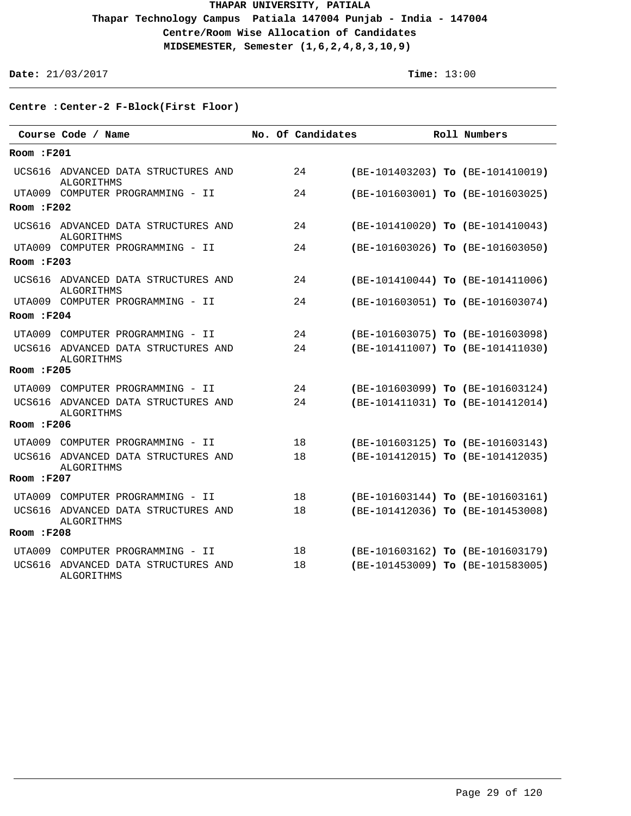**Centre/Room Wise Allocation of Candidates Thapar Technology Campus Patiala 147004 Punjab - India - 147004**

**MIDSEMESTER, Semester (1,6,2,4,8,3,10,9)**

Date:  $21/03/2017$ 

**Time:** 13:00

### **Centre : Center-2 F-Block(First Floor)**

|             | Course Code / Name                                | No. Of Candidates |    |  | Roll Numbers                         |
|-------------|---------------------------------------------------|-------------------|----|--|--------------------------------------|
| Room : F201 |                                                   |                   |    |  |                                      |
|             | UCS616 ADVANCED DATA STRUCTURES AND<br>ALGORITHMS |                   | 24 |  | (BE-101403203) To (BE-101410019)     |
|             | UTA009 COMPUTER PROGRAMMING - II                  |                   | 24 |  | $(BE-101603001)$ To $(BE-101603025)$ |
| Room : F202 |                                                   |                   |    |  |                                      |
|             | UCS616 ADVANCED DATA STRUCTURES AND<br>ALGORITHMS |                   | 24 |  | $(BE-101410020)$ To $(BE-101410043)$ |
|             | UTA009 COMPUTER PROGRAMMING - II                  |                   | 24 |  | $(BE-101603026)$ To $(BE-101603050)$ |
| Room : F203 |                                                   |                   |    |  |                                      |
|             | UCS616 ADVANCED DATA STRUCTURES AND<br>ALGORITHMS |                   | 24 |  | $(BE-101410044)$ To $(BE-101411006)$ |
|             | UTA009 COMPUTER PROGRAMMING - II                  |                   | 24 |  | $(BE-101603051)$ To $(BE-101603074)$ |
| Room : F204 |                                                   |                   |    |  |                                      |
|             | UTA009 COMPUTER PROGRAMMING - II                  |                   | 24 |  | $(BE-101603075)$ To $(BE-101603098)$ |
|             | UCS616 ADVANCED DATA STRUCTURES AND<br>ALGORITHMS |                   | 24 |  | $(BE-101411007)$ To $(BE-101411030)$ |
| Room : F205 |                                                   |                   |    |  |                                      |
|             | UTA009 COMPUTER PROGRAMMING - II                  |                   | 24 |  | $(BE-101603099)$ To $(BE-101603124)$ |
|             | UCS616 ADVANCED DATA STRUCTURES AND<br>ALGORITHMS |                   | 24 |  | (BE-101411031) To (BE-101412014)     |
| Room : F206 |                                                   |                   |    |  |                                      |
|             | UTA009 COMPUTER PROGRAMMING - II                  |                   | 18 |  | $(BE-101603125)$ To $(BE-101603143)$ |
|             | UCS616 ADVANCED DATA STRUCTURES AND<br>ALGORITHMS |                   | 18 |  | (BE-101412015) To (BE-101412035)     |
| Room : F207 |                                                   |                   |    |  |                                      |
|             | UTA009 COMPUTER PROGRAMMING - II                  |                   | 18 |  | $(BE-101603144)$ To $(BE-101603161)$ |
| UCS616      | ADVANCED DATA STRUCTURES AND<br>ALGORITHMS        |                   | 18 |  | $(BE-101412036)$ To $(BE-101453008)$ |
| Room : F208 |                                                   |                   |    |  |                                      |
|             | UTA009 COMPUTER PROGRAMMING - II                  |                   | 18 |  | $(BE-101603162)$ To $(BE-101603179)$ |
|             | UCS616 ADVANCED DATA STRUCTURES AND<br>ALGORITHMS |                   | 18 |  | $(BE-101453009)$ To $(BE-101583005)$ |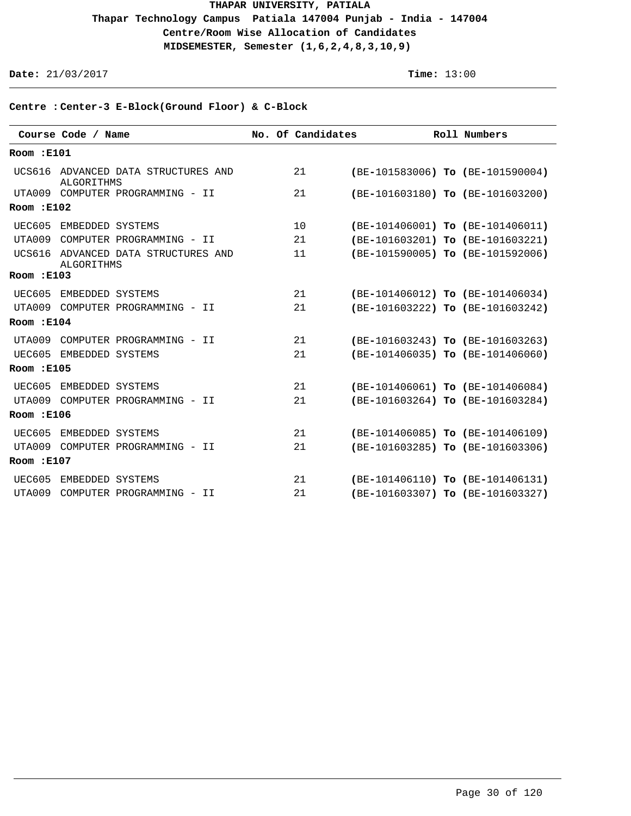**Centre/Room Wise Allocation of Candidates Thapar Technology Campus Patiala 147004 Punjab - India - 147004**

**MIDSEMESTER, Semester (1,6,2,4,8,3,10,9)**

Date:  $21/03/2017$ 

**Time:** 13:00

**Centre : Center-3 E-Block(Ground Floor) & C-Block**

|               | Course Code / Name                                | No. Of Candidates |  | Roll Numbers                         |
|---------------|---------------------------------------------------|-------------------|--|--------------------------------------|
| Room : E101   |                                                   |                   |  |                                      |
| UCS616        | ADVANCED DATA STRUCTURES AND<br>ALGORITHMS        | 21                |  | $(BE-101583006)$ To $(BE-101590004)$ |
|               | UTA009 COMPUTER PROGRAMMING - II                  | 21                |  | $(BE-101603180)$ To $(BE-101603200)$ |
| Room : E102   |                                                   |                   |  |                                      |
| <b>UEC605</b> | EMBEDDED SYSTEMS                                  | 10                |  | $(BE-101406001)$ To $(BE-101406011)$ |
|               | UTA009 COMPUTER PROGRAMMING - II                  | 21                |  | $(BE-101603201)$ To $(BE-101603221)$ |
|               | UCS616 ADVANCED DATA STRUCTURES AND<br>ALGORITHMS | 11                |  | $(BE-101590005)$ To $(BE-101592006)$ |
| Room : E103   |                                                   |                   |  |                                      |
| <b>UEC605</b> | EMBEDDED SYSTEMS                                  | 21                |  | $(BE-101406012)$ To $(BE-101406034)$ |
|               | UTA009 COMPUTER PROGRAMMING - II                  | 21                |  | $(BE-101603222)$ To $(BE-101603242)$ |
| Room : E104   |                                                   |                   |  |                                      |
| UTA009        | COMPUTER PROGRAMMING - II                         | 21                |  | $(BE-101603243)$ To $(BE-101603263)$ |
| UEC605        | EMBEDDED SYSTEMS                                  | 21                |  | (BE-101406035) To (BE-101406060)     |
| Room : E105   |                                                   |                   |  |                                      |
| UEC605        | EMBEDDED SYSTEMS                                  | 21                |  | $(BE-101406061)$ To $(BE-101406084)$ |
|               | UTA009 COMPUTER PROGRAMMING - II                  | 21                |  | $(BE-101603264)$ To $(BE-101603284)$ |
| Room : E106   |                                                   |                   |  |                                      |
| UEC605        | EMBEDDED SYSTEMS                                  | 21                |  | $(BE-101406085)$ To $(BE-101406109)$ |
|               | UTA009 COMPUTER PROGRAMMING - II                  | 21                |  | (BE-101603285) To (BE-101603306)     |
| Room : E107   |                                                   |                   |  |                                      |
| <b>UEC605</b> | EMBEDDED SYSTEMS                                  | 21                |  | $(BE-101406110)$ To $(BE-101406131)$ |
| UTA009        | COMPUTER PROGRAMMING - II                         | 21                |  | (BE-101603307) To (BE-101603327)     |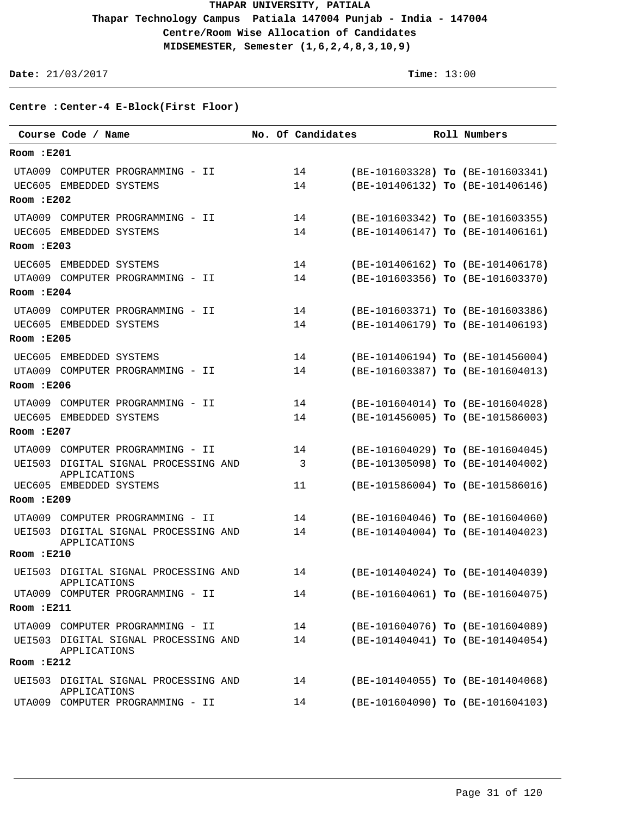**Thapar Technology Campus Patiala 147004 Punjab - India - 147004**

**Centre/Room Wise Allocation of Candidates**

**MIDSEMESTER, Semester (1,6,2,4,8,3,10,9)**

Date:  $21/03/2017$ 

**Time:** 13:00

#### **Centre : Center-4 E-Block(First Floor)**

|             | Course Code / Name                                   | No. Of Candidates |    |  | Roll Numbers                         |
|-------------|------------------------------------------------------|-------------------|----|--|--------------------------------------|
| Room:E201   |                                                      |                   |    |  |                                      |
|             | UTA009 COMPUTER PROGRAMMING - II                     |                   | 14 |  | (BE-101603328) To (BE-101603341)     |
|             | UEC605 EMBEDDED SYSTEMS                              |                   | 14 |  | $(BE-101406132)$ To $(BE-101406146)$ |
| Room:E202   |                                                      |                   |    |  |                                      |
|             | UTA009 COMPUTER PROGRAMMING - II                     |                   | 14 |  | (BE-101603342) To (BE-101603355)     |
|             | UEC605 EMBEDDED SYSTEMS                              |                   | 14 |  | $(BE-101406147)$ To $(BE-101406161)$ |
| Room : E203 |                                                      |                   |    |  |                                      |
|             | UEC605 EMBEDDED SYSTEMS                              |                   | 14 |  | $(BE-101406162)$ To $(BE-101406178)$ |
|             | UTA009 COMPUTER PROGRAMMING - II                     |                   | 14 |  | (BE-101603356) To (BE-101603370)     |
| Room : E204 |                                                      |                   |    |  |                                      |
|             | UTA009 COMPUTER PROGRAMMING - II                     |                   | 14 |  | $(BE-101603371)$ To $(BE-101603386)$ |
|             | UEC605 EMBEDDED SYSTEMS                              |                   | 14 |  | (BE-101406179) To (BE-101406193)     |
| Room : E205 |                                                      |                   |    |  |                                      |
| UEC605      | EMBEDDED SYSTEMS                                     |                   | 14 |  | $(BE-101406194)$ To $(BE-101456004)$ |
|             | UTA009 COMPUTER PROGRAMMING - II                     |                   | 14 |  | $(BE-101603387)$ To $(BE-101604013)$ |
| Room : E206 |                                                      |                   |    |  |                                      |
|             | UTA009 COMPUTER PROGRAMMING - II                     |                   | 14 |  | (BE-101604014) To (BE-101604028)     |
|             | UEC605 EMBEDDED SYSTEMS                              |                   | 14 |  | $(BE-101456005)$ To $(BE-101586003)$ |
| Room : E207 |                                                      |                   |    |  |                                      |
|             | UTA009 COMPUTER PROGRAMMING - II                     |                   | 14 |  | (BE-101604029) To (BE-101604045)     |
| UEI503      | DIGITAL SIGNAL PROCESSING AND                        |                   | 3  |  | $(BE-101305098)$ To $(BE-101404002)$ |
|             | APPLICATIONS<br>UEC605 EMBEDDED SYSTEMS              |                   | 11 |  | $(BE-101586004)$ To $(BE-101586016)$ |
| Room : E209 |                                                      |                   |    |  |                                      |
|             | UTA009 COMPUTER PROGRAMMING - II                     |                   | 14 |  | (BE-101604046) To (BE-101604060)     |
|             | UEI503 DIGITAL SIGNAL PROCESSING AND                 |                   | 14 |  | $(BE-101404004)$ To $(BE-101404023)$ |
|             | APPLICATIONS                                         |                   |    |  |                                      |
| Room : E210 |                                                      |                   |    |  |                                      |
|             | UEI503 DIGITAL SIGNAL PROCESSING AND<br>APPLICATIONS |                   | 14 |  | (BE-101404024) To (BE-101404039)     |
|             | UTA009 COMPUTER PROGRAMMING - II                     |                   | 14 |  | (BE-101604061) To (BE-101604075)     |
| Room : E211 |                                                      |                   |    |  |                                      |
|             | UTA009 COMPUTER PROGRAMMING - II                     |                   | 14 |  | $(BE-101604076)$ To $(BE-101604089)$ |
|             | UEI503 DIGITAL SIGNAL PROCESSING AND                 |                   | 14 |  | $(BE-101404041)$ To $(BE-101404054)$ |
| Room:E212   | APPLICATIONS                                         |                   |    |  |                                      |
|             | UEI503 DIGITAL SIGNAL PROCESSING AND<br>APPLICATIONS |                   | 14 |  | $(BE-101404055)$ To $(BE-101404068)$ |
|             | UTA009 COMPUTER PROGRAMMING - II                     |                   | 14 |  | $(BE-101604090)$ To $(BE-101604103)$ |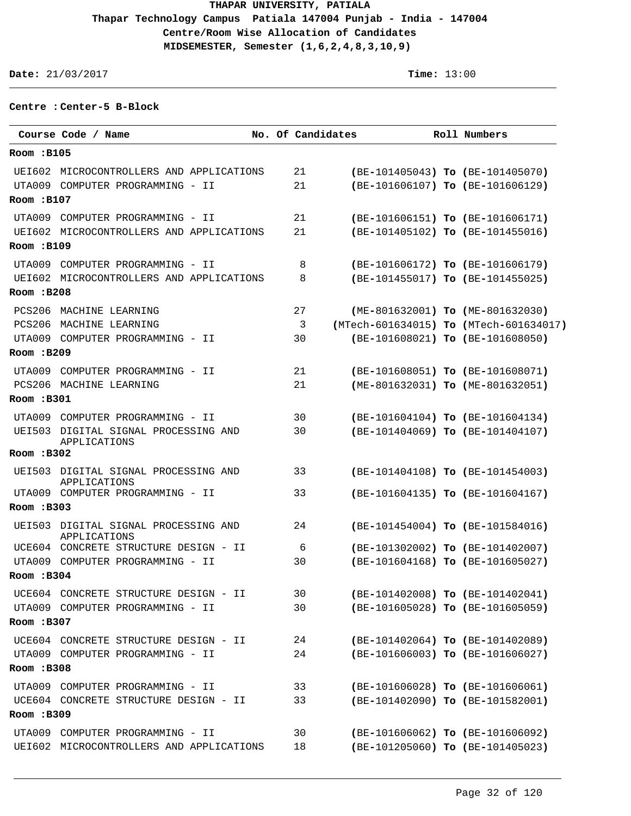**Thapar Technology Campus Patiala 147004 Punjab - India - 147004**

**Centre/Room Wise Allocation of Candidates**

**MIDSEMESTER, Semester (1,6,2,4,8,3,10,9)**

Date:  $21/03/2017$ 

**Time:** 13:00

**Centre : Center-5 B-Block**

|                           | Course Code / Name                                                                       |               | No. Of Candidates                                                                                                  | Roll Numbers |
|---------------------------|------------------------------------------------------------------------------------------|---------------|--------------------------------------------------------------------------------------------------------------------|--------------|
| Room : B105               |                                                                                          |               |                                                                                                                    |              |
| Room : B107               | UEI602 MICROCONTROLLERS AND APPLICATIONS<br>UTA009 COMPUTER PROGRAMMING - II             | 21<br>21      | $(BE-101405043)$ To $(BE-101405070)$<br>(BE-101606107) To (BE-101606129)                                           |              |
| Room : B109               | UTA009 COMPUTER PROGRAMMING - II<br>UEI602 MICROCONTROLLERS AND APPLICATIONS             | 21<br>21      | (BE-101606151) To (BE-101606171)<br>$(BE-101405102)$ To $(BE-101455016)$                                           |              |
| Room: B208                | UTA009 COMPUTER PROGRAMMING - II<br>UEI602 MICROCONTROLLERS AND APPLICATIONS             | 8<br>8        | $(BE-101606172)$ To $(BE-101606179)$<br>(BE-101455017) To (BE-101455025)                                           |              |
| Room : B209               | PCS206 MACHINE LEARNING<br>PCS206 MACHINE LEARNING<br>UTA009 COMPUTER PROGRAMMING - II   | 27<br>3<br>30 | (ME-801632001) To (ME-801632030)<br>(MTech-601634015) To (MTech-601634017)<br>$(BE-101608021)$ To $(BE-101608050)$ |              |
| Room:B301                 | UTA009 COMPUTER PROGRAMMING - II<br>PCS206 MACHINE LEARNING                              | 21<br>21      | (BE-101608051) To (BE-101608071)<br>$(ME-801632031)$ To $(ME-801632051)$                                           |              |
|                           | UTA009 COMPUTER PROGRAMMING - II<br>UEI503 DIGITAL SIGNAL PROCESSING AND<br>APPLICATIONS | 30<br>30      | $(BE-101604104)$ To $(BE-101604134)$<br>$(BE-101404069)$ To $(BE-101404107)$                                       |              |
| Room $: B302$             | UEI503 DIGITAL SIGNAL PROCESSING AND<br>APPLICATIONS<br>UTA009 COMPUTER PROGRAMMING - II | 33<br>33      | $(BE-101404108)$ To $(BE-101454003)$<br>(BE-101604135) To (BE-101604167)                                           |              |
| Room : B303               |                                                                                          |               |                                                                                                                    |              |
|                           | UEI503 DIGITAL SIGNAL PROCESSING AND<br>APPLICATIONS                                     | 24            | $(BE-101454004)$ To $(BE-101584016)$                                                                               |              |
|                           | UCE604 CONCRETE STRUCTURE DESIGN - II<br>UTA009 COMPUTER PROGRAMMING - II                | 6<br>30       | $(BE-101302002)$ To $(BE-101402007)$<br>(BE-101604168) To (BE-101605027)                                           |              |
| Room : B304<br>Room: B307 | UCE604 CONCRETE STRUCTURE DESIGN - II<br>UTA009 COMPUTER PROGRAMMING - II                | 30<br>30      | $(BE-101402008)$ To $(BE-101402041)$<br>$(BE-101605028)$ To $(BE-101605059)$                                       |              |
| Room: B308                | UCE604 CONCRETE STRUCTURE DESIGN - II<br>UTA009 COMPUTER PROGRAMMING - II                | 24<br>24      | (BE-101402064) To (BE-101402089)<br>$(BE-101606003)$ To $(BE-101606027)$                                           |              |
| Room: B309                | UTA009 COMPUTER PROGRAMMING - II<br>UCE604 CONCRETE STRUCTURE DESIGN - II                | 33<br>33      | $(BE-101606028)$ To $(BE-101606061)$<br>(BE-101402090) To (BE-101582001)                                           |              |
|                           | UTA009 COMPUTER PROGRAMMING - II<br>UEI602 MICROCONTROLLERS AND APPLICATIONS             | 30<br>18      | $(BE-101606062)$ To $(BE-101606092)$<br>$(BE-101205060)$ To $(BE-101405023)$                                       |              |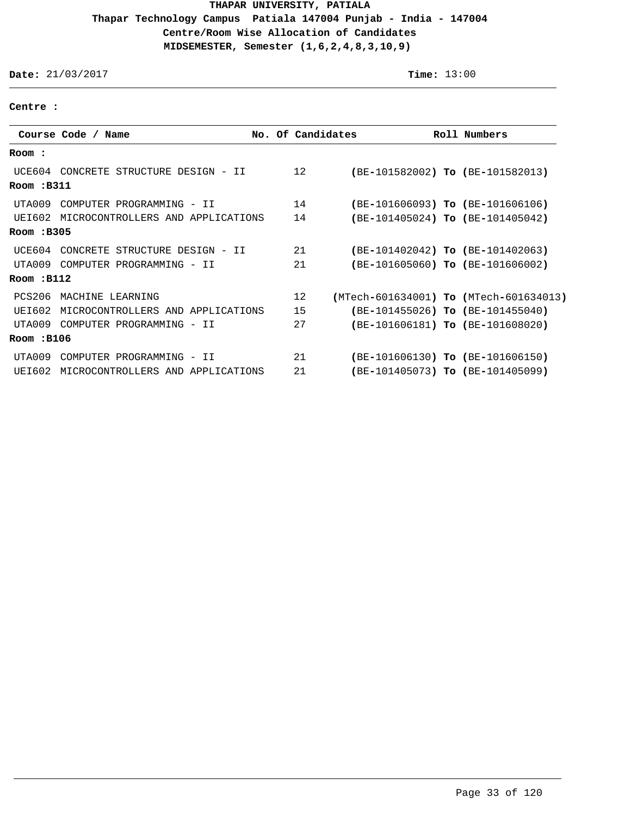## **Thapar Technology Campus Patiala 147004 Punjab - India - 147004**

**Centre/Room Wise Allocation of Candidates**

**MIDSEMESTER, Semester (1,6,2,4,8,3,10,9)**

Date:  $21/03/2017$ 

**Time:** 13:00

## **Centre :**

|             | Course Code / Name                       | No. Of Candidates |  | Roll Numbers                           |
|-------------|------------------------------------------|-------------------|--|----------------------------------------|
| Room:       |                                          |                   |  |                                        |
|             | UCE604 CONCRETE STRUCTURE DESIGN - II    | 12                |  | $(BE-101582002)$ To $(BE-101582013)$   |
| Room : B311 |                                          |                   |  |                                        |
| tita009     | COMPUTER PROGRAMMING - II                | 14                |  | $(BE-101606093)$ To $(BE-101606106)$   |
|             | UEI602 MICROCONTROLLERS AND APPLICATIONS | 14                |  | $(BE-101405024)$ To $(BE-101405042)$   |
| Room : B305 |                                          |                   |  |                                        |
|             | UCE604 CONCRETE STRUCTURE DESIGN - II    | 21                |  | $(BE-101402042)$ To $(BE-101402063)$   |
|             | UTA009 COMPUTER PROGRAMMING - II         | 21                |  | $(BE-101605060)$ To $(BE-101606002)$   |
| Room : B112 |                                          |                   |  |                                        |
| PCS206      | MACHINE LEARNING                         | 12                |  | (MTech-601634001) To (MTech-601634013) |
|             | UEI602 MICROCONTROLLERS AND APPLICATIONS | 15                |  | $(BE-101455026)$ To $(BE-101455040)$   |
| UTA009      | COMPUTER PROGRAMMING - II                | 27                |  | $(BE-101606181)$ To $(BE-101608020)$   |
| Room : B106 |                                          |                   |  |                                        |
| UTA009      | COMPUTER PROGRAMMING - II                | 21                |  | $(BE-101606130)$ To $(BE-101606150)$   |
|             | UEI602 MICROCONTROLLERS AND APPLICATIONS | 21                |  | $(BE-101405073)$ To $(BE-101405099)$   |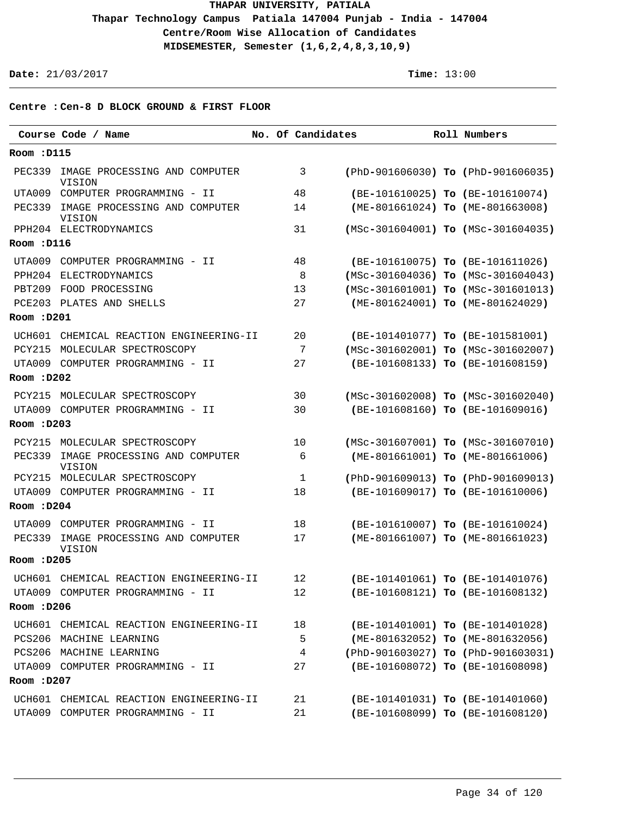**Thapar Technology Campus Patiala 147004 Punjab - India - 147004**

**Centre/Room Wise Allocation of Candidates**

**MIDSEMESTER, Semester (1,6,2,4,8,3,10,9)**

Date:  $21/03/2017$ 

**Time:** 13:00

### **Centre : Cen-8 D BLOCK GROUND & FIRST FLOOR**

|               | Course Code / Name                      |    | No. Of Candidates | Roll Numbers                           |
|---------------|-----------------------------------------|----|-------------------|----------------------------------------|
| Room: D115    |                                         |    |                   |                                        |
| <b>PEC339</b> | IMAGE PROCESSING AND COMPUTER<br>VISION | 3  |                   | $(PhD-901606030)$ To $(PhD-901606035)$ |
| UTA009        | COMPUTER PROGRAMMING - II               | 48 |                   | (BE-101610025) To (BE-101610074)       |
| PEC339        | IMAGE PROCESSING AND COMPUTER<br>VISION | 14 |                   | $(ME-801661024)$ To $(ME-801663008)$   |
|               | PPH204 ELECTRODYNAMICS                  | 31 |                   | $(MSc-301604001)$ To $(MSc-301604035)$ |
| Room: D116    |                                         |    |                   |                                        |
| UTA009        | COMPUTER PROGRAMMING - II               | 48 |                   | (BE-101610075) To (BE-101611026)       |
| PPH204        | ELECTRODYNAMICS                         | 8  |                   | $(MSc-301604036)$ To $(MSc-301604043)$ |
|               | PBT209 FOOD PROCESSING                  | 13 |                   | $(MSc-301601001)$ To $(MSc-301601013)$ |
|               | PCE203 PLATES AND SHELLS                | 27 |                   | $(ME-801624001)$ To $(ME-801624029)$   |
| Room:D201     |                                         |    |                   |                                        |
| UCH601        | CHEMICAL REACTION ENGINEERING-II        | 20 |                   | (BE-101401077) To (BE-101581001)       |
| <b>PCY215</b> | MOLECULAR SPECTROSCOPY                  | 7  |                   | $(MSc-301602001)$ To $(MSc-301602007)$ |
|               | UTA009 COMPUTER PROGRAMMING - II        | 27 |                   | $(BE-101608133)$ To $(BE-101608159)$   |
| Room : D202   |                                         |    |                   |                                        |
| <b>PCY215</b> | MOLECULAR SPECTROSCOPY                  | 30 |                   | $(MSc-301602008)$ To $(MSc-301602040)$ |
|               | UTA009 COMPUTER PROGRAMMING - II        | 30 |                   | $(BE-101608160)$ To $(BE-101609016)$   |
| Room : D203   |                                         |    |                   |                                        |
| PCY215        | MOLECULAR SPECTROSCOPY                  | 10 |                   | $(MSc-301607001)$ To $(MSc-301607010)$ |
| <b>PEC339</b> | IMAGE PROCESSING AND COMPUTER<br>VISION | 6  |                   | (ME-801661001) To (ME-801661006)       |
| PCY215        | MOLECULAR SPECTROSCOPY                  | 1  |                   | $(PhD-901609013)$ To $(PhD-901609013)$ |
|               | UTA009 COMPUTER PROGRAMMING - II        | 18 |                   | $(BE-101609017)$ To $(BE-101610006)$   |
| Room : D204   |                                         |    |                   |                                        |
|               | UTA009 COMPUTER PROGRAMMING - II        | 18 |                   | (BE-101610007) To (BE-101610024)       |
| PEC339        | IMAGE PROCESSING AND COMPUTER<br>VISION | 17 |                   | $(ME-801661007)$ To $(ME-801661023)$   |
| Room : D205   |                                         |    |                   |                                        |
|               | UCH601 CHEMICAL REACTION ENGINEERING-II | 12 |                   | (BE-101401061) To (BE-101401076)       |
|               | UTA009 COMPUTER PROGRAMMING - II        | 12 |                   | (BE-101608121) To (BE-101608132)       |
| Room: D206    |                                         |    |                   |                                        |
| UCH601        | CHEMICAL REACTION ENGINEERING-II        | 18 |                   | (BE-101401001) To (BE-101401028)       |
|               | PCS206 MACHINE LEARNING                 | 5  |                   | $(ME-801632052)$ To $(ME-801632056)$   |
|               | PCS206 MACHINE LEARNING                 | 4  |                   | $(PhD-901603027)$ To $(PhD-901603031)$ |
|               | UTA009 COMPUTER PROGRAMMING - II        | 27 |                   | $(BE-101608072)$ To $(BE-101608098)$   |
| Room: D207    |                                         |    |                   |                                        |
| UCH601        | CHEMICAL REACTION ENGINEERING-II        | 21 |                   | (BE-101401031) To (BE-101401060)       |
| UTA009        | COMPUTER PROGRAMMING - II               | 21 |                   | (BE-101608099) To (BE-101608120)       |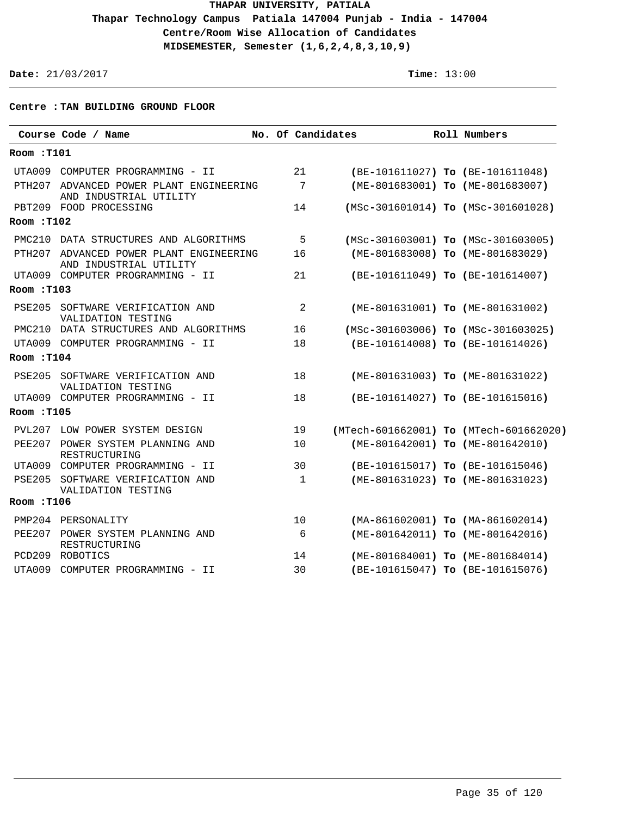**Thapar Technology Campus Patiala 147004 Punjab - India - 147004**

**Centre/Room Wise Allocation of Candidates**

**MIDSEMESTER, Semester (1,6,2,4,8,3,10,9)**

Date:  $21/03/2017$ 

**Time:** 13:00

### **Centre : TAN BUILDING GROUND FLOOR**

|            | Course Code / Name                                         |              | No. Of Candidates | Roll Numbers                           |
|------------|------------------------------------------------------------|--------------|-------------------|----------------------------------------|
| Room: T101 |                                                            |              |                   |                                        |
|            | UTA009 COMPUTER PROGRAMMING - II                           | 21           |                   | $(BE-101611027)$ To $(BE-101611048)$   |
| PTH207     | ADVANCED POWER PLANT ENGINEERING<br>AND INDUSTRIAL UTILITY | 7            |                   | $(ME-801683001)$ To $(ME-801683007)$   |
|            | PBT209 FOOD PROCESSING                                     | 14           |                   | (MSc-301601014) To (MSc-301601028)     |
| Room: T102 |                                                            |              |                   |                                        |
|            | PMC210 DATA STRUCTURES AND ALGORITHMS                      | 5            |                   | $(MSc-301603001)$ To $(MSc-301603005)$ |
| PTH207     | ADVANCED POWER PLANT ENGINEERING<br>AND INDUSTRIAL UTILITY | 16           |                   | (ME-801683008) To (ME-801683029)       |
|            | UTA009 COMPUTER PROGRAMMING - II                           | 21           |                   | $(BE-101611049)$ To $(BE-101614007)$   |
| Room: T103 |                                                            |              |                   |                                        |
|            | PSE205 SOFTWARE VERIFICATION AND<br>VALIDATION TESTING     | 2            |                   | $(ME-801631001)$ To $(ME-801631002)$   |
|            | PMC210 DATA STRUCTURES AND ALGORITHMS                      | 16           |                   | $(MSc-301603006)$ To $(MSc-301603025)$ |
|            | UTA009 COMPUTER PROGRAMMING - II                           | 18           |                   | $(BE-101614008)$ To $(BE-101614026)$   |
| Room: T104 |                                                            |              |                   |                                        |
|            | PSE205 SOFTWARE VERIFICATION AND<br>VALIDATION TESTING     | 18           |                   | $(ME-801631003)$ To $(ME-801631022)$   |
|            | UTA009 COMPUTER PROGRAMMING - II                           | 18           |                   | $(BE-101614027)$ To $(BE-101615016)$   |
| Room:105   |                                                            |              |                   |                                        |
|            | PVL207 LOW POWER SYSTEM DESIGN                             | 19           |                   | (MTech-601662001) To (MTech-601662020) |
|            | PEE207 POWER SYSTEM PLANNING AND<br>RESTRUCTURING          | 10           |                   | (ME-801642001) To (ME-801642010)       |
|            | UTA009 COMPUTER PROGRAMMING - II                           | 30           |                   | $(BE-101615017)$ To $(BE-101615046)$   |
|            | PSE205 SOFTWARE VERIFICATION AND<br>VALIDATION TESTING     | $\mathbf{1}$ |                   | $(ME-801631023)$ To $(ME-801631023)$   |
| Room:T106  |                                                            |              |                   |                                        |
|            | PMP204 PERSONALITY                                         | 10           |                   | $(MA-861602001)$ To $(MA-861602014)$   |
|            | PEE207 POWER SYSTEM PLANNING AND<br>RESTRUCTURING          | 6            |                   | (ME-801642011) To (ME-801642016)       |
|            | PCD209 ROBOTICS                                            | 14           |                   | $(ME-801684001)$ To $(ME-801684014)$   |
| UTA009     | COMPUTER PROGRAMMING - II                                  | 30           |                   | $(BE-101615047)$ To $(BE-101615076)$   |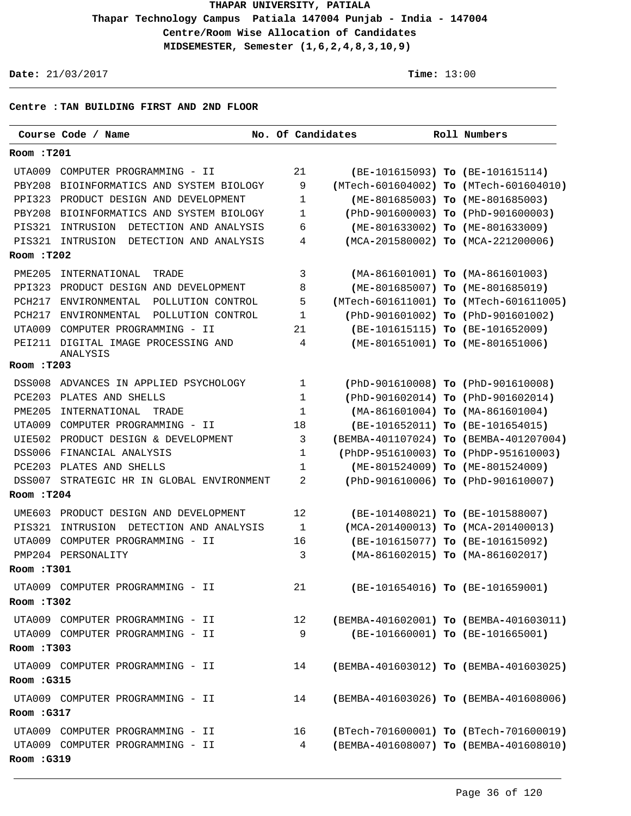**Thapar Technology Campus Patiala 147004 Punjab - India - 147004**

**Centre/Room Wise Allocation of Candidates**

**MIDSEMESTER, Semester (1,6,2,4,8,3,10,9)**

Date:  $21/03/2017$ 

**Time:** 13:00

#### **Centre : TAN BUILDING FIRST AND 2ND FLOOR**

|               | Course Code / Name                        |              | No. Of Candidates                        | Roll Numbers                           |
|---------------|-------------------------------------------|--------------|------------------------------------------|----------------------------------------|
| Room: T201    |                                           |              |                                          |                                        |
| UTA009        | COMPUTER PROGRAMMING - II                 | 21           |                                          | $(BE-101615093)$ To $(BE-101615114)$   |
| <b>PBY208</b> | BIOINFORMATICS AND SYSTEM BIOLOGY         | 9            | (MTech-601604002) To (MTech-601604010)   |                                        |
| <b>PPI323</b> | PRODUCT DESIGN AND DEVELOPMENT            | 1            |                                          | $(ME-801685003)$ To $(ME-801685003)$   |
| PBY208        | BIOINFORMATICS AND SYSTEM BIOLOGY         | 1            |                                          | $(PhD-901600003)$ To $(PhD-901600003)$ |
| PIS321        | INTRUSION DETECTION AND ANALYSIS          | 6            |                                          | $(ME-801633002)$ To $(ME-801633009)$   |
|               | PIS321 INTRUSION DETECTION AND ANALYSIS   | 4            |                                          | $(MCA-201580002)$ To $(MCA-221200006)$ |
| Room:T202     |                                           |              |                                          |                                        |
| <b>PME205</b> | INTERNATIONAL<br>TRADE                    | 3            |                                          | $(MA-861601001)$ To $(MA-861601003)$   |
| PPI323        | PRODUCT DESIGN AND DEVELOPMENT            | 8            |                                          | $(ME-801685007)$ To $(ME-801685019)$   |
| PCH217        | ENVIRONMENTAL<br>POLLUTION CONTROL        | 5            | (MTech-601611001) To (MTech-601611005)   |                                        |
| PCH217        | POLLUTION CONTROL<br>ENVIRONMENTAL        | 1            |                                          | $(PhD-901601002)$ To $(PhD-901601002)$ |
| UTA009        | COMPUTER PROGRAMMING - II                 | 21           |                                          | (BE-101615115) To (BE-101652009)       |
| PEI211        | DIGITAL IMAGE PROCESSING AND<br>ANALYSIS  | 4            |                                          | (ME-801651001) To (ME-801651006)       |
| Room:T203     |                                           |              |                                          |                                        |
| DSS008        | ADVANCES IN APPLIED PSYCHOLOGY            | 1            |                                          | (PhD-901610008) To (PhD-901610008)     |
| PCE203        | PLATES AND SHELLS                         | 1            |                                          | $(PhD-901602014)$ To $(PhD-901602014)$ |
| <b>PME205</b> | INTERNATIONAL<br><b>TRADE</b>             | 1            |                                          | $(MA-861601004)$ To $(MA-861601004)$   |
|               | UTA009 COMPUTER PROGRAMMING - II          | 18           |                                          | (BE-101652011) To (BE-101654015)       |
| UIE502        | PRODUCT DESIGN & DEVELOPMENT              | 3            | (BEMBA-401107024) To (BEMBA-401207004)   |                                        |
| DSS006        | FINANCIAL ANALYSIS                        | 1            | $(PhDP-951610003)$ To $(PhDP-951610003)$ |                                        |
| PCE203        | PLATES AND SHELLS                         | 1            |                                          | $(ME-801524009)$ To $(ME-801524009)$   |
|               | DSS007 STRATEGIC HR IN GLOBAL ENVIRONMENT | 2            |                                          | $(PhD-901610006)$ To $(PhD-901610007)$ |
| Room:T204     |                                           |              |                                          |                                        |
| UME603        | PRODUCT DESIGN AND DEVELOPMENT            | 12           |                                          | $(BE-101408021)$ To $(BE-101588007)$   |
| PIS321        | INTRUSION<br>DETECTION AND ANALYSIS       | $\mathbf{1}$ |                                          | $(MCA-201400013)$ To $(MCA-201400013)$ |
| UTA009        | COMPUTER PROGRAMMING - II                 | 16           |                                          | $(BE-101615077)$ To $(BE-101615092)$   |
|               | PMP204 PERSONALITY                        | 3            |                                          | $(MA-861602015)$ To $(MA-861602017)$   |
| Room:T301     |                                           |              |                                          |                                        |
|               | UTA009 COMPUTER PROGRAMMING - II          | 21           |                                          | (BE-101654016) To (BE-101659001)       |
| Room:T302     |                                           |              |                                          |                                        |
|               | UTA009 COMPUTER PROGRAMMING - II          | 12           | (BEMBA-401602001) To (BEMBA-401603011)   |                                        |
|               | UTA009 COMPUTER PROGRAMMING - II          | 9            |                                          | (BE-101660001) To (BE-101665001)       |
| Room: $T303$  |                                           |              |                                          |                                        |
|               | UTA009 COMPUTER PROGRAMMING - II          | 14           | (BEMBA-401603012) To (BEMBA-401603025)   |                                        |
| Room: G315    |                                           |              |                                          |                                        |
| Room:G317     | UTA009 COMPUTER PROGRAMMING - II          | 14           | (BEMBA-401603026) To (BEMBA-401608006)   |                                        |
|               | UTA009 COMPUTER PROGRAMMING - II          | 16           | (BTech-701600001) To (BTech-701600019)   |                                        |
|               | UTA009 COMPUTER PROGRAMMING - II          |              |                                          |                                        |
| Room:G319     |                                           | 4            | (BEMBA-401608007) To (BEMBA-401608010)   |                                        |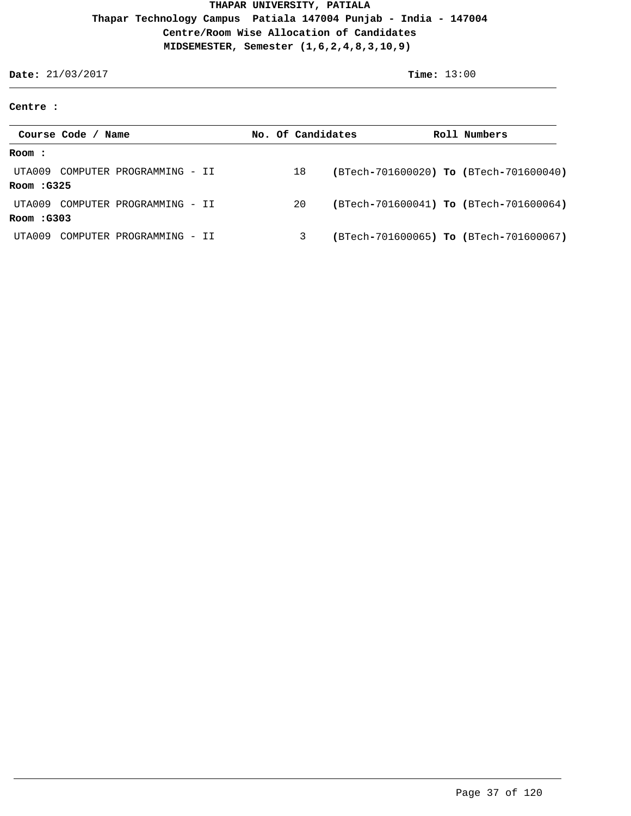# **THAPAR UNIVERSITY, PATIALA Centre/Room Wise Allocation of Candidates Thapar Technology Campus Patiala 147004 Punjab - India - 147004 MIDSEMESTER, Semester (1,6,2,4,8,3,10,9)**

Date:  $21/03/2017$ 

**Time:** 13:00

# **Centre :**

|            | Course Code / Name |                                  |  | No. Of Candidates |  | Roll Numbers                                 |
|------------|--------------------|----------------------------------|--|-------------------|--|----------------------------------------------|
| Room:      |                    |                                  |  |                   |  |                                              |
|            |                    | UTA009 COMPUTER PROGRAMMING - II |  | 18                |  | $(BTechn-701600020)$ To $(BTechn-701600040)$ |
| Room:G325  |                    |                                  |  |                   |  |                                              |
|            |                    | UTA009 COMPUTER PROGRAMMING - II |  | 20                |  | $(BTechn-701600041)$ To $(BTechn-701600064)$ |
| Room: G303 |                    |                                  |  |                   |  |                                              |
|            |                    | UTA009 COMPUTER PROGRAMMING - II |  |                   |  | (BTech-701600065) To (BTech-701600067)       |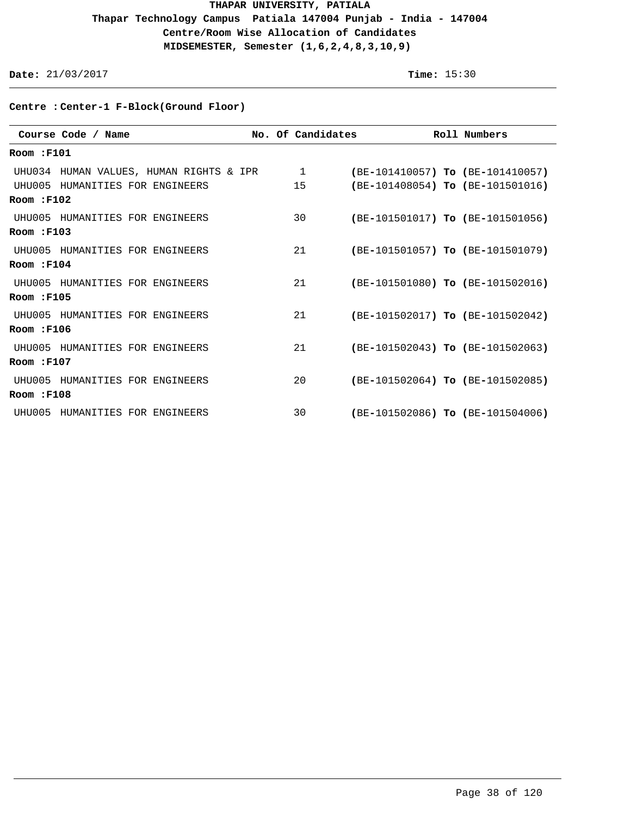**Centre/Room Wise Allocation of Candidates Thapar Technology Campus Patiala 147004 Punjab - India - 147004**

**MIDSEMESTER, Semester (1,6,2,4,8,3,10,9)**

Date:  $21/03/2017$ 

**Time:** 15:30

|             | Course Code / Name                      | No. Of Candidates |  | Roll Numbers                         |
|-------------|-----------------------------------------|-------------------|--|--------------------------------------|
| Room : F101 |                                         |                   |  |                                      |
|             | UHU034 HUMAN VALUES, HUMAN RIGHTS & IPR | $\mathbf{1}$      |  | $(BE-101410057)$ To $(BE-101410057)$ |
|             | UHU005 HUMANITIES FOR ENGINEERS         | 15                |  | $(BE-101408054)$ To $(BE-101501016)$ |
| Room : F102 |                                         |                   |  |                                      |
|             | UHU005 HUMANITIES FOR ENGINEERS         | 30                |  | $(BE-101501017)$ To $(BE-101501056)$ |
| Room : F103 |                                         |                   |  |                                      |
|             | UHU005 HUMANITIES FOR ENGINEERS         | 21                |  | $(BE-101501057)$ To $(BE-101501079)$ |
| Room : F104 |                                         |                   |  |                                      |
|             | UHU005 HUMANITIES FOR ENGINEERS         | 21                |  | $(BE-101501080)$ To $(BE-101502016)$ |
| Room : F105 |                                         |                   |  |                                      |
|             | UHU005 HUMANITIES FOR ENGINEERS         | 21                |  | $(BE-101502017)$ To $(BE-101502042)$ |
| Room : F106 |                                         |                   |  |                                      |
|             | UHU005 HUMANITIES FOR ENGINEERS         | 21                |  | $(BE-101502043)$ To $(BE-101502063)$ |
| Room : F107 |                                         |                   |  |                                      |
|             | UHU005 HUMANITIES FOR ENGINEERS         | 20                |  | $(BE-101502064)$ To $(BE-101502085)$ |
| Room : F108 |                                         |                   |  |                                      |
|             | UHU005 HUMANITIES FOR ENGINEERS         | 30                |  | $(BE-101502086)$ To $(BE-101504006)$ |
|             |                                         |                   |  |                                      |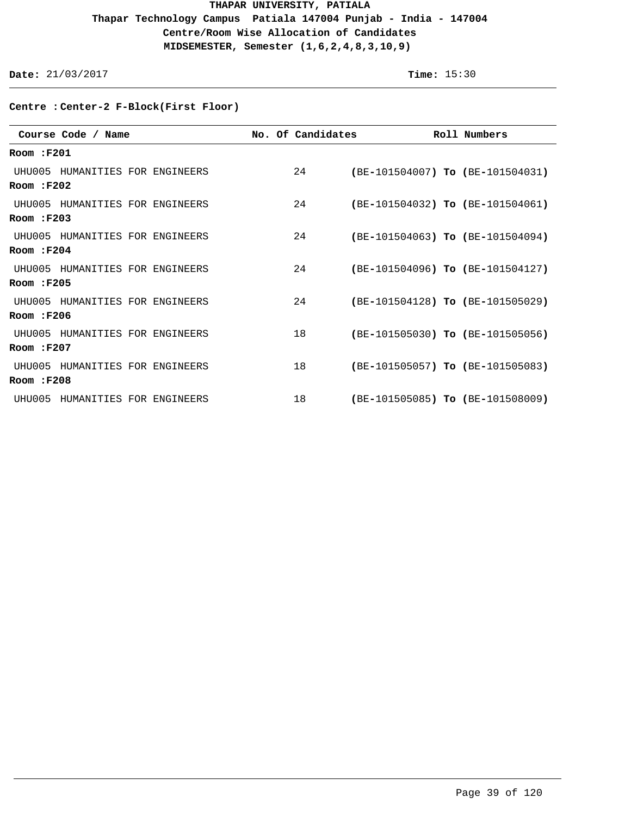**Centre/Room Wise Allocation of Candidates Thapar Technology Campus Patiala 147004 Punjab - India - 147004**

**MIDSEMESTER, Semester (1,6,2,4,8,3,10,9)**

Date:  $21/03/2017$ 

#### **Centre : Center-2 F-Block(First Floor)**

| Course Code / Name              | No. Of Candidates | Roll Numbers                         |
|---------------------------------|-------------------|--------------------------------------|
| Room : F201                     |                   |                                      |
| UHU005 HUMANITIES FOR ENGINEERS | 24                | $(BE-101504007)$ To $(BE-101504031)$ |
| Room: $F202$                    |                   |                                      |
| UHU005 HUMANITIES FOR ENGINEERS | 24                | $(BE-101504032)$ To $(BE-101504061)$ |
| Room : F203                     |                   |                                      |
| UHU005 HUMANITIES FOR ENGINEERS | 24                | $(BE-101504063)$ To $(BE-101504094)$ |
| Room : F204                     |                   |                                      |
| UHU005 HUMANITIES FOR ENGINEERS | 24                | $(BE-101504096)$ To $(BE-101504127)$ |
| Room : F205                     |                   |                                      |
| UHU005 HUMANITIES FOR ENGINEERS | 24                | $(BE-101504128)$ To $(BE-101505029)$ |
| Room : F206                     |                   |                                      |
| UHU005 HUMANITIES FOR ENGINEERS | 18                | $(BE-101505030)$ To $(BE-101505056)$ |
| Room : F207                     |                   |                                      |
| UHU005 HUMANITIES FOR ENGINEERS | 18                | $(BE-101505057)$ To $(BE-101505083)$ |
| Room : F208                     |                   |                                      |
| UHU005 HUMANITIES FOR ENGINEERS | 18                | $(BE-101505085)$ To $(BE-101508009)$ |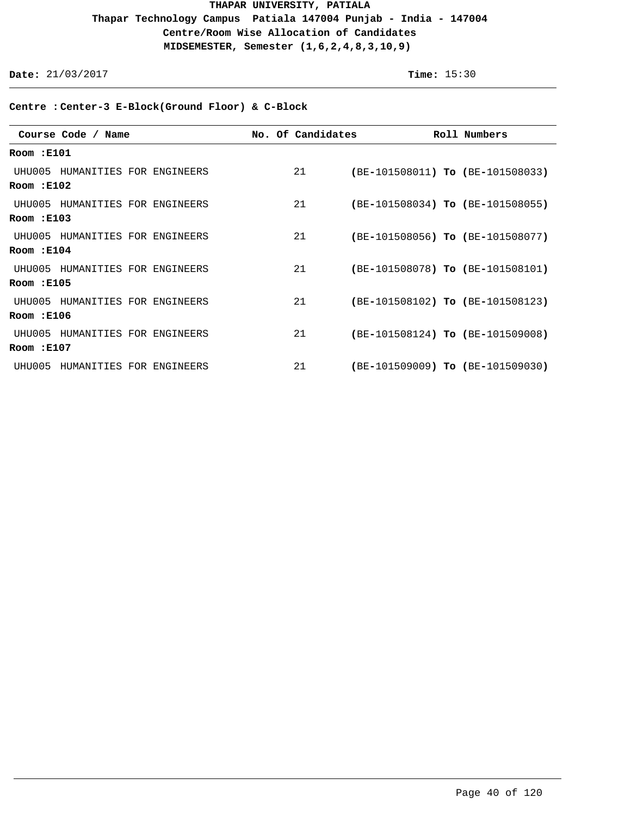**Centre/Room Wise Allocation of Candidates Thapar Technology Campus Patiala 147004 Punjab - India - 147004**

**MIDSEMESTER, Semester (1,6,2,4,8,3,10,9)**

Date:  $21/03/2017$ 

```
Time: 15:30
```
**Centre : Center-3 E-Block(Ground Floor) & C-Block**

| Course Code / Name                             | No. Of Candidates | Roll Numbers                         |
|------------------------------------------------|-------------------|--------------------------------------|
| Room : E101                                    |                   |                                      |
| UHU005 HUMANITIES FOR ENGINEERS<br>Room : E102 | 21                | $(BE-101508011)$ To $(BE-101508033)$ |
| UHU005 HUMANITIES FOR ENGINEERS<br>Room : E103 | 21                | $(BE-101508034)$ To $(BE-101508055)$ |
| UHU005 HUMANITIES FOR ENGINEERS<br>Room : E104 | 21                | $(BE-101508056)$ To $(BE-101508077)$ |
| UHU005 HUMANITIES FOR ENGINEERS<br>Room : E105 | 21                | $(BE-101508078)$ To $(BE-101508101)$ |
| UHU005 HUMANITIES FOR ENGINEERS<br>Room : E106 | 21                | $(BE-101508102)$ To $(BE-101508123)$ |
| UHU005 HUMANITIES FOR ENGINEERS<br>Room : E107 | 21                | $(BE-101508124)$ To $(BE-101509008)$ |
| UHU005<br>HUMANITIES FOR ENGINEERS             | 21                | $(BE-101509009)$ To $(BE-101509030)$ |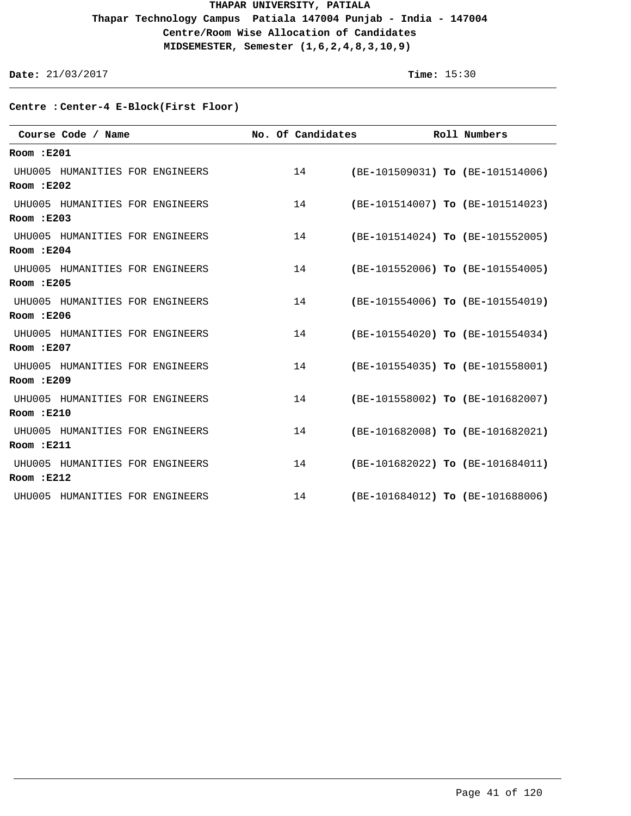**Centre/Room Wise Allocation of Candidates Thapar Technology Campus Patiala 147004 Punjab - India - 147004**

**MIDSEMESTER, Semester (1,6,2,4,8,3,10,9)**

Date:  $21/03/2017$ 

#### **Centre : Center-4 E-Block(First Floor)**

|               | Course Code / Name              |  |  |       | No. Of Candidates |  | Roll Numbers                         |
|---------------|---------------------------------|--|--|-------|-------------------|--|--------------------------------------|
| Room : E201   |                                 |  |  |       |                   |  |                                      |
|               | UHU005 HUMANITIES FOR ENGINEERS |  |  | 14 \, |                   |  | $(BE-101509031)$ To $(BE-101514006)$ |
| Room $: E202$ |                                 |  |  |       |                   |  |                                      |
| Room : E203   | UHU005 HUMANITIES FOR ENGINEERS |  |  | 14    |                   |  | $(BE-101514007)$ To $(BE-101514023)$ |
|               | UHU005 HUMANITIES FOR ENGINEERS |  |  | 14    |                   |  | $(BE-101514024)$ To $(BE-101552005)$ |
| Room : E204   |                                 |  |  |       |                   |  |                                      |
| Room : E205   | UHU005 HUMANITIES FOR ENGINEERS |  |  | 14    |                   |  | $(BE-101552006)$ To $(BE-101554005)$ |
|               | UHU005 HUMANITIES FOR ENGINEERS |  |  | 14    |                   |  | $(BE-101554006)$ To $(BE-101554019)$ |
| Room : E206   |                                 |  |  |       |                   |  |                                      |
|               | UHU005 HUMANITIES FOR ENGINEERS |  |  | 14    |                   |  | $(BE-101554020)$ To $(BE-101554034)$ |
| Room : E207   |                                 |  |  |       |                   |  |                                      |
|               | UHU005 HUMANITIES FOR ENGINEERS |  |  | 14    |                   |  | $(BE-101554035)$ To $(BE-101558001)$ |
| Room : E209   |                                 |  |  |       |                   |  |                                      |
|               | UHU005 HUMANITIES FOR ENGINEERS |  |  | 14    |                   |  | $(BE-101558002)$ To $(BE-101682007)$ |
| Room : E210   |                                 |  |  |       |                   |  |                                      |
|               | UHU005 HUMANITIES FOR ENGINEERS |  |  | 14    |                   |  | $(BE-101682008)$ To $(BE-101682021)$ |
| Room : E211   |                                 |  |  |       |                   |  |                                      |
|               | UHU005 HUMANITIES FOR ENGINEERS |  |  |       |                   |  | $(BE-101682022)$ To $(BE-101684011)$ |
| Room $: E212$ |                                 |  |  |       |                   |  |                                      |
|               | UHU005 HUMANITIES FOR ENGINEERS |  |  | 14    |                   |  | $(BE-101684012)$ To $(BE-101688006)$ |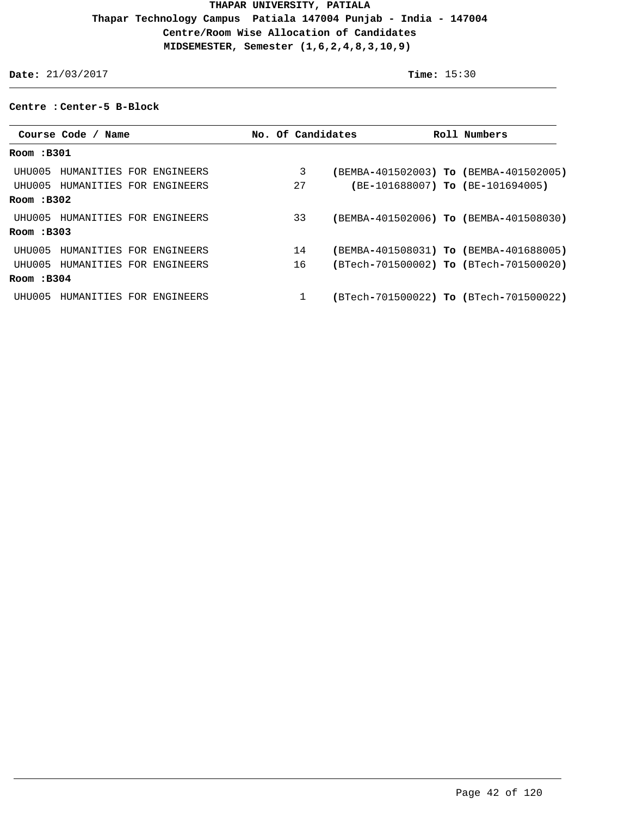# **THAPAR UNIVERSITY, PATIALA Centre/Room Wise Allocation of Candidates Thapar Technology Campus Patiala 147004 Punjab - India - 147004 MIDSEMESTER, Semester (1,6,2,4,8,3,10,9)**

Date:  $21/03/2017$ 

**Time:** 15:30

#### **Centre : Center-5 B-Block**

|             | Course Code / Name              |  |  | No. Of Candidates |  | Roll Numbers                           |
|-------------|---------------------------------|--|--|-------------------|--|----------------------------------------|
| Room : B301 |                                 |  |  |                   |  |                                        |
|             | UHU005 HUMANITIES FOR ENGINEERS |  |  | 3                 |  | (BEMBA-401502003) To (BEMBA-401502005) |
|             | UHU005 HUMANITIES FOR ENGINEERS |  |  | 27                |  | $(BE-101688007)$ To $(BE-101694005)$   |
| Room : B302 |                                 |  |  |                   |  |                                        |
|             | UHU005 HUMANITIES FOR ENGINEERS |  |  | 33                |  | (BEMBA-401502006) To (BEMBA-401508030) |
| Room : B303 |                                 |  |  |                   |  |                                        |
|             | UHU005 HUMANITIES FOR ENGINEERS |  |  | 14                |  | (BEMBA-401508031) To (BEMBA-401688005) |
|             | UHU005 HUMANITIES FOR ENGINEERS |  |  | 16                |  | (BTech-701500002) To (BTech-701500020) |
| Room : B304 |                                 |  |  |                   |  |                                        |
|             | UHU005 HUMANITIES FOR ENGINEERS |  |  |                   |  | (BTech-701500022) To (BTech-701500022) |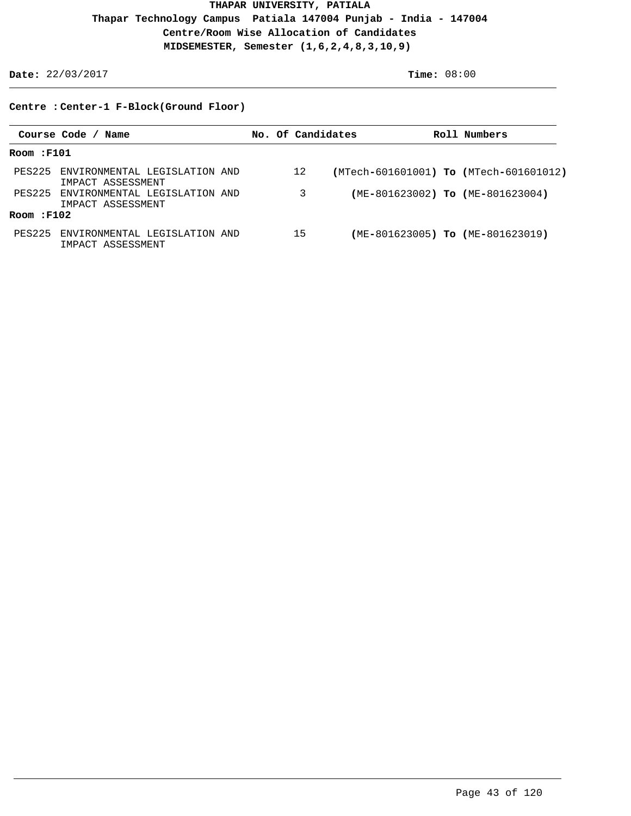**Centre/Room Wise Allocation of Candidates Thapar Technology Campus Patiala 147004 Punjab - India - 147004**

**MIDSEMESTER, Semester (1,6,2,4,8,3,10,9)**

Date:  $22/03/2017$ 

Time: 08:00

|             | Course Code / Name                                        |  | No. Of Candidates |  | Roll Numbers                           |
|-------------|-----------------------------------------------------------|--|-------------------|--|----------------------------------------|
| Room : F101 |                                                           |  |                   |  |                                        |
| PES225      | ENVIRONMENTAL LEGISLATION AND<br>IMPACT ASSESSMENT        |  | 12                |  | (MTech-601601001) To (MTech-601601012) |
|             | PES225 ENVIRONMENTAL LEGISLATION AND<br>IMPACT ASSESSMENT |  | 3                 |  | $(ME-801623002)$ To $(ME-801623004)$   |
| Room : F102 |                                                           |  |                   |  |                                        |
| PES225      | ENVIRONMENTAL LEGISLATION AND<br>IMPACT ASSESSMENT        |  | 15                |  | (ME-801623005) To (ME-801623019)       |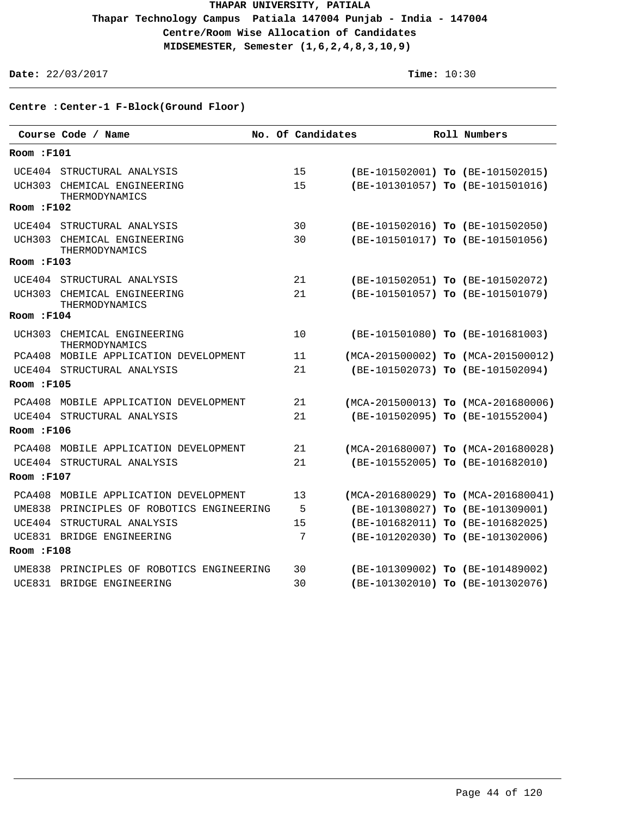**Thapar Technology Campus Patiala 147004 Punjab - India - 147004**

**Centre/Room Wise Allocation of Candidates**

**MIDSEMESTER, Semester (1,6,2,4,8,3,10,9)**

Date:  $22/03/2017$ 

**Time:** 10:30

|             | Course Code / Name                            |    | No. Of Candidates | Roll Numbers                         |
|-------------|-----------------------------------------------|----|-------------------|--------------------------------------|
| Room : F101 |                                               |    |                   |                                      |
|             | UCE404 STRUCTURAL ANALYSIS                    | 15 |                   | (BE-101502001) To (BE-101502015)     |
|             | UCH303 CHEMICAL ENGINEERING<br>THERMODYNAMICS | 15 |                   | $(BE-101301057)$ To $(BE-101501016)$ |
| Room : F102 |                                               |    |                   |                                      |
|             | UCE404 STRUCTURAL ANALYSIS                    | 30 |                   | (BE-101502016) To (BE-101502050)     |
|             | UCH303 CHEMICAL ENGINEERING<br>THERMODYNAMICS | 30 |                   | (BE-101501017) To (BE-101501056)     |
| Room : F103 |                                               |    |                   |                                      |
|             | UCE404 STRUCTURAL ANALYSIS                    | 21 |                   | $(BE-101502051)$ To $(BE-101502072)$ |
| UCH303      | CHEMICAL ENGINEERING<br>THERMODYNAMICS        | 21 |                   | (BE-101501057) To (BE-101501079)     |
| Room : F104 |                                               |    |                   |                                      |
|             | UCH303 CHEMICAL ENGINEERING<br>THERMODYNAMICS | 10 |                   | (BE-101501080) To (BE-101681003)     |
|             | PCA408 MOBILE APPLICATION DEVELOPMENT         | 11 |                   | (MCA-201500002) To (MCA-201500012)   |
|             | UCE404 STRUCTURAL ANALYSIS                    | 21 |                   | (BE-101502073) To (BE-101502094)     |
| Room : F105 |                                               |    |                   |                                      |
|             | PCA408 MOBILE APPLICATION DEVELOPMENT         | 21 |                   | (MCA-201500013) To (MCA-201680006)   |
|             | UCE404 STRUCTURAL ANALYSIS                    | 21 |                   | $(BE-101502095)$ To $(BE-101552004)$ |
| Room : F106 |                                               |    |                   |                                      |
| PCA408      | MOBILE APPLICATION DEVELOPMENT                | 21 |                   | (MCA-201680007) To (MCA-201680028)   |
|             | UCE404 STRUCTURAL ANALYSIS                    | 21 |                   | (BE-101552005) To (BE-101682010)     |
| Room:F107   |                                               |    |                   |                                      |
|             | PCA408 MOBILE APPLICATION DEVELOPMENT         | 13 |                   | (MCA-201680029) To (MCA-201680041)   |
|             | UME838 PRINCIPLES OF ROBOTICS ENGINEERING     | 5  |                   | $(BE-101308027)$ To $(BE-101309001)$ |
|             | UCE404 STRUCTURAL ANALYSIS                    | 15 |                   | (BE-101682011) To (BE-101682025)     |
|             | UCE831 BRIDGE ENGINEERING                     | 7  |                   | $(BE-101202030)$ To $(BE-101302006)$ |
| Room : F108 |                                               |    |                   |                                      |
| UME838      | PRINCIPLES OF ROBOTICS ENGINEERING            | 30 |                   | $(BE-101309002)$ To $(BE-101489002)$ |
|             | UCE831 BRIDGE ENGINEERING                     | 30 |                   | (BE-101302010) To (BE-101302076)     |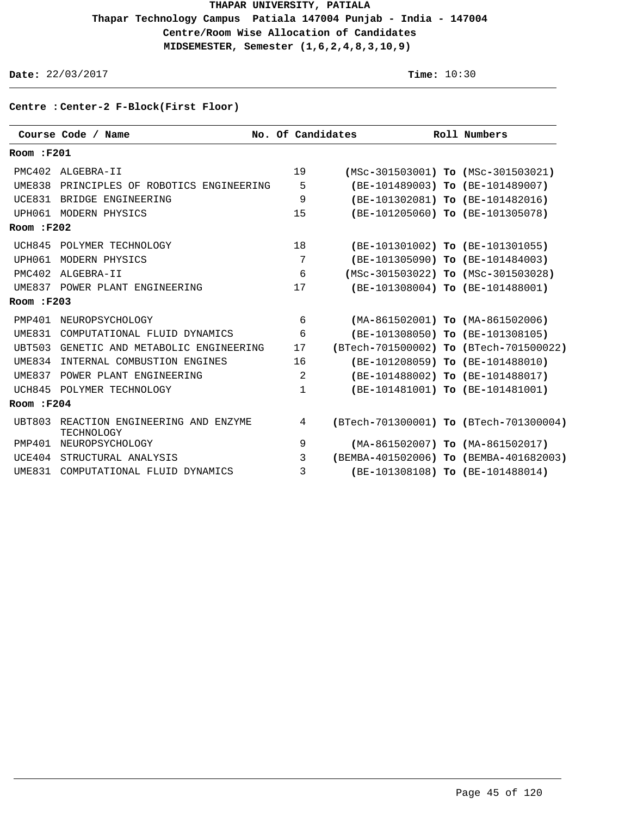**Thapar Technology Campus Patiala 147004 Punjab - India - 147004**

**Centre/Room Wise Allocation of Candidates**

**MIDSEMESTER, Semester (1,6,2,4,8,3,10,9)**

Date:  $22/03/2017$ 

**Time:** 10:30

#### **Centre : Center-2 F-Block(First Floor)**

|               | Course Code / Name                            | No. Of Candidates |                  | Roll Numbers                           |  |
|---------------|-----------------------------------------------|-------------------|------------------|----------------------------------------|--|
| Room : F201   |                                               |                   |                  |                                        |  |
| PMC402        | ALGEBRA-II                                    | 19                |                  | $(MSc-301503001)$ To $(MSc-301503021)$ |  |
| UME838        | PRINCIPLES OF ROBOTICS ENGINEERING            | 5                 |                  | $(BE-101489003)$ To $(BE-101489007)$   |  |
| UCE831        | BRIDGE ENGINEERING                            | 9                 |                  | $(BE-101302081)$ To $(BE-101482016)$   |  |
|               | UPH061 MODERN PHYSICS                         | 15                |                  | $(BE-101205060)$ To $(BE-101305078)$   |  |
| Room : F202   |                                               |                   |                  |                                        |  |
| UCH845        | POLYMER TECHNOLOGY                            | 18                |                  | $(BE-101301002)$ To $(BE-101301055)$   |  |
| UPH061        | MODERN PHYSICS                                | 7                 |                  | $(BE-101305090)$ To $(BE-101484003)$   |  |
| PMC402        | ALGEBRA-II                                    | 6                 |                  | $(MSc-301503022)$ To $(MSc-301503028)$ |  |
| UME837        | POWER PLANT ENGINEERING                       | 17                |                  | $(BE-101308004)$ To $(BE-101488001)$   |  |
| Room : F203   |                                               |                   |                  |                                        |  |
| <b>PMP401</b> | NEUROPSYCHOLOGY                               | 6                 |                  | $(MA-861502001)$ To $(MA-861502006)$   |  |
| UME831        | COMPUTATIONAL FLUID DYNAMICS                  | 6                 |                  | $(BE-101308050)$ To $(BE-101308105)$   |  |
| UBT503        | GENETIC AND METABOLIC ENGINEERING             | 17                |                  | (BTech-701500002) To (BTech-701500022) |  |
| UME834        | INTERNAL COMBUSTION ENGINES                   | 16                |                  | $(BE-101208059)$ To $(BE-101488010)$   |  |
| UME837        | POWER PLANT ENGINEERING                       | $\overline{2}$    |                  | $(BE-101488002)$ To $(BE-101488017)$   |  |
| UCH845        | POLYMER TECHNOLOGY                            | $\mathbf 1$       |                  | $(BE-101481001)$ To $(BE-101481001)$   |  |
| Room : F204   |                                               |                   |                  |                                        |  |
| <b>UBT803</b> | REACTION ENGINEERING AND ENZYME<br>TECHNOLOGY | 4                 |                  | (BTech-701300001) To (BTech-701300004) |  |
| <b>PMP401</b> | NEUROPSYCHOLOGY                               | 9                 | $(MA-861502007)$ | To $(MA-861502017)$                    |  |
| UCE404        | STRUCTURAL ANALYSIS                           | 3                 |                  | (BEMBA-401502006) To (BEMBA-401682003) |  |
| UME831        | COMPUTATIONAL FLUID DYNAMICS                  | 3                 |                  | $(BE-101308108)$ To $(BE-101488014)$   |  |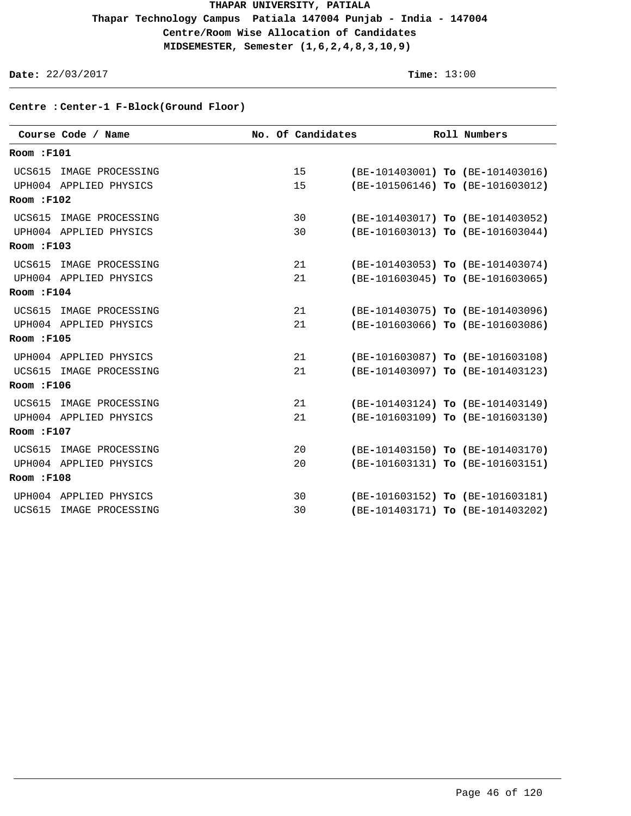**Thapar Technology Campus Patiala 147004 Punjab - India - 147004**

**Centre/Room Wise Allocation of Candidates**

**MIDSEMESTER, Semester (1,6,2,4,8,3,10,9)**

Date:  $22/03/2017$ 

Time: 13:00

|             | Course Code / Name      | No. Of Candidates |     |  | Roll Numbers                         |
|-------------|-------------------------|-------------------|-----|--|--------------------------------------|
| Room : F101 |                         |                   |     |  |                                      |
| UCS615      | IMAGE PROCESSING        |                   | 15  |  | $(BE-101403001)$ To $(BE-101403016)$ |
|             | UPH004 APPLIED PHYSICS  |                   | 15  |  | $(BE-101506146)$ To $(BE-101603012)$ |
| Room : F102 |                         |                   |     |  |                                      |
| UCS615      | IMAGE PROCESSING        |                   | 30  |  | $(BE-101403017)$ To $(BE-101403052)$ |
|             | UPH004 APPLIED PHYSICS  |                   | 30  |  | $(BE-101603013)$ To $(BE-101603044)$ |
| Room : F103 |                         |                   |     |  |                                      |
| UCS615      | IMAGE PROCESSING        |                   | 21  |  | $(BE-101403053)$ To $(BE-101403074)$ |
|             | UPH004 APPLIED PHYSICS  |                   | 21  |  | $(BE-101603045)$ To $(BE-101603065)$ |
| Room : F104 |                         |                   |     |  |                                      |
| UCS615      | IMAGE PROCESSING        |                   | 2.1 |  | (BE-101403075) To (BE-101403096)     |
|             | UPH004 APPLIED PHYSICS  |                   | 21  |  | (BE-101603066) To (BE-101603086)     |
| Room : F105 |                         |                   |     |  |                                      |
| UPH004      | APPLIED PHYSICS         |                   | 21  |  | (BE-101603087) To (BE-101603108)     |
|             | UCS615 IMAGE PROCESSING |                   | 21  |  | $(BE-101403097)$ To $(BE-101403123)$ |
| Room : F106 |                         |                   |     |  |                                      |
| UCS615      | IMAGE PROCESSING        |                   | 21  |  | (BE-101403124) To (BE-101403149)     |
|             | UPH004 APPLIED PHYSICS  |                   | 21  |  | $(BE-101603109)$ To $(BE-101603130)$ |
| Room : F107 |                         |                   |     |  |                                      |
| UCS615      | IMAGE PROCESSING        |                   | 20  |  | (BE-101403150) To (BE-101403170)     |
|             | UPH004 APPLIED PHYSICS  |                   | 20  |  | (BE-101603131) To (BE-101603151)     |
| Room : F108 |                         |                   |     |  |                                      |
| UPH004      | APPLIED PHYSICS         |                   | 30  |  | (BE-101603152) To (BE-101603181)     |
| UCS615      | IMAGE PROCESSING        |                   | 30  |  | (BE-101403171) To (BE-101403202)     |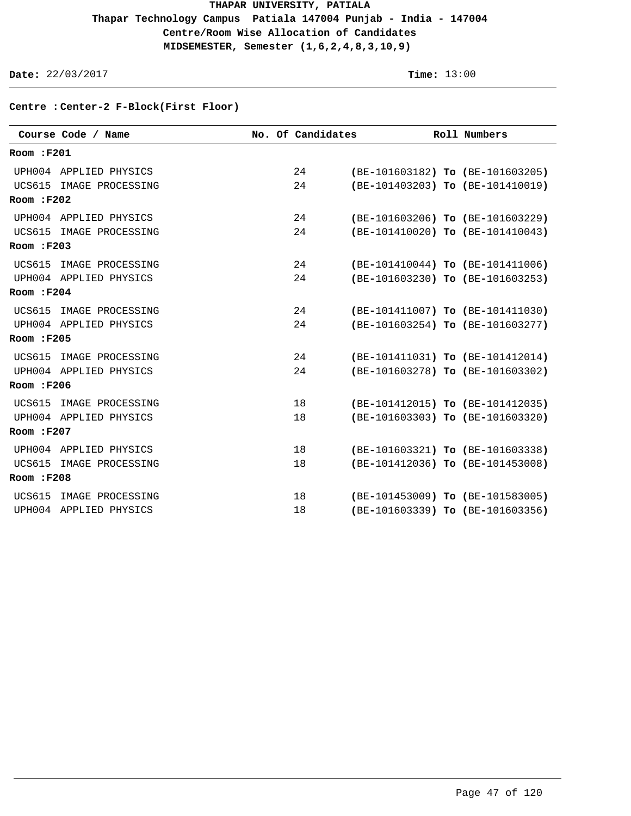**Thapar Technology Campus Patiala 147004 Punjab - India - 147004**

**Centre/Room Wise Allocation of Candidates**

**MIDSEMESTER, Semester (1,6,2,4,8,3,10,9)**

Date:  $22/03/2017$ 

Time: 13:00

#### **Centre : Center-2 F-Block(First Floor)**

|               | Course Code / Name      | No. Of Candidates |    |  | Roll Numbers                         |
|---------------|-------------------------|-------------------|----|--|--------------------------------------|
| Room : F201   |                         |                   |    |  |                                      |
|               | UPH004 APPLIED PHYSICS  |                   | 24 |  | $(BE-101603182)$ To $(BE-101603205)$ |
| UCS615        | IMAGE PROCESSING        |                   | 24 |  | $(BE-101403203)$ To $(BE-101410019)$ |
| Room : F202   |                         |                   |    |  |                                      |
| UPH004        | APPLIED PHYSICS         |                   | 24 |  | $(BE-101603206)$ To $(BE-101603229)$ |
|               | UCS615 IMAGE PROCESSING |                   | 24 |  | $(BE-101410020)$ To $(BE-101410043)$ |
| Room : F203   |                         |                   |    |  |                                      |
| UCS615        | IMAGE PROCESSING        |                   | 24 |  | $(BE-101410044)$ To $(BE-101411006)$ |
|               | UPH004 APPLIED PHYSICS  |                   | 24 |  | $(BE-101603230)$ To $(BE-101603253)$ |
| Room : F204   |                         |                   |    |  |                                      |
| UCS615        | IMAGE PROCESSING        |                   | 24 |  | (BE-101411007) To (BE-101411030)     |
|               | UPH004 APPLIED PHYSICS  |                   | 24 |  | $(BE-101603254)$ To $(BE-101603277)$ |
| Room : F205   |                         |                   |    |  |                                      |
| <b>UCS615</b> | IMAGE PROCESSING        |                   | 24 |  | $(BE-101411031)$ To $(BE-101412014)$ |
|               | UPH004 APPLIED PHYSICS  |                   | 24 |  | $(BE-101603278)$ To $(BE-101603302)$ |
| Room : F206   |                         |                   |    |  |                                      |
| UCS615        | IMAGE PROCESSING        |                   | 18 |  | (BE-101412015) To (BE-101412035)     |
|               | UPH004 APPLIED PHYSICS  |                   | 18 |  | $(BE-101603303)$ To $(BE-101603320)$ |
| Room : F207   |                         |                   |    |  |                                      |
| UPH004        | APPLIED PHYSICS         |                   | 18 |  | (BE-101603321) To (BE-101603338)     |
| UCS615        | IMAGE PROCESSING        |                   | 18 |  | (BE-101412036) To (BE-101453008)     |
| Room : F208   |                         |                   |    |  |                                      |
| UCS615        | IMAGE PROCESSING        |                   | 18 |  | (BE-101453009) To (BE-101583005)     |
|               | UPH004 APPLIED PHYSICS  |                   | 18 |  | (BE-101603339) To (BE-101603356)     |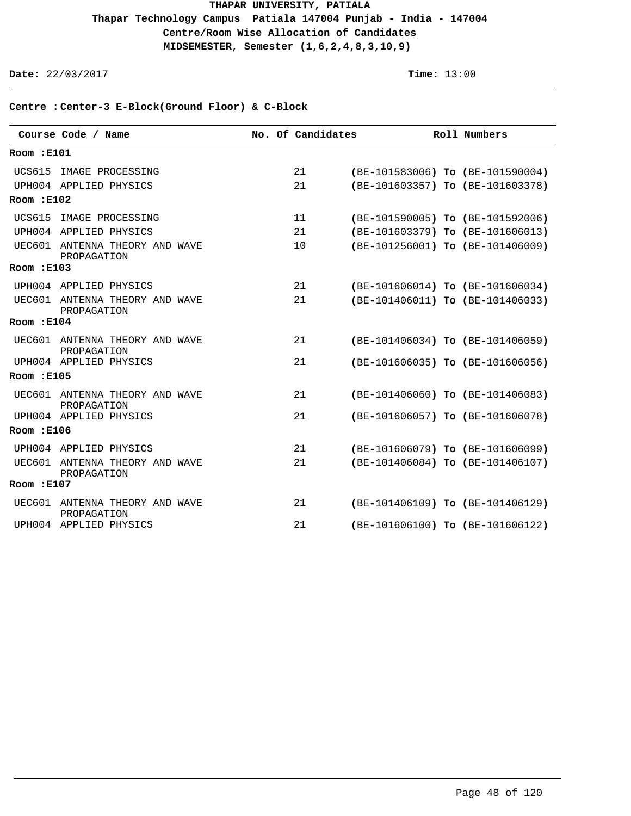**Thapar Technology Campus Patiala 147004 Punjab - India - 147004**

**Centre/Room Wise Allocation of Candidates**

**MIDSEMESTER, Semester (1,6,2,4,8,3,10,9)**

Date:  $22/03/2017$ 

Time: 13:00

**Centre : Center-3 E-Block(Ground Floor) & C-Block**

|             | Course Code / Name                            | No. Of Candidates |                                      | Roll Numbers |
|-------------|-----------------------------------------------|-------------------|--------------------------------------|--------------|
| Room : E101 |                                               |                   |                                      |              |
| UCS615      | IMAGE PROCESSING                              | 21                | $(BE-101583006)$ To $(BE-101590004)$ |              |
|             | UPH004 APPLIED PHYSICS                        | 21                | $(BE-101603357)$ To $(BE-101603378)$ |              |
| Room : E102 |                                               |                   |                                      |              |
| UCS615      | IMAGE PROCESSING                              | 11                | $(BE-101590005)$ To $(BE-101592006)$ |              |
|             | UPH004 APPLIED PHYSICS                        | 21                | $(BE-101603379)$ To $(BE-101606013)$ |              |
|             | UEC601 ANTENNA THEORY AND WAVE<br>PROPAGATION | 10                | $(BE-101256001)$ To $(BE-101406009)$ |              |
| Room : E103 |                                               |                   |                                      |              |
|             | UPH004 APPLIED PHYSICS                        | 21                | $(BE-101606014)$ To $(BE-101606034)$ |              |
|             | UEC601 ANTENNA THEORY AND WAVE<br>PROPAGATION | 21                | (BE-101406011) To (BE-101406033)     |              |
| Room : E104 |                                               |                   |                                      |              |
|             | UEC601 ANTENNA THEORY AND WAVE<br>PROPAGATION | 21                | $(BE-101406034)$ To $(BE-101406059)$ |              |
|             | UPH004 APPLIED PHYSICS                        | 21                | $(BE-101606035)$ To $(BE-101606056)$ |              |
| Room : E105 |                                               |                   |                                      |              |
|             | UEC601 ANTENNA THEORY AND WAVE<br>PROPAGATION | 21                | $(BE-101406060)$ To $(BE-101406083)$ |              |
|             | UPH004 APPLIED PHYSICS                        | 21                | $(BE-101606057)$ To $(BE-101606078)$ |              |
| Room : E106 |                                               |                   |                                      |              |
|             | UPH004 APPLIED PHYSICS                        | 21                | $(BE-101606079)$ To $(BE-101606099)$ |              |
|             | UEC601 ANTENNA THEORY AND WAVE<br>PROPAGATION | 21                | $(BE-101406084)$ To $(BE-101406107)$ |              |
| Room : E107 |                                               |                   |                                      |              |
|             | UEC601 ANTENNA THEORY AND WAVE<br>PROPAGATION | 21                | $(BE-101406109)$ To $(BE-101406129)$ |              |
|             | UPH004 APPLIED PHYSICS                        | 21                | $(BE-101606100)$ To $(BE-101606122)$ |              |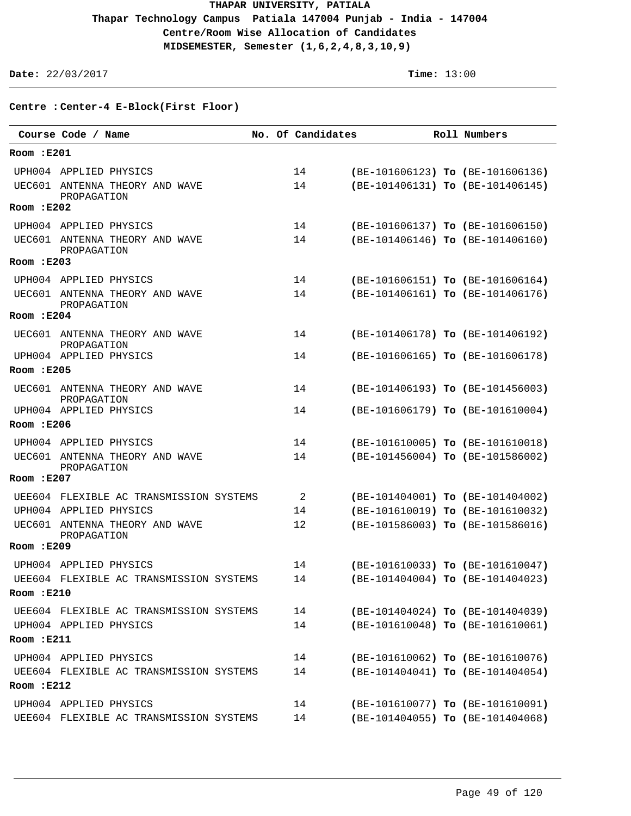**Thapar Technology Campus Patiala 147004 Punjab - India - 147004**

**Centre/Room Wise Allocation of Candidates**

**MIDSEMESTER, Semester (1,6,2,4,8,3,10,9)**

Date:  $22/03/2017$ 

Time: 13:00

**Centre : Center-4 E-Block(First Floor)**

|             | Course Code / Name                            | No. Of Candidates |                                      | Roll Numbers |
|-------------|-----------------------------------------------|-------------------|--------------------------------------|--------------|
| Room : E201 |                                               |                   |                                      |              |
|             | UPH004 APPLIED PHYSICS                        | 14                | $(BE-101606123)$ To $(BE-101606136)$ |              |
|             | UEC601 ANTENNA THEORY AND WAVE<br>PROPAGATION | 14                | (BE-101406131) To (BE-101406145)     |              |
| Room : E202 |                                               |                   |                                      |              |
|             | UPH004 APPLIED PHYSICS                        | 14                | (BE-101606137) To (BE-101606150)     |              |
|             | UEC601 ANTENNA THEORY AND WAVE<br>PROPAGATION | 14                | $(BE-101406146)$ To $(BE-101406160)$ |              |
| Room : E203 |                                               |                   |                                      |              |
|             | UPH004 APPLIED PHYSICS                        | 14                | $(BE-101606151)$ To $(BE-101606164)$ |              |
|             | UEC601 ANTENNA THEORY AND WAVE<br>PROPAGATION | 14                | $(BE-101406161)$ To $(BE-101406176)$ |              |
| Room : E204 |                                               |                   |                                      |              |
|             | UEC601 ANTENNA THEORY AND WAVE<br>PROPAGATION | 14                | $(BE-101406178)$ To $(BE-101406192)$ |              |
|             | UPH004 APPLIED PHYSICS                        | 14                | $(BE-101606165)$ To $(BE-101606178)$ |              |
| Room : E205 |                                               |                   |                                      |              |
|             | UEC601 ANTENNA THEORY AND WAVE<br>PROPAGATION | 14                | $(BE-101406193)$ To $(BE-101456003)$ |              |
|             | UPH004 APPLIED PHYSICS                        | 14                | $(BE-101606179)$ To $(BE-101610004)$ |              |
| Room : E206 |                                               |                   |                                      |              |
|             | UPH004 APPLIED PHYSICS                        | 14                | $(BE-101610005)$ To $(BE-101610018)$ |              |
|             | UEC601 ANTENNA THEORY AND WAVE<br>PROPAGATION | 14                | (BE-101456004) To (BE-101586002)     |              |
| Room : E207 |                                               |                   |                                      |              |
|             | UEE604 FLEXIBLE AC TRANSMISSION SYSTEMS       | 2                 | $(BE-101404001)$ To $(BE-101404002)$ |              |
|             | UPH004 APPLIED PHYSICS                        | 14                | $(BE-101610019)$ To $(BE-101610032)$ |              |
|             | UEC601 ANTENNA THEORY AND WAVE                | 12                | $(BE-101586003)$ To $(BE-101586016)$ |              |
| Room : E209 | PROPAGATION                                   |                   |                                      |              |
|             | UPH004 APPLIED PHYSICS                        | 14                | $(BE-101610033)$ To $(BE-101610047)$ |              |
|             | UEE604 FLEXIBLE AC TRANSMISSION SYSTEMS       | 14                | (BE-101404004) To (BE-101404023)     |              |
| Room : E210 |                                               |                   |                                      |              |
|             | UEE604 FLEXIBLE AC TRANSMISSION SYSTEMS       | 14                | $(BE-101404024)$ To $(BE-101404039)$ |              |
|             | UPH004 APPLIED PHYSICS                        | 14                | (BE-101610048) To (BE-101610061)     |              |
| Room : E211 |                                               |                   |                                      |              |
|             | UPH004 APPLIED PHYSICS                        | 14                | (BE-101610062) To (BE-101610076)     |              |
|             | UEE604 FLEXIBLE AC TRANSMISSION SYSTEMS       | 14                | $(BE-101404041)$ To $(BE-101404054)$ |              |
| Room : E212 |                                               |                   |                                      |              |
|             | UPH004 APPLIED PHYSICS                        | 14                | $(BE-101610077)$ To $(BE-101610091)$ |              |
|             | UEE604 FLEXIBLE AC TRANSMISSION SYSTEMS       | 14                | $(BE-101404055)$ To $(BE-101404068)$ |              |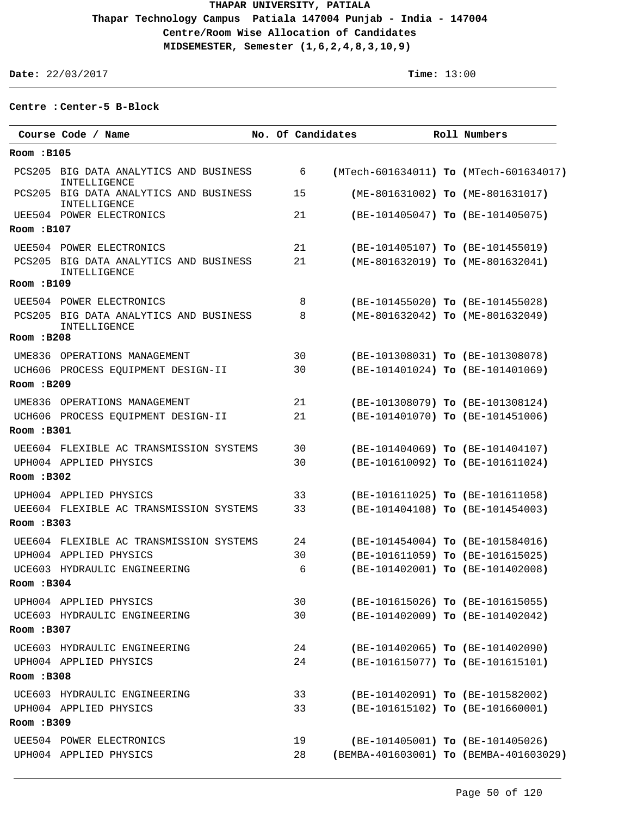**Thapar Technology Campus Patiala 147004 Punjab - India - 147004**

**Centre/Room Wise Allocation of Candidates**

**MIDSEMESTER, Semester (1,6,2,4,8,3,10,9)**

Date:  $22/03/2017$ 

Time: 13:00

**Centre : Center-5 B-Block**

|             | Course Code / Name                                                 | No. Of Candidates |  | Roll Numbers |                                        |                                      |
|-------------|--------------------------------------------------------------------|-------------------|--|--------------|----------------------------------------|--------------------------------------|
| Room:B105   |                                                                    |                   |  |              |                                        |                                      |
|             | PCS205 BIG DATA ANALYTICS AND BUSINESS<br>INTELLIGENCE             |                   |  | 6            | (MTech-601634011) To (MTech-601634017) |                                      |
|             | PCS205 BIG DATA ANALYTICS AND BUSINESS<br>INTELLIGENCE             |                   |  | 15           |                                        | (ME-801631002) To (ME-801631017)     |
|             | UEE504 POWER ELECTRONICS                                           |                   |  | 21           | (BE-101405047) To (BE-101405075)       |                                      |
| Room : B107 |                                                                    |                   |  |              |                                        |                                      |
|             | UEE504 POWER ELECTRONICS                                           |                   |  | 21           | (BE-101405107) To (BE-101455019)       |                                      |
| Room : B109 | PCS205 BIG DATA ANALYTICS AND BUSINESS<br>INTELLIGENCE             |                   |  | 21           |                                        | $(ME-801632019)$ To $(ME-801632041)$ |
|             |                                                                    |                   |  |              |                                        |                                      |
|             | UEE504 POWER ELECTRONICS<br>PCS205 BIG DATA ANALYTICS AND BUSINESS |                   |  | 8<br>8       | $(BE-101455020)$ To $(BE-101455028)$   | $(ME-801632042)$ To $(ME-801632049)$ |
| Room: B208  | INTELLIGENCE                                                       |                   |  |              |                                        |                                      |
|             | UME836 OPERATIONS MANAGEMENT                                       |                   |  | 30           | $(BE-101308031)$ To $(BE-101308078)$   |                                      |
|             | UCH606 PROCESS EOUIPMENT DESIGN-II                                 |                   |  | 30           |                                        | $(BE-101401024)$ To $(BE-101401069)$ |
| Room: B209  |                                                                    |                   |  |              |                                        |                                      |
|             | UME836 OPERATIONS MANAGEMENT                                       |                   |  | 21           | $(BE-101308079)$ To $(BE-101308124)$   |                                      |
|             | UCH606 PROCESS EQUIPMENT DESIGN-II                                 |                   |  | 21           | $(BE-101401070)$ To $(BE-101451006)$   |                                      |
| Room : B301 |                                                                    |                   |  |              |                                        |                                      |
|             | UEE604 FLEXIBLE AC TRANSMISSION SYSTEMS                            |                   |  | 30           | $(BE-101404069)$ To $(BE-101404107)$   |                                      |
|             | UPH004 APPLIED PHYSICS                                             |                   |  | 30           | $(BE-101610092)$ To $(BE-101611024)$   |                                      |
| Room : B302 |                                                                    |                   |  |              |                                        |                                      |
|             | UPH004 APPLIED PHYSICS                                             |                   |  | 33           | $(BE-101611025)$ To $(BE-101611058)$   |                                      |
| Room: B303  | UEE604 FLEXIBLE AC TRANSMISSION SYSTEMS                            |                   |  | 33           |                                        | $(BE-101404108)$ To $(BE-101454003)$ |
|             | UEE604 FLEXIBLE AC TRANSMISSION SYSTEMS                            |                   |  | 24           | (BE-101454004) To (BE-101584016)       |                                      |
|             | UPH004 APPLIED PHYSICS                                             |                   |  | 30           | (BE-101611059) To (BE-101615025)       |                                      |
|             | UCE603 HYDRAULIC ENGINEERING                                       |                   |  | 6            |                                        | (BE-101402001) To (BE-101402008)     |
| Room : B304 |                                                                    |                   |  |              |                                        |                                      |
|             | UPH004 APPLIED PHYSICS                                             |                   |  | 30           | $(BE-101615026)$ To $(BE-101615055)$   |                                      |
|             | UCE603 HYDRAULIC ENGINEERING                                       |                   |  | 30           | (BE-101402009) To (BE-101402042)       |                                      |
| Room : B307 |                                                                    |                   |  |              |                                        |                                      |
|             | UCE603 HYDRAULIC ENGINEERING                                       |                   |  | 24           | $(BE-101402065)$ To $(BE-101402090)$   |                                      |
|             | UPH004 APPLIED PHYSICS                                             |                   |  | 24           | (BE-101615077) To (BE-101615101)       |                                      |
| Room : B308 |                                                                    |                   |  |              |                                        |                                      |
|             | UCE603 HYDRAULIC ENGINEERING                                       |                   |  | 33           | $(BE-101402091)$ To $(BE-101582002)$   |                                      |
|             | UPH004 APPLIED PHYSICS                                             |                   |  | 33           | $(BE-101615102)$ To $(BE-101660001)$   |                                      |
| Room : B309 |                                                                    |                   |  |              |                                        |                                      |
|             | UEE504 POWER ELECTRONICS                                           |                   |  | 19           |                                        | $(BE-101405001)$ To $(BE-101405026)$ |
|             | UPH004 APPLIED PHYSICS                                             |                   |  | 28           | (BEMBA-401603001) To (BEMBA-401603029) |                                      |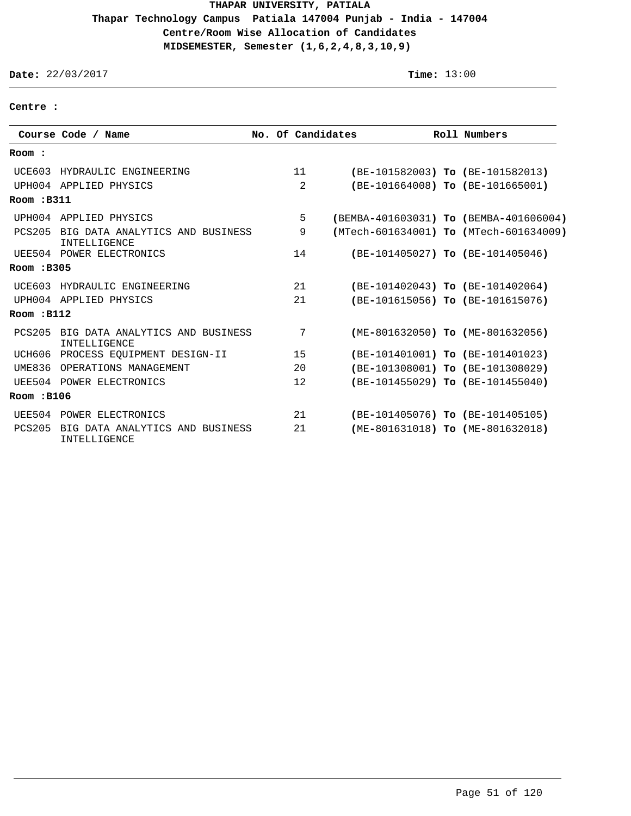# **Thapar Technology Campus Patiala 147004 Punjab - India - 147004**

**Centre/Room Wise Allocation of Candidates**

**MIDSEMESTER, Semester (1,6,2,4,8,3,10,9)**

Date:  $22/03/2017$ 

Time: 13:00

# **Centre :**

|               | Course Code / Name                                     |  | No. Of Candidates |  | Roll Numbers                               |
|---------------|--------------------------------------------------------|--|-------------------|--|--------------------------------------------|
| Room:         |                                                        |  |                   |  |                                            |
| UCE603        | HYDRAULIC ENGINEERING                                  |  | 11                |  | $(BE-101582003)$ To $(BE-101582013)$       |
|               | UPH004 APPLIED PHYSICS                                 |  | 2                 |  | $(BE-101664008)$ To $(BE-101665001)$       |
| Room : B311   |                                                        |  |                   |  |                                            |
| UPH004        | APPLIED PHYSICS                                        |  | 5                 |  | $(BEMBA-401603031)$ To $(BEMBA-401606004)$ |
| <b>PCS205</b> | BIG DATA ANALYTICS AND BUSINESS<br><b>INTELLIGENCE</b> |  | 9                 |  | (MTech-601634001) To (MTech-601634009)     |
|               | UEE504 POWER ELECTRONICS                               |  | 14                |  | $(BE-101405027)$ To $(BE-101405046)$       |
| Room : B305   |                                                        |  |                   |  |                                            |
| IICE603       | HYDRAULIC ENGINEERING                                  |  | 21                |  | $(BE-101402043)$ To $(BE-101402064)$       |
|               | UPH004 APPLIED PHYSICS                                 |  | 21                |  | $(BE-101615056)$ To $(BE-101615076)$       |
| Room : B112   |                                                        |  |                   |  |                                            |
| <b>PCS205</b> | BIG DATA ANALYTICS AND BUSINESS<br>INTELLIGENCE        |  | 7                 |  | $(ME-801632050)$ To $(ME-801632056)$       |
|               | UCH606 PROCESS EQUIPMENT DESIGN-II                     |  | 15                |  | $(BE-101401001)$ To $(BE-101401023)$       |
|               | UME836 OPERATIONS MANAGEMENT                           |  | 20                |  | $(BE-101308001)$ To $(BE-101308029)$       |
|               | UEE504 POWER ELECTRONICS                               |  | 12                |  | $(BE-101455029)$ To $(BE-101455040)$       |
| Room : B106   |                                                        |  |                   |  |                                            |
|               | UEE504 POWER ELECTRONICS                               |  | 21                |  | $(BE-101405076)$ To $(BE-101405105)$       |
| <b>PCS205</b> | BIG DATA ANALYTICS AND BUSINESS<br>INTELLIGENCE        |  | 21                |  | $(ME-801631018)$ To $(ME-801632018)$       |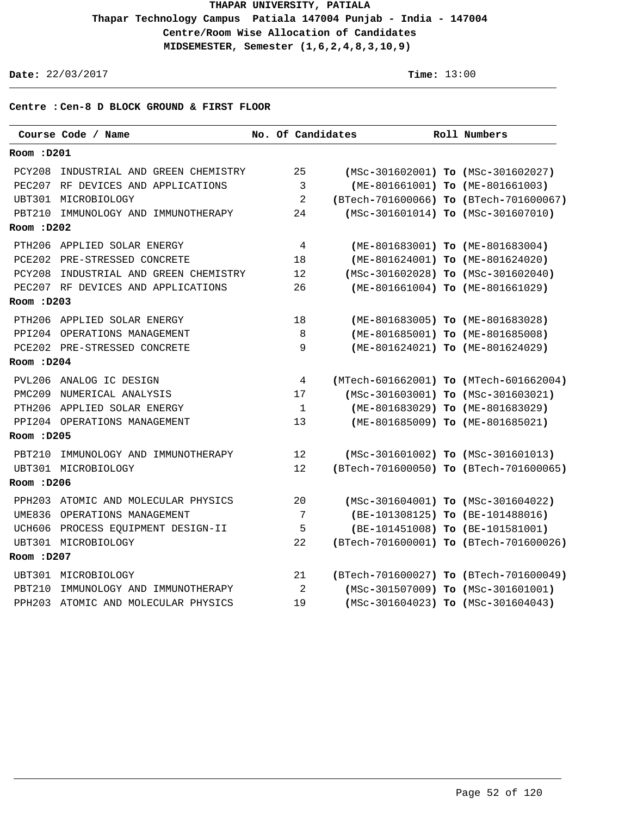**Centre/Room Wise Allocation of Candidates Thapar Technology Campus Patiala 147004 Punjab - India - 147004**

**MIDSEMESTER, Semester (1,6,2,4,8,3,10,9)**

Date:  $22/03/2017$ 

Time: 13:00

#### **Centre : Cen-8 D BLOCK GROUND & FIRST FLOOR**

|             | Course Code / Name                    |  |                   | No. Of Candidates |  | Roll Numbers                           |
|-------------|---------------------------------------|--|-------------------|-------------------|--|----------------------------------------|
| Room:D201   |                                       |  |                   |                   |  |                                        |
| PCY208      | INDUSTRIAL AND GREEN CHEMISTRY        |  | 25                |                   |  | $(MSc-301602001)$ To $(MSc-301602027)$ |
| PEC207      | RF DEVICES AND APPLICATIONS           |  | 3                 |                   |  | (ME-801661001) To (ME-801661003)       |
| UBT301      | MICROBIOLOGY                          |  | $\overline{2}$    |                   |  | (BTech-701600066) To (BTech-701600067) |
|             | PBT210 IMMUNOLOGY AND IMMUNOTHERAPY   |  | 24                |                   |  | $(MSc-301601014)$ To $(MSc-301607010)$ |
| Room:D202   |                                       |  |                   |                   |  |                                        |
|             | PTH206 APPLIED SOLAR ENERGY           |  | $\overline{4}$    |                   |  | $(ME-801683001)$ To $(ME-801683004)$   |
|             | PCE202 PRE-STRESSED CONCRETE          |  | 18                |                   |  | $(ME-801624001)$ To $(ME-801624020)$   |
|             | PCY208 INDUSTRIAL AND GREEN CHEMISTRY |  | 12                |                   |  | $(MSc-301602028)$ To $(MSc-301602040)$ |
|             | PEC207 RF DEVICES AND APPLICATIONS    |  | 26                |                   |  | (ME-801661004) To (ME-801661029)       |
| Room : D203 |                                       |  |                   |                   |  |                                        |
|             | PTH206 APPLIED SOLAR ENERGY           |  | 18                |                   |  | $(ME-801683005)$ To $(ME-801683028)$   |
|             | PPI204 OPERATIONS MANAGEMENT          |  | 8                 |                   |  | $(ME-801685001)$ To $(ME-801685008)$   |
|             | PCE202 PRE-STRESSED CONCRETE          |  | 9                 |                   |  | $(ME-801624021)$ To $(ME-801624029)$   |
| Room : D204 |                                       |  |                   |                   |  |                                        |
|             | PVL206 ANALOG IC DESIGN               |  | 4                 |                   |  | (MTech-601662001) To (MTech-601662004) |
|             | PMC209 NUMERICAL ANALYSIS             |  | 17                |                   |  | (MSc-301603001) To (MSc-301603021)     |
|             | PTH206 APPLIED SOLAR ENERGY           |  | $\mathbf{1}$      |                   |  | $(ME-801683029)$ To $(ME-801683029)$   |
|             | PPI204 OPERATIONS MANAGEMENT          |  | 13                |                   |  | (ME-801685009) To (ME-801685021)       |
| Room : D205 |                                       |  |                   |                   |  |                                        |
| PBT210      | IMMUNOLOGY AND IMMUNOTHERAPY          |  | 12                |                   |  | (MSc-301601002) To (MSc-301601013)     |
|             | UBT301 MICROBIOLOGY                   |  | $12 \overline{ }$ |                   |  | (BTech-701600050) To (BTech-701600065) |
| Room : D206 |                                       |  |                   |                   |  |                                        |
|             | PPH203 ATOMIC AND MOLECULAR PHYSICS   |  | 20                |                   |  | $(MSc-301604001)$ To $(MSc-301604022)$ |
|             | UME836 OPERATIONS MANAGEMENT          |  | $7\phantom{.0}$   |                   |  | (BE-101308125) To (BE-101488016)       |
|             | UCH606 PROCESS EQUIPMENT DESIGN-II    |  | 5                 |                   |  | (BE-101451008) To (BE-101581001)       |
|             | UBT301 MICROBIOLOGY                   |  | 22                |                   |  | (BTech-701600001) To (BTech-701600026) |
| Room : D207 |                                       |  |                   |                   |  |                                        |
|             | UBT301 MICROBIOLOGY                   |  | 21                |                   |  | (BTech-701600027) To (BTech-701600049) |
| PBT210      | IMMUNOLOGY AND IMMUNOTHERAPY          |  | 2                 |                   |  | $(MSc-301507009)$ To $(MSc-301601001)$ |
|             | PPH203 ATOMIC AND MOLECULAR PHYSICS   |  | 19                |                   |  | $(MSc-301604023)$ To $(MSc-301604043)$ |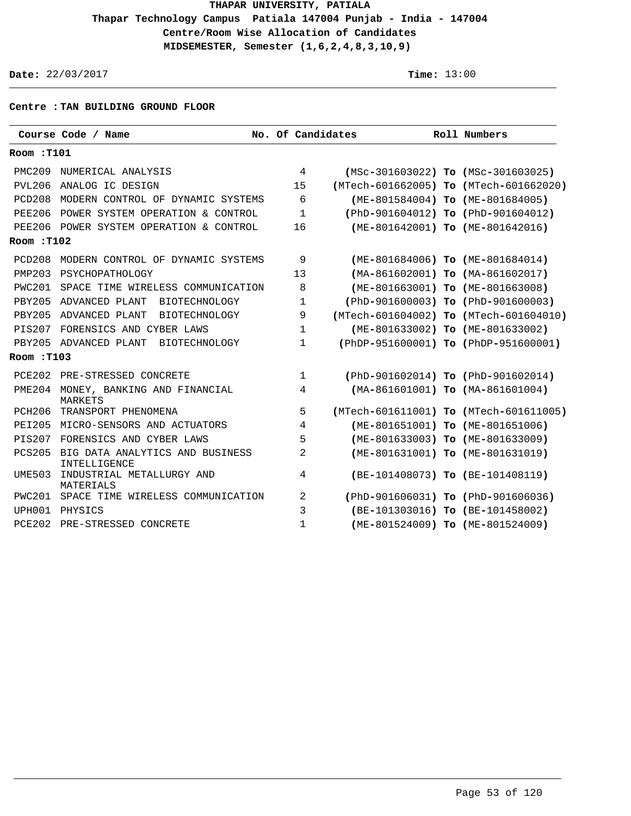**Thapar Technology Campus Patiala 147004 Punjab - India - 147004**

**Centre/Room Wise Allocation of Candidates**

**MIDSEMESTER, Semester (1,6,2,4,8,3,10,9)**

Date:  $22/03/2017$ 

Time: 13:00

#### **Centre : TAN BUILDING GROUND FLOOR**

|               | Course Code / Name                                     |              | No. Of Candidates                            | Roll Numbers                             |
|---------------|--------------------------------------------------------|--------------|----------------------------------------------|------------------------------------------|
| Room: T101    |                                                        |              |                                              |                                          |
| <b>PMC209</b> | NUMERICAL ANALYSIS                                     | 4            |                                              | $(MSc-301603022)$ To $(MSc-301603025)$   |
| <b>PVL206</b> | ANALOG IC DESIGN                                       | 15           | $(MTechn-601662005)$ To $(MTechn-601662020)$ |                                          |
| PCD208        | MODERN CONTROL OF DYNAMIC SYSTEMS                      | 6            |                                              | $(ME-801584004)$ To $(ME-801684005)$     |
| <b>PEE206</b> | POWER SYSTEM OPERATION & CONTROL                       | $\mathbf{1}$ |                                              | $(PhD-901604012)$ To $(PhD-901604012)$   |
|               | PEE206 POWER SYSTEM OPERATION & CONTROL                | 16           |                                              | $(ME-801642001)$ To $(ME-801642016)$     |
| Room: T102    |                                                        |              |                                              |                                          |
| PCD208        | MODERN CONTROL OF DYNAMIC SYSTEMS                      | 9            |                                              | $(ME-801684006)$ To $(ME-801684014)$     |
| <b>PMP203</b> | PSYCHOPATHOLOGY                                        | 13           |                                              | $(MA-861602001)$ To $(MA-861602017)$     |
| PWC201        | SPACE TIME WIRELESS COMMUNICATION                      | 8            |                                              | $(ME-801663001)$ To $(ME-801663008)$     |
| <b>PBY205</b> | ADVANCED PLANT<br><b>BIOTECHNOLOGY</b>                 | 1            |                                              | $(PhD-901600003)$ To $(PhD-901600003)$   |
| <b>PBY205</b> | ADVANCED PLANT<br><b>BIOTECHNOLOGY</b>                 | 9            | (MTech-601604002) To (MTech-601604010)       |                                          |
| <b>PIS207</b> | FORENSICS AND CYBER LAWS                               | 1            |                                              | $(ME-801633002)$ To $(ME-801633002)$     |
| PBY205        | ADVANCED PLANT<br><b>BIOTECHNOLOGY</b>                 | $\mathbf{1}$ |                                              | $(PhDP-951600001)$ To $(PhDP-951600001)$ |
| Room: T103    |                                                        |              |                                              |                                          |
| PCE202        | PRE-STRESSED CONCRETE                                  | 1            |                                              | $(PhD-901602014)$ To $(PhD-901602014)$   |
|               | PME204 MONEY, BANKING AND FINANCIAL<br>MARKETS         | 4            |                                              | $(MA-861601001)$ To $(MA-861601004)$     |
| PCH206        | TRANSPORT PHENOMENA                                    | 5            | (MTech-601611001) To (MTech-601611005)       |                                          |
| <b>PEI205</b> | MICRO-SENSORS AND ACTUATORS                            | 4            |                                              | $(ME-801651001)$ To $(ME-801651006)$     |
| <b>PIS207</b> | FORENSICS AND CYBER LAWS                               | 5            |                                              | $(ME-801633003)$ To $(ME-801633009)$     |
| <b>PCS205</b> | BIG DATA ANALYTICS AND BUSINESS<br><b>INTELLIGENCE</b> | 2            |                                              | (ME-801631001) To (ME-801631019)         |
| <b>UME503</b> | INDUSTRIAL METALLURGY AND<br>MATERIALS                 | 4            |                                              | $(BE-101408073)$ To $(BE-101408119)$     |
| PWC201        | SPACE TIME WIRELESS COMMUNICATION                      | 2            |                                              | $(PhD-901606031)$ To $(PhD-901606036)$   |
| UPH001        | PHYSICS                                                | 3            |                                              | $(BE-101303016)$ To $(BE-101458002)$     |
| <b>PCE202</b> | PRE-STRESSED CONCRETE                                  | $\mathbf{1}$ |                                              | $(ME-801524009)$ To $(ME-801524009)$     |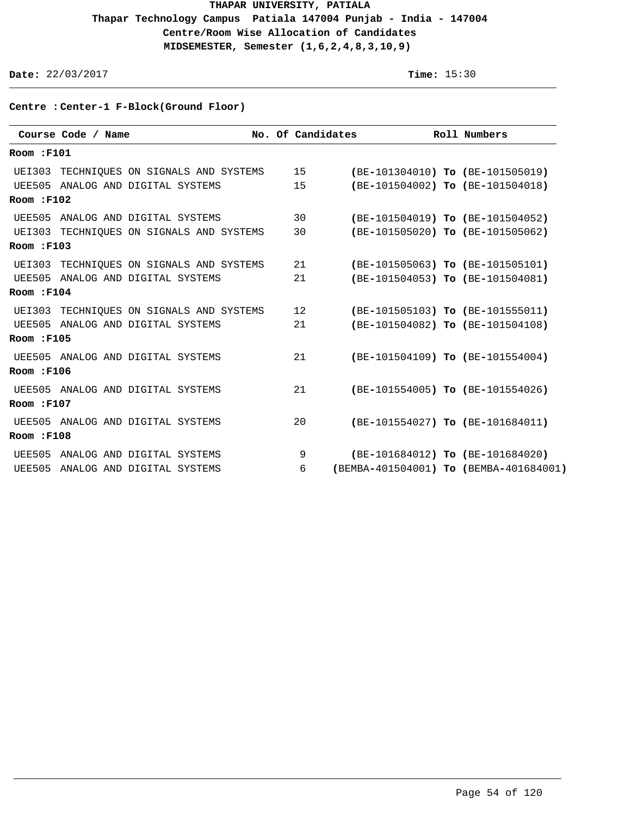**Thapar Technology Campus Patiala 147004 Punjab - India - 147004**

**Centre/Room Wise Allocation of Candidates**

**MIDSEMESTER, Semester (1,6,2,4,8,3,10,9)**

Date:  $22/03/2017$ 

**Time:** 15:30

|             | Course Code / Name |                                          | No. Of Candidates |                                        | Roll Numbers                         |
|-------------|--------------------|------------------------------------------|-------------------|----------------------------------------|--------------------------------------|
| Room : F101 |                    |                                          |                   |                                        |                                      |
|             |                    | UEI303 TECHNIQUES ON SIGNALS AND SYSTEMS | 15                |                                        | $(BE-101304010)$ To $(BE-101505019)$ |
|             |                    | UEE505 ANALOG AND DIGITAL SYSTEMS        | 15                |                                        | $(BE-101504002)$ To $(BE-101504018)$ |
| Room : F102 |                    |                                          |                   |                                        |                                      |
| UEE505      |                    | ANALOG AND DIGITAL SYSTEMS               | 30                |                                        | $(BE-101504019)$ To $(BE-101504052)$ |
|             |                    | UEI303 TECHNIOUES ON SIGNALS AND SYSTEMS | 30                |                                        | $(BE-101505020)$ To $(BE-101505062)$ |
| Room : F103 |                    |                                          |                   |                                        |                                      |
| UEI303      |                    | TECHNIOUES ON SIGNALS AND SYSTEMS        | 21                |                                        | $(BE-101505063)$ To $(BE-101505101)$ |
|             |                    | UEE505 ANALOG AND DIGITAL SYSTEMS        | 21                |                                        | $(BE-101504053)$ To $(BE-101504081)$ |
| Room : F104 |                    |                                          |                   |                                        |                                      |
|             |                    | UEI303 TECHNIQUES ON SIGNALS AND SYSTEMS | 12                |                                        | $(BE-101505103)$ To $(BE-101555011)$ |
|             |                    | UEE505 ANALOG AND DIGITAL SYSTEMS        | 21                |                                        | $(BE-101504082)$ To $(BE-101504108)$ |
| Room : F105 |                    |                                          |                   |                                        |                                      |
|             |                    | UEE505 ANALOG AND DIGITAL SYSTEMS        | 21                |                                        | $(BE-101504109)$ To $(BE-101554004)$ |
| Room : F106 |                    |                                          |                   |                                        |                                      |
|             |                    | UEE505 ANALOG AND DIGITAL SYSTEMS        | 21                |                                        | (BE-101554005) To (BE-101554026)     |
| Room : F107 |                    |                                          |                   |                                        |                                      |
|             |                    | UEE505 ANALOG AND DIGITAL SYSTEMS        | 20                |                                        | $(BE-101554027)$ To $(BE-101684011)$ |
| Room : F108 |                    |                                          |                   |                                        |                                      |
| UEE505      |                    | ANALOG AND DIGITAL SYSTEMS               | 9                 |                                        | $(BE-101684012)$ To $(BE-101684020)$ |
|             |                    | UEE505 ANALOG AND DIGITAL SYSTEMS        | 6                 | (BEMBA-401504001) To (BEMBA-401684001) |                                      |
|             |                    |                                          |                   |                                        |                                      |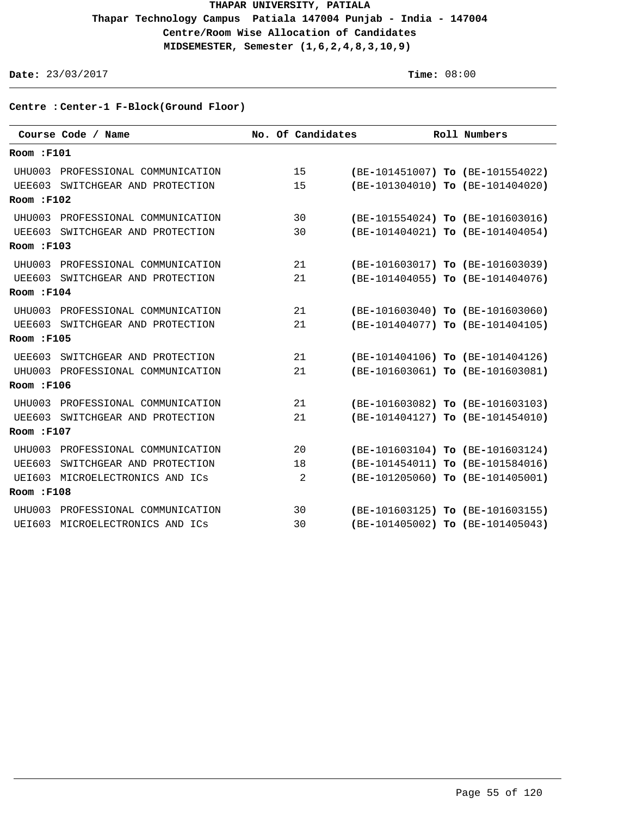**Thapar Technology Campus Patiala 147004 Punjab - India - 147004**

**Centre/Room Wise Allocation of Candidates**

**MIDSEMESTER, Semester (1,6,2,4,8,3,10,9)**

Date:  $23/03/2017$ 

Time: 08:00

|             | Course Code / Name                | No. Of Candidates |                                      | Roll Numbers |
|-------------|-----------------------------------|-------------------|--------------------------------------|--------------|
| Room : F101 |                                   |                   |                                      |              |
|             | UHU003 PROFESSIONAL COMMUNICATION | 15                | $(BE-101451007)$ To $(BE-101554022)$ |              |
|             | UEE603 SWITCHGEAR AND PROTECTION  | 15                | $(BE-101304010)$ To $(BE-101404020)$ |              |
| Room : F102 |                                   |                   |                                      |              |
|             | UHU003 PROFESSIONAL COMMUNICATION | 30                | (BE-101554024) To (BE-101603016)     |              |
|             | UEE603 SWITCHGEAR AND PROTECTION  | 30                | (BE-101404021) To (BE-101404054)     |              |
| Room : F103 |                                   |                   |                                      |              |
| UHU003      | PROFESSIONAL COMMUNICATION        | 21                | $(BE-101603017)$ To $(BE-101603039)$ |              |
|             | UEE603 SWITCHGEAR AND PROTECTION  | 21                | (BE-101404055) To (BE-101404076)     |              |
| Room : F104 |                                   |                   |                                      |              |
| UHU003      | PROFESSIONAL COMMUNICATION        | 21                | $(BE-101603040)$ To $(BE-101603060)$ |              |
|             | UEE603 SWITCHGEAR AND PROTECTION  | 21                | $(BE-101404077)$ To $(BE-101404105)$ |              |
| Room : F105 |                                   |                   |                                      |              |
| UEE603      | SWITCHGEAR AND PROTECTION         | 21                | $(BE-101404106)$ To $(BE-101404126)$ |              |
|             | UHU003 PROFESSIONAL COMMUNICATION | 21                | $(BE-101603061)$ To $(BE-101603081)$ |              |
| Room : F106 |                                   |                   |                                      |              |
| UHU003      | PROFESSIONAL COMMUNICATION        | 21                | (BE-101603082) To (BE-101603103)     |              |
|             | UEE603 SWITCHGEAR AND PROTECTION  | 21                | (BE-101404127) To (BE-101454010)     |              |
| Room : F107 |                                   |                   |                                      |              |
| UHU003      | PROFESSIONAL COMMUNICATION        | 20                | $(BE-101603104)$ To $(BE-101603124)$ |              |
|             | UEE603 SWITCHGEAR AND PROTECTION  | 18                | $(BE-101454011)$ To $(BE-101584016)$ |              |
|             | UEI603 MICROELECTRONICS AND ICS   | 2                 | $(BE-101205060)$ To $(BE-101405001)$ |              |
| Room : F108 |                                   |                   |                                      |              |
| UHU003      | PROFESSIONAL COMMUNICATION        | 30                | $(BE-101603125)$ To $(BE-101603155)$ |              |
| UEI603      | MICROELECTRONICS AND ICS          | 30                | $(BE-101405002)$ To $(BE-101405043)$ |              |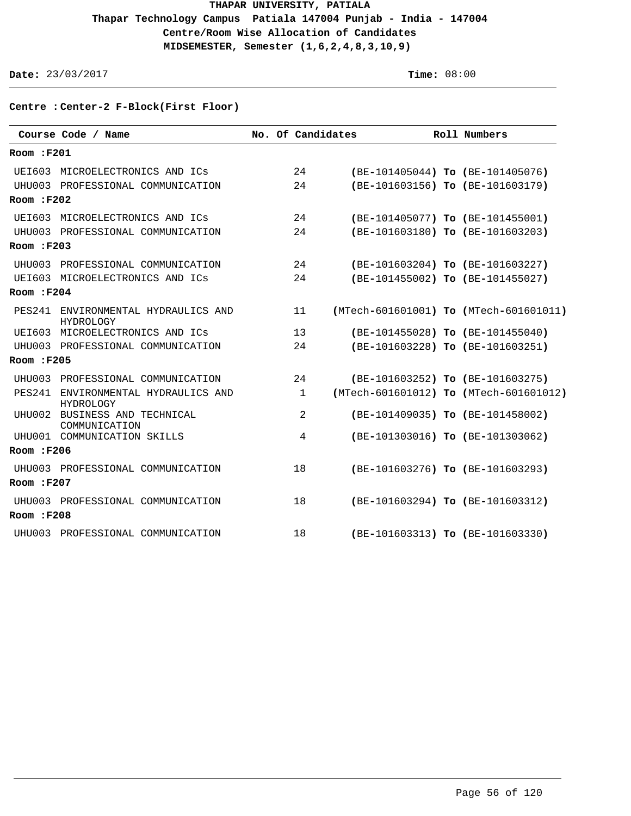**Thapar Technology Campus Patiala 147004 Punjab - India - 147004**

**Centre/Room Wise Allocation of Candidates**

**MIDSEMESTER, Semester (1,6,2,4,8,3,10,9)**

Date:  $23/03/2017$ 

Time: 08:00

#### **Centre : Center-2 F-Block(First Floor)**

|             | Course Code / Name                        |  |                | No. Of Candidates | Roll Numbers                                 |
|-------------|-------------------------------------------|--|----------------|-------------------|----------------------------------------------|
| Room : F201 |                                           |  |                |                   |                                              |
| UEI603      | MICROELECTRONICS AND ICS                  |  | 24             |                   | $(BE-101405044)$ To $(BE-101405076)$         |
|             | UHU003 PROFESSIONAL COMMUNICATION         |  | 24             |                   | $(BE-101603156)$ To $(BE-101603179)$         |
| Room : F202 |                                           |  |                |                   |                                              |
|             | UEI603 MICROELECTRONICS AND ICS           |  | 24             |                   | $(BE-101405077)$ To $(BE-101455001)$         |
|             | UHU003 PROFESSIONAL COMMUNICATION         |  | 24             |                   | $(BE-101603180)$ To $(BE-101603203)$         |
| Room : F203 |                                           |  |                |                   |                                              |
|             | UHU003 PROFESSIONAL COMMUNICATION         |  | 24             |                   | $(BE-101603204)$ To $(BE-101603227)$         |
|             | UEI603 MICROELECTRONICS AND ICS           |  | 24             |                   | $(BE-101455002)$ To $(BE-101455027)$         |
| Room : F204 |                                           |  |                |                   |                                              |
| PES241      | ENVIRONMENTAL HYDRAULICS AND<br>HYDROLOGY |  | 11             |                   | $(MTechn-601601001)$ To $(MTechn-601601011)$ |
|             | UEI603 MICROELECTRONICS AND ICS           |  | 13             |                   | $(BE-101455028)$ To $(BE-101455040)$         |
|             | UHU003 PROFESSIONAL COMMUNICATION         |  | 24             |                   | $(BE-101603228)$ To $(BE-101603251)$         |
| Room : F205 |                                           |  |                |                   |                                              |
|             | UHU003 PROFESSIONAL COMMUNICATION         |  | 24             |                   | $(BE-101603252)$ To $(BE-101603275)$         |
| PES241      | ENVIRONMENTAL HYDRAULICS AND<br>HYDROLOGY |  | 1              |                   | (MTech-601601012) To (MTech-601601012)       |
| TIHTI002    | BUSINESS AND TECHNICAL<br>COMMUNICATION   |  | $\overline{2}$ |                   | $(BE-101409035)$ To $(BE-101458002)$         |
|             | UHU001 COMMUNICATION SKILLS               |  | 4              |                   | $(BE-101303016)$ To $(BE-101303062)$         |
| Room : F206 |                                           |  |                |                   |                                              |
|             | UHU003 PROFESSIONAL COMMUNICATION         |  | 18             |                   | $(BE-101603276)$ To $(BE-101603293)$         |
| Room : F207 |                                           |  |                |                   |                                              |
|             | UHU003 PROFESSIONAL COMMUNICATION         |  | 18             |                   | $(BE-101603294)$ To $(BE-101603312)$         |
| Room : F208 |                                           |  |                |                   |                                              |
|             | UHU003 PROFESSIONAL COMMUNICATION         |  | 18             |                   | $(BE-101603313)$ To $(BE-101603330)$         |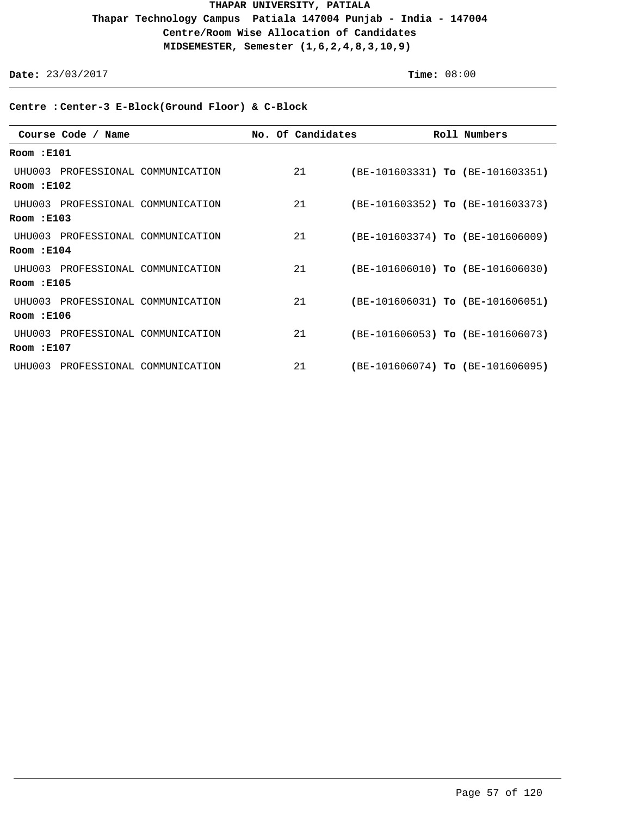**Centre/Room Wise Allocation of Candidates Thapar Technology Campus Patiala 147004 Punjab - India - 147004**

**MIDSEMESTER, Semester (1,6,2,4,8,3,10,9)**

Date:  $23/03/2017$ 

```
Time: 08:00
```
**Centre : Center-3 E-Block(Ground Floor) & C-Block**

|             | Course Code / Name |                                   | No. Of Candidates |  | Roll Numbers                         |
|-------------|--------------------|-----------------------------------|-------------------|--|--------------------------------------|
| Room : E101 |                    |                                   |                   |  |                                      |
|             |                    | UHU003 PROFESSIONAL COMMUNICATION | 21                |  | $(BE-101603331)$ To $(BE-101603351)$ |
| Room : E102 |                    |                                   |                   |  |                                      |
|             |                    | UHU003 PROFESSIONAL COMMUNICATION | 21                |  | $(BE-101603352)$ To $(BE-101603373)$ |
| Room : E103 |                    |                                   |                   |  |                                      |
|             |                    | UHU003 PROFESSIONAL COMMUNICATION | 21                |  | $(BE-101603374)$ To $(BE-101606009)$ |
| Room : E104 |                    |                                   |                   |  |                                      |
|             |                    | UHU003 PROFESSIONAL COMMUNICATION | 21                |  | $(BE-101606010)$ To $(BE-101606030)$ |
| Room : E105 |                    |                                   |                   |  |                                      |
|             |                    | UHU003 PROFESSIONAL COMMUNICATION | 21                |  | $(BE-101606031)$ To $(BE-101606051)$ |
| Room : E106 |                    |                                   |                   |  |                                      |
|             |                    | UHU003 PROFESSIONAL COMMUNICATION | 21                |  | $(BE-101606053)$ To $(BE-101606073)$ |
| Room : E107 |                    |                                   |                   |  |                                      |
| UHU003      |                    | PROFESSIONAL COMMUNICATION        | 21                |  | $(BE-101606074)$ To $(BE-101606095)$ |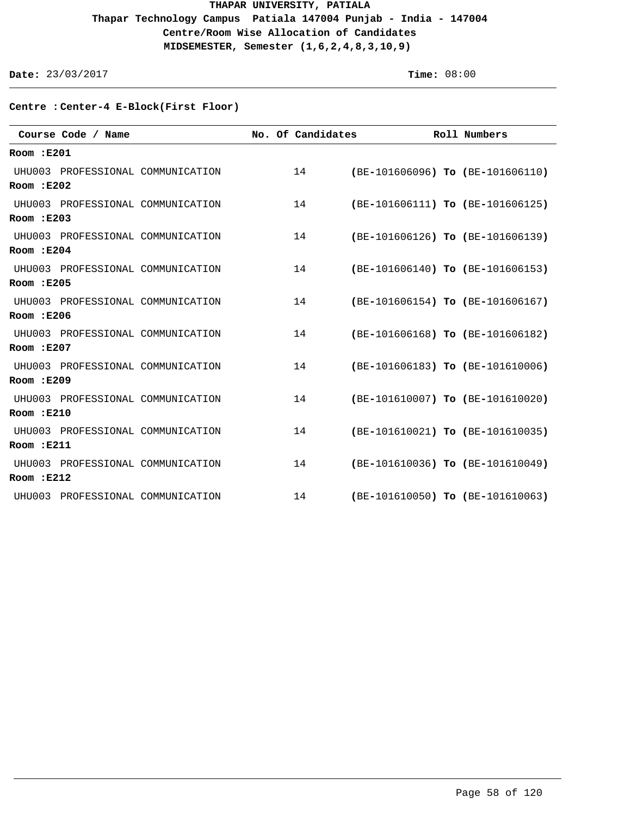**Centre/Room Wise Allocation of Candidates Thapar Technology Campus Patiala 147004 Punjab - India - 147004**

**MIDSEMESTER, Semester (1,6,2,4,8,3,10,9)**

Date:  $23/03/2017$ 

#### **Centre : Center-4 E-Block(First Floor)**

|             | Course Code / Name |                                   | No. Of Candidates |  | Roll Numbers                         |
|-------------|--------------------|-----------------------------------|-------------------|--|--------------------------------------|
| Room : E201 |                    |                                   |                   |  |                                      |
| Room : E202 |                    | UHU003 PROFESSIONAL COMMUNICATION | 14                |  | (BE-101606096) To (BE-101606110)     |
| Room : E203 |                    | UHU003 PROFESSIONAL COMMUNICATION | 14                |  | $(BE-101606111)$ To $(BE-101606125)$ |
| Room : E204 |                    | UHU003 PROFESSIONAL COMMUNICATION | 14                |  | $(BE-101606126)$ To $(BE-101606139)$ |
| Room : E205 |                    | UHU003 PROFESSIONAL COMMUNICATION | 14                |  | $(BE-101606140)$ To $(BE-101606153)$ |
| Room : E206 |                    | UHU003 PROFESSIONAL COMMUNICATION | 14                |  | $(BE-101606154)$ To $(BE-101606167)$ |
| Room : E207 |                    | UHU003 PROFESSIONAL COMMUNICATION | 14                |  | $(BE-101606168)$ To $(BE-101606182)$ |
| Room : E209 |                    | UHU003 PROFESSIONAL COMMUNICATION | 14                |  | $(BE-101606183)$ To $(BE-101610006)$ |
| Room : E210 |                    | UHU003 PROFESSIONAL COMMUNICATION | 14                |  | $(BE-101610007)$ To $(BE-101610020)$ |
| Room : E211 |                    | UHU003 PROFESSIONAL COMMUNICATION | 14                |  | $(BE-101610021)$ To $(BE-101610035)$ |
| Room : E212 |                    | UHU003 PROFESSIONAL COMMUNICATION | 14                |  | (BE-101610036) To (BE-101610049)     |
|             |                    | UHU003 PROFESSIONAL COMMUNICATION | 14                |  | $(BE-101610050)$ To $(BE-101610063)$ |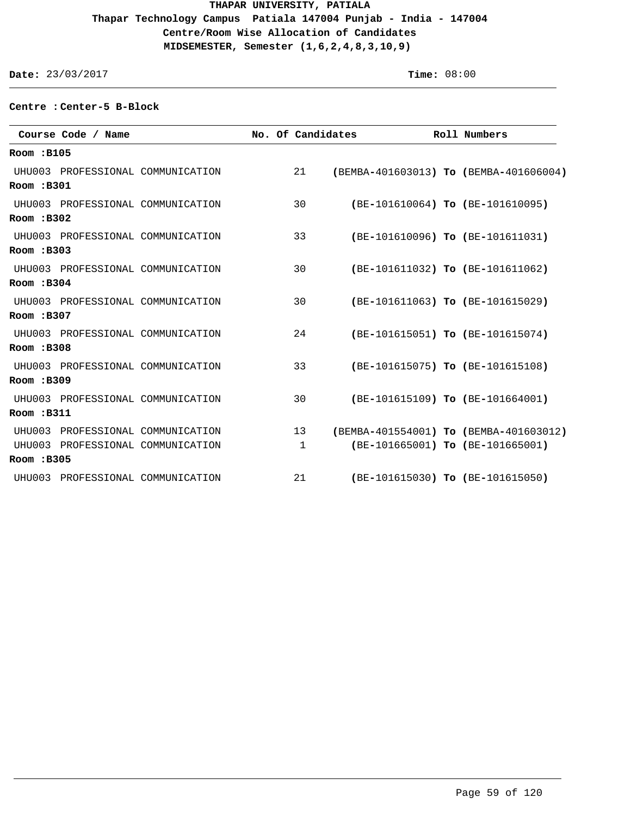# **Thapar Technology Campus Patiala 147004 Punjab - India - 147004**

**Centre/Room Wise Allocation of Candidates MIDSEMESTER, Semester (1,6,2,4,8,3,10,9)**

Date:  $23/03/2017$ 

Time: 08:00

**Centre : Center-5 B-Block**

|                            | Course Code / Name |                                                                        |  | No. Of Candidates |  | Roll Numbers                                                                   |
|----------------------------|--------------------|------------------------------------------------------------------------|--|-------------------|--|--------------------------------------------------------------------------------|
| Room : B105                |                    |                                                                        |  |                   |  |                                                                                |
| Room : B301                |                    | UHU003 PROFESSIONAL COMMUNICATION                                      |  | 21                |  | (BEMBA-401603013) To (BEMBA-401606004)                                         |
|                            |                    | UHU003 PROFESSIONAL COMMUNICATION                                      |  | 30                |  | $(BE-101610064)$ To $(BE-101610095)$                                           |
| Room : B302                |                    | UHU003 PROFESSIONAL COMMUNICATION                                      |  | 33                |  | $(BE-101610096)$ To $(BE-101611031)$                                           |
| Room : B303<br>Room : B304 |                    | UHU003 PROFESSIONAL COMMUNICATION                                      |  | 30                |  | (BE-101611032) To (BE-101611062)                                               |
| Room : B307                |                    | UHU003 PROFESSIONAL COMMUNICATION                                      |  | 30                |  | $(BE-101611063)$ To $(BE-101615029)$                                           |
| Room : B308                |                    | UHU003 PROFESSIONAL COMMUNICATION                                      |  | 24                |  | $(BE-101615051)$ To $(BE-101615074)$                                           |
| Room : B309                |                    | UHU003 PROFESSIONAL COMMUNICATION                                      |  | 33                |  | (BE-101615075) To (BE-101615108)                                               |
| Room : B311                |                    | UHU003 PROFESSIONAL COMMUNICATION                                      |  | 30                |  | (BE-101615109) To (BE-101664001)                                               |
|                            |                    | UHU003 PROFESSIONAL COMMUNICATION<br>UHU003 PROFESSIONAL COMMUNICATION |  | 13<br>1           |  | (BEMBA-401554001) To (BEMBA-401603012)<br>$(BE-101665001)$ To $(BE-101665001)$ |
| Room : B305                |                    |                                                                        |  |                   |  |                                                                                |
|                            |                    | UHU003 PROFESSIONAL COMMUNICATION                                      |  | 21                |  | $(BE-101615030)$ To $(BE-101615050)$                                           |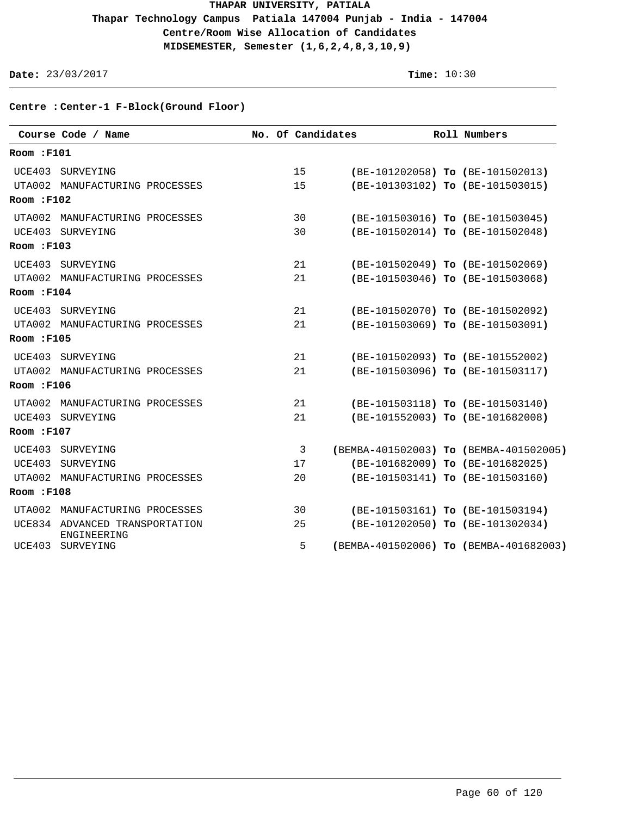**Thapar Technology Campus Patiala 147004 Punjab - India - 147004**

**Centre/Room Wise Allocation of Candidates**

**MIDSEMESTER, Semester (1,6,2,4,8,3,10,9)**

Date:  $23/03/2017$ 

**Time:** 10:30

| Course Code / Name |                                |    | No. Of Candidates                      | Roll Numbers                           |  |
|--------------------|--------------------------------|----|----------------------------------------|----------------------------------------|--|
| Room:F101          |                                |    |                                        |                                        |  |
| UCE403             | SURVEYING                      | 15 | $(BE-101202058)$ To $(BE-101502013)$   |                                        |  |
|                    | UTA002 MANUFACTURING PROCESSES | 15 | (BE-101303102) To (BE-101503015)       |                                        |  |
| Room : F102        |                                |    |                                        |                                        |  |
| UTA002             | MANUFACTURING PROCESSES        | 30 | $(BE-101503016)$ To $(BE-101503045)$   |                                        |  |
|                    | UCE403 SURVEYING               | 30 | (BE-101502014) To (BE-101502048)       |                                        |  |
| Room : F103        |                                |    |                                        |                                        |  |
| UCE403             | SURVEYING                      | 21 | $(BE-101502049)$ To $(BE-101502069)$   |                                        |  |
|                    | UTA002 MANUFACTURING PROCESSES | 21 | $(BE-101503046)$ To $(BE-101503068)$   |                                        |  |
| Room : F104        |                                |    |                                        |                                        |  |
| UCE403             | SURVEYING                      | 21 | $(BE-101502070)$ To $(BE-101502092)$   |                                        |  |
|                    | UTA002 MANUFACTURING PROCESSES | 21 | (BE-101503069) To (BE-101503091)       |                                        |  |
| Room : F105        |                                |    |                                        |                                        |  |
| UCE403             | SURVEYING                      | 21 | (BE-101502093) To (BE-101552002)       |                                        |  |
|                    | UTA002 MANUFACTURING PROCESSES | 21 |                                        | (BE-101503096) To (BE-101503117)       |  |
| Room:F106          |                                |    |                                        |                                        |  |
| UTA002             | MANUFACTURING PROCESSES        | 21 | (BE-101503118) To (BE-101503140)       |                                        |  |
|                    | UCE403 SURVEYING               | 21 | $(BE-101552003)$ To $(BE-101682008)$   |                                        |  |
| Room : F107        |                                |    |                                        |                                        |  |
| UCE403             | SURVEYING                      | 3  | (BEMBA-401502003) To (BEMBA-401502005) |                                        |  |
| UCE403             | SURVEYING                      | 17 | $(BE-101682009)$ To $(BE-101682025)$   |                                        |  |
|                    | UTA002 MANUFACTURING PROCESSES | 20 |                                        | $(BE-101503141)$ To $(BE-101503160)$   |  |
| Room : F108        |                                |    |                                        |                                        |  |
| UTA002             | MANUFACTURING PROCESSES        | 30 | $(BE-101503161)$ To $(BE-101503194)$   |                                        |  |
| UCE834             | ADVANCED TRANSPORTATION        | 25 | $(BE-101202050)$ To $(BE-101302034)$   |                                        |  |
| UCE403             | ENGINEERING<br>SURVEYING       | 5  |                                        | (BEMBA-401502006) To (BEMBA-401682003) |  |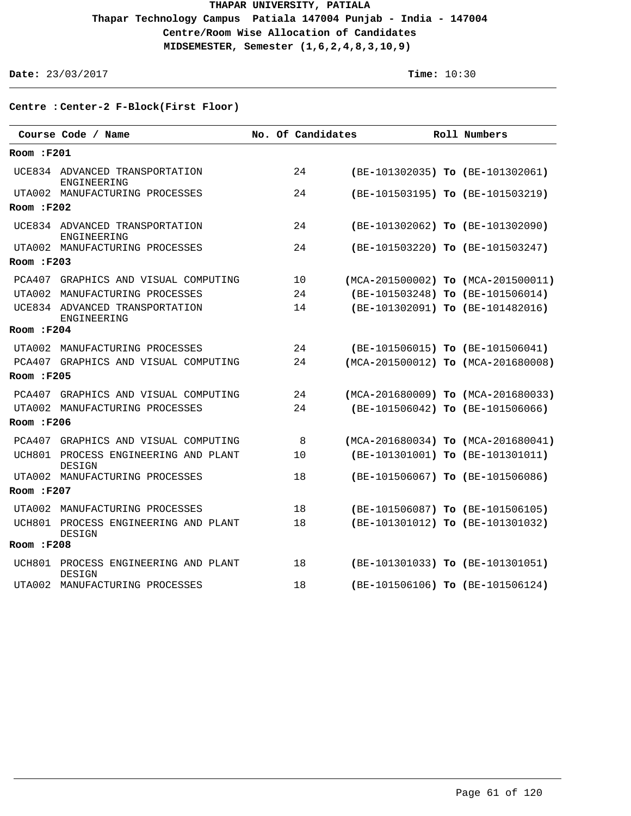**Centre/Room Wise Allocation of Candidates Thapar Technology Campus Patiala 147004 Punjab - India - 147004**

**MIDSEMESTER, Semester (1,6,2,4,8,3,10,9)**

Date: 23/03/2017

**Time:** 10:30

#### **Centre : Center-2 F-Block(First Floor)**

|             | Course Code / Name                             | No. Of Candidates |     |  | Roll Numbers                          |
|-------------|------------------------------------------------|-------------------|-----|--|---------------------------------------|
| Room : F201 |                                                |                   |     |  |                                       |
|             | UCE834 ADVANCED TRANSPORTATION<br>ENGINEERING  |                   | 24  |  | $(BE-101302035)$ To $(BE-101302061)$  |
|             | UTA002 MANUFACTURING PROCESSES                 |                   | 24  |  | $(BE-101503195)$ To $(BE-101503219)$  |
| Room : F202 |                                                |                   |     |  |                                       |
|             | UCE834 ADVANCED TRANSPORTATION<br>ENGINEERING  |                   | 24  |  | $(BE-101302062)$ To $(BE-101302090)$  |
|             | UTA002 MANUFACTURING PROCESSES                 |                   | 24  |  | (BE-101503220) To (BE-101503247)      |
| Room : F203 |                                                |                   |     |  |                                       |
|             | PCA407 GRAPHICS AND VISUAL COMPUTING           |                   | 10  |  | $MCA-201500002)$ To $(MCA-201500011)$ |
|             | UTA002 MANUFACTURING PROCESSES                 |                   | 2.4 |  | $(BE-101503248)$ To $(BE-101506014)$  |
|             | UCE834 ADVANCED TRANSPORTATION<br>ENGINEERING  |                   | 14  |  | (BE-101302091) To (BE-101482016)      |
| Room : F204 |                                                |                   |     |  |                                       |
|             | UTA002 MANUFACTURING PROCESSES                 |                   | 24  |  | $(BE-101506015)$ To $(BE-101506041)$  |
|             | PCA407 GRAPHICS AND VISUAL COMPUTING           |                   | 24  |  | (MCA-201500012) To (MCA-201680008)    |
| Room : F205 |                                                |                   |     |  |                                       |
| PCA407      | GRAPHICS AND VISUAL COMPUTING                  |                   | 24  |  | (MCA-201680009) To (MCA-201680033)    |
|             | UTA002 MANUFACTURING PROCESSES                 |                   | 24  |  | $(BE-101506042)$ To $(BE-101506066)$  |
| Room : F206 |                                                |                   |     |  |                                       |
|             | PCA407 GRAPHICS AND VISUAL COMPUTING           |                   | 8   |  | (MCA-201680034) To (MCA-201680041)    |
| UCH801      | PROCESS ENGINEERING AND PLANT<br>DESIGN        |                   | 10  |  | $(BE-101301001)$ To $(BE-101301011)$  |
|             | UTA002 MANUFACTURING PROCESSES                 |                   | 18  |  | $(BE-101506067)$ To $(BE-101506086)$  |
| Room : F207 |                                                |                   |     |  |                                       |
| UTA002      | MANUFACTURING PROCESSES                        |                   | 18  |  | $(BE-101506087)$ To $(BE-101506105)$  |
|             | UCH801 PROCESS ENGINEERING AND PLANT<br>DESIGN |                   | 18  |  | (BE-101301012) To (BE-101301032)      |
| Room : F208 |                                                |                   |     |  |                                       |
|             | UCH801 PROCESS ENGINEERING AND PLANT<br>DESIGN |                   | 18  |  | (BE-101301033) To (BE-101301051)      |
|             | UTA002 MANUFACTURING PROCESSES                 |                   | 18  |  | $(BE-101506106)$ To $(BE-101506124)$  |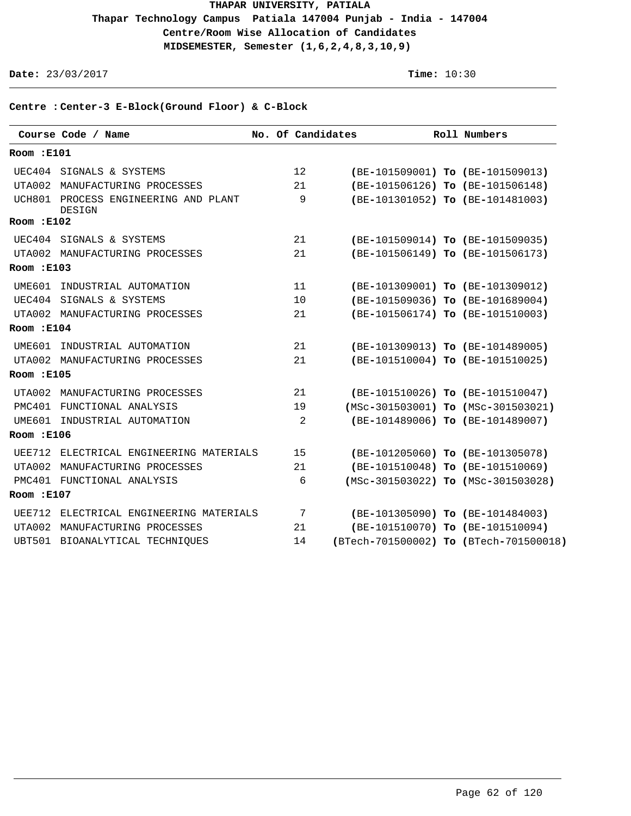**Thapar Technology Campus Patiala 147004 Punjab - India - 147004**

**Centre/Room Wise Allocation of Candidates**

**MIDSEMESTER, Semester (1,6,2,4,8,3,10,9)**

Date:  $23/03/2017$ 

**Time:** 10:30

**Centre : Center-3 E-Block(Ground Floor) & C-Block**

|             | Course Code / Name                             |  | No. Of Candidates |  | Roll Numbers                           |
|-------------|------------------------------------------------|--|-------------------|--|----------------------------------------|
| Room : E101 |                                                |  |                   |  |                                        |
| UEC404      | SIGNALS & SYSTEMS                              |  | 12                |  | (BE-101509001) To (BE-101509013)       |
| UTA002      | MANUFACTURING PROCESSES                        |  | 21                |  | (BE-101506126) To (BE-101506148)       |
|             | UCH801 PROCESS ENGINEERING AND PLANT<br>DESIGN |  | 9                 |  | (BE-101301052) To (BE-101481003)       |
| Room : E102 |                                                |  |                   |  |                                        |
| UEC404      | SIGNALS & SYSTEMS                              |  | 21                |  | $(BE-101509014)$ To $(BE-101509035)$   |
|             | UTA002 MANUFACTURING PROCESSES                 |  | 21                |  | $(BE-101506149)$ To $(BE-101506173)$   |
| Room : E103 |                                                |  |                   |  |                                        |
| UME601      | INDUSTRIAL AUTOMATION                          |  | 11                |  | $(BE-101309001)$ To $(BE-101309012)$   |
|             | UEC404 SIGNALS & SYSTEMS                       |  | 10                |  | $(BE-101509036)$ To $(BE-101689004)$   |
|             | UTA002 MANUFACTURING PROCESSES                 |  | 21                |  | $(BE-101506174)$ To $(BE-101510003)$   |
| Room : E104 |                                                |  |                   |  |                                        |
| UME601      | INDUSTRIAL AUTOMATION                          |  | 21                |  | $(BE-101309013)$ To $(BE-101489005)$   |
|             | UTA002 MANUFACTURING PROCESSES                 |  | 21                |  | $(BE-101510004)$ To $(BE-101510025)$   |
| Room : E105 |                                                |  |                   |  |                                        |
|             | UTA002 MANUFACTURING PROCESSES                 |  | 21                |  | (BE-101510026) To (BE-101510047)       |
|             | PMC401 FUNCTIONAL ANALYSIS                     |  | 19                |  | $(MSc-301503001)$ To $(MSc-301503021)$ |
| UME601      | INDUSTRIAL AUTOMATION                          |  | 2                 |  | $(BE-101489006)$ To $(BE-101489007)$   |
| Room : E106 |                                                |  |                   |  |                                        |
| UEE712      | ELECTRICAL ENGINEERING MATERIALS               |  | 15                |  | (BE-101205060) To (BE-101305078)       |
| UTA002      | MANUFACTURING PROCESSES                        |  | 21                |  | (BE-101510048) To (BE-101510069)       |
|             | PMC401 FUNCTIONAL ANALYSIS                     |  | 6                 |  | $(MSc-301503022)$ To $(MSc-301503028)$ |
| Room : E107 |                                                |  |                   |  |                                        |
| UEE712      | ELECTRICAL ENGINEERING MATERIALS               |  | 7                 |  | (BE-101305090) To (BE-101484003)       |
| UTA002      | MANUFACTURING PROCESSES                        |  | 21                |  | $(BE-101510070)$ To $(BE-101510094)$   |
|             | UBT501 BIOANALYTICAL TECHNIOUES                |  | 14                |  | (BTech-701500002) To (BTech-701500018) |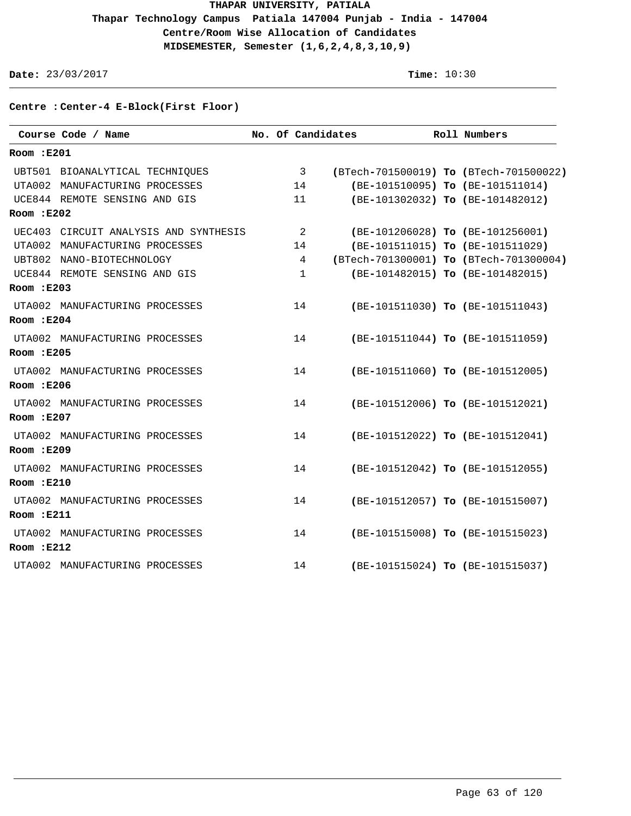**Thapar Technology Campus Patiala 147004 Punjab - India - 147004**

**Centre/Room Wise Allocation of Candidates**

**MIDSEMESTER, Semester (1,6,2,4,8,3,10,9)**

Date:  $23/03/2017$ 

**Time:** 10:30

#### **Centre : Center-4 E-Block(First Floor)**

|             | Course Code / Name                    |  |              | No. Of Candidates | Roll Numbers                           |
|-------------|---------------------------------------|--|--------------|-------------------|----------------------------------------|
| Room : E201 |                                       |  |              |                   |                                        |
|             | UBT501 BIOANALYTICAL TECHNIQUES       |  | 3            |                   | (BTech-701500019) To (BTech-701500022) |
|             | UTA002 MANUFACTURING PROCESSES        |  | 14           |                   | (BE-101510095) To (BE-101511014)       |
|             | UCE844 REMOTE SENSING AND GIS         |  | 11           |                   | $(BE-101302032)$ To $(BE-101482012)$   |
| Room : E202 |                                       |  |              |                   |                                        |
|             | UEC403 CIRCUIT ANALYSIS AND SYNTHESIS |  | 2            |                   | $(BE-101206028)$ To $(BE-101256001)$   |
|             | UTA002 MANUFACTURING PROCESSES        |  | 14           |                   | (BE-101511015) To (BE-101511029)       |
|             | UBT802 NANO-BIOTECHNOLOGY             |  | 4            |                   | (BTech-701300001) To (BTech-701300004) |
|             | UCE844 REMOTE SENSING AND GIS         |  | $\mathbf{1}$ |                   | (BE-101482015) To (BE-101482015)       |
| Room : E203 |                                       |  |              |                   |                                        |
|             | UTA002 MANUFACTURING PROCESSES        |  | 14           |                   | $(BE-101511030)$ To $(BE-101511043)$   |
| Room : E204 |                                       |  |              |                   |                                        |
|             | UTA002 MANUFACTURING PROCESSES        |  | 14           |                   | $(BE-101511044)$ To $(BE-101511059)$   |
| Room : E205 |                                       |  |              |                   |                                        |
|             | UTA002 MANUFACTURING PROCESSES        |  | 14           |                   | (BE-101511060) To (BE-101512005)       |
| Room : E206 |                                       |  |              |                   |                                        |
|             | UTA002 MANUFACTURING PROCESSES        |  | 14           |                   | (BE-101512006) To (BE-101512021)       |
| Room : E207 |                                       |  |              |                   |                                        |
|             | UTA002 MANUFACTURING PROCESSES        |  | 14           |                   | (BE-101512022) To (BE-101512041)       |
| Room : E209 |                                       |  |              |                   |                                        |
|             | UTA002 MANUFACTURING PROCESSES        |  | 14           |                   | (BE-101512042) To (BE-101512055)       |
| Room : E210 |                                       |  |              |                   |                                        |
|             | UTA002 MANUFACTURING PROCESSES        |  | 14           |                   | (BE-101512057) To (BE-101515007)       |
| Room : E211 |                                       |  |              |                   |                                        |
|             | UTA002 MANUFACTURING PROCESSES        |  | 14           |                   | (BE-101515008) To (BE-101515023)       |
| Room : E212 |                                       |  |              |                   |                                        |
|             | UTA002 MANUFACTURING PROCESSES        |  | 14           |                   | (BE-101515024) To (BE-101515037)       |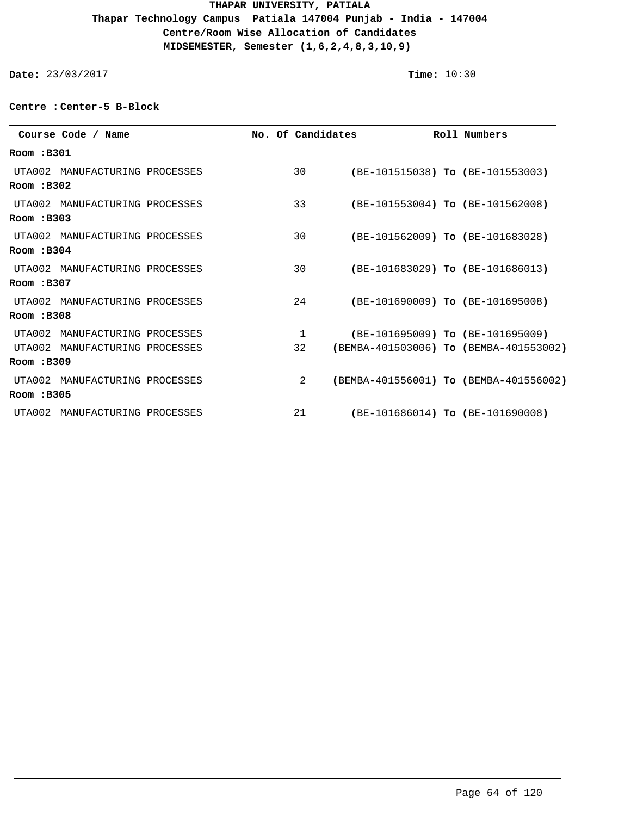# **Centre/Room Wise Allocation of Candidates Thapar Technology Campus Patiala 147004 Punjab - India - 147004**

**MIDSEMESTER, Semester (1,6,2,4,8,3,10,9)**

Date:  $23/03/2017$ 

**Time:** 10:30

**Centre : Center-5 B-Block**

|             | Course Code / Name             |  |              | No. Of Candidates | Roll Numbers                           |
|-------------|--------------------------------|--|--------------|-------------------|----------------------------------------|
| Room : B301 |                                |  |              |                   |                                        |
|             | UTA002 MANUFACTURING PROCESSES |  | 30           |                   | $(BE-101515038)$ To $(BE-101553003)$   |
| Room : B302 |                                |  |              |                   |                                        |
|             | UTA002 MANUFACTURING PROCESSES |  | 33           |                   | $(BE-101553004)$ To $(BE-101562008)$   |
| Room : B303 |                                |  |              |                   |                                        |
|             | UTA002 MANUFACTURING PROCESSES |  | 30           |                   | $(BE-101562009)$ To $(BE-101683028)$   |
| Room : B304 |                                |  |              |                   |                                        |
|             | UTA002 MANUFACTURING PROCESSES |  | 30           |                   | $(BE-101683029)$ To $(BE-101686013)$   |
| Room : B307 |                                |  |              |                   |                                        |
|             | UTA002 MANUFACTURING PROCESSES |  | 24           |                   | $(BE-101690009)$ To $(BE-101695008)$   |
| Room : B308 |                                |  |              |                   |                                        |
|             | UTA002 MANUFACTURING PROCESSES |  | $\mathbf{1}$ |                   | $(BE-101695009)$ To $(BE-101695009)$   |
|             | UTA002 MANUFACTURING PROCESSES |  | 32           |                   | (BEMBA-401503006) To (BEMBA-401553002) |
| Room : B309 |                                |  |              |                   |                                        |
|             | UTA002 MANUFACTURING PROCESSES |  | 2            |                   | (BEMBA-401556001) To (BEMBA-401556002) |
| Room : B305 |                                |  |              |                   |                                        |
|             | UTA002 MANUFACTURING PROCESSES |  | 21           |                   | $(BE-101686014)$ To $(BE-101690008)$   |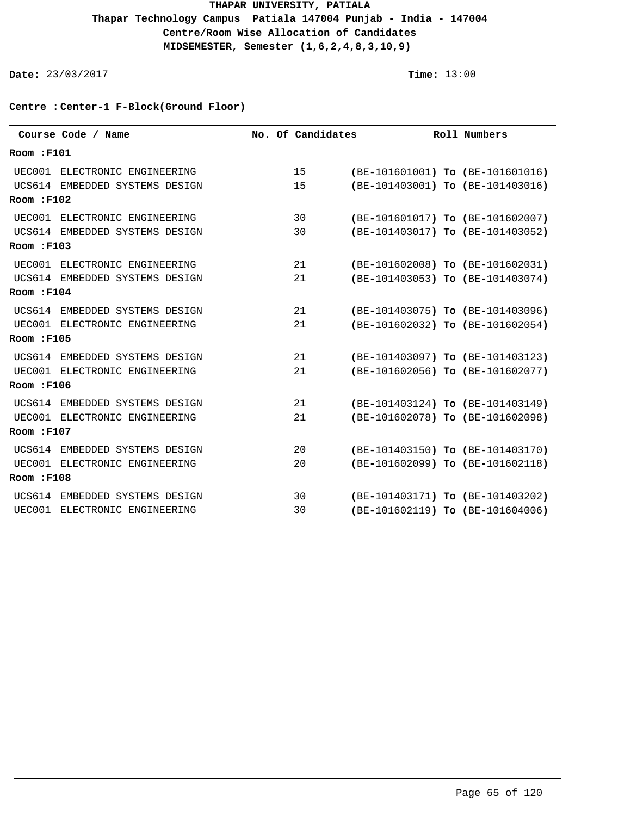**Thapar Technology Campus Patiala 147004 Punjab - India - 147004**

**Centre/Room Wise Allocation of Candidates**

**MIDSEMESTER, Semester (1,6,2,4,8,3,10,9)**

Date:  $23/03/2017$ 

**Time:** 13:00

|             | Course Code / Name             | No. Of Candidates |  | Roll Numbers                         |
|-------------|--------------------------------|-------------------|--|--------------------------------------|
| Room : F101 |                                |                   |  |                                      |
| UEC001      | ELECTRONIC ENGINEERING         | 15                |  | $(BE-101601001)$ To $(BE-101601016)$ |
|             | UCS614 EMBEDDED SYSTEMS DESIGN | 15                |  | $(BE-101403001)$ To $(BE-101403016)$ |
| Room : F102 |                                |                   |  |                                      |
| UEC001      | ELECTRONIC ENGINEERING         | 30                |  | $(BE-101601017)$ To $(BE-101602007)$ |
|             | UCS614 EMBEDDED SYSTEMS DESIGN | 30                |  | (BE-101403017) To (BE-101403052)     |
| Room : F103 |                                |                   |  |                                      |
| UEC001      | ELECTRONIC ENGINEERING         | 21                |  | $(BE-101602008)$ To $(BE-101602031)$ |
|             | UCS614 EMBEDDED SYSTEMS DESIGN | 21                |  | $(BE-101403053)$ To $(BE-101403074)$ |
| Room : F104 |                                |                   |  |                                      |
| UCS614      | EMBEDDED SYSTEMS DESIGN        | 21                |  | $(BE-101403075)$ To $(BE-101403096)$ |
|             | UEC001 ELECTRONIC ENGINEERING  | 21                |  | $(BE-101602032)$ To $(BE-101602054)$ |
| Room : F105 |                                |                   |  |                                      |
| UCS614      | EMBEDDED SYSTEMS DESIGN        | 21                |  | $(BE-101403097)$ To $(BE-101403123)$ |
|             | UEC001 ELECTRONIC ENGINEERING  | 21                |  | $(BE-101602056)$ To $(BE-101602077)$ |
| Room : F106 |                                |                   |  |                                      |
|             | UCS614 EMBEDDED SYSTEMS DESIGN | 21                |  | $(BE-101403124)$ To $(BE-101403149)$ |
|             | UEC001 ELECTRONIC ENGINEERING  | 21                |  | $(BE-101602078)$ To $(BE-101602098)$ |
| Room : F107 |                                |                   |  |                                      |
| UCS614      | EMBEDDED SYSTEMS DESIGN        | 20                |  | (BE-101403150) To (BE-101403170)     |
|             | UEC001 ELECTRONIC ENGINEERING  | 20                |  | $(BE-101602099)$ To $(BE-101602118)$ |
| Room : F108 |                                |                   |  |                                      |
| UCS614      | EMBEDDED SYSTEMS DESIGN        | 30                |  | (BE-101403171) To (BE-101403202)     |
| UEC001      | ELECTRONIC ENGINEERING         | 30                |  | $(BE-101602119)$ To $(BE-101604006)$ |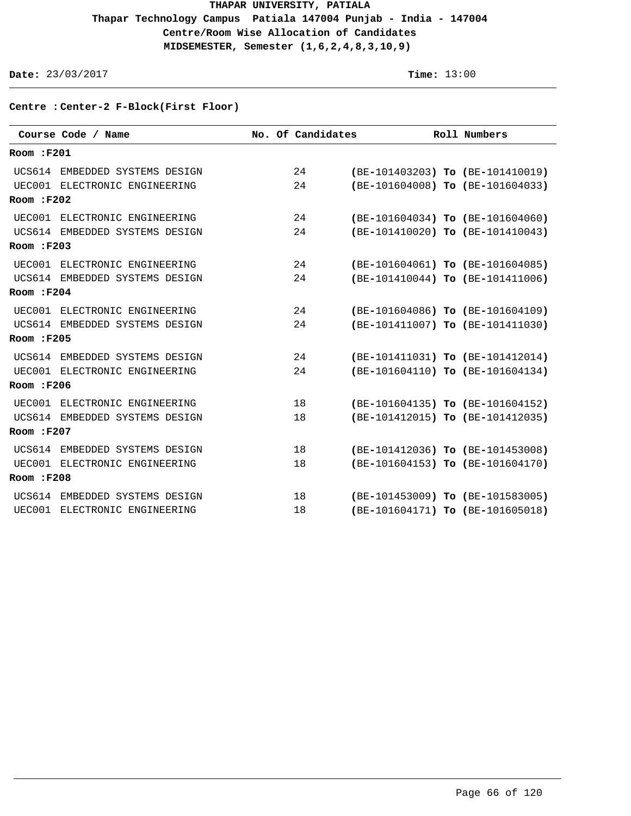**Thapar Technology Campus Patiala 147004 Punjab - India - 147004**

**Centre/Room Wise Allocation of Candidates**

**MIDSEMESTER, Semester (1,6,2,4,8,3,10,9)**

Date:  $23/03/2017$ 

**Time:** 13:00

#### **Centre : Center-2 F-Block(First Floor)**

|             | Course Code / Name             | No. Of Candidates |    |  | Roll Numbers                         |
|-------------|--------------------------------|-------------------|----|--|--------------------------------------|
| Room : F201 |                                |                   |    |  |                                      |
|             | UCS614 EMBEDDED SYSTEMS DESIGN |                   | 24 |  | $(BE-101403203)$ To $(BE-101410019)$ |
|             | UEC001 ELECTRONIC ENGINEERING  |                   | 24 |  | $(BE-101604008)$ To $(BE-101604033)$ |
| Room : F202 |                                |                   |    |  |                                      |
| UEC001      | ELECTRONIC ENGINEERING         |                   | 24 |  | $(BE-101604034)$ To $(BE-101604060)$ |
|             | UCS614 EMBEDDED SYSTEMS DESIGN |                   | 24 |  | $(BE-101410020)$ To $(BE-101410043)$ |
| Room : F203 |                                |                   |    |  |                                      |
| UEC001      | ELECTRONIC ENGINEERING         |                   | 24 |  | $(BE-101604061)$ To $(BE-101604085)$ |
|             | UCS614 EMBEDDED SYSTEMS DESIGN |                   | 24 |  | $(BE-101410044)$ To $(BE-101411006)$ |
| Room : F204 |                                |                   |    |  |                                      |
|             | UEC001 ELECTRONIC ENGINEERING  |                   | 24 |  | $(BE-101604086)$ To $(BE-101604109)$ |
|             | UCS614 EMBEDDED SYSTEMS DESIGN |                   | 24 |  | (BE-101411007) To (BE-101411030)     |
| Room : F205 |                                |                   |    |  |                                      |
| UCS614      | EMBEDDED SYSTEMS DESIGN        |                   | 24 |  | $(BE-101411031)$ To $(BE-101412014)$ |
|             | UEC001 ELECTRONIC ENGINEERING  |                   | 24 |  | $(BE-101604110)$ To $(BE-101604134)$ |
| Room : F206 |                                |                   |    |  |                                      |
|             | UEC001 ELECTRONIC ENGINEERING  |                   | 18 |  | $(BE-101604135)$ To $(BE-101604152)$ |
|             | UCS614 EMBEDDED SYSTEMS DESIGN |                   | 18 |  | (BE-101412015) To (BE-101412035)     |
| Room : F207 |                                |                   |    |  |                                      |
| UCS614      | EMBEDDED SYSTEMS DESIGN        |                   | 18 |  | $(BE-101412036)$ To $(BE-101453008)$ |
|             | UEC001 ELECTRONIC ENGINEERING  |                   | 18 |  | $(BE-101604153)$ To $(BE-101604170)$ |
| Room : F208 |                                |                   |    |  |                                      |
| UCS614      | EMBEDDED SYSTEMS DESIGN        |                   | 18 |  | (BE-101453009) To (BE-101583005)     |
|             | UEC001 ELECTRONIC ENGINEERING  |                   | 18 |  | (BE-101604171) To (BE-101605018)     |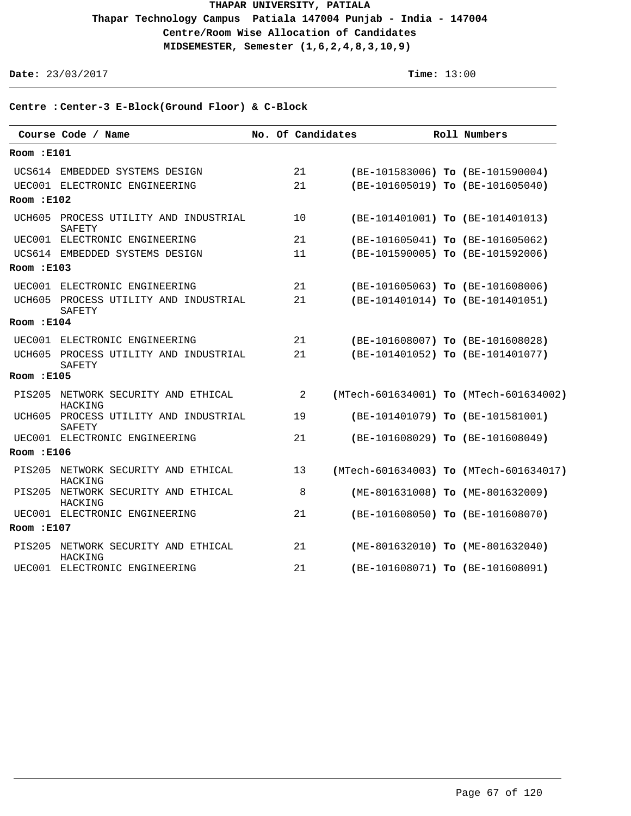**Thapar Technology Campus Patiala 147004 Punjab - India - 147004**

**Centre/Room Wise Allocation of Candidates**

**MIDSEMESTER, Semester (1,6,2,4,8,3,10,9)**

Date:  $23/03/2017$ 

**Time:** 13:00

**Centre : Center-3 E-Block(Ground Floor) & C-Block**

|             | Course Code / Name                              |  | No. Of Candidates |  | Roll Numbers                           |
|-------------|-------------------------------------------------|--|-------------------|--|----------------------------------------|
| Room: E101  |                                                 |  |                   |  |                                        |
|             | UCS614 EMBEDDED SYSTEMS DESIGN                  |  | 21                |  | $(BE-101583006)$ To $(BE-101590004)$   |
|             | UEC001 ELECTRONIC ENGINEERING                   |  | 21                |  | $(BE-101605019)$ To $(BE-101605040)$   |
| Room:E102   |                                                 |  |                   |  |                                        |
|             | UCH605 PROCESS UTILITY AND INDUSTRIAL<br>SAFETY |  | 10                |  | $(BE-101401001)$ To $(BE-101401013)$   |
|             | UEC001 ELECTRONIC ENGINEERING                   |  | 21                |  | $(BE-101605041)$ To $(BE-101605062)$   |
|             | UCS614 EMBEDDED SYSTEMS DESIGN                  |  | 11                |  | $(BE-101590005)$ To $(BE-101592006)$   |
| Room : E103 |                                                 |  |                   |  |                                        |
|             | UEC001 ELECTRONIC ENGINEERING                   |  | 21                |  | $(BE-101605063)$ To $(BE-101608006)$   |
| UCH605      | PROCESS UTILITY AND INDUSTRIAL<br><b>SAFETY</b> |  | 21                |  | $(BE-101401014)$ To $(BE-101401051)$   |
| Room : E104 |                                                 |  |                   |  |                                        |
|             | UEC001 ELECTRONIC ENGINEERING                   |  | 21                |  | $(BE-101608007)$ To $(BE-101608028)$   |
|             | UCH605 PROCESS UTILITY AND INDUSTRIAL<br>SAFETY |  | 21                |  | (BE-101401052) To (BE-101401077)       |
| Room : E105 |                                                 |  |                   |  |                                        |
|             | PIS205 NETWORK SECURITY AND ETHICAL<br>HACKING  |  | 2                 |  | (MTech-601634001) To (MTech-601634002) |
|             | UCH605 PROCESS UTILITY AND INDUSTRIAL<br>SAFETY |  | 19                |  | $(BE-101401079)$ To $(BE-101581001)$   |
|             | UEC001 ELECTRONIC ENGINEERING                   |  | 21                |  | $(BE-101608029)$ To $(BE-101608049)$   |
| Room : E106 |                                                 |  |                   |  |                                        |
| PIS205      | NETWORK SECURITY AND ETHICAL<br>HACKING         |  | 13                |  | (MTech-601634003) To (MTech-601634017) |
| PIS205      | NETWORK SECURITY AND ETHICAL<br>HACKING         |  | 8                 |  | $(ME-801631008)$ To $(ME-801632009)$   |
|             | UEC001 ELECTRONIC ENGINEERING                   |  | 21                |  | $(BE-101608050)$ To $(BE-101608070)$   |
| Room : E107 |                                                 |  |                   |  |                                        |
|             | PIS205 NETWORK SECURITY AND ETHICAL<br>HACKING  |  | 21                |  | $(ME-801632010)$ To $(ME-801632040)$   |
|             | UEC001 ELECTRONIC ENGINEERING                   |  | 21                |  | $(BE-101608071)$ To $(BE-101608091)$   |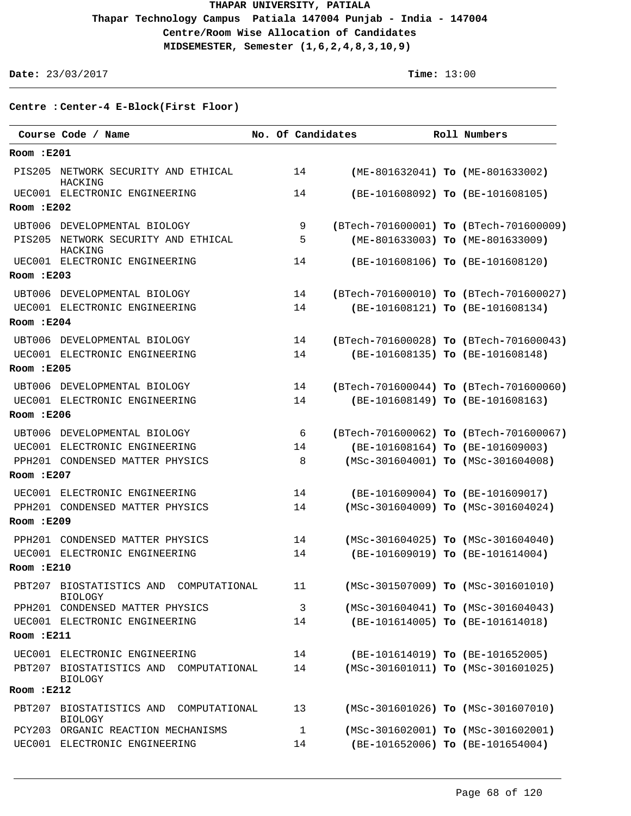**Centre/Room Wise Allocation of Candidates Thapar Technology Campus Patiala 147004 Punjab - India - 147004**

**MIDSEMESTER, Semester (1,6,2,4,8,3,10,9)**

Date:  $23/03/2017$ 

**Time:** 13:00

**Centre : Center-4 E-Block(First Floor)**

|             | Course Code / Name                                          |  | No. Of Candidates |  | Roll Numbers                           |
|-------------|-------------------------------------------------------------|--|-------------------|--|----------------------------------------|
| Room : E201 |                                                             |  |                   |  |                                        |
|             | PIS205 NETWORK SECURITY AND ETHICAL<br>HACKING              |  | 14                |  | $(ME-801632041)$ To $(ME-801633002)$   |
|             | UEC001 ELECTRONIC ENGINEERING                               |  | 14                |  | $(BE-101608092)$ To $(BE-101608105)$   |
| Room : E202 |                                                             |  |                   |  |                                        |
|             | UBT006 DEVELOPMENTAL BIOLOGY                                |  | 9                 |  | (BTech-701600001) To (BTech-701600009) |
|             | PIS205 NETWORK SECURITY AND ETHICAL<br>HACKING              |  | 5                 |  | $(ME-801633003)$ To $(ME-801633009)$   |
|             | UEC001 ELECTRONIC ENGINEERING                               |  | 14                |  | (BE-101608106) To (BE-101608120)       |
| Room : E203 |                                                             |  |                   |  |                                        |
|             | UBT006 DEVELOPMENTAL BIOLOGY                                |  | 14                |  | (BTech-701600010) To (BTech-701600027) |
|             | UEC001 ELECTRONIC ENGINEERING                               |  | 14                |  | $(BE-101608121)$ To $(BE-101608134)$   |
| Room : E204 |                                                             |  |                   |  |                                        |
|             | UBT006 DEVELOPMENTAL BIOLOGY                                |  | 14                |  | (BTech-701600028) To (BTech-701600043) |
|             | UEC001 ELECTRONIC ENGINEERING                               |  | 14                |  | $(BE-101608135)$ To $(BE-101608148)$   |
| Room : E205 |                                                             |  |                   |  |                                        |
|             | UBT006 DEVELOPMENTAL BIOLOGY                                |  | 14                |  | (BTech-701600044) To (BTech-701600060) |
|             | UEC001 ELECTRONIC ENGINEERING                               |  | 14                |  | $(BE-101608149)$ To $(BE-101608163)$   |
| Room : E206 |                                                             |  |                   |  |                                        |
|             | UBT006 DEVELOPMENTAL BIOLOGY                                |  | 6                 |  | (BTech-701600062) To (BTech-701600067) |
|             | UEC001 ELECTRONIC ENGINEERING                               |  | 14                |  | $(BE-101608164)$ To $(BE-101609003)$   |
|             | PPH201 CONDENSED MATTER PHYSICS                             |  | 8                 |  | $(MSc-301604001)$ To $(MSc-301604008)$ |
| Room : E207 |                                                             |  |                   |  |                                        |
|             | UEC001 ELECTRONIC ENGINEERING                               |  | 14                |  | $(BE-101609004)$ To $(BE-101609017)$   |
|             | PPH201 CONDENSED MATTER PHYSICS                             |  | 14                |  | $(MSc-301604009)$ To $(MSc-301604024)$ |
| Room : E209 |                                                             |  |                   |  |                                        |
|             | PPH201 CONDENSED MATTER PHYSICS                             |  | 14                |  | $(MSc-301604025)$ To $(MSc-301604040)$ |
|             | UEC001 ELECTRONIC ENGINEERING                               |  | 14                |  | $(BE-101609019)$ To $(BE-101614004)$   |
| Room : E210 |                                                             |  |                   |  |                                        |
|             | PBT207 BIOSTATISTICS AND COMPUTATIONAL<br><b>BIOLOGY</b>    |  | 11                |  | (MSc-301507009) To (MSc-301601010)     |
|             | PPH201 CONDENSED MATTER PHYSICS                             |  | 3                 |  | $(MSc-301604041)$ To $(MSc-301604043)$ |
|             | UEC001 ELECTRONIC ENGINEERING                               |  | 14                |  | (BE-101614005) To (BE-101614018)       |
| Room :E211  |                                                             |  |                   |  |                                        |
|             | UEC001 ELECTRONIC ENGINEERING                               |  | 14                |  | $(BE-101614019)$ To $(BE-101652005)$   |
|             | PBT207 BIOSTATISTICS AND COMPUTATIONAL<br><b>BIOLOGY</b>    |  | 14                |  | $(MSc-301601011)$ To $(MSc-301601025)$ |
| Room:E212   |                                                             |  |                   |  |                                        |
|             | PBT207 BIOSTATISTICS AND<br>COMPUTATIONAL<br><b>BIOLOGY</b> |  | 13                |  | $(MSc-301601026)$ To $(MSc-301607010)$ |
|             | PCY203 ORGANIC REACTION MECHANISMS                          |  | 1                 |  | $(MSc-301602001)$ To $(MSc-301602001)$ |
|             | UEC001 ELECTRONIC ENGINEERING                               |  | 14                |  | $(BE-101652006)$ To $(BE-101654004)$   |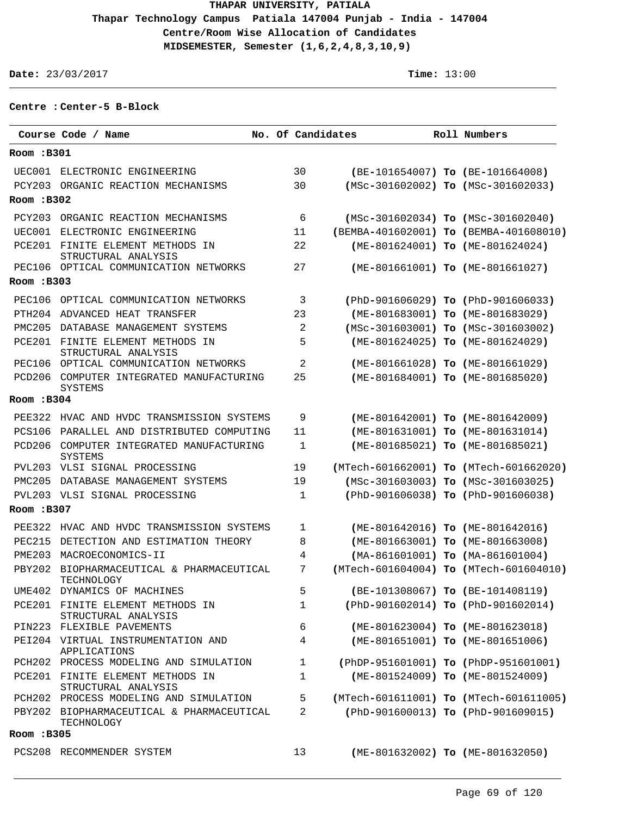**Thapar Technology Campus Patiala 147004 Punjab - India - 147004**

**Centre/Room Wise Allocation of Candidates**

**MIDSEMESTER, Semester (1,6,2,4,8,3,10,9)**

Date:  $23/03/2017$ 

**Time:** 13:00

#### **Centre : Center-5 B-Block**

|               | Course Code / Name |                                                              |  |              | No. Of Candidates |  | Roll Numbers                           |
|---------------|--------------------|--------------------------------------------------------------|--|--------------|-------------------|--|----------------------------------------|
| Room :B301    |                    |                                                              |  |              |                   |  |                                        |
| UEC001        |                    | ELECTRONIC ENGINEERING                                       |  | 30           |                   |  | (BE-101654007) To (BE-101664008)       |
| PCY203        |                    | ORGANIC REACTION MECHANISMS                                  |  | 30           |                   |  | $(MSc-301602002)$ To $(MSc-301602033)$ |
| Room:B302     |                    |                                                              |  |              |                   |  |                                        |
| PCY203        |                    | ORGANIC REACTION MECHANISMS                                  |  | 6            |                   |  | $(MSc-301602034)$ To $(MSc-301602040)$ |
| UEC001        |                    | ELECTRONIC ENGINEERING                                       |  | 11           |                   |  | (BEMBA-401602001) To (BEMBA-401608010) |
| PCE201        |                    | FINITE ELEMENT METHODS IN                                    |  | 22           |                   |  | $(ME-801624001)$ To $(ME-801624024)$   |
|               |                    | STRUCTURAL ANALYSIS<br>PEC106 OPTICAL COMMUNICATION NETWORKS |  | 27           |                   |  |                                        |
| Room:B303     |                    |                                                              |  |              |                   |  | (ME-801661001) To (ME-801661027)       |
|               |                    |                                                              |  |              |                   |  |                                        |
| PEC106        |                    | OPTICAL COMMUNICATION NETWORKS                               |  | 3            |                   |  | (PhD-901606029) To (PhD-901606033)     |
| PTH204        |                    | ADVANCED HEAT TRANSFER                                       |  | 23           |                   |  | (ME-801683001) To (ME-801683029)       |
| <b>PMC205</b> |                    | DATABASE MANAGEMENT SYSTEMS                                  |  | 2            |                   |  | $(MSc-301603001)$ To $(MSc-301603002)$ |
| PCE201        |                    | FINITE ELEMENT METHODS IN<br>STRUCTURAL ANALYSIS             |  | 5            |                   |  | $(ME-801624025)$ To $(ME-801624029)$   |
| PEC106        |                    | OPTICAL COMMUNICATION NETWORKS                               |  | 2            |                   |  | (ME-801661028) To (ME-801661029)       |
| PCD206        |                    | COMPUTER INTEGRATED MANUFACTURING                            |  | 25           |                   |  | (ME-801684001) To (ME-801685020)       |
| Room:B304     | SYSTEMS            |                                                              |  |              |                   |  |                                        |
| PEE322        |                    | HVAC AND HVDC TRANSMISSION SYSTEMS                           |  | 9            |                   |  | (ME-801642001) To (ME-801642009)       |
| PCS106        |                    | PARALLEL AND DISTRIBUTED COMPUTING                           |  | 11           |                   |  | (ME-801631001) To (ME-801631014)       |
| PCD206        | SYSTEMS            | COMPUTER INTEGRATED MANUFACTURING                            |  | 1            |                   |  | $(ME-801685021)$ To $(ME-801685021)$   |
|               |                    | PVL203 VLSI SIGNAL PROCESSING                                |  | 19           |                   |  | (MTech-601662001) To (MTech-601662020) |
| PMC205        |                    | DATABASE MANAGEMENT SYSTEMS                                  |  | 19           |                   |  | $(MSc-301603003)$ To $(MSc-301603025)$ |
|               |                    | PVL203 VLSI SIGNAL PROCESSING                                |  | 1            |                   |  | $(PhD-901606038)$ To $(PhD-901606038)$ |
| Room :B307    |                    |                                                              |  |              |                   |  |                                        |
| <b>PEE322</b> |                    | HVAC AND HVDC TRANSMISSION SYSTEMS                           |  | 1            |                   |  | (ME-801642016) To (ME-801642016)       |
| <b>PEC215</b> |                    | DETECTION AND ESTIMATION THEORY                              |  | 8            |                   |  | (ME-801663001) To (ME-801663008)       |
| <b>PME203</b> |                    | MACROECONOMICS-II                                            |  | 4            |                   |  | (MA-861601001) To (MA-861601004)       |
| PBY202        | TECHNOLOGY         | BIOPHARMACEUTICAL & PHARMACEUTICAL                           |  | 7            |                   |  | (MTech-601604004) To (MTech-601604010) |
|               |                    | UME402 DYNAMICS OF MACHINES                                  |  | 5            |                   |  | (BE-101308067) To (BE-101408119)       |
|               |                    | PCE201 FINITE ELEMENT METHODS IN<br>STRUCTURAL ANALYSIS      |  | $\mathbf{1}$ |                   |  | $(PhD-901602014)$ To $(PhD-901602014)$ |
|               |                    | PIN223 FLEXIBLE PAVEMENTS                                    |  | 6            |                   |  | $(ME-801623004)$ To $(ME-801623018)$   |
|               | APPLICATIONS       | PEI204 VIRTUAL INSTRUMENTATION AND                           |  | 4            |                   |  | $(ME-801651001)$ To $(ME-801651006)$   |
|               |                    | PCH202 PROCESS MODELING AND SIMULATION                       |  | $\mathbf{1}$ |                   |  | (PhDP-951601001) To (PhDP-951601001)   |
|               |                    | PCE201 FINITE ELEMENT METHODS IN<br>STRUCTURAL ANALYSIS      |  | $\mathbf{1}$ |                   |  | $(ME-801524009)$ To $(ME-801524009)$   |
|               |                    | PCH202 PROCESS MODELING AND SIMULATION                       |  | 5            |                   |  | (MTech-601611001) To (MTech-601611005) |
|               | TECHNOLOGY         | PBY202 BIOPHARMACEUTICAL & PHARMACEUTICAL                    |  | 2            |                   |  | $(PhD-901600013)$ To $(PhD-901609015)$ |
| Room :B305    |                    |                                                              |  |              |                   |  |                                        |
|               |                    | PCS208 RECOMMENDER SYSTEM                                    |  | 13           |                   |  | $(ME-801632002)$ To $(ME-801632050)$   |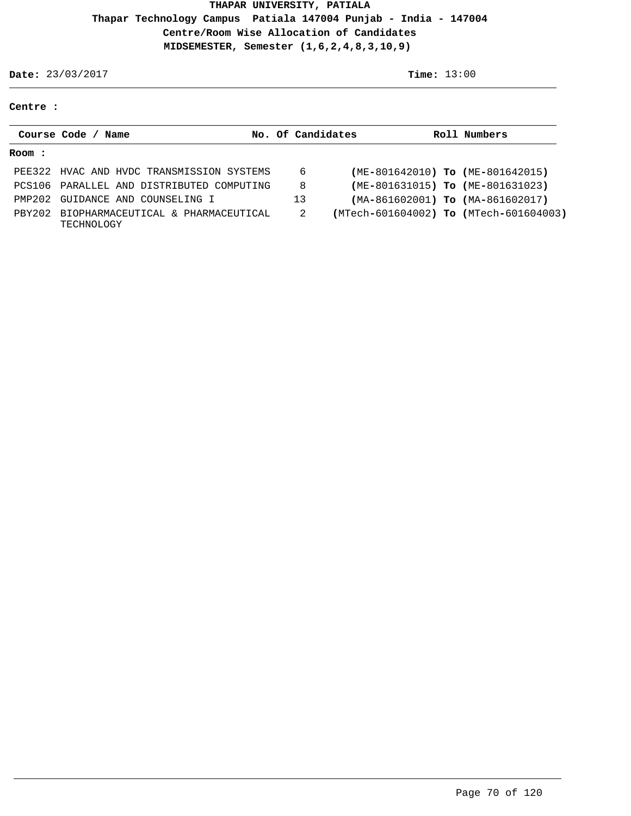**Thapar Technology Campus Patiala 147004 Punjab - India - 147004**

**Centre/Room Wise Allocation of Candidates**

**MIDSEMESTER, Semester (1,6,2,4,8,3,10,9)**

Date:  $23/03/2017$ 

**Time:** 13:00

# **Centre :**

| Course Code / |            | Name                                      |  | No. Of Candidates |  | Roll Numbers                                 |
|---------------|------------|-------------------------------------------|--|-------------------|--|----------------------------------------------|
| Room :        |            |                                           |  |                   |  |                                              |
|               |            | PEE322 HVAC AND HVDC TRANSMISSION SYSTEMS |  | 6                 |  | $(ME-801642010)$ To $(ME-801642015)$         |
|               |            | PCS106 PARALLEL AND DISTRIBUTED COMPUTING |  | 8                 |  | $(ME-801631015)$ To $(ME-801631023)$         |
| PMP202        |            | GUIDANCE AND COUNSELING I                 |  | 13                |  | $(MA-861602001)$ To $(MA-861602017)$         |
|               | TECHNOLOGY | PBY202 BIOPHARMACEUTICAL & PHARMACEUTICAL |  | 2                 |  | $(MTechn-601604002)$ To $(MTechn-601604003)$ |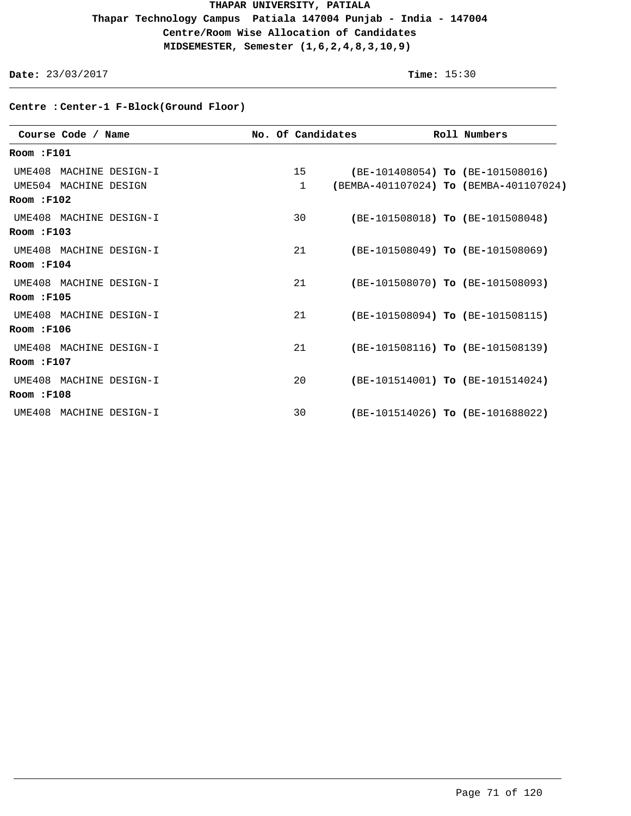**Centre/Room Wise Allocation of Candidates Thapar Technology Campus Patiala 147004 Punjab - India - 147004**

**MIDSEMESTER, Semester (1,6,2,4,8,3,10,9)**

Date:  $23/03/2017$ 

**Time:** 15:30

|             |                                                                                                                                                                                                                                                              |              |          |                   | Roll Numbers                                                                                                                                                                                                                                                                                                                                                           |
|-------------|--------------------------------------------------------------------------------------------------------------------------------------------------------------------------------------------------------------------------------------------------------------|--------------|----------|-------------------|------------------------------------------------------------------------------------------------------------------------------------------------------------------------------------------------------------------------------------------------------------------------------------------------------------------------------------------------------------------------|
| Room : F101 |                                                                                                                                                                                                                                                              |              |          |                   |                                                                                                                                                                                                                                                                                                                                                                        |
|             |                                                                                                                                                                                                                                                              | 15           |          |                   |                                                                                                                                                                                                                                                                                                                                                                        |
|             |                                                                                                                                                                                                                                                              | $\mathbf{1}$ |          |                   |                                                                                                                                                                                                                                                                                                                                                                        |
| Room : F102 |                                                                                                                                                                                                                                                              |              |          |                   |                                                                                                                                                                                                                                                                                                                                                                        |
|             |                                                                                                                                                                                                                                                              | 30           |          |                   |                                                                                                                                                                                                                                                                                                                                                                        |
| Room : F103 |                                                                                                                                                                                                                                                              |              |          |                   |                                                                                                                                                                                                                                                                                                                                                                        |
|             |                                                                                                                                                                                                                                                              | 21           |          |                   |                                                                                                                                                                                                                                                                                                                                                                        |
| Room : F104 |                                                                                                                                                                                                                                                              |              |          |                   |                                                                                                                                                                                                                                                                                                                                                                        |
|             |                                                                                                                                                                                                                                                              | 21           |          |                   |                                                                                                                                                                                                                                                                                                                                                                        |
| Room : F105 |                                                                                                                                                                                                                                                              |              |          |                   |                                                                                                                                                                                                                                                                                                                                                                        |
|             |                                                                                                                                                                                                                                                              | 21           |          |                   |                                                                                                                                                                                                                                                                                                                                                                        |
| Room : F106 |                                                                                                                                                                                                                                                              |              |          |                   |                                                                                                                                                                                                                                                                                                                                                                        |
|             |                                                                                                                                                                                                                                                              | 21           |          |                   |                                                                                                                                                                                                                                                                                                                                                                        |
| Room : F107 |                                                                                                                                                                                                                                                              |              |          |                   |                                                                                                                                                                                                                                                                                                                                                                        |
|             |                                                                                                                                                                                                                                                              |              |          |                   |                                                                                                                                                                                                                                                                                                                                                                        |
| Room : F108 |                                                                                                                                                                                                                                                              |              |          |                   |                                                                                                                                                                                                                                                                                                                                                                        |
|             |                                                                                                                                                                                                                                                              |              |          |                   |                                                                                                                                                                                                                                                                                                                                                                        |
|             | Course Code / Name<br>MACHINE DESIGN-I<br>UME504 MACHINE DESIGN<br>UME408 MACHINE DESIGN-I<br>UME408 MACHINE DESIGN-I<br>UME408 MACHINE DESIGN-I<br>UME408 MACHINE DESIGN-I<br>UME408 MACHINE DESIGN-I<br>UME408 MACHINE DESIGN-I<br>UME408 MACHINE DESIGN-I |              | 20<br>30 | No. Of Candidates | $(BE-101408054)$ To $(BE-101508016)$<br>(BEMBA-401107024) To (BEMBA-401107024)<br>$(BE-101508018)$ To $(BE-101508048)$<br>$(BE-101508049)$ To $(BE-101508069)$<br>$(BE-101508070)$ To $(BE-101508093)$<br>$(BE-101508094)$ To $(BE-101508115)$<br>$(BE-101508116)$ To $(BE-101508139)$<br>$(BE-101514001)$ To $(BE-101514024)$<br>$(BE-101514026)$ To $(BE-101688022)$ |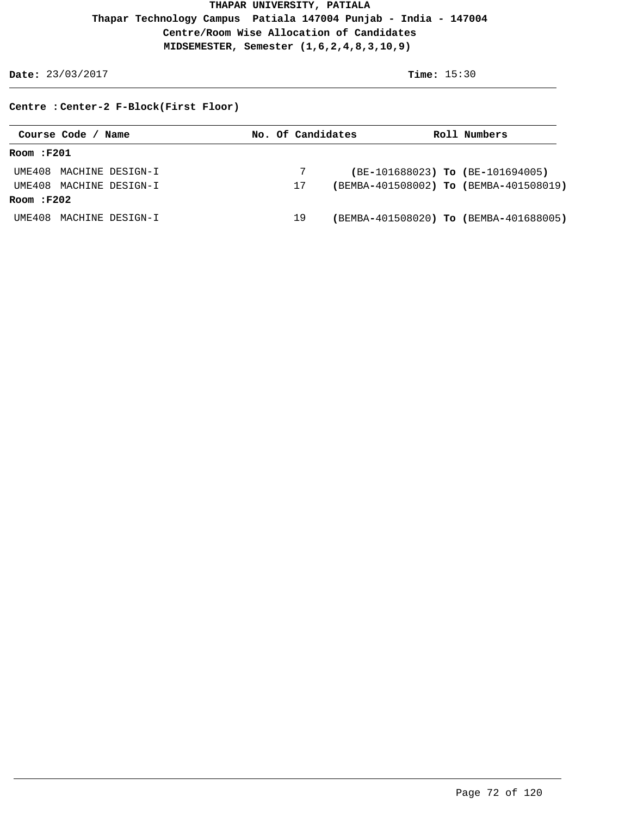# **THAPAR UNIVERSITY, PATIALA Centre/Room Wise Allocation of Candidates Thapar Technology Campus Patiala 147004 Punjab - India - 147004 MIDSEMESTER, Semester (1,6,2,4,8,3,10,9)**

Date: 23/03/2017

**Time:** 15:30

**Centre : Center-2 F-Block(First Floor)**

|             | Course Code / Name |                         |  | No. Of Candidates |  | Roll Numbers                           |
|-------------|--------------------|-------------------------|--|-------------------|--|----------------------------------------|
| Room : F201 |                    |                         |  |                   |  |                                        |
|             |                    | UME408 MACHINE DESIGN-I |  |                   |  | $(BE-101688023)$ To $(BE-101694005)$   |
|             |                    | UME408 MACHINE DESIGN-I |  | 17                |  | (BEMBA-401508002) To (BEMBA-401508019) |
| Room : F202 |                    |                         |  |                   |  |                                        |
| TIME408     |                    | MACHINE DESIGN-I        |  | 19                |  | (BEMBA-401508020) To (BEMBA-401688005) |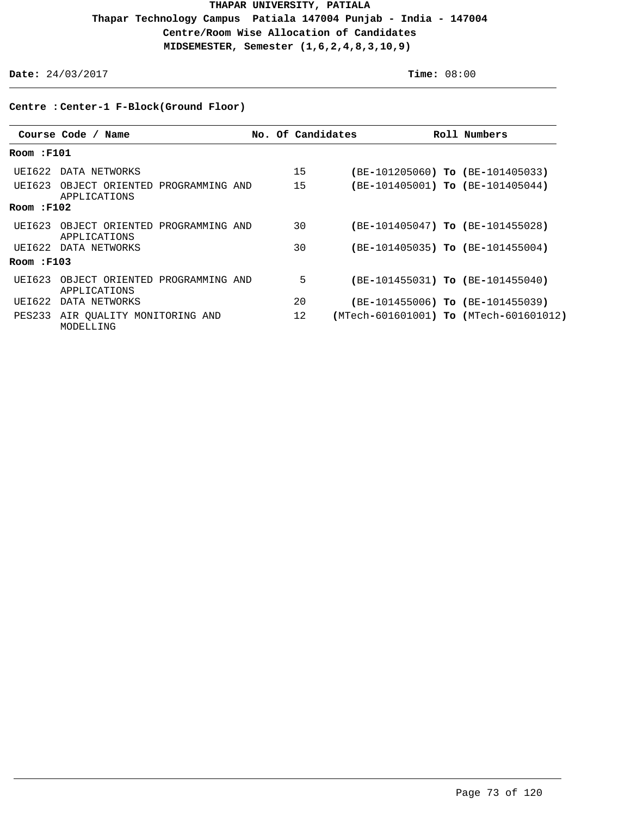**Thapar Technology Campus Patiala 147004 Punjab - India - 147004**

**Centre/Room Wise Allocation of Candidates**

**MIDSEMESTER, Semester (1,6,2,4,8,3,10,9)**

Date:  $24/03/2017$ 

Time: 08:00

|             | Course Code / Name                                     |  | No. Of Candidates |  | Roll Numbers                           |
|-------------|--------------------------------------------------------|--|-------------------|--|----------------------------------------|
| Room : F101 |                                                        |  |                   |  |                                        |
|             | UEI622 DATA NETWORKS                                   |  | 15                |  | (BE-101205060) To (BE-101405033)       |
|             | UEI623 OBJECT ORIENTED PROGRAMMING AND<br>APPLICATIONS |  | 15                |  | (BE-101405001) To (BE-101405044)       |
| Room : F102 |                                                        |  |                   |  |                                        |
| UET623      | OBJECT ORIENTED PROGRAMMING AND<br>APPLICATIONS        |  | 30                |  | $(BE-101405047)$ To $(BE-101455028)$   |
|             | UEI622 DATA NETWORKS                                   |  | 30                |  | $(BE-101405035)$ To $(BE-101455004)$   |
| Room : F103 |                                                        |  |                   |  |                                        |
|             | UEI623 OBJECT ORIENTED PROGRAMMING AND<br>APPLICATIONS |  | 5                 |  | $(BE-101455031)$ To $(BE-101455040)$   |
|             | UEI622 DATA NETWORKS                                   |  | 20                |  | (BE-101455006) To (BE-101455039)       |
|             | PES233 AIR OUALITY MONITORING AND<br>MODELLING         |  | 12                |  | (MTech-601601001) To (MTech-601601012) |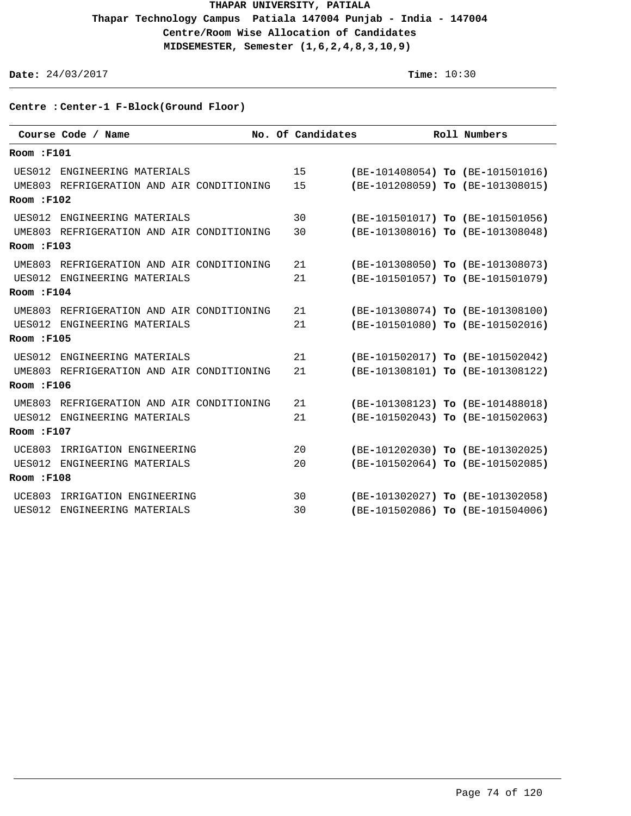**Thapar Technology Campus Patiala 147004 Punjab - India - 147004**

**Centre/Room Wise Allocation of Candidates**

**MIDSEMESTER, Semester (1,6,2,4,8,3,10,9)**

Date:  $24/03/2017$ 

**Time:** 10:30

|               | Course Code / Name                        | No. Of Candidates | Roll Numbers                         |
|---------------|-------------------------------------------|-------------------|--------------------------------------|
| Room : F101   |                                           |                   |                                      |
| UES012        | ENGINEERING MATERIALS                     | 15                | $(BE-101408054)$ To $(BE-101501016)$ |
|               | UME803 REFRIGERATION AND AIR CONDITIONING | 15                | $(BE-101208059)$ To $(BE-101308015)$ |
| Room : F102   |                                           |                   |                                      |
| UES012        | ENGINEERING MATERIALS                     | 30                | $(BE-101501017)$ To $(BE-101501056)$ |
|               | UME803 REFRIGERATION AND AIR CONDITIONING | 30                | $(BE-101308016)$ To $(BE-101308048)$ |
| Room : F103   |                                           |                   |                                      |
| UME803        | REFRIGERATION AND AIR CONDITIONING        | 21                | $(BE-101308050)$ To $(BE-101308073)$ |
| UES012        | ENGINEERING MATERIALS                     | 21                | (BE-101501057) To (BE-101501079)     |
| Room : F104   |                                           |                   |                                      |
| UME803        | REFRIGERATION AND AIR CONDITIONING        | 21                | $(BE-101308074)$ To $(BE-101308100)$ |
| UES012        | ENGINEERING MATERIALS                     | 21                | $(BE-101501080)$ To $(BE-101502016)$ |
| Room : F105   |                                           |                   |                                      |
| UES012        | ENGINEERING MATERIALS                     | 21                | $(BE-101502017)$ To $(BE-101502042)$ |
|               | UME803 REFRIGERATION AND AIR CONDITIONING | 21                | $(BE-101308101)$ To $(BE-101308122)$ |
| Room : F106   |                                           |                   |                                      |
| UME803        | REFRIGERATION AND AIR CONDITIONING        | 21                | $(BE-101308123)$ To $(BE-101488018)$ |
|               | UES012 ENGINEERING MATERIALS              | 21                | (BE-101502043) To (BE-101502063)     |
| Room : F107   |                                           |                   |                                      |
| UCE803        | IRRIGATION ENGINEERING                    | 20                | $(BE-101202030)$ To $(BE-101302025)$ |
|               | UES012 ENGINEERING MATERIALS              | 20                | $(BE-101502064)$ To $(BE-101502085)$ |
| Room : F108   |                                           |                   |                                      |
| <b>UCE803</b> | IRRIGATION ENGINEERING                    | 30                | $(BE-101302027)$ To $(BE-101302058)$ |
| UES012        | ENGINEERING MATERIALS                     | 30                | $(BE-101502086)$ To $(BE-101504006)$ |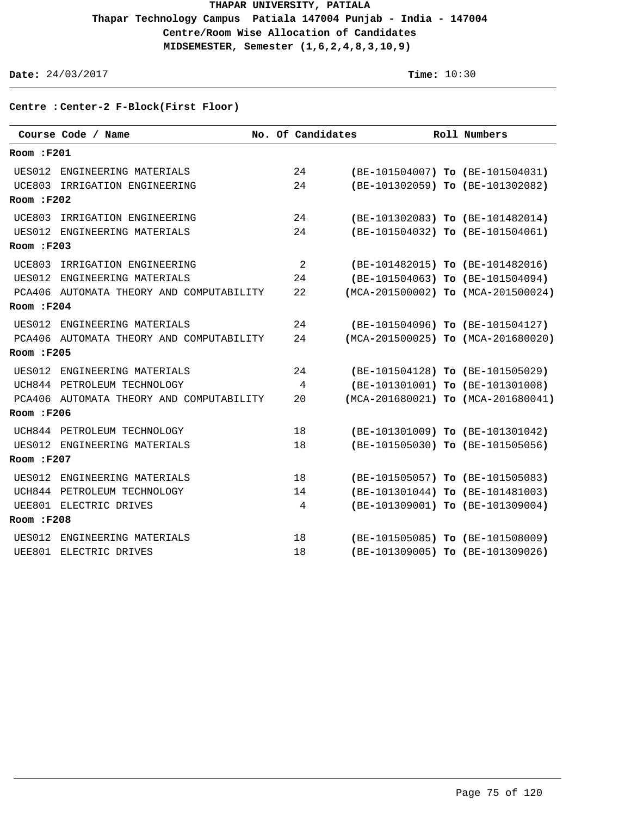**Thapar Technology Campus Patiala 147004 Punjab - India - 147004**

**Centre/Room Wise Allocation of Candidates**

**MIDSEMESTER, Semester (1,6,2,4,8,3,10,9)**

Date: 24/03/2017

Time: 10:30

#### **Centre : Center-2 F-Block(First Floor)**

|             | Course Code / Name                       | No. Of Candidates |  | Roll Numbers                          |
|-------------|------------------------------------------|-------------------|--|---------------------------------------|
| Room : F201 |                                          |                   |  |                                       |
| UES012      | ENGINEERING MATERIALS                    | 24                |  | $(BE-101504007)$ To $(BE-101504031)$  |
| UCE803      | IRRIGATION ENGINEERING                   | 24                |  | (BE-101302059) To (BE-101302082)      |
| Room : F202 |                                          |                   |  |                                       |
| UCE803      | IRRIGATION ENGINEERING                   | 24                |  | (BE-101302083) To (BE-101482014)      |
|             | UES012 ENGINEERING MATERIALS             | 24                |  | (BE-101504032) To (BE-101504061)      |
| Room : F203 |                                          |                   |  |                                       |
| UCE803      | IRRIGATION ENGINEERING                   | $\overline{2}$    |  | (BE-101482015) To (BE-101482016)      |
|             | UES012 ENGINEERING MATERIALS             | 24                |  | $(BE-101504063)$ To $(BE-101504094)$  |
|             | PCA406 AUTOMATA THEORY AND COMPUTABILITY | 22                |  | $MCA-201500002)$ To $(MCA-201500024)$ |
| Room : F204 |                                          |                   |  |                                       |
| UES012      | ENGINEERING MATERIALS                    | 24                |  | (BE-101504096) To (BE-101504127)      |
|             | PCA406 AUTOMATA THEORY AND COMPUTABILITY | 24                |  | (MCA-201500025) To (MCA-201680020)    |
| Room : F205 |                                          |                   |  |                                       |
| UES012      | ENGINEERING MATERIALS                    | 24                |  | $(BE-101504128)$ To $(BE-101505029)$  |
|             | UCH844 PETROLEUM TECHNOLOGY              | $\overline{4}$    |  | $(BE-101301001)$ To $(BE-101301008)$  |
|             | PCA406 AUTOMATA THEORY AND COMPUTABILITY | 20                |  | (MCA-201680021) To (MCA-201680041)    |
| Room : F206 |                                          |                   |  |                                       |
|             | UCH844 PETROLEUM TECHNOLOGY              | 18                |  | (BE-101301009) To (BE-101301042)      |
|             | UES012 ENGINEERING MATERIALS             | 18                |  | $(BE-101505030)$ To $(BE-101505056)$  |
| Room : F207 |                                          |                   |  |                                       |
| UES012      | ENGINEERING MATERIALS                    | 18                |  | $(BE-101505057)$ To $(BE-101505083)$  |
|             | UCH844 PETROLEUM TECHNOLOGY              | 14                |  | (BE-101301044) To (BE-101481003)      |
|             | UEE801 ELECTRIC DRIVES                   | 4                 |  | $(BE-101309001)$ To $(BE-101309004)$  |
| Room : F208 |                                          |                   |  |                                       |
| IIF.S012    | ENGINEERING MATERIALS                    | 18                |  | $(BE-101505085)$ To $(BE-101508009)$  |
|             | UEE801 ELECTRIC DRIVES                   | 18                |  | (BE-101309005) To (BE-101309026)      |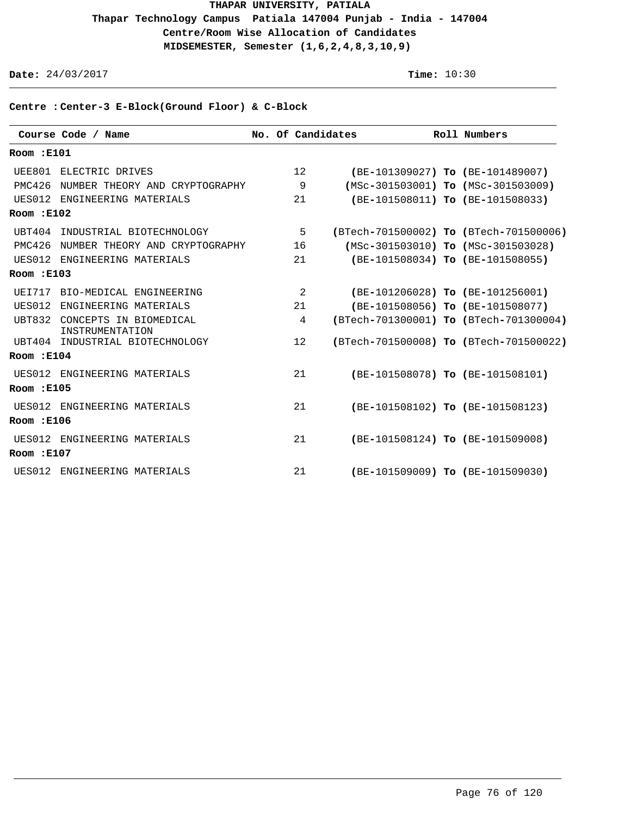**Thapar Technology Campus Patiala 147004 Punjab - India - 147004**

**Centre/Room Wise Allocation of Candidates**

**MIDSEMESTER, Semester (1,6,2,4,8,3,10,9)**

Date:  $24/03/2017$ 

**Time:** 10:30

**Centre : Center-3 E-Block(Ground Floor) & C-Block**

|             | Course Code / Name                        |  | No. Of Candidates | Roll Numbers                           |
|-------------|-------------------------------------------|--|-------------------|----------------------------------------|
| Room : E101 |                                           |  |                   |                                        |
| UEE801      | ELECTRIC DRIVES                           |  | 12                | $(BE-101309027)$ To $(BE-101489007)$   |
| PMC426      | NUMBER THEORY AND CRYPTOGRAPHY            |  | 9                 | $(MSc-301503001)$ To $(MSc-301503009)$ |
|             | UES012 ENGINEERING MATERIALS              |  | 21                | $(BE-101508011)$ To $(BE-101508033)$   |
| Room : E102 |                                           |  |                   |                                        |
| UBT404      | INDUSTRIAL BIOTECHNOLOGY                  |  | 5                 | (BTech-701500002) To (BTech-701500006) |
| PMC426      | NUMBER THEORY AND CRYPTOGRAPHY            |  | 16                | (MSc-301503010) To (MSc-301503028)     |
|             | UES012 ENGINEERING MATERIALS              |  | 21                | $(BE-101508034)$ To $(BE-101508055)$   |
| Room : E103 |                                           |  |                   |                                        |
| UEI717      | BIO-MEDICAL ENGINEERING                   |  | 2                 | $(BE-101206028)$ To $(BE-101256001)$   |
| UES012      | ENGINEERING MATERIALS                     |  | 21                | (BE-101508056) To (BE-101508077)       |
| UBT832      | CONCEPTS IN BIOMEDICAL<br>INSTRUMENTATION |  | 4                 | (BTech-701300001) To (BTech-701300004) |
|             | UBT404 INDUSTRIAL BIOTECHNOLOGY           |  | 12                | (BTech-701500008) To (BTech-701500022) |
| Room : E104 |                                           |  |                   |                                        |
|             | UES012 ENGINEERING MATERIALS              |  | 21                | $(BE-101508078)$ To $(BE-101508101)$   |
| Room : E105 |                                           |  |                   |                                        |
|             | UES012 ENGINEERING MATERIALS              |  | 21                | $(BE-101508102)$ To $(BE-101508123)$   |
| Room : E106 |                                           |  |                   |                                        |
|             | UES012 ENGINEERING MATERIALS              |  | 21                | $(BE-101508124)$ To $(BE-101509008)$   |
| Room : E107 |                                           |  |                   |                                        |
|             | UES012 ENGINEERING MATERIALS              |  | 21                | $(BE-101509009)$ To $(BE-101509030)$   |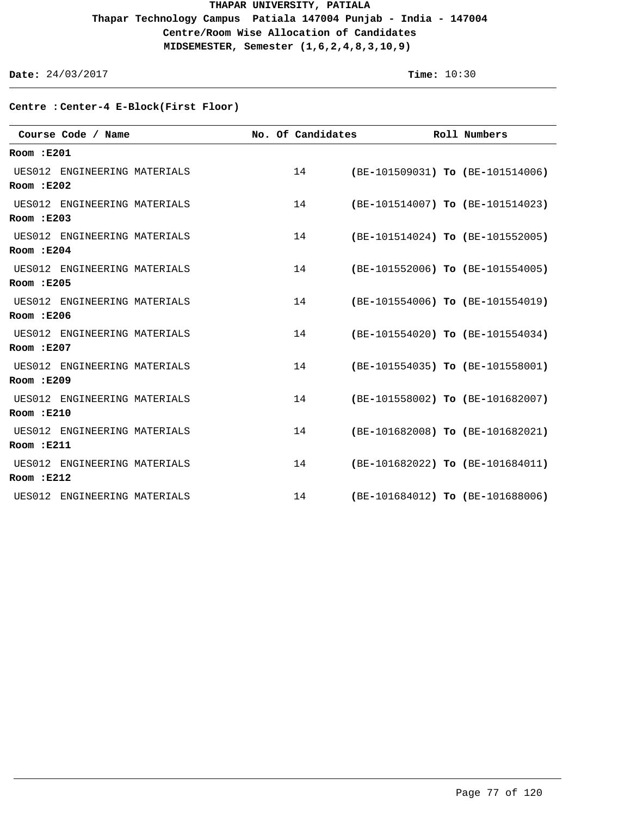**Centre/Room Wise Allocation of Candidates Thapar Technology Campus Patiala 147004 Punjab - India - 147004**

**MIDSEMESTER, Semester (1,6,2,4,8,3,10,9)**

Date:  $24/03/2017$ 

#### **Centre : Center-4 E-Block(First Floor)**

|             | Course Code / Name           |  | No. Of Candidates |  | Roll Numbers                         |
|-------------|------------------------------|--|-------------------|--|--------------------------------------|
| Room : E201 |                              |  |                   |  |                                      |
| Room : E202 | UES012 ENGINEERING MATERIALS |  | 14                |  | $(BE-101509031)$ To $(BE-101514006)$ |
| Room : E203 | UES012 ENGINEERING MATERIALS |  | 14                |  | $(BE-101514007)$ To $(BE-101514023)$ |
| Room : E204 | UES012 ENGINEERING MATERIALS |  | 14                |  | $(BE-101514024)$ To $(BE-101552005)$ |
| Room : E205 | UES012 ENGINEERING MATERIALS |  | 14                |  | $(BE-101552006)$ To $(BE-101554005)$ |
| Room : E206 | UES012 ENGINEERING MATERIALS |  | 14                |  | $(BE-101554006)$ To $(BE-101554019)$ |
| Room : E207 | UES012 ENGINEERING MATERIALS |  | 14                |  | $(BE-101554020)$ To $(BE-101554034)$ |
| Room : E209 | UES012 ENGINEERING MATERIALS |  | 14                |  | $(BE-101554035)$ To $(BE-101558001)$ |
| Room : E210 | UES012 ENGINEERING MATERIALS |  | 14                |  | $(BE-101558002)$ To $(BE-101682007)$ |
| Room : E211 | UES012 ENGINEERING MATERIALS |  | 14                |  | $(BE-101682008)$ To $(BE-101682021)$ |
| Room : E212 | UES012 ENGINEERING MATERIALS |  | 14                |  | $(BE-101682022)$ To $(BE-101684011)$ |
|             | UES012 ENGINEERING MATERIALS |  | 14                |  | $(BE-101684012)$ To $(BE-101688006)$ |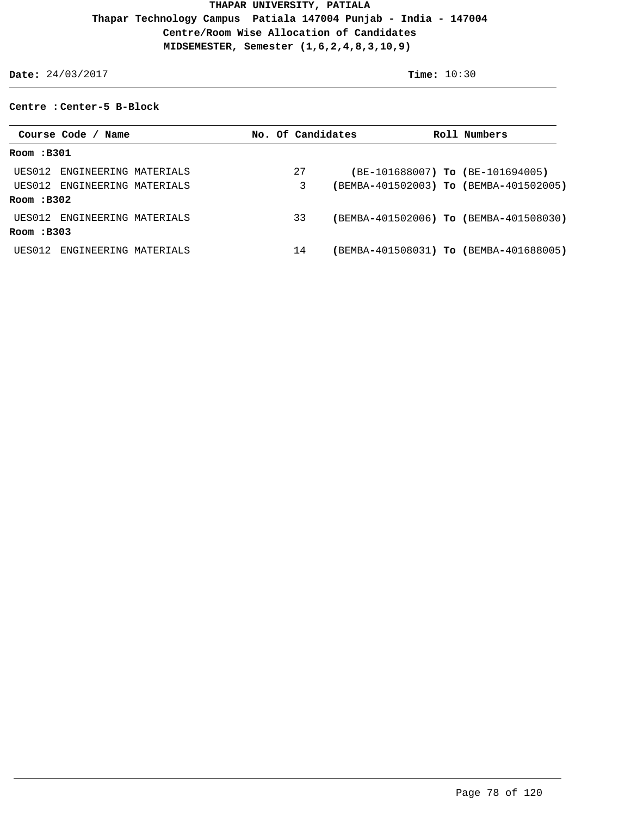## **THAPAR UNIVERSITY, PATIALA Centre/Room Wise Allocation of Candidates Thapar Technology Campus Patiala 147004 Punjab - India - 147004 MIDSEMESTER, Semester (1,6,2,4,8,3,10,9)**

Date:  $24/03/2017$ 

**Time:** 10:30

#### **Centre : Center-5 B-Block**

|             | Course Code / Name           |  |    | No. Of Candidates |  | Roll Numbers                           |
|-------------|------------------------------|--|----|-------------------|--|----------------------------------------|
| Room : B301 |                              |  |    |                   |  |                                        |
|             | UES012 ENGINEERING MATERIALS |  | 27 |                   |  | $(BE-101688007)$ To $(BE-101694005)$   |
|             | UES012 ENGINEERING MATERIALS |  | 3  |                   |  | (BEMBA-401502003) To (BEMBA-401502005) |
| Room : B302 |                              |  |    |                   |  |                                        |
|             | UES012 ENGINEERING MATERIALS |  | 33 |                   |  | (BEMBA-401502006) To (BEMBA-401508030) |
| Room : B303 |                              |  |    |                   |  |                                        |
| UES012      | ENGINEERING MATERIALS        |  | 14 |                   |  | (BEMBA-401508031) To (BEMBA-401688005) |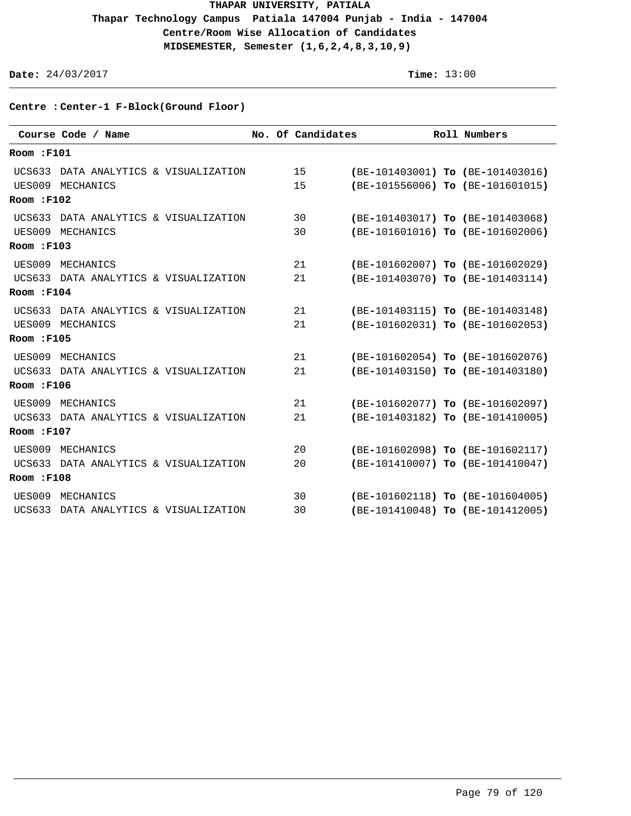**Thapar Technology Campus Patiala 147004 Punjab - India - 147004**

**Centre/Room Wise Allocation of Candidates**

**MIDSEMESTER, Semester (1,6,2,4,8,3,10,9)**

Date:  $24/03/2017$ 

**Time:** 13:00

|             | Course Code / Name                    | No. Of Candidates |  | Roll Numbers                         |
|-------------|---------------------------------------|-------------------|--|--------------------------------------|
| Room : F101 |                                       |                   |  |                                      |
| UCS633      | DATA ANALYTICS & VISUALIZATION        | 15                |  | $(BE-101403001)$ To $(BE-101403016)$ |
| UES009      | MECHANICS                             | 15                |  | $(BE-101556006)$ To $(BE-101601015)$ |
| Room : F102 |                                       |                   |  |                                      |
| UCS633      | DATA ANALYTICS & VISUALIZATION        | 30                |  | $(BE-101403017)$ To $(BE-101403068)$ |
|             | UES009 MECHANICS                      | 30                |  | $(BE-101601016)$ To $(BE-101602006)$ |
| Room : F103 |                                       |                   |  |                                      |
| UES009      | MECHANICS                             | 21                |  | $(BE-101602007)$ To $(BE-101602029)$ |
|             | UCS633 DATA ANALYTICS & VISUALIZATION | 21                |  | $(BE-101403070)$ To $(BE-101403114)$ |
| Room : F104 |                                       |                   |  |                                      |
| UCS633      | DATA ANALYTICS & VISUALIZATION        | 21                |  | $(BE-101403115)$ To $(BE-101403148)$ |
| UES009      | MECHANICS                             | 21                |  | $(BE-101602031)$ To $(BE-101602053)$ |
| Room : F105 |                                       |                   |  |                                      |
| UES009      | MECHANICS                             | 21                |  | (BE-101602054) To (BE-101602076)     |
|             | UCS633 DATA ANALYTICS & VISUALIZATION | 21                |  | $(BE-101403150)$ To $(BE-101403180)$ |
| Room : F106 |                                       |                   |  |                                      |
| UES009      | MECHANICS                             | 21                |  | $(BE-101602077)$ To $(BE-101602097)$ |
|             | UCS633 DATA ANALYTICS & VISUALIZATION | 21                |  | $(BE-101403182)$ To $(BE-101410005)$ |
| Room : F107 |                                       |                   |  |                                      |
| UES009      | MECHANICS                             | 20                |  | $(BE-101602098)$ To $(BE-101602117)$ |
|             | UCS633 DATA ANALYTICS & VISUALIZATION | 20                |  | $(BE-101410007)$ To $(BE-101410047)$ |
| Room : F108 |                                       |                   |  |                                      |
| UES009      | MECHANICS                             | 30                |  | $(BE-101602118)$ To $(BE-101604005)$ |
|             | UCS633 DATA ANALYTICS & VISUALIZATION | 30                |  | $(BE-101410048)$ To $(BE-101412005)$ |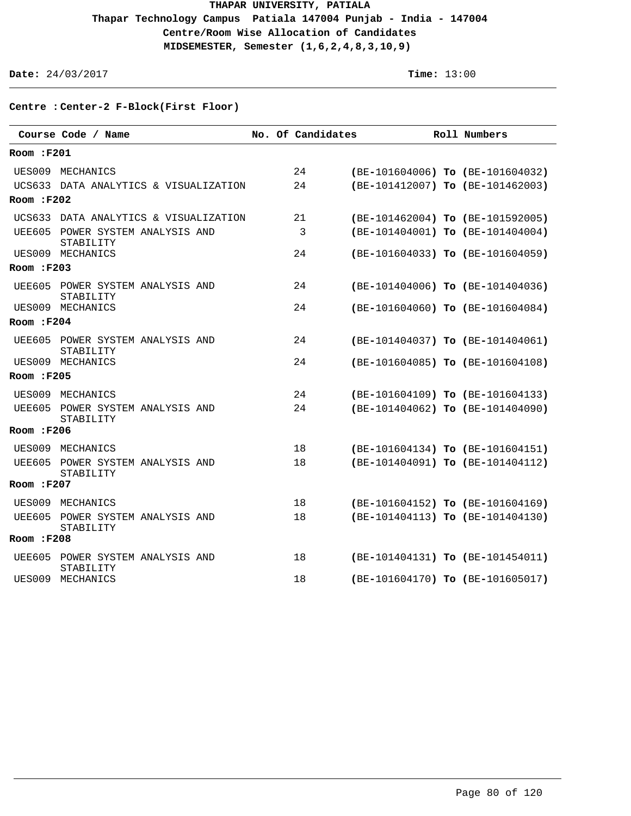**Thapar Technology Campus Patiala 147004 Punjab - India - 147004**

**Centre/Room Wise Allocation of Candidates**

**MIDSEMESTER, Semester (1,6,2,4,8,3,10,9)**

Date:  $24/03/2017$ 

**Time:** 13:00

#### **Centre : Center-2 F-Block(First Floor)**

|              | Course Code / Name                            |                                       |    | No. Of Candidates | Roll Numbers                         |
|--------------|-----------------------------------------------|---------------------------------------|----|-------------------|--------------------------------------|
| Room : F201  |                                               |                                       |    |                   |                                      |
|              | UES009 MECHANICS                              |                                       | 24 |                   | $(BE-101604006)$ To $(BE-101604032)$ |
|              |                                               | UCS633 DATA ANALYTICS & VISUALIZATION | 24 |                   | (BE-101412007) To (BE-101462003)     |
| Room : F202  |                                               |                                       |    |                   |                                      |
|              |                                               | UCS633 DATA ANALYTICS & VISUALIZATION | 21 |                   | (BE-101462004) To (BE-101592005)     |
| UEE605       | POWER SYSTEM ANALYSIS AND<br>STABILITY        |                                       | 3  |                   | $(BE-101404001)$ To $(BE-101404004)$ |
|              | UES009 MECHANICS                              |                                       | 24 |                   | $(BE-101604033)$ To $(BE-101604059)$ |
| Room : F203  |                                               |                                       |    |                   |                                      |
|              | UEE605 POWER SYSTEM ANALYSIS AND<br>STABILITY |                                       | 24 |                   | (BE-101404006) To (BE-101404036)     |
|              | UES009 MECHANICS                              |                                       | 24 |                   | $(BE-101604060)$ To $(BE-101604084)$ |
| Room : F204  |                                               |                                       |    |                   |                                      |
|              | UEE605 POWER SYSTEM ANALYSIS AND<br>STABILITY |                                       | 24 |                   | (BE-101404037) To (BE-101404061)     |
|              | UES009 MECHANICS                              |                                       | 24 |                   | $(BE-101604085)$ To $(BE-101604108)$ |
| Room : F205  |                                               |                                       |    |                   |                                      |
| UES009       | MECHANICS                                     |                                       | 24 |                   | $(BE-101604109)$ To $(BE-101604133)$ |
|              | UEE605 POWER SYSTEM ANALYSIS AND<br>STABILITY |                                       | 24 |                   | $(BE-101404062)$ To $(BE-101404090)$ |
| Room : F206  |                                               |                                       |    |                   |                                      |
| UES009       | MECHANICS                                     |                                       | 18 |                   | (BE-101604134) To (BE-101604151)     |
|              | UEE605 POWER SYSTEM ANALYSIS AND<br>STABILITY |                                       | 18 |                   | (BE-101404091) To (BE-101404112)     |
| Room: $F207$ |                                               |                                       |    |                   |                                      |
| UES009       | MECHANICS                                     |                                       | 18 |                   | (BE-101604152) To (BE-101604169)     |
| UEE605       | POWER SYSTEM ANALYSIS AND<br>STABILITY        |                                       | 18 |                   | $(BE-101404113)$ To $(BE-101404130)$ |
| Room : F208  |                                               |                                       |    |                   |                                      |
| UEE605       | POWER SYSTEM ANALYSIS AND<br>STABILITY        |                                       | 18 |                   | $(BE-101404131)$ To $(BE-101454011)$ |
|              | UES009 MECHANICS                              |                                       | 18 |                   | $(BE-101604170)$ To $(BE-101605017)$ |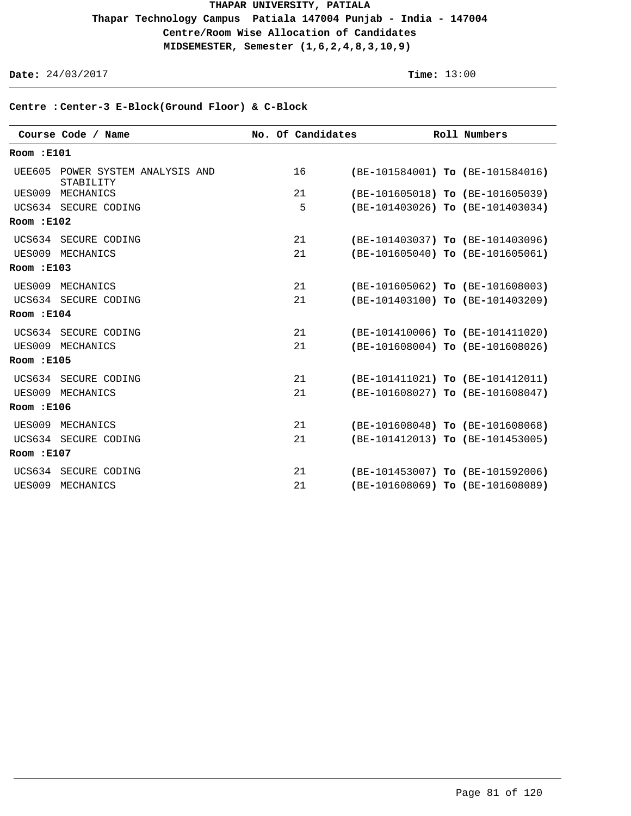**Thapar Technology Campus Patiala 147004 Punjab - India - 147004**

**Centre/Room Wise Allocation of Candidates**

**MIDSEMESTER, Semester (1,6,2,4,8,3,10,9)**

Date:  $24/03/2017$ 

**Time:** 13:00

**Centre : Center-3 E-Block(Ground Floor) & C-Block**

|               | Course Code / Name                     | No. Of Candidates |  | Roll Numbers                         |
|---------------|----------------------------------------|-------------------|--|--------------------------------------|
| Room : E101   |                                        |                   |  |                                      |
| UEE605        | POWER SYSTEM ANALYSIS AND<br>STABILITY | 16                |  | (BE-101584001) To (BE-101584016)     |
| UES009        | MECHANICS                              | 21                |  | $(BE-101605018)$ To $(BE-101605039)$ |
|               | UCS634 SECURE CODING                   | 5                 |  | $(BE-101403026)$ To $(BE-101403034)$ |
| Room : E102   |                                        |                   |  |                                      |
|               | UCS634 SECURE CODING                   | 21                |  | $(BE-101403037)$ To $(BE-101403096)$ |
|               | UES009 MECHANICS                       | 21                |  | $(BE-101605040)$ To $(BE-101605061)$ |
| Room : E103   |                                        |                   |  |                                      |
| UES009        | MECHANICS                              | 21                |  | $(BE-101605062)$ To $(BE-101608003)$ |
|               | UCS634 SECURE CODING                   | 21                |  | $(BE-101403100)$ To $(BE-101403209)$ |
| Room : E104   |                                        |                   |  |                                      |
| UCS634        | SECURE CODING                          | 21                |  | (BE-101410006) To (BE-101411020)     |
|               | UES009 MECHANICS                       | 21                |  | $(BE-101608004)$ To $(BE-101608026)$ |
| Room : E105   |                                        |                   |  |                                      |
| UCS634        | SECURE CODING                          | 21                |  | (BE-101411021) To (BE-101412011)     |
|               | UES009 MECHANICS                       | 21                |  | $(BE-101608027)$ To $(BE-101608047)$ |
| Room : E106   |                                        |                   |  |                                      |
| UES009        | MECHANICS                              | 21                |  | $(BE-101608048)$ To $(BE-101608068)$ |
|               | UCS634 SECURE CODING                   | 21                |  | $(BE-101412013)$ To $(BE-101453005)$ |
| Room : E107   |                                        |                   |  |                                      |
| <b>UCS634</b> | SECURE CODING                          | 21                |  | $(BE-101453007)$ To $(BE-101592006)$ |
| UES009        | MECHANICS                              | 21                |  | $(BE-101608069)$ To $(BE-101608089)$ |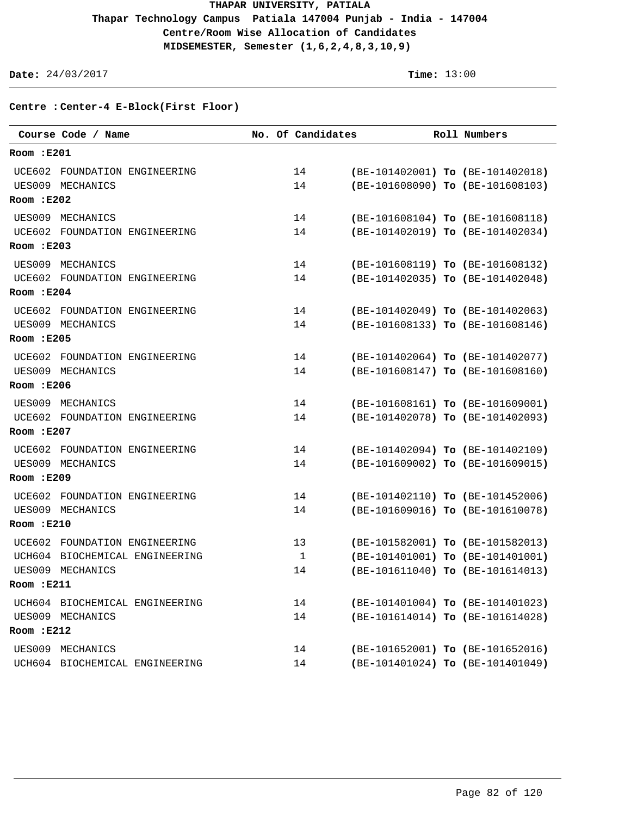# **Thapar Technology Campus Patiala 147004 Punjab - India - 147004**

**Centre/Room Wise Allocation of Candidates**

**MIDSEMESTER, Semester (1,6,2,4,8,3,10,9)**

Date:  $24/03/2017$ 

**Time:** 13:00

#### **Centre : Center-4 E-Block(First Floor)**

|             | Course Code / Name             | No. Of Candidates |    |  | Roll Numbers                         |
|-------------|--------------------------------|-------------------|----|--|--------------------------------------|
| Room : E201 |                                |                   |    |  |                                      |
|             | UCE602 FOUNDATION ENGINEERING  |                   | 14 |  | $(BE-101402001)$ To $(BE-101402018)$ |
|             | UES009 MECHANICS               |                   | 14 |  | (BE-101608090) To (BE-101608103)     |
| Room : E202 |                                |                   |    |  |                                      |
|             | UES009 MECHANICS               |                   | 14 |  | $(BE-101608104)$ To $(BE-101608118)$ |
|             | UCE602 FOUNDATION ENGINEERING  |                   | 14 |  | (BE-101402019) To (BE-101402034)     |
| Room : E203 |                                |                   |    |  |                                      |
|             | UES009 MECHANICS               |                   | 14 |  | (BE-101608119) To (BE-101608132)     |
|             | UCE602 FOUNDATION ENGINEERING  |                   | 14 |  | $(BE-101402035)$ To $(BE-101402048)$ |
| Room : E204 |                                |                   |    |  |                                      |
|             | UCE602 FOUNDATION ENGINEERING  |                   | 14 |  | $(BE-101402049)$ To $(BE-101402063)$ |
|             | UES009 MECHANICS               |                   | 14 |  | (BE-101608133) To (BE-101608146)     |
| Room : E205 |                                |                   |    |  |                                      |
|             | UCE602 FOUNDATION ENGINEERING  |                   | 14 |  | (BE-101402064) To (BE-101402077)     |
|             | UES009 MECHANICS               |                   | 14 |  | (BE-101608147) To (BE-101608160)     |
| Room:E206   |                                |                   |    |  |                                      |
|             | UES009 MECHANICS               |                   | 14 |  | (BE-101608161) To (BE-101609001)     |
|             | UCE602 FOUNDATION ENGINEERING  |                   | 14 |  | $(BE-101402078)$ To $(BE-101402093)$ |
| Room : E207 |                                |                   |    |  |                                      |
|             | UCE602 FOUNDATION ENGINEERING  |                   | 14 |  | $(BE-101402094)$ To $(BE-101402109)$ |
|             | UES009 MECHANICS               |                   | 14 |  | (BE-101609002) To (BE-101609015)     |
| Room : E209 |                                |                   |    |  |                                      |
|             | UCE602 FOUNDATION ENGINEERING  |                   | 14 |  | $(BE-101402110)$ To $(BE-101452006)$ |
|             | UES009 MECHANICS               |                   | 14 |  | (BE-101609016) To (BE-101610078)     |
| Room:E210   |                                |                   |    |  |                                      |
|             | UCE602 FOUNDATION ENGINEERING  |                   | 13 |  | (BE-101582001) To (BE-101582013)     |
|             | UCH604 BIOCHEMICAL ENGINEERING |                   | 1  |  | (BE-101401001) To (BE-101401001)     |
|             | UES009 MECHANICS               |                   | 14 |  | $(BE-101611040)$ To $(BE-101614013)$ |
| Room : E211 |                                |                   |    |  |                                      |
|             | UCH604 BIOCHEMICAL ENGINEERING |                   | 14 |  | (BE-101401004) To (BE-101401023)     |
|             | UES009 MECHANICS               |                   | 14 |  | (BE-101614014) To (BE-101614028)     |
| Room : E212 |                                |                   |    |  |                                      |
| UES009      | MECHANICS                      |                   | 14 |  | (BE-101652001) To (BE-101652016)     |
|             | UCH604 BIOCHEMICAL ENGINEERING |                   | 14 |  | (BE-101401024) To (BE-101401049)     |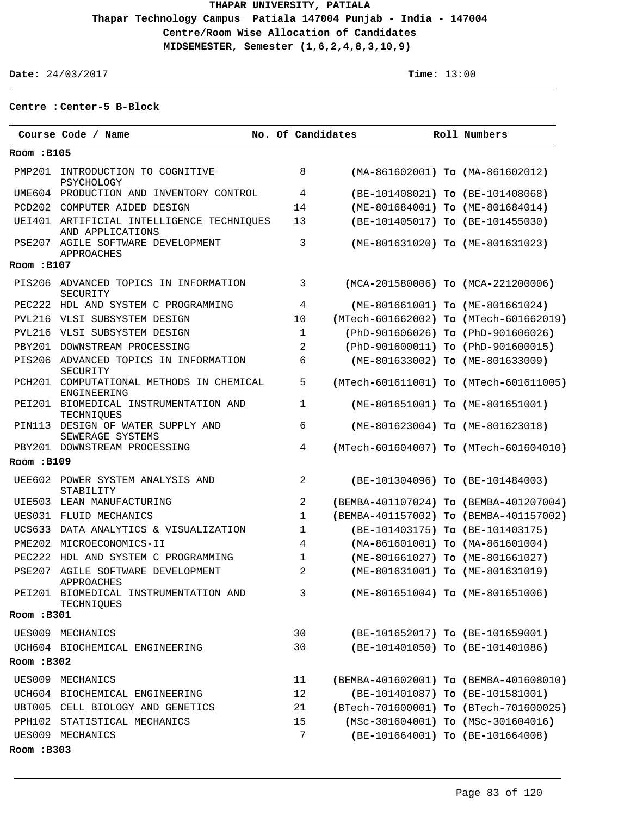**Thapar Technology Campus Patiala 147004 Punjab - India - 147004**

**Centre/Room Wise Allocation of Candidates**

**MIDSEMESTER, Semester (1,6,2,4,8,3,10,9)**

Date:  $24/03/2017$ 

**Time:** 13:00

**Centre : Center-5 B-Block**

|               | Course Code / Name                                            |  |                | No. Of Candidates |  | Roll Numbers                           |  |
|---------------|---------------------------------------------------------------|--|----------------|-------------------|--|----------------------------------------|--|
| Room : B105   |                                                               |  |                |                   |  |                                        |  |
|               | PMP201 INTRODUCTION TO COGNITIVE<br>PSYCHOLOGY                |  | 8              |                   |  | $(MA-861602001)$ To $(MA-861602012)$   |  |
|               | UME604 PRODUCTION AND INVENTORY CONTROL                       |  | 4              |                   |  | $(BE-101408021)$ To $(BE-101408068)$   |  |
|               | PCD202 COMPUTER AIDED DESIGN                                  |  | 14             |                   |  | $(ME-801684001)$ To $(ME-801684014)$   |  |
|               | UEI401 ARTIFICIAL INTELLIGENCE TECHNIQUES<br>AND APPLICATIONS |  | 13             |                   |  | (BE-101405017) To (BE-101455030)       |  |
|               | PSE207 AGILE SOFTWARE DEVELOPMENT<br>APPROACHES               |  | 3              |                   |  | (ME-801631020) To (ME-801631023)       |  |
| Room:B107     |                                                               |  |                |                   |  |                                        |  |
|               | PIS206 ADVANCED TOPICS IN INFORMATION<br>SECURITY             |  | 3              |                   |  | $(MCA-201580006)$ To $(MCA-221200006)$ |  |
|               | PEC222 HDL AND SYSTEM C PROGRAMMING                           |  | 4              |                   |  | $(ME-801661001)$ To $(ME-801661024)$   |  |
|               | PVL216 VLSI SUBSYSTEM DESIGN                                  |  | 10             |                   |  | (MTech-601662002) To (MTech-601662019) |  |
|               | PVL216 VLSI SUBSYSTEM DESIGN                                  |  | $\mathbf{1}$   |                   |  | (PhD-901606026) To (PhD-901606026)     |  |
|               | PBY201 DOWNSTREAM PROCESSING                                  |  | 2              |                   |  | $(PhD-901600011)$ To $(PhD-901600015)$ |  |
|               | PIS206 ADVANCED TOPICS IN INFORMATION<br>SECURITY             |  | 6              |                   |  | $(ME-801633002)$ To $(ME-801633009)$   |  |
|               | PCH201 COMPUTATIONAL METHODS IN CHEMICAL<br>ENGINEERING       |  | 5              |                   |  | (MTech-601611001) To (MTech-601611005) |  |
|               | PEI201 BIOMEDICAL INSTRUMENTATION AND<br>TECHNIQUES           |  | $\mathbf{1}$   |                   |  | (ME-801651001) To (ME-801651001)       |  |
|               | PIN113 DESIGN OF WATER SUPPLY AND<br>SEWERAGE SYSTEMS         |  | 6              |                   |  | $(ME-801623004)$ To $(ME-801623018)$   |  |
|               | PBY201 DOWNSTREAM PROCESSING                                  |  | 4              |                   |  | (MTech-601604007) To (MTech-601604010) |  |
| Room: B109    |                                                               |  |                |                   |  |                                        |  |
|               | UEE602 POWER SYSTEM ANALYSIS AND<br>STABILITY                 |  | 2              |                   |  | $(BE-101304096)$ To $(BE-101484003)$   |  |
|               | UIE503 LEAN MANUFACTURING                                     |  | 2              |                   |  | (BEMBA-401107024) To (BEMBA-401207004) |  |
|               | UES031 FLUID MECHANICS                                        |  | $\mathbf{1}$   |                   |  | (BEMBA-401157002) To (BEMBA-401157002) |  |
|               | UCS633 DATA ANALYTICS & VISUALIZATION                         |  | $\mathbf{1}$   |                   |  | (BE-101403175) To (BE-101403175)       |  |
|               | PME202 MICROECONOMICS-II                                      |  | $\overline{4}$ |                   |  | $(MA-861601001)$ To $(MA-861601004)$   |  |
| PEC222        | HDL AND SYSTEM C PROGRAMMING                                  |  | $\mathbf{1}$   |                   |  | $(ME-801661027)$ To $(ME-801661027)$   |  |
| <b>PSE207</b> | AGILE SOFTWARE DEVELOPMENT<br>APPROACHES                      |  | 2              |                   |  | $(ME-801631001)$ To $(ME-801631019)$   |  |
|               | PEI201 BIOMEDICAL INSTRUMENTATION AND<br>TECHNIOUES           |  | 3              |                   |  | $(ME-801651004)$ To $(ME-801651006)$   |  |
| Room : B301   |                                                               |  |                |                   |  |                                        |  |
|               | UES009 MECHANICS                                              |  | 30             |                   |  | $(BE-101652017)$ To $(BE-101659001)$   |  |
|               | UCH604 BIOCHEMICAL ENGINEERING                                |  | 30             |                   |  | $(BE-101401050)$ To $(BE-101401086)$   |  |
| Room $: B302$ |                                                               |  |                |                   |  |                                        |  |
|               | UES009 MECHANICS                                              |  | 11             |                   |  | (BEMBA-401602001) To (BEMBA-401608010) |  |
|               | UCH604 BIOCHEMICAL ENGINEERING                                |  | 12             |                   |  | (BE-101401087) To (BE-101581001)       |  |
|               | UBT005 CELL BIOLOGY AND GENETICS                              |  | 21             |                   |  | (BTech-701600001) To (BTech-701600025) |  |
|               | PPH102 STATISTICAL MECHANICS                                  |  | 15             |                   |  | $(MSc-301604001)$ To $(MSc-301604016)$ |  |
|               | UES009 MECHANICS                                              |  | 7              |                   |  | $(BE-101664001)$ To $(BE-101664008)$   |  |
| Room: B303    |                                                               |  |                |                   |  |                                        |  |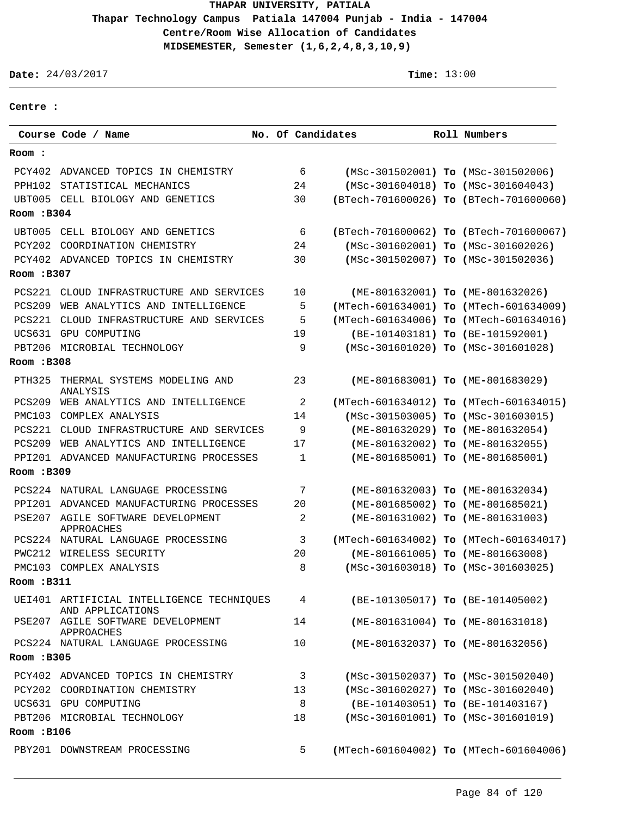**Thapar Technology Campus Patiala 147004 Punjab - India - 147004**

**Centre/Room Wise Allocation of Candidates**

**MIDSEMESTER, Semester (1,6,2,4,8,3,10,9)**

Date:  $24/03/2017$ 

**Time:** 13:00

### **Centre :**

|              | Course Code / Name                                            |  |    | No. Of Candidates |  | Roll Numbers                           |
|--------------|---------------------------------------------------------------|--|----|-------------------|--|----------------------------------------|
| Room:        |                                                               |  |    |                   |  |                                        |
|              | PCY402 ADVANCED TOPICS IN CHEMISTRY                           |  | 6  |                   |  | $(MSc-301502001)$ To $(MSc-301502006)$ |
|              | PPH102 STATISTICAL MECHANICS                                  |  | 24 |                   |  | $(MSc-301604018)$ To $(MSc-301604043)$ |
|              | UBT005 CELL BIOLOGY AND GENETICS                              |  | 30 |                   |  | (BTech-701600026) To (BTech-701600060) |
| Room : B304  |                                                               |  |    |                   |  |                                        |
|              | UBT005 CELL BIOLOGY AND GENETICS                              |  | 6  |                   |  | (BTech-701600062) To (BTech-701600067) |
|              | PCY202 COORDINATION CHEMISTRY                                 |  | 24 |                   |  | $(MSc-301602001)$ To $(MSc-301602026)$ |
|              | PCY402 ADVANCED TOPICS IN CHEMISTRY                           |  | 30 |                   |  | $(MSc-301502007)$ To $(MSc-301502036)$ |
| Room : B307  |                                                               |  |    |                   |  |                                        |
|              | PCS221 CLOUD INFRASTRUCTURE AND SERVICES                      |  | 10 |                   |  | (ME-801632001) To (ME-801632026)       |
|              | PCS209 WEB ANALYTICS AND INTELLIGENCE                         |  | 5  |                   |  | (MTech-601634001) To (MTech-601634009) |
|              | PCS221 CLOUD INFRASTRUCTURE AND SERVICES                      |  | 5  |                   |  | (MTech-601634006) To (MTech-601634016) |
|              | UCS631 GPU COMPUTING                                          |  | 19 |                   |  | (BE-101403181) To (BE-101592001)       |
|              | PBT206 MICROBIAL TECHNOLOGY                                   |  | 9  |                   |  | $(MSc-301601020)$ To $(MSc-301601028)$ |
| Room : B308  |                                                               |  |    |                   |  |                                        |
|              | PTH325 THERMAL SYSTEMS MODELING AND<br>ANALYSIS               |  | 23 |                   |  | $(ME-801683001)$ To $(ME-801683029)$   |
|              | PCS209 WEB ANALYTICS AND INTELLIGENCE                         |  | 2  |                   |  | (MTech-601634012) To (MTech-601634015) |
|              | PMC103 COMPLEX ANALYSIS                                       |  | 14 |                   |  | $(MSc-301503005)$ To $(MSc-301603015)$ |
|              | PCS221 CLOUD INFRASTRUCTURE AND SERVICES                      |  | 9  |                   |  | $(ME-801632029)$ To $(ME-801632054)$   |
|              | PCS209 WEB ANALYTICS AND INTELLIGENCE                         |  | 17 |                   |  | (ME-801632002) To (ME-801632055)       |
|              | PPI201 ADVANCED MANUFACTURING PROCESSES                       |  | 1  |                   |  | $(ME-801685001)$ To $(ME-801685001)$   |
| Room : B309  |                                                               |  |    |                   |  |                                        |
|              | PCS224 NATURAL LANGUAGE PROCESSING                            |  | 7  |                   |  | $(ME-801632003)$ To $(ME-801632034)$   |
|              | PPI201 ADVANCED MANUFACTURING PROCESSES                       |  | 20 |                   |  | $(ME-801685002)$ To $(ME-801685021)$   |
|              | PSE207 AGILE SOFTWARE DEVELOPMENT<br><b>APPROACHES</b>        |  | 2  |                   |  | $(ME-801631002)$ To $(ME-801631003)$   |
|              | PCS224 NATURAL LANGUAGE PROCESSING                            |  | 3  |                   |  | (MTech-601634002) To (MTech-601634017) |
|              | PWC212 WIRELESS SECURITY                                      |  | 20 |                   |  | (ME-801661005) To (ME-801663008)       |
|              | PMC103 COMPLEX ANALYSIS                                       |  | 8  |                   |  | $(MSc-301603018)$ To $(MSc-301603025)$ |
| Room $:B311$ |                                                               |  |    |                   |  |                                        |
|              | UEI401 ARTIFICIAL INTELLIGENCE TECHNIQUES<br>AND APPLICATIONS |  | 4  |                   |  | (BE-101305017) To (BE-101405002)       |
|              | PSE207 AGILE SOFTWARE DEVELOPMENT<br>APPROACHES               |  | 14 |                   |  | (ME-801631004) To (ME-801631018)       |
|              | PCS224 NATURAL LANGUAGE PROCESSING                            |  | 10 |                   |  | $(ME-801632037)$ To $(ME-801632056)$   |
| Room : B305  |                                                               |  |    |                   |  |                                        |
|              | PCY402 ADVANCED TOPICS IN CHEMISTRY                           |  | 3  |                   |  | $(MSc-301502037)$ To $(MSc-301502040)$ |
|              | PCY202 COORDINATION CHEMISTRY                                 |  | 13 |                   |  | $(MSc-301602027)$ To $(MSc-301602040)$ |
|              | UCS631 GPU COMPUTING                                          |  | 8  |                   |  | $(BE-101403051)$ To $(BE-101403167)$   |
|              | PBT206 MICROBIAL TECHNOLOGY                                   |  | 18 |                   |  | (MSc-301601001) To (MSc-301601019)     |
| Room : B106  |                                                               |  |    |                   |  |                                        |
|              | PBY201 DOWNSTREAM PROCESSING                                  |  | 5  |                   |  | (MTech-601604002) To (MTech-601604006) |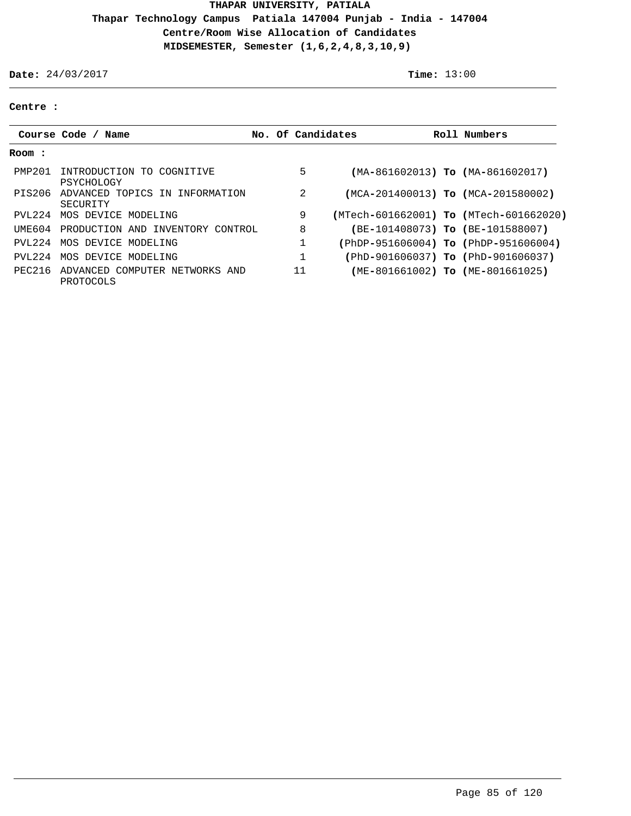**Thapar Technology Campus Patiala 147004 Punjab - India - 147004**

**Centre/Room Wise Allocation of Candidates**

**MIDSEMESTER, Semester (1,6,2,4,8,3,10,9)**

Date:  $24/03/2017$ 

**Time:** 13:00

### **Centre :**

|                | Course Code / Name                                 |  | No. Of Candidates |  | Roll Numbers                             |
|----------------|----------------------------------------------------|--|-------------------|--|------------------------------------------|
| Room:          |                                                    |  |                   |  |                                          |
| PMP201         | INTRODUCTION TO COGNITIVE<br>PSYCHOLOGY            |  | 5                 |  | $(MA-861602013)$ To $(MA-861602017)$     |
| PTS206         | ADVANCED TOPICS IN INFORMATION<br>SECURITY         |  | 2                 |  | $MCA-201400013)$ To $(MCA-201580002)$    |
| <b>PVT.224</b> | MOS DEVICE MODELING                                |  | 9                 |  | (MTech-601662001) To (MTech-601662020)   |
| TIME 604       | PRODUCTION AND INVENTORY<br>CONTROL                |  | 8                 |  | $(BE-101408073)$ To $(BE-101588007)$     |
| <b>PVT.224</b> | MOS DEVICE MODELING                                |  |                   |  | $(PhDP-951606004)$ To $(PhDP-951606004)$ |
| <b>PVT.224</b> | MOS DEVICE MODELING                                |  |                   |  | $(PhD-901606037)$ To $(PhD-901606037)$   |
|                | PEC216 ADVANCED COMPUTER NETWORKS AND<br>PROTOCOLS |  | 11                |  | $(ME-801661002)$ To $(ME-801661025)$     |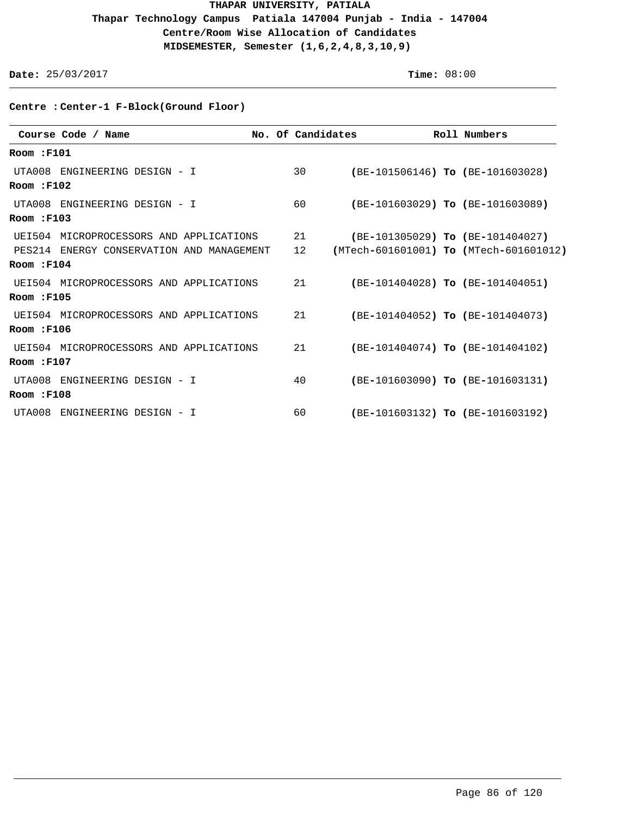**Centre/Room Wise Allocation of Candidates Thapar Technology Campus Patiala 147004 Punjab - India - 147004**

**MIDSEMESTER, Semester (1,6,2,4,8,3,10,9)**

Date:  $25/03/2017$ 

Time: 08:00

|             | Course Code / Name                        |  | No. Of Candidates |  | Roll Numbers                           |
|-------------|-------------------------------------------|--|-------------------|--|----------------------------------------|
| Room : F101 |                                           |  |                   |  |                                        |
|             | UTA008 ENGINEERING DESIGN - I             |  | 30                |  | $(BE-101506146)$ To $(BE-101603028)$   |
| Room : F102 |                                           |  |                   |  |                                        |
|             | UTA008 ENGINEERING DESIGN - I             |  | 60                |  | $(BE-101603029)$ To $(BE-101603089)$   |
| Room : F103 |                                           |  |                   |  |                                        |
|             | UEI504 MICROPROCESSORS AND APPLICATIONS   |  | 21                |  | $(BE-101305029)$ To $(BE-101404027)$   |
|             | PES214 ENERGY CONSERVATION AND MANAGEMENT |  | 12                |  | (MTech-601601001) To (MTech-601601012) |
| Room : F104 |                                           |  |                   |  |                                        |
|             | UEI504 MICROPROCESSORS AND APPLICATIONS   |  | 21                |  | $(BE-101404028)$ To $(BE-101404051)$   |
| Room : F105 |                                           |  |                   |  |                                        |
|             | UEI504 MICROPROCESSORS AND APPLICATIONS   |  | 21                |  | $(BE-101404052)$ To $(BE-101404073)$   |
| Room : F106 |                                           |  |                   |  |                                        |
|             | UEI504 MICROPROCESSORS AND APPLICATIONS   |  | 21                |  | $(BE-101404074)$ To $(BE-101404102)$   |
| Room : F107 |                                           |  |                   |  |                                        |
|             | UTA008 ENGINEERING DESIGN - I             |  | 40                |  | $(BE-101603090)$ To $(BE-101603131)$   |
| Room : F108 |                                           |  |                   |  |                                        |
|             | UTA008 ENGINEERING DESIGN - I             |  | 60                |  | $(BE-101603132)$ To $(BE-101603192)$   |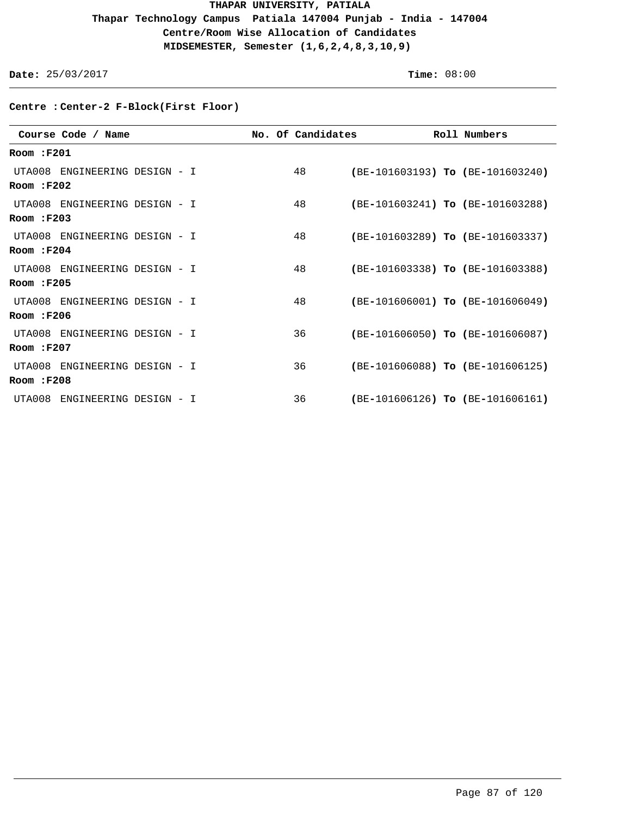**Centre/Room Wise Allocation of Candidates Thapar Technology Campus Patiala 147004 Punjab - India - 147004**

**MIDSEMESTER, Semester (1,6,2,4,8,3,10,9)**

Date:  $25/03/2017$ 

Time: 08:00

#### **Centre : Center-2 F-Block(First Floor)**

| Course Code / Name            | No. Of Candidates | Roll Numbers                         |
|-------------------------------|-------------------|--------------------------------------|
| Room : F201                   |                   |                                      |
| UTA008 ENGINEERING DESIGN - I | 48                | $(BE-101603193)$ To $(BE-101603240)$ |
| Room : F202                   |                   |                                      |
| UTA008 ENGINEERING DESIGN - I | 48                | $(BE-101603241)$ To $(BE-101603288)$ |
| Room : F203                   |                   |                                      |
| UTA008 ENGINEERING DESIGN - I | 48                | (BE-101603289) To (BE-101603337)     |
| Room: $F204$                  |                   |                                      |
| UTA008 ENGINEERING DESIGN - I | 48                | $(BE-101603338)$ To $(BE-101603388)$ |
| Room : F205                   |                   |                                      |
| UTA008 ENGINEERING DESIGN - I | 48                | $(BE-101606001)$ To $(BE-101606049)$ |
| Room : F206                   |                   |                                      |
| UTA008 ENGINEERING DESIGN - I | 36                | $(BE-101606050)$ To $(BE-101606087)$ |
| Room : F207                   |                   |                                      |
| UTA008 ENGINEERING DESIGN - I | 36                | $(BE-101606088)$ To $(BE-101606125)$ |
| Room : F208                   |                   |                                      |
| UTA008 ENGINEERING DESIGN - I | 36                | $(BE-101606126)$ To $(BE-101606161)$ |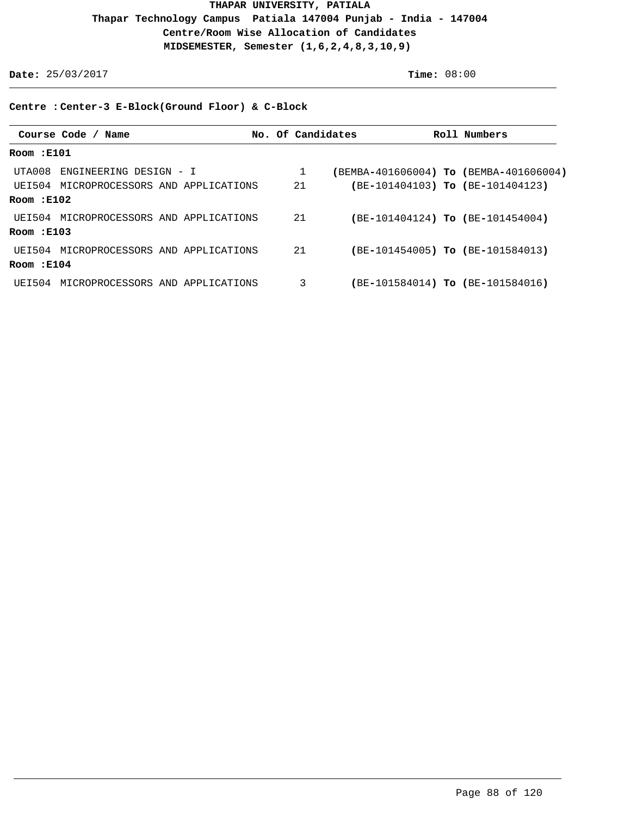## **THAPAR UNIVERSITY, PATIALA Thapar Technology Campus Patiala 147004 Punjab - India - 147004**

**Centre/Room Wise Allocation of Candidates**

**MIDSEMESTER, Semester (1,6,2,4,8,3,10,9)**

Date:  $25/03/2017$ 

Time: 08:00

**Centre : Center-3 E-Block(Ground Floor) & C-Block**

|             | Course Code / Name                      |  | No. Of Candidates |  | Roll Numbers                           |
|-------------|-----------------------------------------|--|-------------------|--|----------------------------------------|
| Room : E101 |                                         |  |                   |  |                                        |
| TITA 008    | ENGINEERING DESIGN - I                  |  | $\mathbf{1}$      |  | (BEMBA-401606004) To (BEMBA-401606004) |
|             | UEI504 MICROPROCESSORS AND APPLICATIONS |  | 21                |  | $(BE-101404103)$ To $(BE-101404123)$   |
| Room : E102 |                                         |  |                   |  |                                        |
|             | UEI504 MICROPROCESSORS AND APPLICATIONS |  | 21                |  | $(BE-101404124)$ To $(BE-101454004)$   |
| Room : E103 |                                         |  |                   |  |                                        |
|             | UEI504 MICROPROCESSORS AND APPLICATIONS |  | 21                |  | $(BE-101454005)$ To $(BE-101584013)$   |
| Room : E104 |                                         |  |                   |  |                                        |
| TJET 504    | MICROPROCESSORS AND APPLICATIONS        |  | 3                 |  | $(BE-101584014)$ To $(BE-101584016)$   |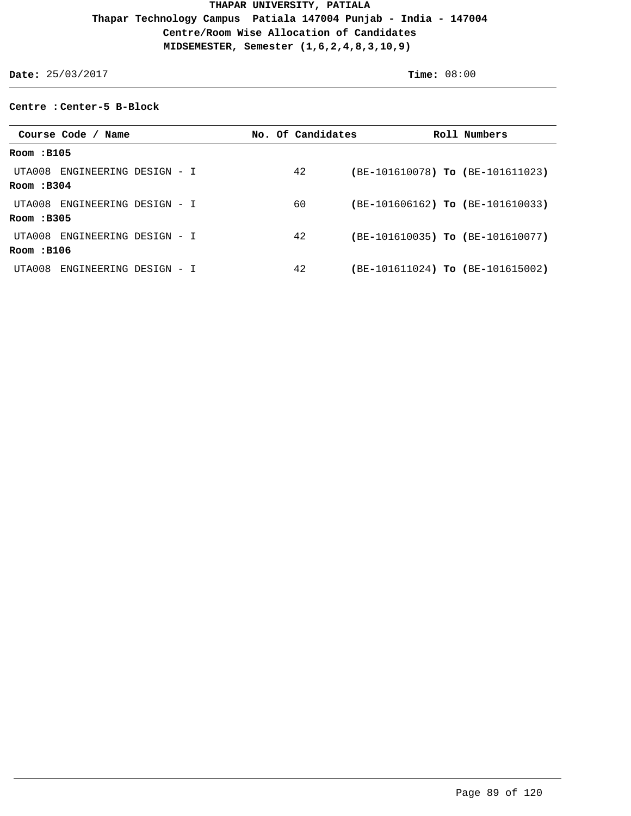## **THAPAR UNIVERSITY, PATIALA Centre/Room Wise Allocation of Candidates Thapar Technology Campus Patiala 147004 Punjab - India - 147004 MIDSEMESTER, Semester (1,6,2,4,8,3,10,9)**

Date:  $25/03/2017$ 

Time: 08:00

**Centre : Center-5 B-Block**

| Course Code / Name               | No. Of Candidates |                                      | Roll Numbers |
|----------------------------------|-------------------|--------------------------------------|--------------|
| Room : B105                      |                   |                                      |              |
| UTA008 ENGINEERING DESIGN - I    | 42                | $(BE-101610078)$ To $(BE-101611023)$ |              |
| Room : B304                      |                   |                                      |              |
| UTA008 ENGINEERING DESIGN - I    | 60                | $(BE-101606162)$ To $(BE-101610033)$ |              |
| Room : B305                      |                   |                                      |              |
| UTA008 ENGINEERING DESIGN - I    | 42                | $(BE-101610035)$ To $(BE-101610077)$ |              |
| Room : B106                      |                   |                                      |              |
| UTA008<br>ENGINEERING DESIGN - I | 42                | $(BE-101611024)$ To $(BE-101615002)$ |              |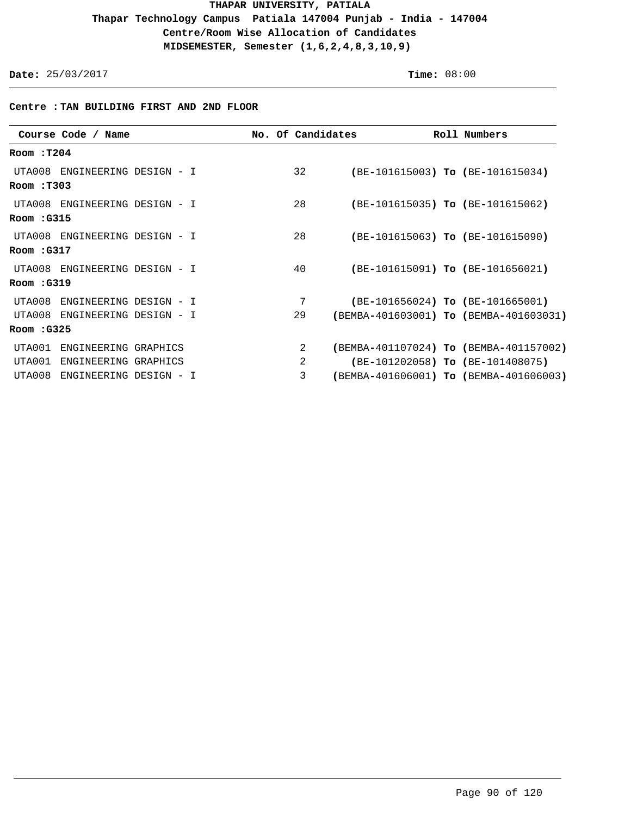**Centre/Room Wise Allocation of Candidates Thapar Technology Campus Patiala 147004 Punjab - India - 147004**

**MIDSEMESTER, Semester (1,6,2,4,8,3,10,9)**

Date:  $25/03/2017$ 

Time: 08:00

#### **Centre : TAN BUILDING FIRST AND 2ND FLOOR**

|              | Course Code / Name            |  |  | No. Of Candidates |  | Roll Numbers                           |
|--------------|-------------------------------|--|--|-------------------|--|----------------------------------------|
| Room: $T204$ |                               |  |  |                   |  |                                        |
|              | UTA008 ENGINEERING DESIGN - I |  |  | 32                |  | $(BE-101615003)$ To $(BE-101615034)$   |
| Room: T303   |                               |  |  |                   |  |                                        |
|              | UTA008 ENGINEERING DESIGN - I |  |  | 28                |  | $(BE-101615035)$ To $(BE-101615062)$   |
| Room:G315    |                               |  |  |                   |  |                                        |
|              | UTA008 ENGINEERING DESIGN - I |  |  | 28                |  | $(BE-101615063)$ To $(BE-101615090)$   |
| Room:G317    |                               |  |  |                   |  |                                        |
|              | UTA008 ENGINEERING DESIGN - I |  |  | 40                |  | $(BE-101615091)$ To $(BE-101656021)$   |
| Room:G319    |                               |  |  |                   |  |                                        |
|              | UTA008 ENGINEERING DESIGN - I |  |  | 7                 |  | $(BE-101656024)$ To $(BE-101665001)$   |
|              | UTA008 ENGINEERING DESIGN - I |  |  | 29                |  | (BEMBA-401603001) To (BEMBA-401603031) |
| Room:G325    |                               |  |  |                   |  |                                        |
|              | UTA001 ENGINEERING GRAPHICS   |  |  | 2                 |  | (BEMBA-401107024) To (BEMBA-401157002) |
|              | UTA001 ENGINEERING GRAPHICS   |  |  | 2                 |  | $(BE-101202058)$ To $(BE-101408075)$   |
|              | UTA008 ENGINEERING DESIGN - I |  |  | 3                 |  | (BEMBA-401606001) To (BEMBA-401606003) |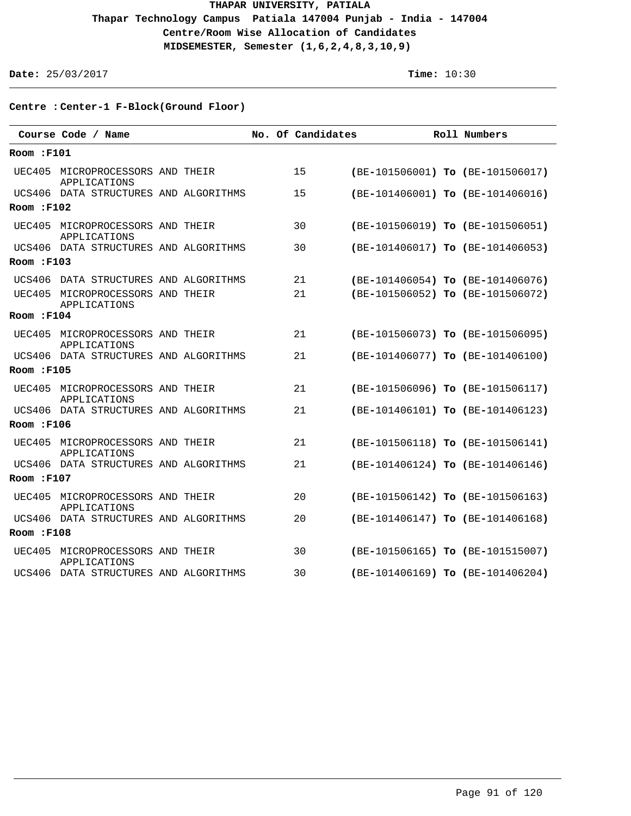**Centre/Room Wise Allocation of Candidates Thapar Technology Campus Patiala 147004 Punjab - India - 147004**

**MIDSEMESTER, Semester (1,6,2,4,8,3,10,9)**

Date:  $25/03/2017$ 

Time: 10:30

|             | Course Code / Name                               |  |  | No. Of Candidates |  | Roll Numbers                         |
|-------------|--------------------------------------------------|--|--|-------------------|--|--------------------------------------|
| Room : F101 |                                                  |  |  |                   |  |                                      |
|             | UEC405 MICROPROCESSORS AND THEIR<br>APPLICATIONS |  |  | 15                |  | (BE-101506001) To (BE-101506017)     |
|             | UCS406 DATA STRUCTURES AND ALGORITHMS            |  |  | 15                |  | $(BE-101406001)$ To $(BE-101406016)$ |
| Room : F102 |                                                  |  |  |                   |  |                                      |
|             | UEC405 MICROPROCESSORS AND THEIR<br>APPLICATIONS |  |  | 30                |  | $(BE-101506019)$ To $(BE-101506051)$ |
|             | UCS406 DATA STRUCTURES AND ALGORITHMS            |  |  | 30                |  | $(BE-101406017)$ To $(BE-101406053)$ |
| Room : F103 |                                                  |  |  |                   |  |                                      |
|             | UCS406 DATA STRUCTURES AND ALGORITHMS            |  |  | 21                |  | $(BE-101406054)$ To $(BE-101406076)$ |
|             | UEC405 MICROPROCESSORS AND THEIR<br>APPLICATIONS |  |  | 21                |  | (BE-101506052) To (BE-101506072)     |
| Room : F104 |                                                  |  |  |                   |  |                                      |
|             | UEC405 MICROPROCESSORS AND THEIR<br>APPLICATIONS |  |  | 21                |  | $(BE-101506073)$ To $(BE-101506095)$ |
|             | UCS406 DATA STRUCTURES AND ALGORITHMS            |  |  | 21                |  | $(BE-101406077)$ To $(BE-101406100)$ |
| Room : F105 |                                                  |  |  |                   |  |                                      |
| UEC405      | MICROPROCESSORS AND THEIR<br>APPLICATIONS        |  |  | 21                |  | $(BE-101506096)$ To $(BE-101506117)$ |
|             | UCS406 DATA STRUCTURES AND ALGORITHMS            |  |  | 21                |  | (BE-101406101) To (BE-101406123)     |
| Room : F106 |                                                  |  |  |                   |  |                                      |
|             | UEC405 MICROPROCESSORS AND THEIR<br>APPLICATIONS |  |  | 21                |  | $(BE-101506118)$ To $(BE-101506141)$ |
|             | UCS406 DATA STRUCTURES AND ALGORITHMS            |  |  | 21                |  | (BE-101406124) To (BE-101406146)     |
| Room : F107 |                                                  |  |  |                   |  |                                      |
| UEC405      | MICROPROCESSORS AND THEIR<br>APPLICATIONS        |  |  | 20                |  | $(BE-101506142)$ To $(BE-101506163)$ |
|             | UCS406 DATA STRUCTURES AND ALGORITHMS            |  |  | 20                |  | $(BE-101406147)$ To $(BE-101406168)$ |
| Room : F108 |                                                  |  |  |                   |  |                                      |
|             | UEC405 MICROPROCESSORS AND THEIR<br>APPLICATIONS |  |  | 30                |  | $(BE-101506165)$ To $(BE-101515007)$ |
|             | UCS406 DATA STRUCTURES AND ALGORITHMS            |  |  | 30                |  | $(BE-101406169)$ To $(BE-101406204)$ |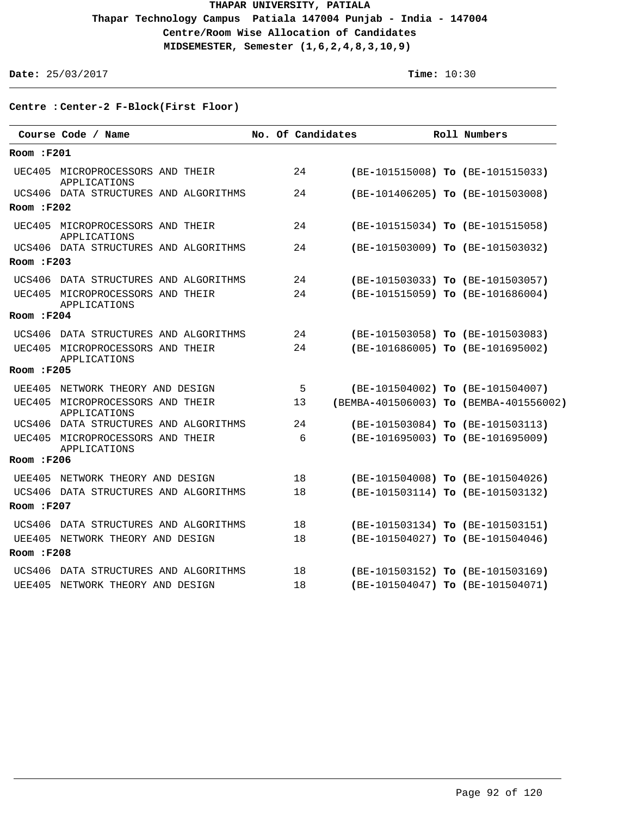**Centre/Room Wise Allocation of Candidates Thapar Technology Campus Patiala 147004 Punjab - India - 147004**

**MIDSEMESTER, Semester (1,6,2,4,8,3,10,9)**

Date:  $25/03/2017$ 

Time: 10:30

#### **Centre : Center-2 F-Block(First Floor)**

|             | Course Code / Name                               |  |    | No. Of Candidates<br>Roll Numbers      |
|-------------|--------------------------------------------------|--|----|----------------------------------------|
| Room : F201 |                                                  |  |    |                                        |
|             | UEC405 MICROPROCESSORS AND THEIR<br>APPLICATIONS |  | 24 | $(BE-101515008)$ To $(BE-101515033)$   |
|             | UCS406 DATA STRUCTURES AND ALGORITHMS            |  | 24 | $(BE-101406205)$ To $(BE-101503008)$   |
| Room : F202 |                                                  |  |    |                                        |
| UEC405      | MICROPROCESSORS AND THEIR<br>APPLICATIONS        |  | 24 | $(BE-101515034)$ To $(BE-101515058)$   |
|             | UCS406 DATA STRUCTURES AND ALGORITHMS            |  | 24 | $(BE-101503009)$ To $(BE-101503032)$   |
| Room : F203 |                                                  |  |    |                                        |
|             | UCS406 DATA STRUCTURES AND ALGORITHMS            |  | 24 | $(BE-101503033)$ To $(BE-101503057)$   |
| UEC405      | MICROPROCESSORS AND THEIR<br>APPLICATIONS        |  | 24 | (BE-101515059) To (BE-101686004)       |
| Room : F204 |                                                  |  |    |                                        |
|             | UCS406 DATA STRUCTURES AND ALGORITHMS            |  | 24 | $(BE-101503058)$ To $(BE-101503083)$   |
|             | UEC405 MICROPROCESSORS AND THEIR<br>APPLICATIONS |  | 24 | $(BE-101686005)$ To $(BE-101695002)$   |
| Room : F205 |                                                  |  |    |                                        |
| UEE405      | NETWORK THEORY AND DESIGN                        |  | 5  | (BE-101504002) To (BE-101504007)       |
|             | UEC405 MICROPROCESSORS AND THEIR<br>APPLICATIONS |  | 13 | (BEMBA-401506003) To (BEMBA-401556002) |
|             | UCS406 DATA STRUCTURES AND ALGORITHMS            |  | 24 | $(BE-101503084)$ To $(BE-101503113)$   |
| UEC405      | MICROPROCESSORS AND THEIR<br>APPLICATIONS        |  | 6  | $(BE-101695003)$ To $(BE-101695009)$   |
| Room : F206 |                                                  |  |    |                                        |
| UEE405      | NETWORK THEORY AND DESIGN                        |  | 18 | $(BE-101504008)$ To $(BE-101504026)$   |
|             | UCS406 DATA STRUCTURES AND ALGORITHMS            |  | 18 | (BE-101503114) To (BE-101503132)       |
| Room : F207 |                                                  |  |    |                                        |
| UCS406      | DATA STRUCTURES AND ALGORITHMS                   |  | 18 | $(BE-101503134)$ To $(BE-101503151)$   |
|             | UEE405 NETWORK THEORY AND DESIGN                 |  | 18 | $(BE-101504027)$ To $(BE-101504046)$   |
| Room : F208 |                                                  |  |    |                                        |
|             | UCS406 DATA STRUCTURES AND ALGORITHMS            |  | 18 | $(BE-101503152)$ To $(BE-101503169)$   |
|             | UEE405 NETWORK THEORY AND DESIGN                 |  | 18 | (BE-101504047) To (BE-101504071)       |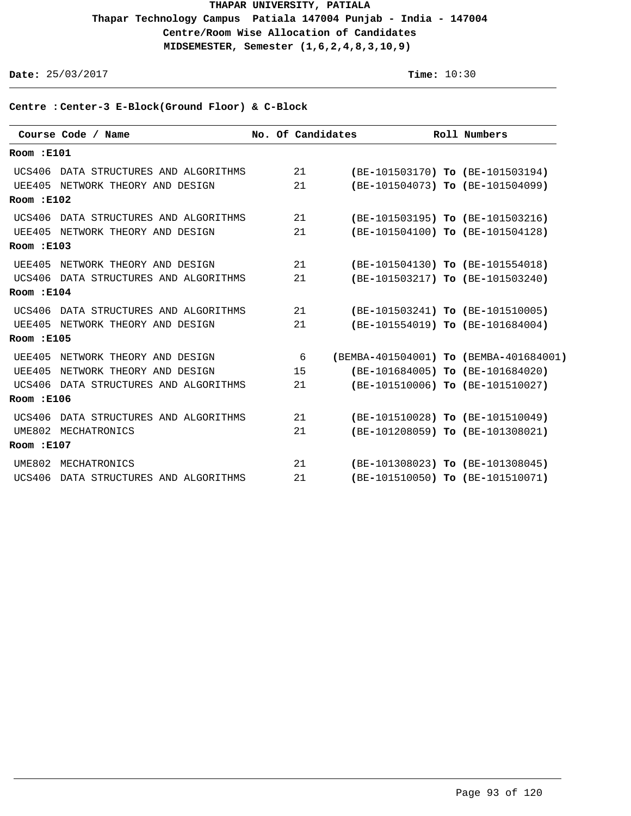**Centre/Room Wise Allocation of Candidates Thapar Technology Campus Patiala 147004 Punjab - India - 147004**

**MIDSEMESTER, Semester (1,6,2,4,8,3,10,9)**

Date:  $25/03/2017$ 

Time: 10:30

**Centre : Center-3 E-Block(Ground Floor) & C-Block**

|               | Course Code / Name                    |  | No. Of Candidates |  | Roll Numbers                           |
|---------------|---------------------------------------|--|-------------------|--|----------------------------------------|
| Room : E101   |                                       |  |                   |  |                                        |
| <b>UCS406</b> | DATA STRUCTURES AND ALGORITHMS        |  | 21                |  | $(BE-101503170)$ To $(BE-101503194)$   |
|               | UEE405 NETWORK THEORY AND DESIGN      |  | 21                |  | $(BE-101504073)$ To $(BE-101504099)$   |
| Room : E102   |                                       |  |                   |  |                                        |
| UCS406        | DATA STRUCTURES AND ALGORITHMS        |  | 21                |  | $(BE-101503195)$ To $(BE-101503216)$   |
| UEE405        | NETWORK THEORY AND DESIGN             |  | 21                |  | $(BE-101504100)$ To $(BE-101504128)$   |
| Room : E103   |                                       |  |                   |  |                                        |
| UEE405        | NETWORK THEORY AND DESIGN             |  | 21                |  | (BE-101504130) To (BE-101554018)       |
|               | UCS406 DATA STRUCTURES AND ALGORITHMS |  | 21                |  | $(BE-101503217)$ To $(BE-101503240)$   |
| Room : E104   |                                       |  |                   |  |                                        |
| UCS406        | DATA STRUCTURES AND ALGORITHMS        |  | 21                |  | (BE-101503241) To (BE-101510005)       |
| UEE405        | NETWORK THEORY AND DESIGN             |  | 21                |  | $(BE-101554019)$ To $(BE-101684004)$   |
| Room : E105   |                                       |  |                   |  |                                        |
| UEE405        | NETWORK THEORY AND DESIGN             |  | 6                 |  | (BEMBA-401504001) To (BEMBA-401684001) |
| UEE405        | NETWORK THEORY AND DESIGN             |  | 15                |  | $(BE-101684005)$ To $(BE-101684020)$   |
|               | UCS406 DATA STRUCTURES AND ALGORITHMS |  | 21                |  | $(BE-101510006)$ To $(BE-101510027)$   |
| Room : E106   |                                       |  |                   |  |                                        |
| UCS406        | DATA STRUCTURES AND ALGORITHMS        |  | 21                |  | $(BE-101510028)$ To $(BE-101510049)$   |
| UME802        | MECHATRONICS                          |  | 21                |  | $(BE-101208059)$ To $(BE-101308021)$   |
| Room : E107   |                                       |  |                   |  |                                        |
| UME802        | MECHATRONICS                          |  | 21                |  | $(BE-101308023)$ To $(BE-101308045)$   |
|               | UCS406 DATA STRUCTURES AND ALGORITHMS |  | 21                |  | $(BE-101510050)$ To $(BE-101510071)$   |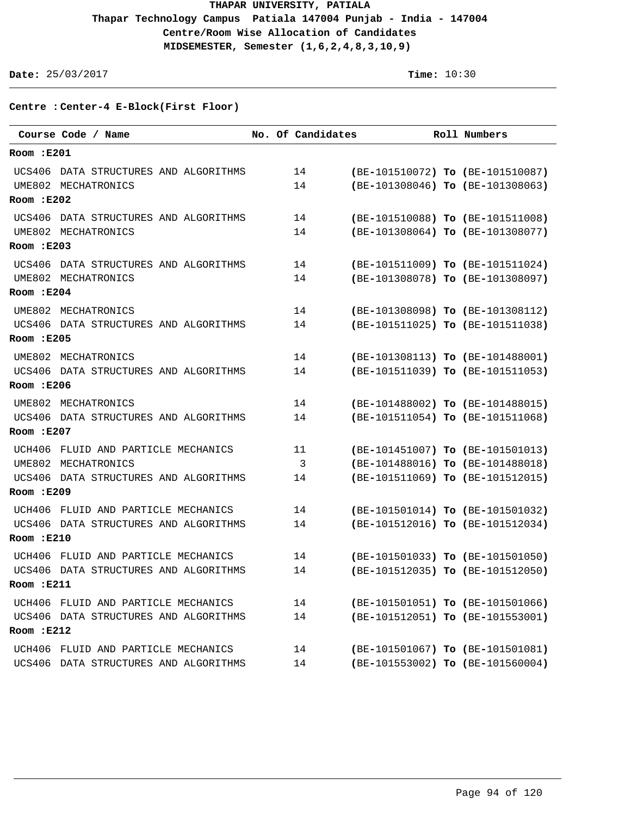**Thapar Technology Campus Patiala 147004 Punjab - India - 147004**

**Centre/Room Wise Allocation of Candidates**

**MIDSEMESTER, Semester (1,6,2,4,8,3,10,9)**

Date:  $25/03/2017$ 

Time: 10:30

**Centre : Center-4 E-Block(First Floor)**

|             | Course Code / Name  |                                       | No. Of Candidates |    |  | Roll Numbers                         |
|-------------|---------------------|---------------------------------------|-------------------|----|--|--------------------------------------|
| Room : E201 |                     |                                       |                   |    |  |                                      |
|             |                     | UCS406 DATA STRUCTURES AND ALGORITHMS |                   | 14 |  | $(BE-101510072)$ To $(BE-101510087)$ |
|             | UME802 MECHATRONICS |                                       |                   | 14 |  | $(BE-101308046)$ To $(BE-101308063)$ |
| Room : E202 |                     |                                       |                   |    |  |                                      |
|             |                     | UCS406 DATA STRUCTURES AND ALGORITHMS |                   | 14 |  | (BE-101510088) To (BE-101511008)     |
|             | UME802 MECHATRONICS |                                       |                   | 14 |  | $(BE-101308064)$ To $(BE-101308077)$ |
| Room : E203 |                     |                                       |                   |    |  |                                      |
|             |                     | UCS406 DATA STRUCTURES AND ALGORITHMS |                   | 14 |  | $(BE-101511009)$ To $(BE-101511024)$ |
|             | UME802 MECHATRONICS |                                       |                   | 14 |  | (BE-101308078) To (BE-101308097)     |
| Room : E204 |                     |                                       |                   |    |  |                                      |
| UME802      | MECHATRONICS        |                                       |                   | 14 |  | $(BE-101308098)$ To $(BE-101308112)$ |
|             |                     | UCS406 DATA STRUCTURES AND ALGORITHMS |                   | 14 |  | (BE-101511025) To (BE-101511038)     |
| Room : E205 |                     |                                       |                   |    |  |                                      |
| UME802      | MECHATRONICS        |                                       |                   | 14 |  | (BE-101308113) To (BE-101488001)     |
|             |                     | UCS406 DATA STRUCTURES AND ALGORITHMS |                   | 14 |  | (BE-101511039) To (BE-101511053)     |
| Room : E206 |                     |                                       |                   |    |  |                                      |
| UME802      | MECHATRONICS        |                                       |                   | 14 |  | (BE-101488002) To (BE-101488015)     |
|             |                     | UCS406 DATA STRUCTURES AND ALGORITHMS |                   | 14 |  | $(BE-101511054)$ To $(BE-101511068)$ |
| Room : E207 |                     |                                       |                   |    |  |                                      |
| UCH406      |                     | FLUID AND PARTICLE MECHANICS          |                   | 11 |  | (BE-101451007) To (BE-101501013)     |
| UME802      | MECHATRONICS        |                                       |                   | 3  |  | $(BE-101488016)$ To $(BE-101488018)$ |
|             |                     | UCS406 DATA STRUCTURES AND ALGORITHMS |                   | 14 |  | (BE-101511069) To (BE-101512015)     |
| Room : E209 |                     |                                       |                   |    |  |                                      |
|             |                     | UCH406 FLUID AND PARTICLE MECHANICS   |                   | 14 |  | $(BE-101501014)$ To $(BE-101501032)$ |
|             |                     | UCS406 DATA STRUCTURES AND ALGORITHMS |                   | 14 |  | (BE-101512016) To (BE-101512034)     |
| Room : E210 |                     |                                       |                   |    |  |                                      |
|             |                     | UCH406 FLUID AND PARTICLE MECHANICS   |                   | 14 |  | $(BE-101501033)$ To $(BE-101501050)$ |
|             |                     | UCS406 DATA STRUCTURES AND ALGORITHMS |                   | 14 |  | (BE-101512035) To (BE-101512050)     |
| Room : E211 |                     |                                       |                   |    |  |                                      |
|             |                     | UCH406 FLUID AND PARTICLE MECHANICS   |                   | 14 |  | (BE-101501051) To (BE-101501066)     |
|             |                     | UCS406 DATA STRUCTURES AND ALGORITHMS |                   | 14 |  | (BE-101512051) To (BE-101553001)     |
| Room : E212 |                     |                                       |                   |    |  |                                      |
| UCH406      |                     | FLUID AND PARTICLE MECHANICS          |                   | 14 |  | (BE-101501067) To (BE-101501081)     |
|             |                     | UCS406 DATA STRUCTURES AND ALGORITHMS |                   | 14 |  | (BE-101553002) To (BE-101560004)     |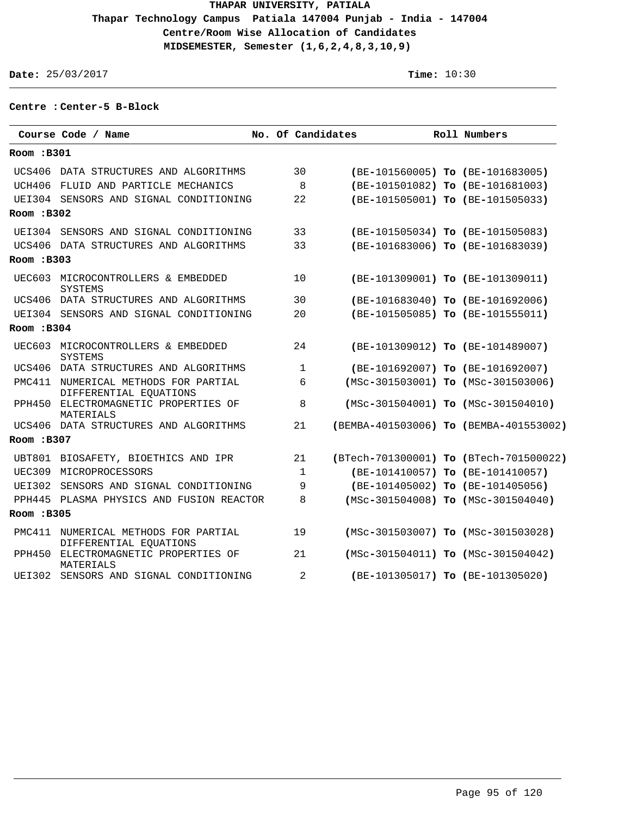**Thapar Technology Campus Patiala 147004 Punjab - India - 147004**

**Centre/Room Wise Allocation of Candidates**

**MIDSEMESTER, Semester (1,6,2,4,8,3,10,9)**

Date:  $25/03/2017$ 

Time: 10:30

**Centre : Center-5 B-Block**

|             | Course Code / Name                                             | No. Of Candidates |              |                                        | Roll Numbers |
|-------------|----------------------------------------------------------------|-------------------|--------------|----------------------------------------|--------------|
| Room: B301  |                                                                |                   |              |                                        |              |
|             | UCS406 DATA STRUCTURES AND ALGORITHMS                          |                   | 30           | (BE-101560005) To (BE-101683005)       |              |
| UCH406      | FLUID AND PARTICLE MECHANICS                                   |                   | 8            | (BE-101501082) To (BE-101681003)       |              |
|             | UEI304 SENSORS AND SIGNAL CONDITIONING                         |                   | 22           | (BE-101505001) To (BE-101505033)       |              |
| Room:B302   |                                                                |                   |              |                                        |              |
|             | UEI304 SENSORS AND SIGNAL CONDITIONING                         |                   | 33           | $(BE-101505034)$ To $(BE-101505083)$   |              |
|             | UCS406 DATA STRUCTURES AND ALGORITHMS                          |                   | 33           | (BE-101683006) To (BE-101683039)       |              |
| Room : B303 |                                                                |                   |              |                                        |              |
|             | UEC603 MICROCONTROLLERS & EMBEDDED<br><b>SYSTEMS</b>           |                   | 10           | $(BE-101309001)$ To $(BE-101309011)$   |              |
|             | UCS406 DATA STRUCTURES AND ALGORITHMS                          |                   | 30           | (BE-101683040) To (BE-101692006)       |              |
|             | UEI304 SENSORS AND SIGNAL CONDITIONING                         |                   | 20           | $(BE-101505085)$ To $(BE-101555011)$   |              |
| Room : B304 |                                                                |                   |              |                                        |              |
| UEC603      | MICROCONTROLLERS & EMBEDDED<br><b>SYSTEMS</b>                  |                   | 24           | $(BE-101309012)$ To $(BE-101489007)$   |              |
|             | UCS406 DATA STRUCTURES AND ALGORITHMS                          |                   | $\mathbf{1}$ | (BE-101692007) To (BE-101692007)       |              |
| PMC411      | NUMERICAL METHODS FOR PARTIAL<br>DIFFERENTIAL EOUATIONS        |                   | 6            | (MSc-301503001) To (MSc-301503006)     |              |
|             | PPH450 ELECTROMAGNETIC PROPERTIES OF<br>MATERIALS              |                   | 8            | $(MSc-301504001)$ To $(MSc-301504010)$ |              |
|             | UCS406 DATA STRUCTURES AND ALGORITHMS                          |                   | 21           | (BEMBA-401503006) To (BEMBA-401553002) |              |
| Room : B307 |                                                                |                   |              |                                        |              |
| UBT801      | BIOSAFETY, BIOETHICS AND IPR                                   |                   | 21           | (BTech-701300001) To (BTech-701500022) |              |
|             | UEC309 MICROPROCESSORS                                         |                   | $\mathbf{1}$ | (BE-101410057) To (BE-101410057)       |              |
| UEI302      | SENSORS AND SIGNAL CONDITIONING                                |                   | 9            | $(BE-101405002)$ To $(BE-101405056)$   |              |
|             | PPH445 PLASMA PHYSICS AND FUSION REACTOR                       |                   | 8            | $(MSc-301504008)$ To $(MSc-301504040)$ |              |
| Room : B305 |                                                                |                   |              |                                        |              |
|             | PMC411 NUMERICAL METHODS FOR PARTIAL<br>DIFFERENTIAL EOUATIONS |                   | 19           | $(MSc-301503007)$ To $(MSc-301503028)$ |              |
| PPH450      | ELECTROMAGNETIC PROPERTIES OF<br>MATERIALS                     |                   | 21           | (MSc-301504011) To (MSc-301504042)     |              |
|             | UEI302 SENSORS AND SIGNAL CONDITIONING                         |                   | 2            | $(BE-101305017)$ To $(BE-101305020)$   |              |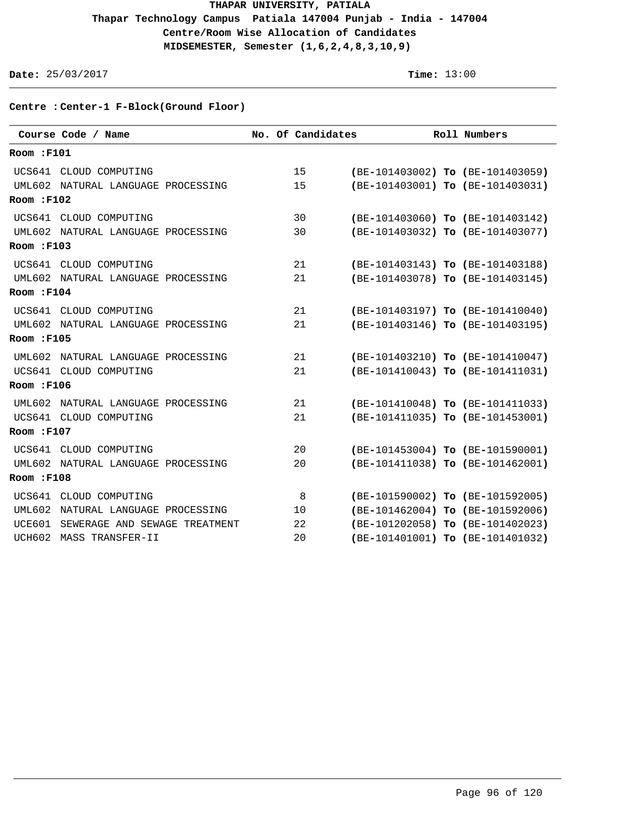**Thapar Technology Campus Patiala 147004 Punjab - India - 147004**

**Centre/Room Wise Allocation of Candidates**

**MIDSEMESTER, Semester (1,6,2,4,8,3,10,9)**

Date:  $25/03/2017$ 

**Time:** 13:00

|             | Course Code / Name                 | No. Of Candidates |                                      | Roll Numbers |
|-------------|------------------------------------|-------------------|--------------------------------------|--------------|
| Room : F101 |                                    |                   |                                      |              |
| UCS641      | CLOUD COMPUTING                    | 15                | $(BE-101403002)$ To $(BE-101403059)$ |              |
|             | UML602 NATURAL LANGUAGE PROCESSING | 15                | (BE-101403001) To (BE-101403031)     |              |
| Room : F102 |                                    |                   |                                      |              |
|             | UCS641 CLOUD COMPUTING             | 30                | $(BE-101403060)$ To $(BE-101403142)$ |              |
|             | UML602 NATURAL LANGUAGE PROCESSING | 30                | $(BE-101403032)$ To $(BE-101403077)$ |              |
| Room : F103 |                                    |                   |                                      |              |
|             | UCS641 CLOUD COMPUTING             | 21                | $(BE-101403143)$ To $(BE-101403188)$ |              |
|             | UML602 NATURAL LANGUAGE PROCESSING | 21                | $(BE-101403078)$ To $(BE-101403145)$ |              |
| Room : F104 |                                    |                   |                                      |              |
|             | UCS641 CLOUD COMPUTING             | 21                | $(BE-101403197)$ To $(BE-101410040)$ |              |
|             | UML602 NATURAL LANGUAGE PROCESSING | 21                | $(BE-101403146)$ To $(BE-101403195)$ |              |
| Room : F105 |                                    |                   |                                      |              |
|             | UML602 NATURAL LANGUAGE PROCESSING | 21                | $(BE-101403210)$ To $(BE-101410047)$ |              |
|             | UCS641 CLOUD COMPUTING             | 21                | (BE-101410043) To (BE-101411031)     |              |
| Room : F106 |                                    |                   |                                      |              |
|             | UML602 NATURAL LANGUAGE PROCESSING | 21                | (BE-101410048) To (BE-101411033)     |              |
|             | UCS641 CLOUD COMPUTING             | 21                | $(BE-101411035)$ To $(BE-101453001)$ |              |
| Room : F107 |                                    |                   |                                      |              |
| UCS641      | CLOUD COMPUTING                    | 20                | $(BE-101453004)$ To $(BE-101590001)$ |              |
|             | UML602 NATURAL LANGUAGE PROCESSING | 20                | $(BE-101411038)$ To $(BE-101462001)$ |              |
| Room : F108 |                                    |                   |                                      |              |
| UCS641      | CLOUD COMPUTING                    | 8                 | $(BE-101590002)$ To $(BE-101592005)$ |              |
|             | UML602 NATURAL LANGUAGE PROCESSING | 10                | $(BE-101462004)$ To $(BE-101592006)$ |              |
| UCE601      | SEWERAGE AND SEWAGE TREATMENT      | 22                | (BE-101202058) To (BE-101402023)     |              |
|             | UCH602 MASS TRANSFER-II            | 20                | $(BE-101401001)$ To $(BE-101401032)$ |              |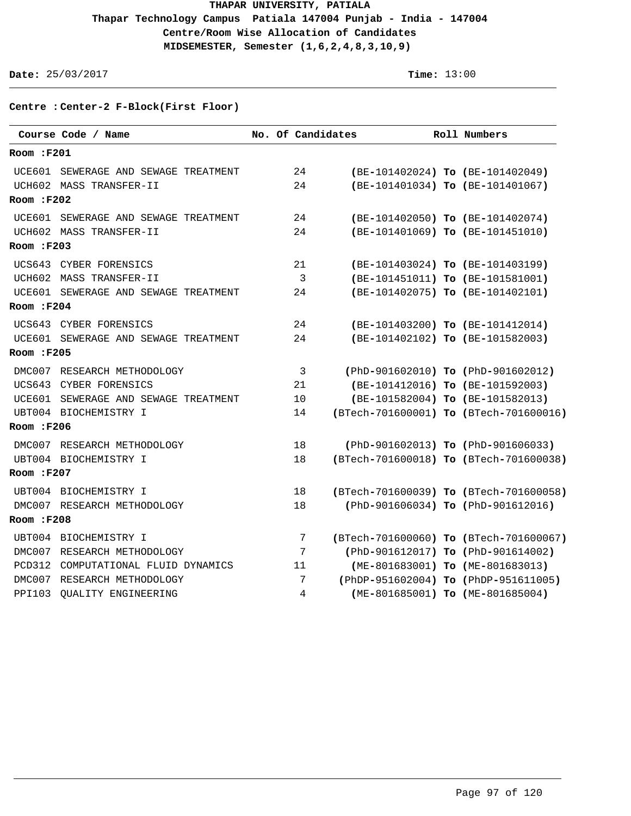**Thapar Technology Campus Patiala 147004 Punjab - India - 147004**

**Centre/Room Wise Allocation of Candidates**

**MIDSEMESTER, Semester (1,6,2,4,8,3,10,9)**

Date:  $25/03/2017$ 

**Time:** 13:00

**Centre : Center-2 F-Block(First Floor)**

|              | Course Code / Name                   |  |    | No. Of Candidates | Roll Numbers                           |
|--------------|--------------------------------------|--|----|-------------------|----------------------------------------|
| Room : F201  |                                      |  |    |                   |                                        |
|              | UCE601 SEWERAGE AND SEWAGE TREATMENT |  | 24 |                   | $(BE-101402024)$ To $(BE-101402049)$   |
|              | UCH602 MASS TRANSFER-II              |  | 24 |                   | $(BE-101401034)$ To $(BE-101401067)$   |
| Room: $F202$ |                                      |  |    |                   |                                        |
|              | UCE601 SEWERAGE AND SEWAGE TREATMENT |  | 24 |                   | $(BE-101402050)$ To $(BE-101402074)$   |
|              | UCH602 MASS TRANSFER-II              |  | 24 |                   | (BE-101401069) To (BE-101451010)       |
| Room : F203  |                                      |  |    |                   |                                        |
|              | UCS643 CYBER FORENSICS               |  | 21 |                   | $(BE-101403024)$ To $(BE-101403199)$   |
|              | UCH602 MASS TRANSFER-II              |  | 3  |                   | (BE-101451011) To (BE-101581001)       |
|              | UCE601 SEWERAGE AND SEWAGE TREATMENT |  | 24 |                   | (BE-101402075) To (BE-101402101)       |
| Room : F204  |                                      |  |    |                   |                                        |
|              | UCS643 CYBER FORENSICS               |  | 24 |                   | (BE-101403200) To (BE-101412014)       |
|              | UCE601 SEWERAGE AND SEWAGE TREATMENT |  | 24 |                   | (BE-101402102) To (BE-101582003)       |
| Room : F205  |                                      |  |    |                   |                                        |
|              | DMC007 RESEARCH METHODOLOGY          |  | 3  |                   | $(PhD-901602010)$ To $(PhD-901602012)$ |
|              | UCS643 CYBER FORENSICS               |  | 21 |                   | (BE-101412016) To (BE-101592003)       |
|              | UCE601 SEWERAGE AND SEWAGE TREATMENT |  | 10 |                   | (BE-101582004) To (BE-101582013)       |
|              | UBT004 BIOCHEMISTRY I                |  | 14 |                   | (BTech-701600001) To (BTech-701600016) |
| Room : F206  |                                      |  |    |                   |                                        |
|              | DMC007 RESEARCH METHODOLOGY          |  | 18 |                   | $(PhD-901602013)$ To $(PhD-901606033)$ |
|              | UBT004 BIOCHEMISTRY I                |  | 18 |                   | (BTech-701600018) To (BTech-701600038) |
| Room: $F207$ |                                      |  |    |                   |                                        |
|              | UBT004 BIOCHEMISTRY I                |  | 18 |                   | (BTech-701600039) To (BTech-701600058) |
|              | DMC007 RESEARCH METHODOLOGY          |  | 18 |                   | $(PhD-901606034)$ To $(PhD-901612016)$ |
| Room : F208  |                                      |  |    |                   |                                        |
|              | UBT004 BIOCHEMISTRY I                |  | 7  |                   | (BTech-701600060) To (BTech-701600067) |
|              | DMC007 RESEARCH METHODOLOGY          |  | 7  |                   | (PhD-901612017) To (PhD-901614002)     |
|              | PCD312 COMPUTATIONAL FLUID DYNAMICS  |  | 11 |                   | (ME-801683001) To (ME-801683013)       |
|              | DMC007 RESEARCH METHODOLOGY          |  | 7  |                   | (PhDP-951602004) To (PhDP-951611005)   |
|              | PPI103 OUALITY ENGINEERING           |  | 4  |                   | $(ME-801685001)$ To $(ME-801685004)$   |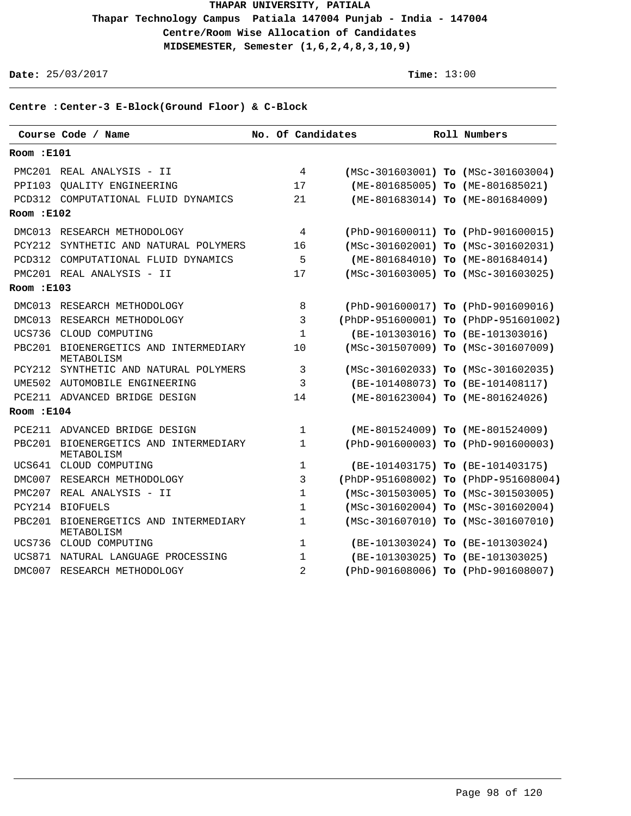**Thapar Technology Campus Patiala 147004 Punjab - India - 147004**

**Centre/Room Wise Allocation of Candidates**

**MIDSEMESTER, Semester (1,6,2,4,8,3,10,9)**

Date:  $25/03/2017$ 

**Time:** 13:00

**Centre : Center-3 E-Block(Ground Floor) & C-Block**

|               | Course Code / Name                           | No. Of Candidates |              |  | Roll Numbers                           |  |
|---------------|----------------------------------------------|-------------------|--------------|--|----------------------------------------|--|
| Room: E101    |                                              |                   |              |  |                                        |  |
|               | PMC201 REAL ANALYSIS - II                    |                   | 4            |  | $(MSc-301603001)$ To $(MSc-301603004)$ |  |
| PPI103        | <b>OUALITY ENGINEERING</b>                   |                   | 17           |  | (ME-801685005) To (ME-801685021)       |  |
|               | PCD312 COMPUTATIONAL FLUID DYNAMICS          |                   | 21           |  | (ME-801683014) To (ME-801684009)       |  |
| Room : E102   |                                              |                   |              |  |                                        |  |
| DMC013        | RESEARCH METHODOLOGY                         |                   | 4            |  | $(PhD-901600011)$ To $(PhD-901600015)$ |  |
| PCY212        | SYNTHETIC AND NATURAL POLYMERS               |                   | 16           |  | $(MSc-301602001)$ To $(MSc-301602031)$ |  |
| PCD312        | COMPUTATIONAL FLUID DYNAMICS                 |                   | 5            |  | (ME-801684010) To (ME-801684014)       |  |
|               | PMC201 REAL ANALYSIS - II                    |                   | 17           |  | $(MSc-301603005)$ To $(MSc-301603025)$ |  |
| Room : E103   |                                              |                   |              |  |                                        |  |
| DMC013        | RESEARCH METHODOLOGY                         |                   | 8            |  | $(PhD-901600017)$ To $(PhD-901609016)$ |  |
| DMC013        | RESEARCH METHODOLOGY                         |                   | 3            |  | (PhDP-951600001) To (PhDP-951601002)   |  |
|               | UCS736 CLOUD COMPUTING                       |                   | $\mathbf{1}$ |  | (BE-101303016) To (BE-101303016)       |  |
| PBC201        | BIOENERGETICS AND INTERMEDIARY<br>METABOLISM |                   | 10           |  | $(MSc-301507009)$ To $(MSc-301607009)$ |  |
| PCY212        | SYNTHETIC AND NATURAL POLYMERS               |                   | 3            |  | $(MSc-301602033)$ To $(MSc-301602035)$ |  |
|               | UME502 AUTOMOBILE ENGINEERING                |                   | 3            |  | (BE-101408073) To (BE-101408117)       |  |
|               | PCE211 ADVANCED BRIDGE DESIGN                |                   | 14           |  | (ME-801623004) To (ME-801624026)       |  |
| Room : E104   |                                              |                   |              |  |                                        |  |
| <b>PCE211</b> | ADVANCED BRIDGE DESIGN                       |                   | 1            |  | (ME-801524009) To (ME-801524009)       |  |
| PBC201        | BIOENERGETICS AND INTERMEDIARY<br>METABOLISM |                   | $\mathbf{1}$ |  | $(PhD-901600003)$ To $(PhD-901600003)$ |  |
| UCS641        | CLOUD COMPUTING                              |                   | $\mathbf{1}$ |  | $(BE-101403175)$ To $(BE-101403175)$   |  |
| DMC007        | RESEARCH METHODOLOGY                         |                   | 3            |  | (PhDP-951608002) To (PhDP-951608004)   |  |
| PMC207        | REAL ANALYSIS - II                           |                   | $\mathbf{1}$ |  | $(MSc-301503005)$ To $(MSc-301503005)$ |  |
|               | PCY214 BIOFUELS                              |                   | $\mathbf{1}$ |  | $(MSc-301602004)$ To $(MSc-301602004)$ |  |
| PBC201        | BIOENERGETICS AND INTERMEDIARY<br>METABOLISM |                   | 1            |  | $(MSc-301607010)$ To $(MSc-301607010)$ |  |
| UCS736        | CLOUD COMPUTING                              |                   | $\mathbf{1}$ |  | $(BE-101303024)$ To $(BE-101303024)$   |  |
| UCS871        | NATURAL LANGUAGE PROCESSING                  |                   | $\mathbf{1}$ |  | $(BE-101303025)$ To $(BE-101303025)$   |  |
|               | DMC007 RESEARCH METHODOLOGY                  |                   | 2            |  | $(PhD-901608006)$ To $(PhD-901608007)$ |  |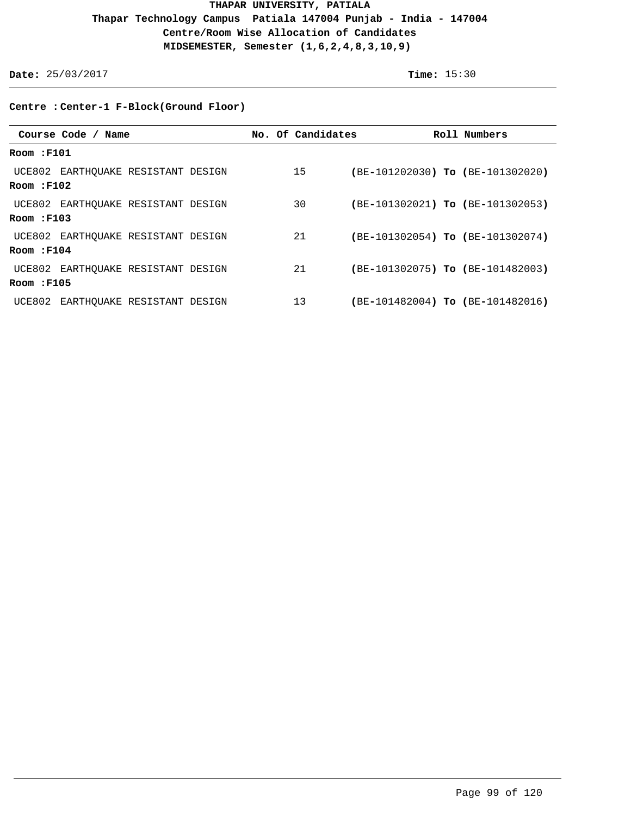**Centre/Room Wise Allocation of Candidates Thapar Technology Campus Patiala 147004 Punjab - India - 147004**

**MIDSEMESTER, Semester (1,6,2,4,8,3,10,9)**

Date:  $25/03/2017$ 

**Time:** 15:30

|             | Course Code / Name                 |  | No. Of Candidates |  | Roll Numbers                         |
|-------------|------------------------------------|--|-------------------|--|--------------------------------------|
| Room : F101 |                                    |  |                   |  |                                      |
|             | UCE802 EARTHOUAKE RESISTANT DESIGN |  | 15                |  | $(BE-101202030)$ To $(BE-101302020)$ |
| Room : F102 |                                    |  |                   |  |                                      |
|             | UCE802 EARTHQUAKE RESISTANT DESIGN |  | 30                |  | $(BE-101302021)$ To $(BE-101302053)$ |
| Room : F103 |                                    |  |                   |  |                                      |
|             | UCE802 EARTHOUAKE RESISTANT DESIGN |  | 21                |  | $(BE-101302054)$ To $(BE-101302074)$ |
| Room : F104 |                                    |  |                   |  |                                      |
|             | UCE802 EARTHOUAKE RESISTANT DESIGN |  | 21                |  | $(BE-101302075)$ To $(BE-101482003)$ |
| Room : F105 |                                    |  |                   |  |                                      |
| UCE802      | EARTHOUAKE RESISTANT DESIGN        |  | 13                |  | $(BE-101482004)$ To $(BE-101482016)$ |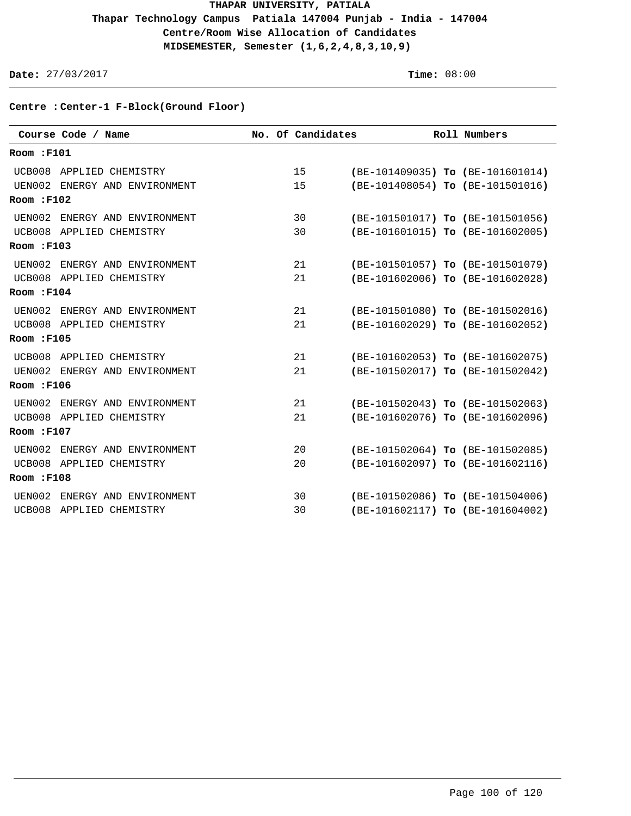**Thapar Technology Campus Patiala 147004 Punjab - India - 147004**

**Centre/Room Wise Allocation of Candidates**

**MIDSEMESTER, Semester (1,6,2,4,8,3,10,9)**

Date:  $27/03/2017$ 

Time: 08:00

|             | Course Code / Name            | No. Of Candidates |  | Roll Numbers                         |
|-------------|-------------------------------|-------------------|--|--------------------------------------|
| Room : F101 |                               |                   |  |                                      |
|             | UCB008 APPLIED CHEMISTRY      | 15                |  | $(BE-101409035)$ To $(BE-101601014)$ |
|             | UEN002 ENERGY AND ENVIRONMENT | 15                |  | $(BE-101408054)$ To $(BE-101501016)$ |
| Room : F102 |                               |                   |  |                                      |
| IIFN002     | ENERGY AND ENVIRONMENT        | 30                |  | $(BE-101501017)$ To $(BE-101501056)$ |
|             | UCB008 APPLIED CHEMISTRY      | 30                |  | $(BE-101601015)$ To $(BE-101602005)$ |
| Room : F103 |                               |                   |  |                                      |
| UEN002      | ENERGY AND ENVIRONMENT        | 21                |  | $(BE-101501057)$ To $(BE-101501079)$ |
|             | UCB008 APPLIED CHEMISTRY      | 21                |  | $(BE-101602006)$ To $(BE-101602028)$ |
| Room : F104 |                               |                   |  |                                      |
| UEN002      | ENERGY AND ENVIRONMENT        | 21                |  | $(BE-101501080)$ To $(BE-101502016)$ |
|             | UCB008 APPLIED CHEMISTRY      | 21                |  | (BE-101602029) To (BE-101602052)     |
| Room : F105 |                               |                   |  |                                      |
| UCB008      | APPLIED CHEMISTRY             | 21                |  | (BE-101602053) To (BE-101602075)     |
|             | UEN002 ENERGY AND ENVIRONMENT | 21                |  | $(BE-101502017)$ To $(BE-101502042)$ |
| Room : F106 |                               |                   |  |                                      |
|             | UEN002 ENERGY AND ENVIRONMENT | 21                |  | $(BE-101502043)$ To $(BE-101502063)$ |
|             | UCB008 APPLIED CHEMISTRY      | 21                |  | $(BE-101602076)$ To $(BE-101602096)$ |
| Room : F107 |                               |                   |  |                                      |
| UEN002      | ENERGY AND ENVIRONMENT        | 20                |  | (BE-101502064) To (BE-101502085)     |
|             | UCB008 APPLIED CHEMISTRY      | 20                |  | (BE-101602097) To (BE-101602116)     |
| Room : F108 |                               |                   |  |                                      |
| UEN002      | ENERGY AND ENVIRONMENT        | 30                |  | $(BE-101502086)$ To $(BE-101504006)$ |
|             | UCB008 APPLIED CHEMISTRY      | 30                |  | (BE-101602117) To (BE-101604002)     |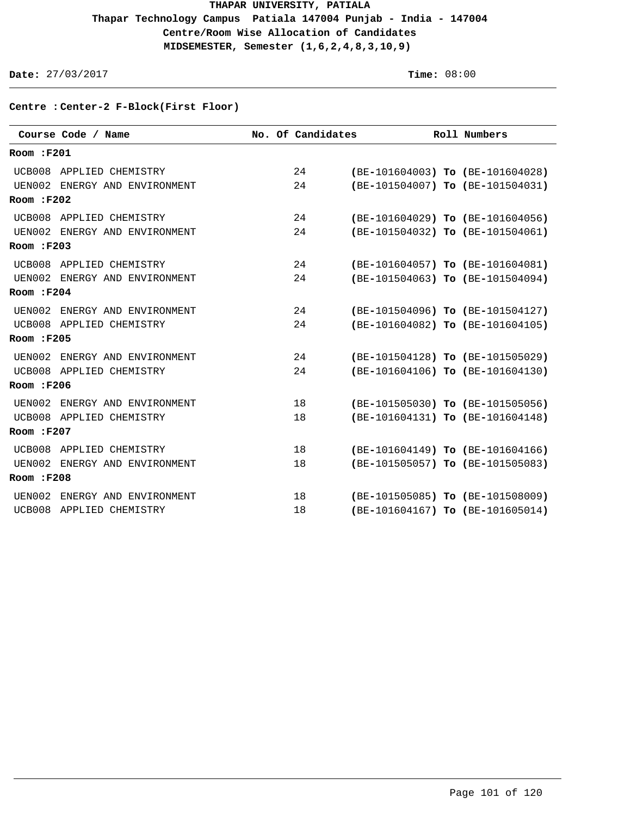**Thapar Technology Campus Patiala 147004 Punjab - India - 147004**

**Centre/Room Wise Allocation of Candidates**

**MIDSEMESTER, Semester (1,6,2,4,8,3,10,9)**

Date:  $27/03/2017$ 

Time: 08:00

#### **Centre : Center-2 F-Block(First Floor)**

|             | Course Code / Name            | No. Of Candidates |  | Roll Numbers                         |
|-------------|-------------------------------|-------------------|--|--------------------------------------|
| Room : F201 |                               |                   |  |                                      |
|             | UCB008 APPLIED CHEMISTRY      | 24                |  | $(BE-101604003)$ To $(BE-101604028)$ |
|             | UEN002 ENERGY AND ENVIRONMENT | 24                |  | $(BE-101504007)$ To $(BE-101504031)$ |
| Room : F202 |                               |                   |  |                                      |
| UCB008      | APPLIED CHEMISTRY             | 24                |  | $(BE-101604029)$ To $(BE-101604056)$ |
|             | UEN002 ENERGY AND ENVIRONMENT | 24                |  | $(BE-101504032)$ To $(BE-101504061)$ |
| Room : F203 |                               |                   |  |                                      |
| UCB008      | APPLIED CHEMISTRY             | 24                |  | $(BE-101604057)$ To $(BE-101604081)$ |
|             | UEN002 ENERGY AND ENVIRONMENT | 24                |  | $(BE-101504063)$ To $(BE-101504094)$ |
| Room : F204 |                               |                   |  |                                      |
| UEN002      | ENERGY AND ENVIRONMENT        | 24                |  | $(BE-101504096)$ To $(BE-101504127)$ |
|             | UCB008 APPLIED CHEMISTRY      | 24                |  | $(BE-101604082)$ To $(BE-101604105)$ |
| Room : F205 |                               |                   |  |                                      |
| UEN002      | ENERGY AND ENVIRONMENT        | 24                |  | $(BE-101504128)$ To $(BE-101505029)$ |
|             | UCB008 APPLIED CHEMISTRY      | 24                |  | $(BE-101604106)$ To $(BE-101604130)$ |
| Room : F206 |                               |                   |  |                                      |
| UEN002      | ENERGY AND ENVIRONMENT        | 18                |  | $(BE-101505030)$ To $(BE-101505056)$ |
|             | UCB008 APPLIED CHEMISTRY      | 18                |  | $(BE-101604131)$ To $(BE-101604148)$ |
| Room : F207 |                               |                   |  |                                      |
| UCB008      | APPLIED CHEMISTRY             | 18                |  | $(BE-101604149)$ To $(BE-101604166)$ |
|             | UEN002 ENERGY AND ENVIRONMENT | 18                |  | $(BE-101505057)$ To $(BE-101505083)$ |
| Room : F208 |                               |                   |  |                                      |
| UEN002      | ENERGY AND ENVIRONMENT        | 18                |  | $(BE-101505085)$ To $(BE-101508009)$ |
|             | UCB008 APPLIED CHEMISTRY      | 18                |  | $(BE-101604167)$ To $(BE-101605014)$ |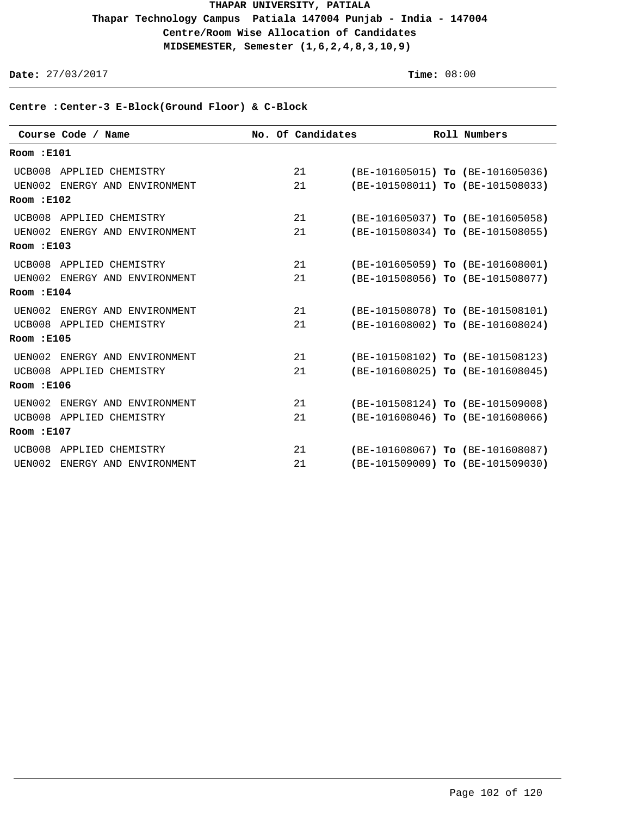**Centre/Room Wise Allocation of Candidates Thapar Technology Campus Patiala 147004 Punjab - India - 147004**

**MIDSEMESTER, Semester (1,6,2,4,8,3,10,9)**

Date:  $27/03/2017$ 

Time: 08:00

**Centre : Center-3 E-Block(Ground Floor) & C-Block**

|             | Course Code / Name            | No. Of Candidates |  | Roll Numbers                         |
|-------------|-------------------------------|-------------------|--|--------------------------------------|
| Room : E101 |                               |                   |  |                                      |
| UCB008      | APPLIED CHEMISTRY             | 21                |  | $(BE-101605015)$ To $(BE-101605036)$ |
| UEN002      | ENERGY AND ENVIRONMENT        | 21                |  | $(BE-101508011)$ To $(BE-101508033)$ |
| Room : E102 |                               |                   |  |                                      |
| UCB008      | APPLIED CHEMISTRY             | 21                |  | $(BE-101605037)$ To $(BE-101605058)$ |
| UEN002      | ENERGY AND ENVIRONMENT        | 21                |  | $(BE-101508034)$ To $(BE-101508055)$ |
| Room : E103 |                               |                   |  |                                      |
| UCB008      | APPLIED CHEMISTRY             | 21                |  | $(BE-101605059)$ To $(BE-101608001)$ |
|             | UEN002 ENERGY AND ENVIRONMENT | 21                |  | $(BE-101508056)$ To $(BE-101508077)$ |
| Room : E104 |                               |                   |  |                                      |
| UEN002      | ENERGY AND ENVIRONMENT        | 21                |  | $(BE-101508078)$ To $(BE-101508101)$ |
|             | UCB008 APPLIED CHEMISTRY      | 21                |  | $(BE-101608002)$ To $(BE-101608024)$ |
| Room : E105 |                               |                   |  |                                      |
| UEN002      | ENERGY AND ENVIRONMENT        | 21                |  | $(BE-101508102)$ To $(BE-101508123)$ |
|             | UCB008 APPLIED CHEMISTRY      | 21                |  | $(BE-101608025)$ To $(BE-101608045)$ |
| Room : E106 |                               |                   |  |                                      |
| UEN002      | ENERGY AND ENVIRONMENT        | 21                |  | $(BE-101508124)$ To $(BE-101509008)$ |
|             | UCB008 APPLIED CHEMISTRY      | 21                |  | $(BE-101608046)$ To $(BE-101608066)$ |
| Room : E107 |                               |                   |  |                                      |
| UCB008      | APPLIED CHEMISTRY             | 21                |  | $(BE-101608067)$ To $(BE-101608087)$ |
| UEN002      | ENERGY AND ENVIRONMENT        | 21                |  | $(BE-101509009)$ To $(BE-101509030)$ |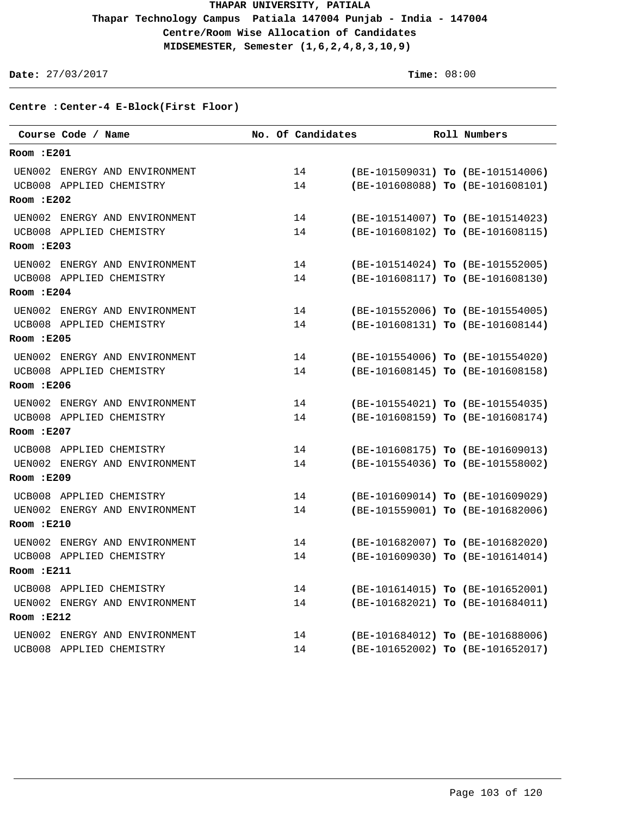# **Thapar Technology Campus Patiala 147004 Punjab - India - 147004**

**Centre/Room Wise Allocation of Candidates**

**MIDSEMESTER, Semester (1,6,2,4,8,3,10,9)**

Date:  $27/03/2017$ 

Time: 08:00

#### **Centre : Center-4 E-Block(First Floor)**

|               | Course Code / Name            | No. Of Candidates |    |  | Roll Numbers                         |
|---------------|-------------------------------|-------------------|----|--|--------------------------------------|
| Room : E201   |                               |                   |    |  |                                      |
|               | UEN002 ENERGY AND ENVIRONMENT |                   | 14 |  | $(BE-101509031)$ To $(BE-101514006)$ |
|               | UCB008 APPLIED CHEMISTRY      |                   | 14 |  | $(BE-101608088)$ To $(BE-101608101)$ |
| Room $: E202$ |                               |                   |    |  |                                      |
|               | UEN002 ENERGY AND ENVIRONMENT |                   | 14 |  | $(BE-101514007)$ To $(BE-101514023)$ |
|               | UCB008 APPLIED CHEMISTRY      |                   | 14 |  | $(BE-101608102)$ To $(BE-101608115)$ |
| Room : E203   |                               |                   |    |  |                                      |
|               | UEN002 ENERGY AND ENVIRONMENT |                   | 14 |  | $(BE-101514024)$ To $(BE-101552005)$ |
|               | UCB008 APPLIED CHEMISTRY      |                   | 14 |  | $(BE-101608117)$ To $(BE-101608130)$ |
| Room : E204   |                               |                   |    |  |                                      |
|               | UEN002 ENERGY AND ENVIRONMENT |                   | 14 |  | (BE-101552006) To (BE-101554005)     |
|               | UCB008 APPLIED CHEMISTRY      |                   | 14 |  | $(BE-101608131)$ To $(BE-101608144)$ |
| Room : E205   |                               |                   |    |  |                                      |
|               | UEN002 ENERGY AND ENVIRONMENT |                   | 14 |  | $(BE-101554006)$ To $(BE-101554020)$ |
|               | UCB008 APPLIED CHEMISTRY      |                   | 14 |  | $(BE-101608145)$ To $(BE-101608158)$ |
| Room $: E206$ |                               |                   |    |  |                                      |
|               | UEN002 ENERGY AND ENVIRONMENT |                   | 14 |  | $(BE-101554021)$ To $(BE-101554035)$ |
|               | UCB008 APPLIED CHEMISTRY      |                   | 14 |  | (BE-101608159) To (BE-101608174)     |
| Room : E207   |                               |                   |    |  |                                      |
|               | UCB008 APPLIED CHEMISTRY      |                   | 14 |  | $(BE-101608175)$ To $(BE-101609013)$ |
|               | UEN002 ENERGY AND ENVIRONMENT |                   | 14 |  | (BE-101554036) To (BE-101558002)     |
| Room : E209   |                               |                   |    |  |                                      |
|               | UCB008 APPLIED CHEMISTRY      |                   | 14 |  | $(BE-101609014)$ To $(BE-101609029)$ |
|               | UEN002 ENERGY AND ENVIRONMENT |                   | 14 |  | (BE-101559001) To (BE-101682006)     |
| Room : E210   |                               |                   |    |  |                                      |
|               | UEN002 ENERGY AND ENVIRONMENT |                   | 14 |  | $(BE-101682007)$ To $(BE-101682020)$ |
|               | UCB008 APPLIED CHEMISTRY      |                   | 14 |  | $(BE-101609030)$ To $(BE-101614014)$ |
| Room : E211   |                               |                   |    |  |                                      |
|               | UCB008 APPLIED CHEMISTRY      |                   | 14 |  | $(BE-101614015)$ To $(BE-101652001)$ |
|               | UEN002 ENERGY AND ENVIRONMENT |                   | 14 |  | $(BE-101682021)$ To $(BE-101684011)$ |
| Room : E212   |                               |                   |    |  |                                      |
|               | UEN002 ENERGY AND ENVIRONMENT |                   | 14 |  | $(BE-101684012)$ To $(BE-101688006)$ |
|               | UCB008 APPLIED CHEMISTRY      |                   | 14 |  | (BE-101652002) To (BE-101652017)     |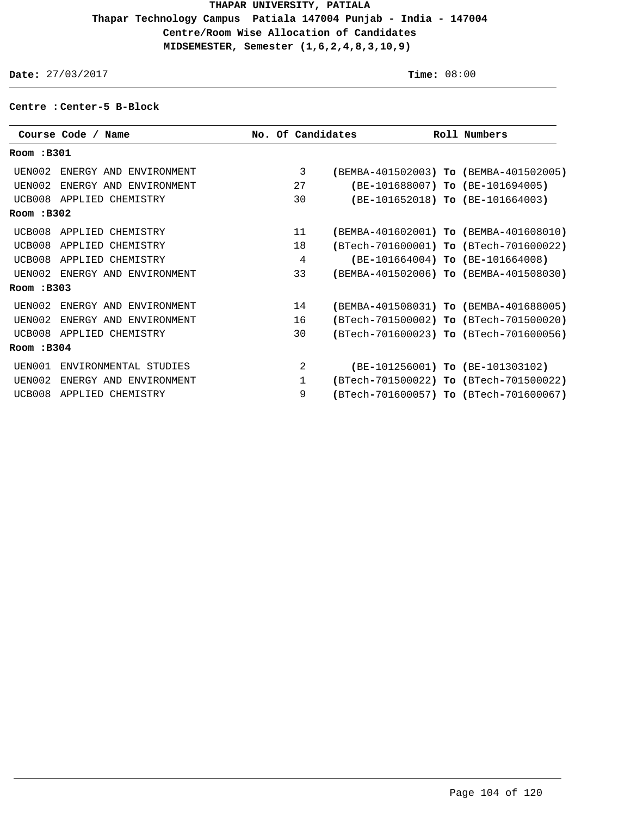**Thapar Technology Campus Patiala 147004 Punjab - India - 147004**

**Centre/Room Wise Allocation of Candidates**

**MIDSEMESTER, Semester (1,6,2,4,8,3,10,9)**

Date:  $27/03/2017$ 

Time: 08:00

#### **Centre : Center-5 B-Block**

|             | Course Code / Name            |  | No. Of Candidates |  | Roll Numbers                           |
|-------------|-------------------------------|--|-------------------|--|----------------------------------------|
| Room : B301 |                               |  |                   |  |                                        |
| UEN002      | ENERGY AND ENVIRONMENT        |  | $\mathbf{3}$      |  | (BEMBA-401502003) To (BEMBA-401502005) |
| UEN002      | ENERGY AND ENVIRONMENT        |  | 27                |  | $(BE-101688007)$ To $(BE-101694005)$   |
|             | UCB008 APPLIED CHEMISTRY      |  | 30                |  | $(BE-101652018)$ To $(BE-101664003)$   |
| Room : B302 |                               |  |                   |  |                                        |
| UCB008      | APPLIED CHEMISTRY             |  | 11                |  | (BEMBA-401602001) To (BEMBA-401608010) |
| UCB008      | APPLIED CHEMISTRY             |  | 18                |  | (BTech-701600001) To (BTech-701600022) |
| UCB008      | APPLIED CHEMISTRY             |  | 4                 |  | $(BE-101664004)$ To $(BE-101664008)$   |
|             | UEN002 ENERGY AND ENVIRONMENT |  | 33                |  | (BEMBA-401502006) To (BEMBA-401508030) |
| Room : B303 |                               |  |                   |  |                                        |
| UEN002      | ENERGY AND ENVIRONMENT        |  | 14                |  | (BEMBA-401508031) To (BEMBA-401688005) |
| UEN002      | ENERGY AND ENVIRONMENT        |  | 16                |  | (BTech-701500002) To (BTech-701500020) |
|             | UCB008 APPLIED CHEMISTRY      |  | 30                |  | (BTech-701600023) To (BTech-701600056) |
| Room : B304 |                               |  |                   |  |                                        |
| UEN001      | ENVIRONMENTAL STUDIES         |  | 2                 |  | (BE-101256001) To (BE-101303102)       |
|             | UEN002 ENERGY AND ENVIRONMENT |  | $\mathbf{1}$      |  | (BTech-701500022) To (BTech-701500022) |
|             | UCB008 APPLIED CHEMISTRY      |  | 9                 |  | (BTech-701600057) To (BTech-701600067) |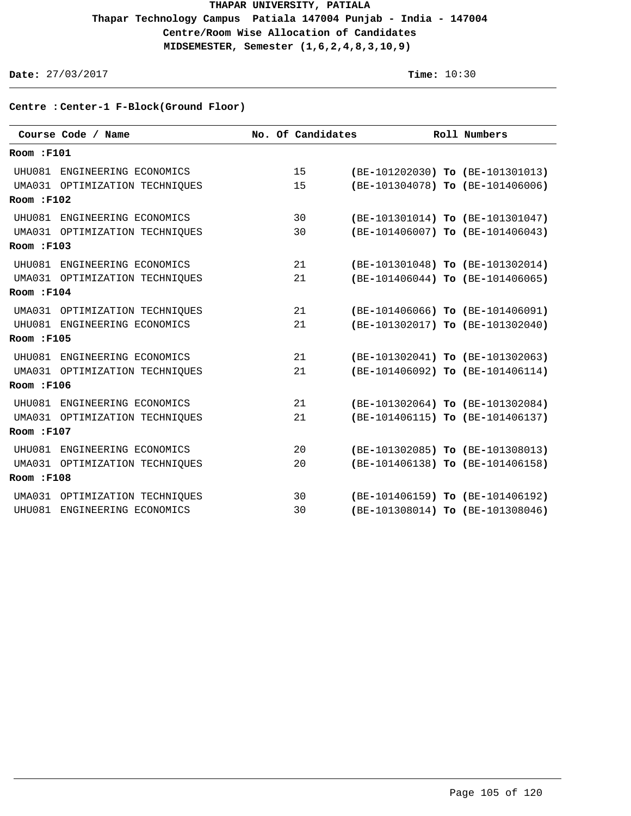**Thapar Technology Campus Patiala 147004 Punjab - India - 147004**

**Centre/Room Wise Allocation of Candidates**

**MIDSEMESTER, Semester (1,6,2,4,8,3,10,9)**

Date:  $27/03/2017$ 

Time: 10:30

|             | Course Code / Name             | No. Of Candidates |  | Roll Numbers                         |
|-------------|--------------------------------|-------------------|--|--------------------------------------|
| Room : F101 |                                |                   |  |                                      |
|             | UHU081 ENGINEERING ECONOMICS   | 15                |  | (BE-101202030) To (BE-101301013)     |
|             | UMA031 OPTIMIZATION TECHNIOUES | 15                |  | (BE-101304078) To (BE-101406006)     |
| Room : F102 |                                |                   |  |                                      |
| UHU081      | ENGINEERING ECONOMICS          | 30                |  | (BE-101301014) To (BE-101301047)     |
|             | UMA031 OPTIMIZATION TECHNIQUES | 30                |  | (BE-101406007) To (BE-101406043)     |
| Room : F103 |                                |                   |  |                                      |
|             | UHU081 ENGINEERING ECONOMICS   | 21                |  | (BE-101301048) To (BE-101302014)     |
|             | UMA031 OPTIMIZATION TECHNIQUES | 21                |  | $(BE-101406044)$ To $(BE-101406065)$ |
| Room : F104 |                                |                   |  |                                      |
|             | UMA031 OPTIMIZATION TECHNIQUES | 21                |  | $(BE-101406066)$ To $(BE-101406091)$ |
|             | UHU081 ENGINEERING ECONOMICS   | 21                |  | (BE-101302017) To (BE-101302040)     |
| Room : F105 |                                |                   |  |                                      |
| UHU081      | ENGINEERING ECONOMICS          | 21                |  | $(BE-101302041)$ To $(BE-101302063)$ |
|             | UMA031 OPTIMIZATION TECHNIOUES | 21                |  | (BE-101406092) To (BE-101406114)     |
| Room : F106 |                                |                   |  |                                      |
|             | UHU081 ENGINEERING ECONOMICS   | 21                |  | $(BE-101302064)$ To $(BE-101302084)$ |
|             | UMA031 OPTIMIZATION TECHNIOUES | 21                |  | (BE-101406115) To (BE-101406137)     |
| Room : F107 |                                |                   |  |                                      |
| UHU081      | ENGINEERING ECONOMICS          | 20                |  | (BE-101302085) To (BE-101308013)     |
|             | UMA031 OPTIMIZATION TECHNIQUES | 20                |  | (BE-101406138) To (BE-101406158)     |
| Room : F108 |                                |                   |  |                                      |
|             | UMA031 OPTIMIZATION TECHNIQUES | 30                |  | (BE-101406159) To (BE-101406192)     |
|             | UHU081 ENGINEERING ECONOMICS   | 30                |  | (BE-101308014) To (BE-101308046)     |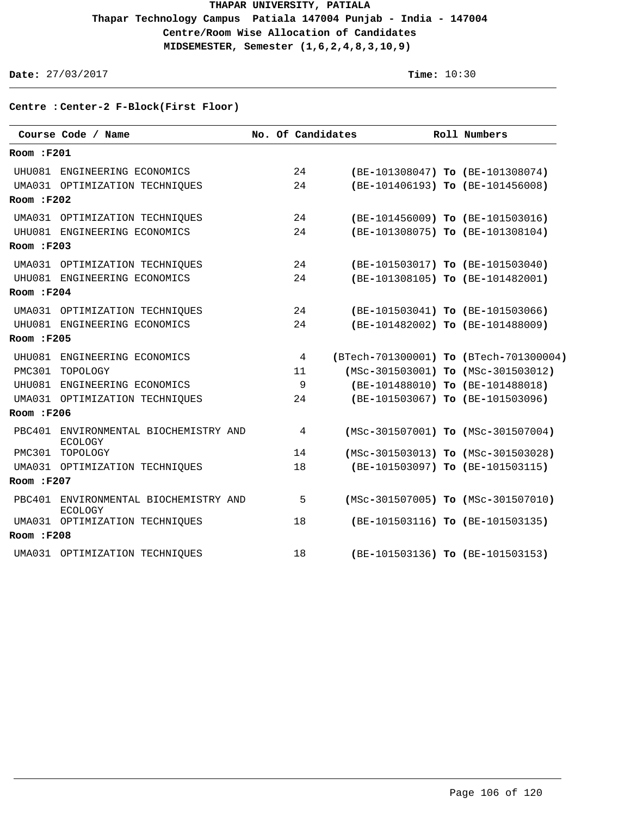**Thapar Technology Campus Patiala 147004 Punjab - India - 147004**

**Centre/Room Wise Allocation of Candidates**

**MIDSEMESTER, Semester (1,6,2,4,8,3,10,9)**

Date:  $27/03/2017$ 

Time: 10:30

#### **Centre : Center-2 F-Block(First Floor)**

|             | Course Code / Name                               |  |                | No. Of Candidates | Roll Numbers                           |
|-------------|--------------------------------------------------|--|----------------|-------------------|----------------------------------------|
| Room : F201 |                                                  |  |                |                   |                                        |
|             | UHU081 ENGINEERING ECONOMICS                     |  | 24             |                   | $(BE-101308047)$ To $(BE-101308074)$   |
|             | UMA031 OPTIMIZATION TECHNIOUES                   |  | 24             |                   | $(BE-101406193)$ To $(BE-101456008)$   |
| Room : F202 |                                                  |  |                |                   |                                        |
|             | UMA031 OPTIMIZATION TECHNIQUES                   |  | 24             |                   | $(BE-101456009)$ To $(BE-101503016)$   |
|             | UHU081 ENGINEERING ECONOMICS                     |  | 24             |                   | (BE-101308075) To (BE-101308104)       |
| Room : F203 |                                                  |  |                |                   |                                        |
|             | UMA031 OPTIMIZATION TECHNIQUES                   |  | 24             |                   | $(BE-101503017)$ To $(BE-101503040)$   |
|             | UHU081 ENGINEERING ECONOMICS                     |  | 24             |                   | (BE-101308105) To (BE-101482001)       |
| Room : F204 |                                                  |  |                |                   |                                        |
|             | UMA031 OPTIMIZATION TECHNIQUES                   |  | 2.4            |                   | $(BE-101503041)$ To $(BE-101503066)$   |
|             | UHU081 ENGINEERING ECONOMICS                     |  | 24             |                   | (BE-101482002) To (BE-101488009)       |
| Room : F205 |                                                  |  |                |                   |                                        |
| UHU081      | ENGINEERING ECONOMICS                            |  | $\overline{4}$ |                   | (BTech-701300001) To (BTech-701300004) |
|             | PMC301 TOPOLOGY                                  |  | 11             |                   | (MSc-301503001) To (MSc-301503012)     |
|             | UHU081 ENGINEERING ECONOMICS                     |  | 9              |                   | (BE-101488010) To (BE-101488018)       |
|             | UMA031 OPTIMIZATION TECHNIQUES                   |  | 24             |                   | $(BE-101503067)$ To $(BE-101503096)$   |
| Room : F206 |                                                  |  |                |                   |                                        |
| PBC401      | ENVIRONMENTAL BIOCHEMISTRY AND<br><b>ECOLOGY</b> |  | 4              |                   | (MSc-301507001) To (MSc-301507004)     |
|             | PMC301 TOPOLOGY                                  |  | 14             |                   | $(MSc-301503013)$ To $(MSc-301503028)$ |
|             | UMA031 OPTIMIZATION TECHNIQUES                   |  | 18             |                   | (BE-101503097) To (BE-101503115)       |
| Room : F207 |                                                  |  |                |                   |                                        |
| PBC401      | ENVIRONMENTAL BIOCHEMISTRY AND<br><b>ECOLOGY</b> |  | 5              |                   | (MSc-301507005) To (MSc-301507010)     |
|             | UMA031 OPTIMIZATION TECHNIQUES                   |  | 18             |                   | $(BE-101503116)$ To $(BE-101503135)$   |
| Room : F208 |                                                  |  |                |                   |                                        |
|             | UMA031 OPTIMIZATION TECHNIOUES                   |  | 18             |                   | (BE-101503136) To (BE-101503153)       |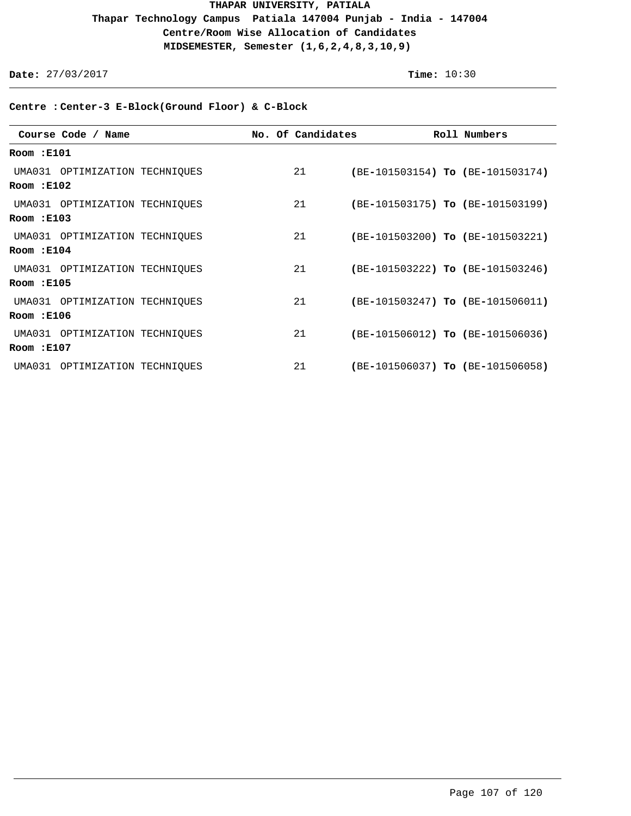**Centre/Room Wise Allocation of Candidates Thapar Technology Campus Patiala 147004 Punjab - India - 147004**

**MIDSEMESTER, Semester (1,6,2,4,8,3,10,9)**

Date:  $27/03/2017$ 

```
Time: 10:30
```
**Centre : Center-3 E-Block(Ground Floor) & C-Block**

| Course Code / Name             | No. Of Candidates |                                      | Roll Numbers |
|--------------------------------|-------------------|--------------------------------------|--------------|
| Room : E101                    |                   |                                      |              |
| UMA031 OPTIMIZATION TECHNIQUES | 21                | $(BE-101503154)$ To $(BE-101503174)$ |              |
| Room : E102                    |                   |                                      |              |
| UMA031 OPTIMIZATION TECHNIOUES | 21                | $(BE-101503175)$ To $(BE-101503199)$ |              |
| Room : E103                    |                   |                                      |              |
| UMA031 OPTIMIZATION TECHNIOUES | 21                | $(BE-101503200)$ To $(BE-101503221)$ |              |
| Room : E104                    |                   |                                      |              |
| UMA031 OPTIMIZATION TECHNIOUES | 21                | $(BE-101503222)$ To $(BE-101503246)$ |              |
| Room : E105                    |                   |                                      |              |
| UMA031 OPTIMIZATION TECHNIQUES | 21                | $(BE-101503247)$ To $(BE-101506011)$ |              |
| Room : E106                    |                   |                                      |              |
| UMA031 OPTIMIZATION TECHNIOUES | 21                | $(BE-101506012)$ To $(BE-101506036)$ |              |
| Room : E107                    |                   |                                      |              |
| UMA031 OPTIMIZATION TECHNIQUES | 21                | $(BE-101506037)$ To $(BE-101506058)$ |              |
|                                |                   |                                      |              |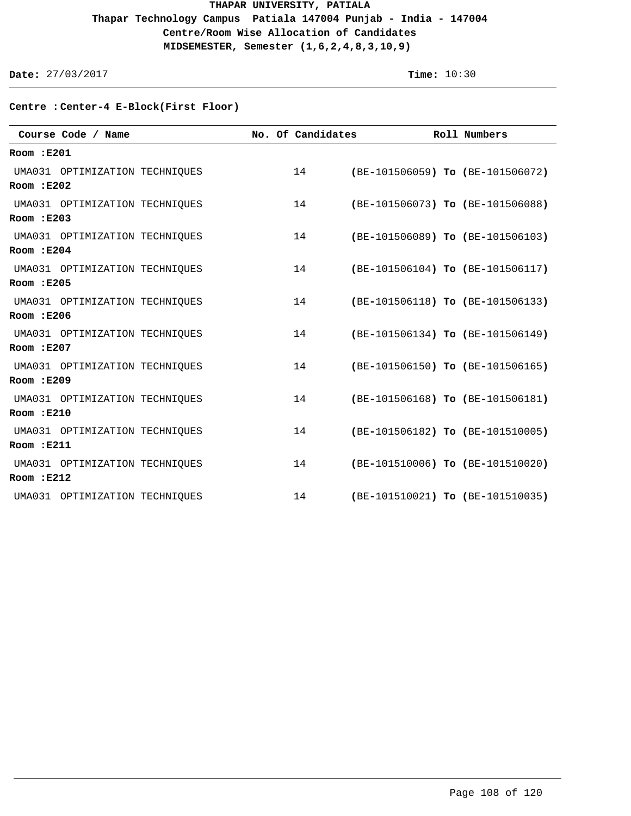**Centre/Room Wise Allocation of Candidates Thapar Technology Campus Patiala 147004 Punjab - India - 147004**

**MIDSEMESTER, Semester (1,6,2,4,8,3,10,9)**

Date:  $27/03/2017$ 

#### **Centre : Center-4 E-Block(First Floor)**

|               | Course Code / Name             |  | No. Of Candidates |  | Roll Numbers                         |
|---------------|--------------------------------|--|-------------------|--|--------------------------------------|
| Room : E201   |                                |  |                   |  |                                      |
| Room $: E202$ | UMA031 OPTIMIZATION TECHNIOUES |  |                   |  | 14 (BE-101506059) To (BE-101506072)  |
|               |                                |  |                   |  |                                      |
| Room : E203   | UMA031 OPTIMIZATION TECHNIQUES |  | 14                |  | (BE-101506073) To (BE-101506088)     |
|               | UMA031 OPTIMIZATION TECHNIQUES |  | 14                |  | (BE-101506089) To (BE-101506103)     |
| Room : E204   |                                |  |                   |  |                                      |
| Room : E205   | UMA031 OPTIMIZATION TECHNIQUES |  | 14                |  | (BE-101506104) To (BE-101506117)     |
|               | UMA031 OPTIMIZATION TECHNIQUES |  | 14                |  | $(BE-101506118)$ To $(BE-101506133)$ |
| Room : E206   |                                |  |                   |  |                                      |
|               | UMA031 OPTIMIZATION TECHNIQUES |  | 14                |  | (BE-101506134) To (BE-101506149)     |
| Room : E207   |                                |  |                   |  |                                      |
| Room : E209   | UMA031 OPTIMIZATION TECHNIQUES |  | 14                |  | (BE-101506150) To (BE-101506165)     |
|               | UMA031 OPTIMIZATION TECHNIOUES |  | 14                |  | (BE-101506168) To (BE-101506181)     |
| Room : E210   |                                |  |                   |  |                                      |
|               | UMA031 OPTIMIZATION TECHNIOUES |  | 14                |  | (BE-101506182) To (BE-101510005)     |
| Room : E211   |                                |  |                   |  |                                      |
|               | UMA031 OPTIMIZATION TECHNIQUES |  | 14                |  | $(BE-101510006)$ To $(BE-101510020)$ |
| Room : E212   |                                |  |                   |  |                                      |
|               | UMA031 OPTIMIZATION TECHNIQUES |  | 14                |  | (BE-101510021) To (BE-101510035)     |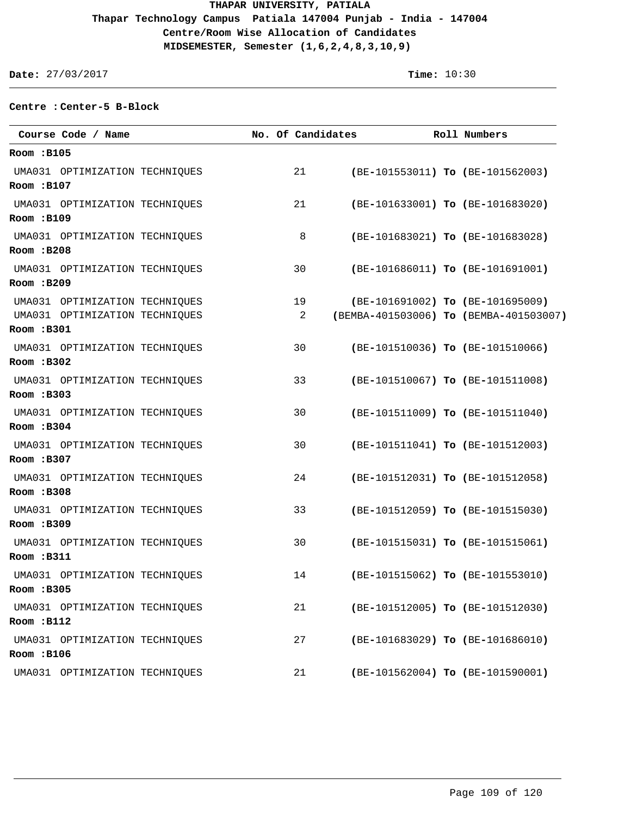# **Centre/Room Wise Allocation of Candidates Thapar Technology Campus Patiala 147004 Punjab - India - 147004**

**MIDSEMESTER, Semester (1,6,2,4,8,3,10,9)**

Date: 27/03/2017

Time: 10:30

**Centre : Center-5 B-Block**

| Course Code / Name                                                              | No. Of Candidates |                                                                            | Roll Numbers |
|---------------------------------------------------------------------------------|-------------------|----------------------------------------------------------------------------|--------------|
| Room : B105                                                                     |                   |                                                                            |              |
| UMA031 OPTIMIZATION TECHNIQUES<br>Room : B107                                   | 21                | $(BE-101553011)$ To $(BE-101562003)$                                       |              |
| UMA031 OPTIMIZATION TECHNIQUES<br>Room : B109                                   | 21                | $(BE-101633001)$ To $(BE-101683020)$                                       |              |
| UMA031 OPTIMIZATION TECHNIQUES<br>Room : B208                                   | 8                 | $(BE-101683021)$ To $(BE-101683028)$                                       |              |
| UMA031 OPTIMIZATION TECHNIQUES<br>Room : B209                                   | 30                | $(BE-101686011)$ To $(BE-101691001)$                                       |              |
| UMA031 OPTIMIZATION TECHNIQUES<br>UMA031 OPTIMIZATION TECHNIQUES<br>Room : B301 | 19<br>2           | (BE-101691002) To (BE-101695009)<br>(BEMBA-401503006) To (BEMBA-401503007) |              |
| UMA031 OPTIMIZATION TECHNIQUES<br>Room : B302                                   | 30                | (BE-101510036) To (BE-101510066)                                           |              |
| UMA031 OPTIMIZATION TECHNIQUES<br>Room : B303                                   | 33                | (BE-101510067) To (BE-101511008)                                           |              |
| UMA031 OPTIMIZATION TECHNIQUES<br>Room : B304                                   | 30                | (BE-101511009) To (BE-101511040)                                           |              |
| UMA031 OPTIMIZATION TECHNIQUES<br>Room : B307                                   | 30                | (BE-101511041) To (BE-101512003)                                           |              |
| UMA031 OPTIMIZATION TECHNIQUES<br>Room : B308                                   | 24                | (BE-101512031) To (BE-101512058)                                           |              |
| UMA031 OPTIMIZATION TECHNIQUES<br>Room : B309                                   | 33                | (BE-101512059) To (BE-101515030)                                           |              |
| UMA031 OPTIMIZATION TECHNIQUES<br>Room : B311                                   | 30                | (BE-101515031) To (BE-101515061)                                           |              |
| UMA031 OPTIMIZATION TECHNIQUES<br>Room : B305                                   | 14                | $(BE-101515062)$ To $(BE-101553010)$                                       |              |
| UMA031 OPTIMIZATION TECHNIQUES<br>Room : B112                                   | 21                | (BE-101512005) To (BE-101512030)                                           |              |
| UMA031 OPTIMIZATION TECHNIQUES<br>Room: B106                                    | 27                | (BE-101683029) To (BE-101686010)                                           |              |
| UMA031 OPTIMIZATION TECHNIQUES                                                  | 21                | (BE-101562004) To (BE-101590001)                                           |              |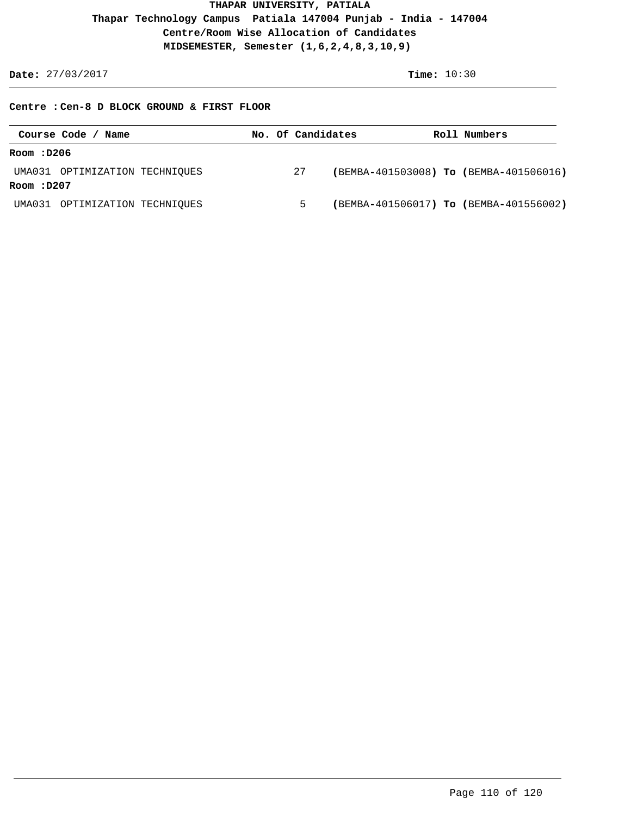# **THAPAR UNIVERSITY, PATIALA Centre/Room Wise Allocation of Candidates Thapar Technology Campus Patiala 147004 Punjab - India - 147004 MIDSEMESTER, Semester (1,6,2,4,8,3,10,9)**

Date: 27/03/2017

Time: 10:30

**Centre : Cen-8 D BLOCK GROUND & FIRST FLOOR**

|             | Course Code / Name             |  | No. Of Candidates |  | Roll Numbers                           |
|-------------|--------------------------------|--|-------------------|--|----------------------------------------|
| Room : D206 |                                |  |                   |  |                                        |
|             | UMA031 OPTIMIZATION TECHNIOUES |  | 27                |  | (BEMBA-401503008) To (BEMBA-401506016) |
| Room : D207 |                                |  |                   |  |                                        |
|             | UMA031 OPTIMIZATION TECHNIOUES |  | 5                 |  | (BEMBA-401506017) To (BEMBA-401556002) |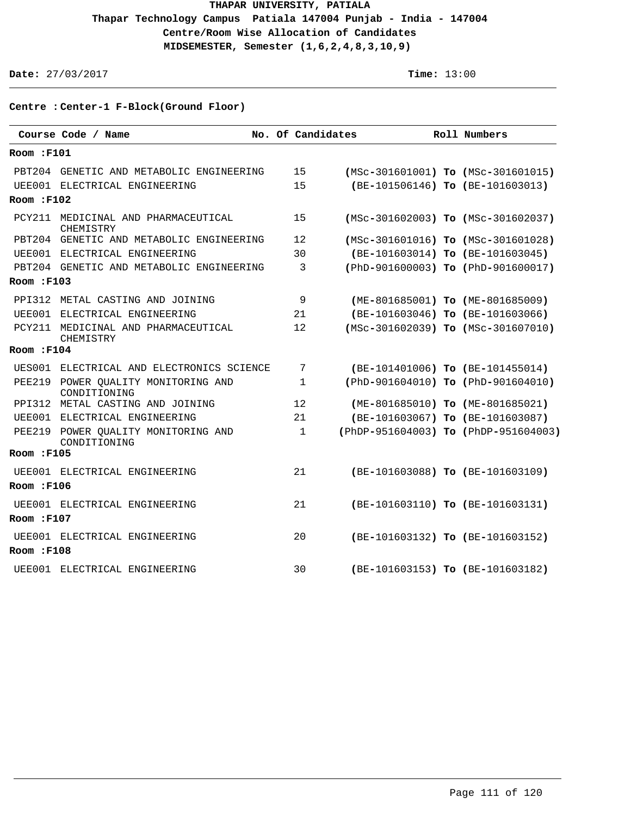**Thapar Technology Campus Patiala 147004 Punjab - India - 147004**

**Centre/Room Wise Allocation of Candidates**

**MIDSEMESTER, Semester (1,6,2,4,8,3,10,9)**

Date:  $27/03/2017$ 

Time: 13:00

#### **Centre : Center-1 F-Block(Ground Floor)**

|             | Course Code / Name                                  |              | No. Of Candidates |  | Roll Numbers                           |
|-------------|-----------------------------------------------------|--------------|-------------------|--|----------------------------------------|
| Room : F101 |                                                     |              |                   |  |                                        |
|             | PBT204 GENETIC AND METABOLIC ENGINEERING            | 15           |                   |  | (MSc-301601001) To (MSc-301601015)     |
|             | UEE001 ELECTRICAL ENGINEERING                       | 15           |                   |  | $(BE-101506146)$ To $(BE-101603013)$   |
| Room : F102 |                                                     |              |                   |  |                                        |
|             | PCY211 MEDICINAL AND PHARMACEUTICAL<br>CHEMISTRY    | 15           |                   |  | (MSc-301602003) To (MSc-301602037)     |
|             | PBT204 GENETIC AND METABOLIC ENGINEERING            | 12           |                   |  | $(MSc-301601016)$ To $(MSc-301601028)$ |
|             | UEE001 ELECTRICAL ENGINEERING                       | 30           |                   |  | $(BE-101603014)$ To $(BE-101603045)$   |
|             | PBT204 GENETIC AND METABOLIC ENGINEERING            | 3            |                   |  | $(PhD-901600003)$ To $(PhD-901600017)$ |
| Room : F103 |                                                     |              |                   |  |                                        |
| PPI312      | METAL CASTING AND JOINING                           | 9            |                   |  | (ME-801685001) To (ME-801685009)       |
| UEE001      | ELECTRICAL ENGINEERING                              | 21           |                   |  | $(BE-101603046)$ To $(BE-101603066)$   |
|             | PCY211 MEDICINAL AND PHARMACEUTICAL<br>CHEMISTRY    | 12           |                   |  | $(MSc-301602039)$ To $(MSc-301607010)$ |
| Room:F104   |                                                     |              |                   |  |                                        |
| UES001      | ELECTRICAL AND ELECTRONICS SCIENCE                  | 7            |                   |  | (BE-101401006) To (BE-101455014)       |
|             | PEE219 POWER OUALITY MONITORING AND<br>CONDITIONING | $\mathbf{1}$ |                   |  | $(PhD-901604010)$ To $(PhD-901604010)$ |
|             | PPI312 METAL CASTING AND JOINING                    | 12           |                   |  | (ME-801685010) To (ME-801685021)       |
|             | UEE001 ELECTRICAL ENGINEERING                       | 21           |                   |  | $(BE-101603067)$ To $(BE-101603087)$   |
|             | PEE219 POWER OUALITY MONITORING AND<br>CONDITIONING | $\mathbf{1}$ |                   |  | (PhDP-951604003) To (PhDP-951604003)   |
| Room:F105   |                                                     |              |                   |  |                                        |
|             | UEE001 ELECTRICAL ENGINEERING                       | 21           |                   |  | (BE-101603088) To (BE-101603109)       |
| Room : F106 |                                                     |              |                   |  |                                        |
|             | UEE001 ELECTRICAL ENGINEERING                       | 21           |                   |  | $(BE-101603110)$ To $(BE-101603131)$   |
| Room : F107 |                                                     |              |                   |  |                                        |
|             | UEE001 ELECTRICAL ENGINEERING                       | 20           |                   |  | (BE-101603132) To (BE-101603152)       |
| Room:F108   |                                                     |              |                   |  |                                        |
|             | UEE001 ELECTRICAL ENGINEERING                       | 30           |                   |  | $(BE-101603153)$ To $(BE-101603182)$   |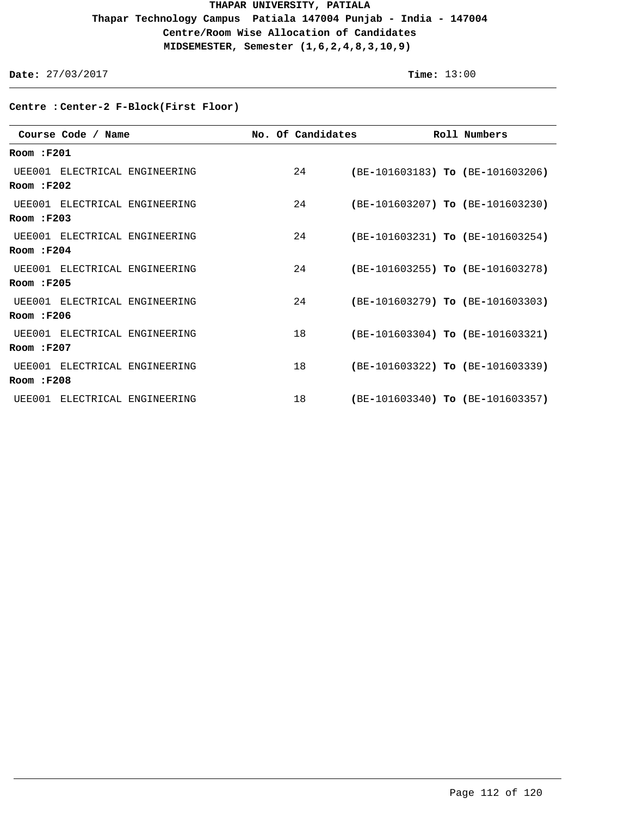**Centre/Room Wise Allocation of Candidates Thapar Technology Campus Patiala 147004 Punjab - India - 147004**

**MIDSEMESTER, Semester (1,6,2,4,8,3,10,9)**

Date:  $27/03/2017$ 

Time: 13:00

#### **Centre : Center-2 F-Block(First Floor)**

|              | Course Code / Name |                               | No. Of Candidates |  | Roll Numbers                         |
|--------------|--------------------|-------------------------------|-------------------|--|--------------------------------------|
| Room : F201  |                    |                               |                   |  |                                      |
| UEE001       |                    | ELECTRICAL ENGINEERING        | 24                |  | $(BE-101603183)$ To $(BE-101603206)$ |
| Room: $F202$ |                    |                               |                   |  |                                      |
|              |                    | UEE001 ELECTRICAL ENGINEERING | 24                |  | $(BE-101603207)$ To $(BE-101603230)$ |
| Room : F203  |                    |                               |                   |  |                                      |
|              |                    | UEE001 ELECTRICAL ENGINEERING | 24                |  | $(BE-101603231)$ To $(BE-101603254)$ |
| Room : F204  |                    |                               |                   |  |                                      |
|              |                    | UEE001 ELECTRICAL ENGINEERING | 24                |  | $(BE-101603255)$ To $(BE-101603278)$ |
| Room : F205  |                    |                               |                   |  |                                      |
|              |                    | UEE001 ELECTRICAL ENGINEERING | 24                |  | $(BE-101603279)$ To $(BE-101603303)$ |
| Room : F206  |                    |                               |                   |  |                                      |
|              |                    | UEE001 ELECTRICAL ENGINEERING | 18                |  | $(BE-101603304)$ To $(BE-101603321)$ |
| Room : F207  |                    |                               |                   |  |                                      |
|              |                    | UEE001 ELECTRICAL ENGINEERING | 18                |  | $(BE-101603322)$ To $(BE-101603339)$ |
| Room : F208  |                    |                               |                   |  |                                      |
|              |                    | UEE001 ELECTRICAL ENGINEERING | 18                |  | $(BE-101603340)$ To $(BE-101603357)$ |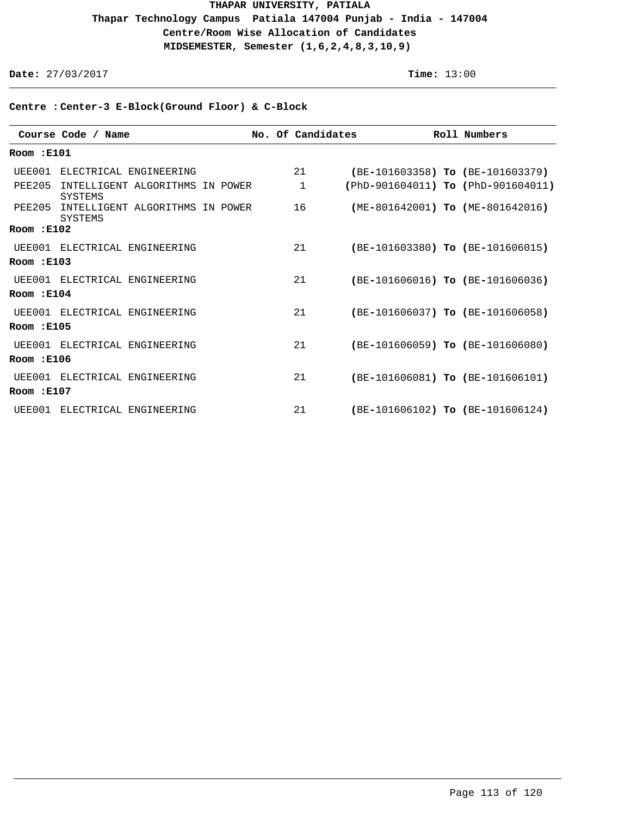**Centre/Room Wise Allocation of Candidates Thapar Technology Campus Patiala 147004 Punjab - India - 147004**

**MIDSEMESTER, Semester (1,6,2,4,8,3,10,9)**

Date:  $27/03/2017$ 

Time: 13:00

**Centre : Center-3 E-Block(Ground Floor) & C-Block**

|               | Course Code / Name                |          | No. Of Candidates |                                      | Roll Numbers                           |
|---------------|-----------------------------------|----------|-------------------|--------------------------------------|----------------------------------------|
| Room : E101   |                                   |          |                   |                                      |                                        |
| UEE001        | ELECTRICAL ENGINEERING            |          | 21                |                                      | $(BE-101603358)$ To $(BE-101603379)$   |
| <b>PEE205</b> | INTELLIGENT ALGORITHMS<br>SYSTEMS | IN POWER | 1                 |                                      | $(PhD-901604011)$ To $(PhD-901604011)$ |
| <b>PEE205</b> | INTELLIGENT ALGORITHMS<br>SYSTEMS | IN POWER | 16                |                                      | $(ME-801642001)$ To $(ME-801642016)$   |
| Room : E102   |                                   |          |                   |                                      |                                        |
| UEE001        | ELECTRICAL ENGINEERING            |          | 21                |                                      | $(BE-101603380)$ To $(BE-101606015)$   |
| Room : E103   |                                   |          |                   |                                      |                                        |
| UEE001        | ELECTRICAL ENGINEERING            |          | 21                |                                      | $(BE-101606016)$ To $(BE-101606036)$   |
| Room : E104   |                                   |          |                   |                                      |                                        |
| UEE001        | ELECTRICAL ENGINEERING            |          | 21                | $(BE-101606037)$ To $(BE-101606058)$ |                                        |
| Room : E105   |                                   |          |                   |                                      |                                        |
| UEE001        | ELECTRICAL ENGINEERING            |          | 21                |                                      | $(BE-101606059)$ To $(BE-101606080)$   |
| Room : E106   |                                   |          |                   |                                      |                                        |
| UEE001        | ELECTRICAL ENGINEERING            |          | 21                |                                      | $(BE-101606081)$ To $(BE-101606101)$   |
| Room : E107   |                                   |          |                   |                                      |                                        |
| UEE001        | ELECTRICAL ENGINEERING            |          | 21                | $(BE-101606102)$ To $(BE-101606124)$ |                                        |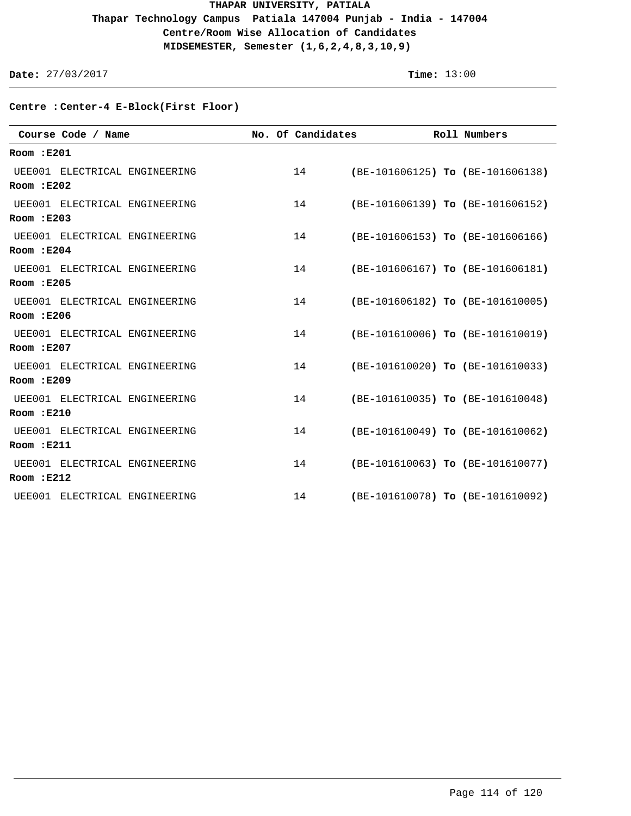**Centre/Room Wise Allocation of Candidates Thapar Technology Campus Patiala 147004 Punjab - India - 147004**

**MIDSEMESTER, Semester (1,6,2,4,8,3,10,9)**

Date:  $27/03/2017$ 

#### **Centre : Center-4 E-Block(First Floor)**

|               | Course Code / Name |                               |  | No. Of Candidates |  | Roll Numbers                         |
|---------------|--------------------|-------------------------------|--|-------------------|--|--------------------------------------|
| Room : E201   |                    |                               |  |                   |  |                                      |
|               |                    | UEE001 ELECTRICAL ENGINEERING |  | 14                |  | (BE-101606125) To (BE-101606138)     |
| Room : E202   |                    |                               |  |                   |  |                                      |
| Room : E203   |                    | UEE001 ELECTRICAL ENGINEERING |  | 14                |  | $(BE-101606139)$ To $(BE-101606152)$ |
|               |                    |                               |  |                   |  |                                      |
|               |                    | UEE001 ELECTRICAL ENGINEERING |  | 14                |  | $(BE-101606153)$ To $(BE-101606166)$ |
| Room: $E204$  |                    |                               |  |                   |  |                                      |
|               |                    | UEE001 ELECTRICAL ENGINEERING |  | 14                |  | $(BE-101606167)$ To $(BE-101606181)$ |
| Room : E205   |                    |                               |  |                   |  |                                      |
|               |                    | UEE001 ELECTRICAL ENGINEERING |  | 14                |  | $(BE-101606182)$ To $(BE-101610005)$ |
| Room : E206   |                    |                               |  |                   |  |                                      |
|               |                    | UEE001 ELECTRICAL ENGINEERING |  | 14                |  | $(BE-101610006)$ To $(BE-101610019)$ |
| Room : E207   |                    |                               |  |                   |  |                                      |
|               |                    | UEE001 ELECTRICAL ENGINEERING |  | 14                |  | $(BE-101610020)$ To $(BE-101610033)$ |
| Room : E209   |                    |                               |  |                   |  |                                      |
|               |                    | UEE001 ELECTRICAL ENGINEERING |  | 14                |  | $(BE-101610035)$ To $(BE-101610048)$ |
| Room : E210   |                    |                               |  |                   |  |                                      |
|               |                    | UEE001 ELECTRICAL ENGINEERING |  | 14                |  | $(BE-101610049)$ To $(BE-101610062)$ |
| Room : E211   |                    |                               |  |                   |  |                                      |
|               |                    | UEE001 ELECTRICAL ENGINEERING |  | 14                |  | $(BE-101610063)$ To $(BE-101610077)$ |
| Room $: E212$ |                    |                               |  |                   |  |                                      |
|               |                    | UEE001 ELECTRICAL ENGINEERING |  | 14                |  | $(BE-101610078)$ To $(BE-101610092)$ |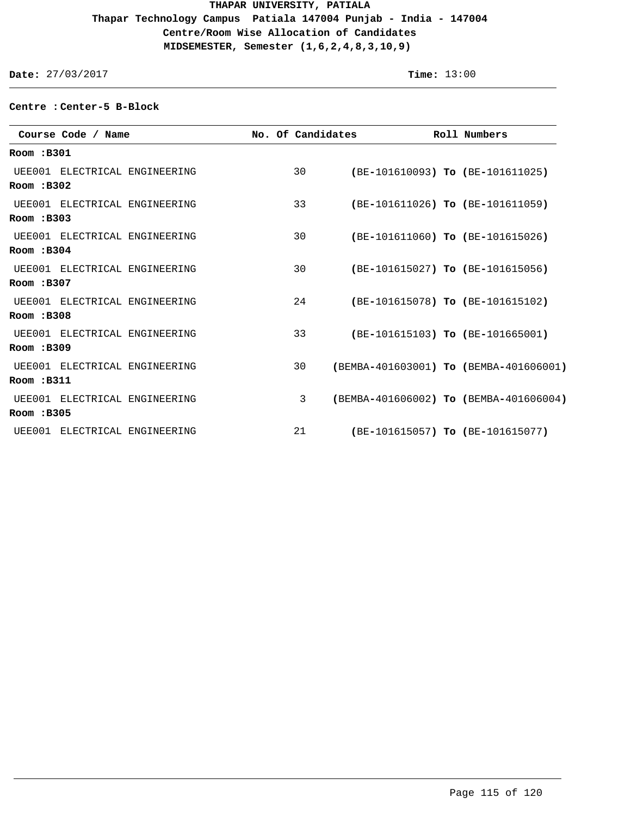# **Centre/Room Wise Allocation of Candidates Thapar Technology Campus Patiala 147004 Punjab - India - 147004**

**MIDSEMESTER, Semester (1,6,2,4,8,3,10,9)**

Date:  $27/03/2017$ 

Time: 13:00

**Centre : Center-5 B-Block**

| Course Code / Name                           | No. Of Candidates |                                      | Roll Numbers                           |
|----------------------------------------------|-------------------|--------------------------------------|----------------------------------------|
| Room : B301                                  |                   |                                      |                                        |
| UEE001 ELECTRICAL ENGINEERING<br>Room : B302 | 30                | (BE-101610093) To (BE-101611025)     |                                        |
| UEE001 ELECTRICAL ENGINEERING<br>Room : B303 | 33                | $(BE-101611026)$ To $(BE-101611059)$ |                                        |
| UEE001 ELECTRICAL ENGINEERING<br>Room : B304 | 30                | $(BE-101611060)$ To $(BE-101615026)$ |                                        |
| UEE001 ELECTRICAL ENGINEERING<br>Room : B307 | 30                | $(BE-101615027)$ To $(BE-101615056)$ |                                        |
| UEE001 ELECTRICAL ENGINEERING<br>Room : B308 | 24                | $(BE-101615078)$ To $(BE-101615102)$ |                                        |
| UEE001 ELECTRICAL ENGINEERING<br>Room : B309 | 33                | $(BE-101615103)$ To $(BE-101665001)$ |                                        |
| UEE001 ELECTRICAL ENGINEERING<br>Room : B311 | 30                |                                      | (BEMBA-401603001) To (BEMBA-401606001) |
| UEE001 ELECTRICAL ENGINEERING<br>Room : B305 | 3                 |                                      | (BEMBA-401606002) To (BEMBA-401606004) |
| UEE001 ELECTRICAL ENGINEERING                | 21                | (BE-101615057) To (BE-101615077)     |                                        |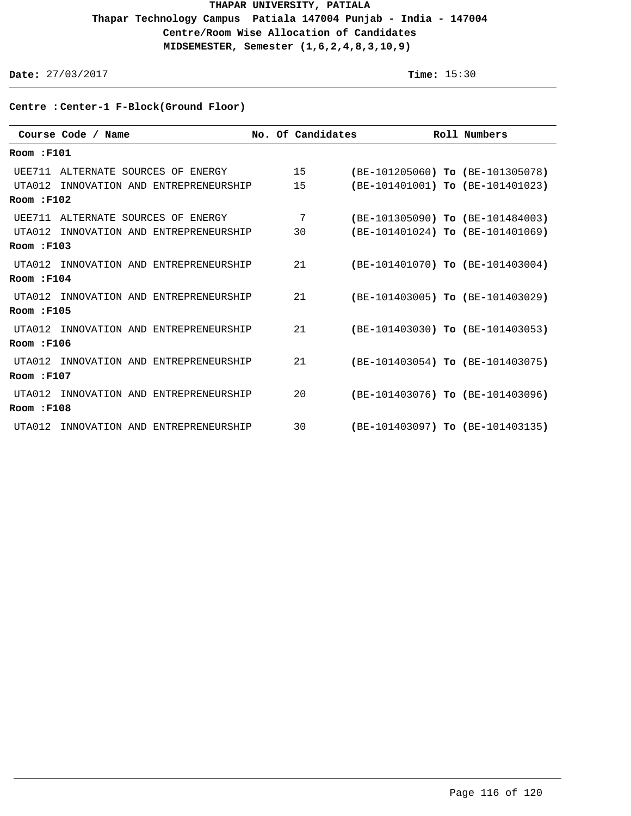**Thapar Technology Campus Patiala 147004 Punjab - India - 147004**

**Centre/Room Wise Allocation of Candidates**

**MIDSEMESTER, Semester (1,6,2,4,8,3,10,9)**

Date:  $27/03/2017$ 

**Time:** 15:30

**Centre : Center-1 F-Block(Ground Floor)**

|             | Course Code / Name              |  | No. Of Candidates |  | Roll Numbers                         |
|-------------|---------------------------------|--|-------------------|--|--------------------------------------|
| Room : F101 |                                 |  |                   |  |                                      |
| UEE711      | ALTERNATE SOURCES OF ENERGY     |  | 15                |  | $(BE-101205060)$ To $(BE-101305078)$ |
| TITA012     | INNOVATION AND ENTREPRENEURSHIP |  | 15                |  | $(BE-101401001)$ To $(BE-101401023)$ |
| Room : F102 |                                 |  |                   |  |                                      |
| UEE711      | ALTERNATE SOURCES OF ENERGY     |  | 7                 |  | $(BE-101305090)$ To $(BE-101484003)$ |
| UTA012      | INNOVATION AND ENTREPRENEURSHIP |  | 30                |  | $(BE-101401024)$ To $(BE-101401069)$ |
| Room : F103 |                                 |  |                   |  |                                      |
| UTA012      | INNOVATION AND ENTREPRENEURSHIP |  | 21                |  | $(BE-101401070)$ To $(BE-101403004)$ |
| Room : F104 |                                 |  |                   |  |                                      |
| UTA012      | INNOVATION AND ENTREPRENEURSHIP |  | 21                |  | $(BE-101403005)$ To $(BE-101403029)$ |
| Room : F105 |                                 |  |                   |  |                                      |
| UTA012      | INNOVATION AND ENTREPRENEURSHIP |  | 21                |  | $(BE-101403030)$ To $(BE-101403053)$ |
| Room : F106 |                                 |  |                   |  |                                      |
| UTA012      | INNOVATION AND ENTREPRENEURSHIP |  | 21                |  | $(BE-101403054)$ To $(BE-101403075)$ |
| Room : F107 |                                 |  |                   |  |                                      |
| UTA012      | INNOVATION AND ENTREPRENEURSHIP |  | 20                |  | (BE-101403076) To (BE-101403096)     |
| Room : F108 |                                 |  |                   |  |                                      |
|             |                                 |  |                   |  |                                      |
| IITBA012    | INNOVATION AND ENTREPRENEURSHIP |  | 30                |  | $(BE-101403097)$ To $(BE-101403135)$ |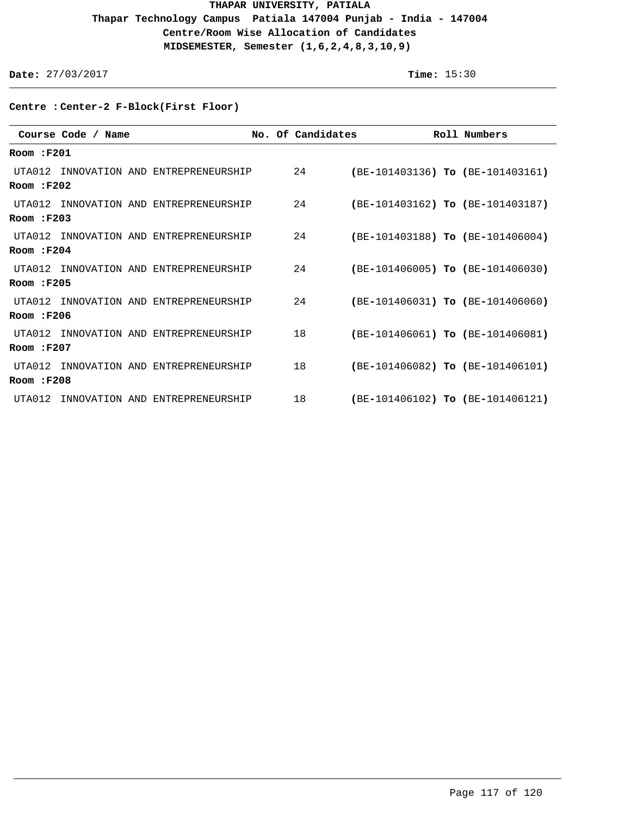**Centre/Room Wise Allocation of Candidates Thapar Technology Campus Patiala 147004 Punjab - India - 147004**

**MIDSEMESTER, Semester (1,6,2,4,8,3,10,9)**

Date:  $27/03/2017$ 

#### **Centre : Center-2 F-Block(First Floor)**

|              | Course Code / Name |                                 |  | No. Of Candidates |  | Roll Numbers                         |
|--------------|--------------------|---------------------------------|--|-------------------|--|--------------------------------------|
| Room : F201  |                    |                                 |  |                   |  |                                      |
| UTA012       | INNOVATION AND     | ENTREPRENEURSHIP                |  | 24                |  | $(BE-101403136)$ To $(BE-101403161)$ |
| Room: $F202$ |                    |                                 |  |                   |  |                                      |
| TITA012      |                    | INNOVATION AND ENTREPRENEURSHIP |  | 24                |  | (BE-101403162) To (BE-101403187)     |
| Room : F203  |                    |                                 |  |                   |  |                                      |
| TITA012      |                    | INNOVATION AND ENTREPRENEURSHIP |  | 24                |  | $(BE-101403188)$ To $(BE-101406004)$ |
| Room : F204  |                    |                                 |  |                   |  |                                      |
| UTA012       |                    | INNOVATION AND ENTREPRENEURSHIP |  | 24                |  | $(BE-101406005)$ To $(BE-101406030)$ |
| Room : F205  |                    |                                 |  |                   |  |                                      |
| TITA012      |                    | INNOVATION AND ENTREPRENEURSHIP |  | 24                |  | $(BE-101406031)$ To $(BE-101406060)$ |
| Room : F206  |                    |                                 |  |                   |  |                                      |
| 11 TA 0 1 2  | INNOVATION AND     | ENTREPRENEURSHIP                |  | 18                |  | $(BE-101406061)$ To $(BE-101406081)$ |
| Room : F207  |                    |                                 |  |                   |  |                                      |
| TITA012      |                    | INNOVATION AND ENTREPRENEURSHIP |  | 18                |  | $(BE-101406082)$ To $(BE-101406101)$ |
| Room : F208  |                    |                                 |  |                   |  |                                      |
| UTA012       |                    | INNOVATION AND ENTREPRENEURSHIP |  | 18                |  | $(BE-101406102)$ To $(BE-101406121)$ |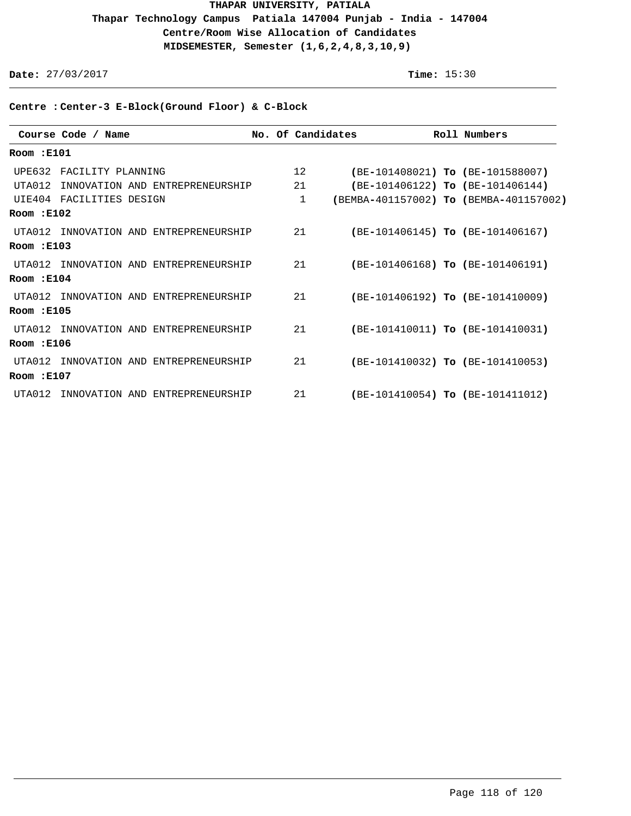**Centre/Room Wise Allocation of Candidates Thapar Technology Campus Patiala 147004 Punjab - India - 147004**

**MIDSEMESTER, Semester (1,6,2,4,8,3,10,9)**

Date:  $27/03/2017$ 

**Time:** 15:30

**Centre : Center-3 E-Block(Ground Floor) & C-Block**

|             | Course Code / Name                     |  | No. Of Candidates |  | Roll Numbers                           |
|-------------|----------------------------------------|--|-------------------|--|----------------------------------------|
| Room : E101 |                                        |  |                   |  |                                        |
| UPE632      | FACILITY PLANNING                      |  | 12                |  | (BE-101408021) To (BE-101588007)       |
| UTA012      | INNOVATION AND ENTREPRENEURSHIP        |  | 21                |  | (BE-101406122) To (BE-101406144)       |
|             | UIE404 FACILITIES DESIGN               |  | $\mathbf{1}$      |  | (BEMBA-401157002) To (BEMBA-401157002) |
| Room : E102 |                                        |  |                   |  |                                        |
| TITA012     | INNOVATION AND ENTREPRENEURSHIP        |  | 21                |  | $(BE-101406145)$ To $(BE-101406167)$   |
| Room : E103 |                                        |  |                   |  |                                        |
|             | UTA012 INNOVATION AND ENTREPRENEURSHIP |  | 21                |  | $(BE-101406168)$ To $(BE-101406191)$   |
| Room : E104 |                                        |  |                   |  |                                        |
| UTA012      | INNOVATION AND ENTREPRENEURSHIP        |  | 21                |  | $(BE-101406192)$ To $(BE-101410009)$   |
| Room : E105 |                                        |  |                   |  |                                        |
|             | UTA012 INNOVATION AND ENTREPRENEURSHIP |  | 21                |  | (BE-101410011) To (BE-101410031)       |
| Room : E106 |                                        |  |                   |  |                                        |
|             | UTA012 INNOVATION AND ENTREPRENEURSHIP |  | 21                |  | $(BE-101410032)$ To $(BE-101410053)$   |
| Room : E107 |                                        |  |                   |  |                                        |
| UTA012      | INNOVATION AND ENTREPRENEURSHIP        |  | 21                |  | $(BE-101410054)$ To $(BE-101411012)$   |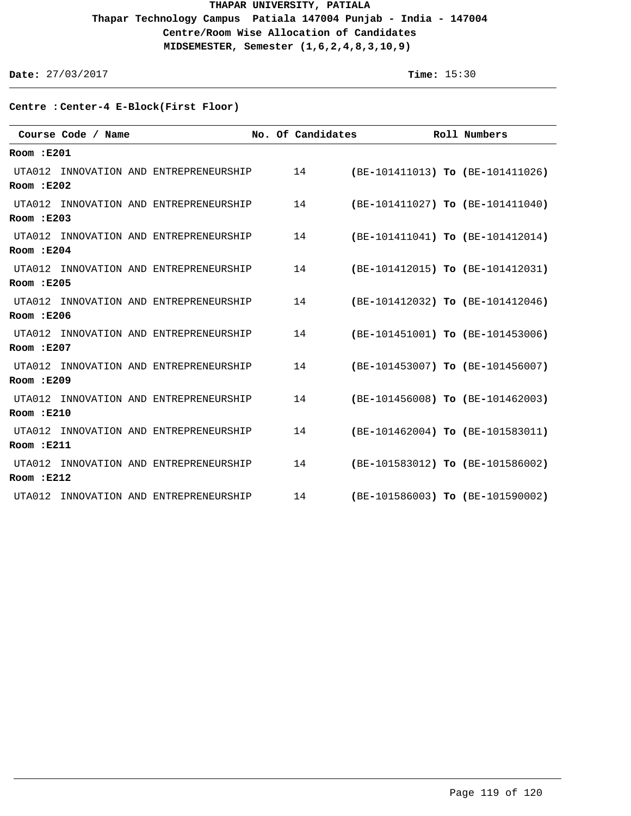**Centre/Room Wise Allocation of Candidates Thapar Technology Campus Patiala 147004 Punjab - India - 147004**

**MIDSEMESTER, Semester (1,6,2,4,8,3,10,9)**

Date:  $27/03/2017$ 

#### **Centre : Center-4 E-Block(First Floor)**

|               | Course Code / Name |                                        | No. Of Candidates |  | Roll Numbers                         |
|---------------|--------------------|----------------------------------------|-------------------|--|--------------------------------------|
| Room : E201   |                    |                                        |                   |  |                                      |
|               |                    | UTA012 INNOVATION AND ENTREPRENEURSHIP | 14                |  | $(BE-101411013)$ To $(BE-101411026)$ |
| Room : E202   |                    |                                        |                   |  |                                      |
|               |                    | UTA012 INNOVATION AND ENTREPRENEURSHIP | 14                |  | $(BE-101411027)$ To $(BE-101411040)$ |
| Room : E203   |                    |                                        |                   |  |                                      |
|               |                    | UTA012 INNOVATION AND ENTREPRENEURSHIP | 14                |  | $(BE-101411041)$ To $(BE-101412014)$ |
| Room : E204   |                    |                                        |                   |  |                                      |
| UTA012        |                    | INNOVATION AND ENTREPRENEURSHIP        | 14                |  | $(BE-101412015)$ To $(BE-101412031)$ |
| Room : E205   |                    |                                        |                   |  |                                      |
|               |                    | UTA012 INNOVATION AND ENTREPRENEURSHIP | 14                |  | $(BE-101412032)$ To $(BE-101412046)$ |
| Room : E206   |                    |                                        |                   |  |                                      |
|               |                    | UTA012 INNOVATION AND ENTREPRENEURSHIP | 14                |  | $(BE-101451001)$ To $(BE-101453006)$ |
| Room : E207   |                    |                                        |                   |  |                                      |
|               |                    | UTA012 INNOVATION AND ENTREPRENEURSHIP | 14                |  | $(BE-101453007)$ To $(BE-101456007)$ |
| Room : E209   |                    |                                        |                   |  |                                      |
|               |                    | UTA012 INNOVATION AND ENTREPRENEURSHIP | 14                |  | $(BE-101456008)$ To $(BE-101462003)$ |
| Room : E210   |                    |                                        |                   |  |                                      |
|               |                    | UTA012 INNOVATION AND ENTREPRENEURSHIP | 14                |  | $(BE-101462004)$ To $(BE-101583011)$ |
| Room : E211   |                    |                                        |                   |  |                                      |
|               |                    | UTA012 INNOVATION AND ENTREPRENEURSHIP | 14                |  | (BE-101583012) To (BE-101586002)     |
| Room $: E212$ |                    |                                        |                   |  |                                      |
| UTA012        |                    | INNOVATION AND ENTREPRENEURSHIP        | 14                |  | $(BE-101586003)$ To $(BE-101590002)$ |